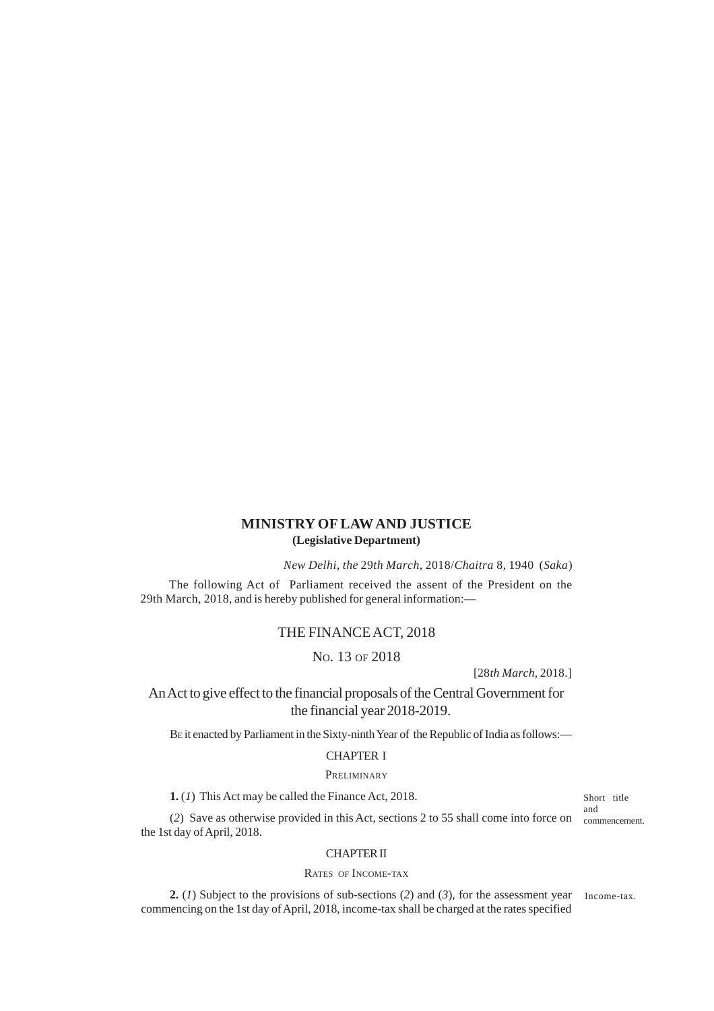# **MINISTRY OF LAW AND JUSTICE (Legislative Department)**

*New Delhi, the* 29*th March,* 2018/*Chaitra* 8*,* 1940 (*Saka*)

The following Act of Parliament received the assent of the President on the 29th March, 2018, and is hereby published for general information:—

## THE FINANCE ACT, 2018

NO. 13 OF 2018

[28*th March,* 2018.]

An Act to give effect to the financial proposals of the Central Government for the financial year 2018-2019.

BE it enacted by Parliament in the Sixty-ninth Year of the Republic of India as follows:—

# CHAPTER I

## **PRELIMINARY**

**1.** (*1*) This Act may be called the Finance Act, 2018.

Short title and

(*2*) Save as otherwise provided in this Act, sections 2 to 55 shall come into force on commencement. the 1st day of April, 2018.

## CHAPTER II

## RATES OF INCOME-TAX

**2.** (*1*) Subject to the provisions of sub-sections (*2*) and (*3*), for the assessment year Income-tax. commencing on the 1st day of April, 2018, income-tax shall be charged at the rates specified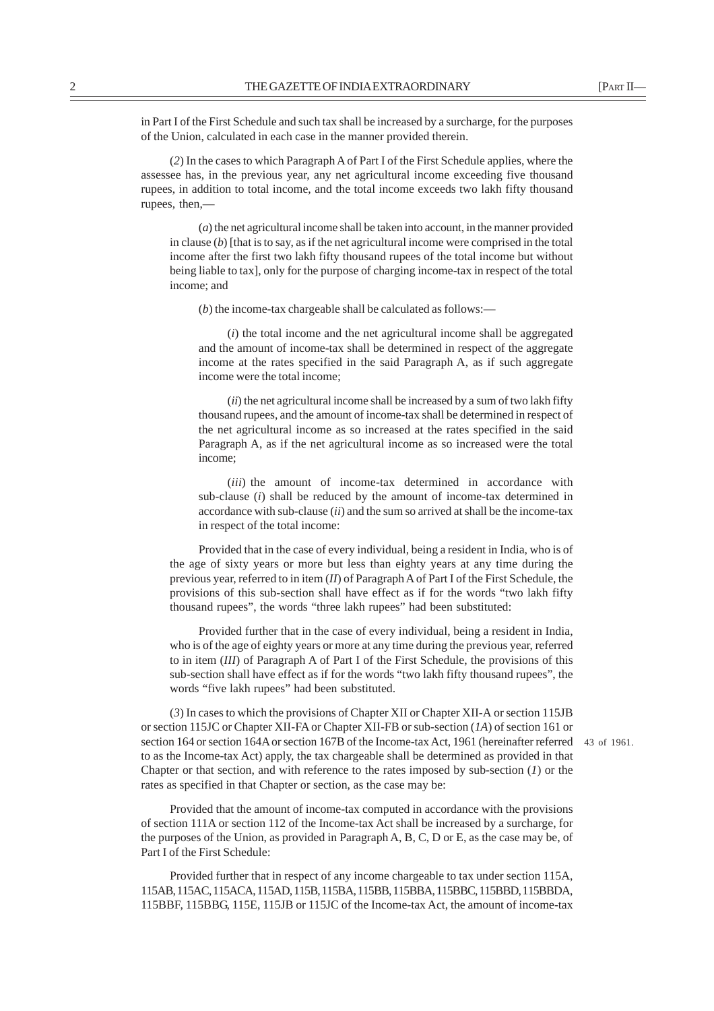in Part I of the First Schedule and such tax shall be increased by a surcharge, for the purposes of the Union, calculated in each case in the manner provided therein.

(*2*) In the cases to which Paragraph A of Part I of the First Schedule applies, where the assessee has, in the previous year, any net agricultural income exceeding five thousand rupees, in addition to total income, and the total income exceeds two lakh fifty thousand rupees, then,—

(*a*) the net agricultural income shall be taken into account, in the manner provided in clause  $(b)$  [that is to say, as if the net agricultural income were comprised in the total income after the first two lakh fifty thousand rupees of the total income but without being liable to tax], only for the purpose of charging income-tax in respect of the total income; and

(*b*) the income-tax chargeable shall be calculated as follows:—

(*i*) the total income and the net agricultural income shall be aggregated and the amount of income-tax shall be determined in respect of the aggregate income at the rates specified in the said Paragraph A, as if such aggregate income were the total income;

(*ii*) the net agricultural income shall be increased by a sum of two lakh fifty thousand rupees, and the amount of income-tax shall be determined in respect of the net agricultural income as so increased at the rates specified in the said Paragraph A, as if the net agricultural income as so increased were the total income;

(*iii*) the amount of income-tax determined in accordance with sub-clause (*i*) shall be reduced by the amount of income-tax determined in accordance with sub-clause (*ii*) and the sum so arrived at shall be the income-tax in respect of the total income:

Provided that in the case of every individual, being a resident in India, who is of the age of sixty years or more but less than eighty years at any time during the previous year, referred to in item (*II*) of Paragraph A of Part I of the First Schedule, the provisions of this sub-section shall have effect as if for the words "two lakh fifty thousand rupees", the words "three lakh rupees" had been substituted:

Provided further that in the case of every individual, being a resident in India, who is of the age of eighty years or more at any time during the previous year, referred to in item (*III*) of Paragraph A of Part I of the First Schedule, the provisions of this sub-section shall have effect as if for the words "two lakh fifty thousand rupees", the words "five lakh rupees" had been substituted.

(*3*) In cases to which the provisions of Chapter XII or Chapter XII-A or section 115JB or section 115JC or Chapter XII-FA or Chapter XII-FB or sub-section (*1A*) of section 161 or section 164 or section 164A or section 167B of the Income-tax Act, 1961 (hereinafter referred 43 of 1961.to as the Income-tax Act) apply, the tax chargeable shall be determined as provided in that Chapter or that section, and with reference to the rates imposed by sub-section (*1*) or the rates as specified in that Chapter or section, as the case may be:

Provided that the amount of income-tax computed in accordance with the provisions of section 111A or section 112 of the Income-tax Act shall be increased by a surcharge, for the purposes of the Union, as provided in Paragraph A, B, C, D or E, as the case may be, of Part I of the First Schedule:

Provided further that in respect of any income chargeable to tax under section 115A, 115AB, 115AC, 115ACA, 115AD, 115B, 115BA, 115BB, 115BBA, 115BBC, 115BBD, 115BBDA, 115BBF, 115BBG, 115E, 115JB or 115JC of the Income-tax Act, the amount of income-tax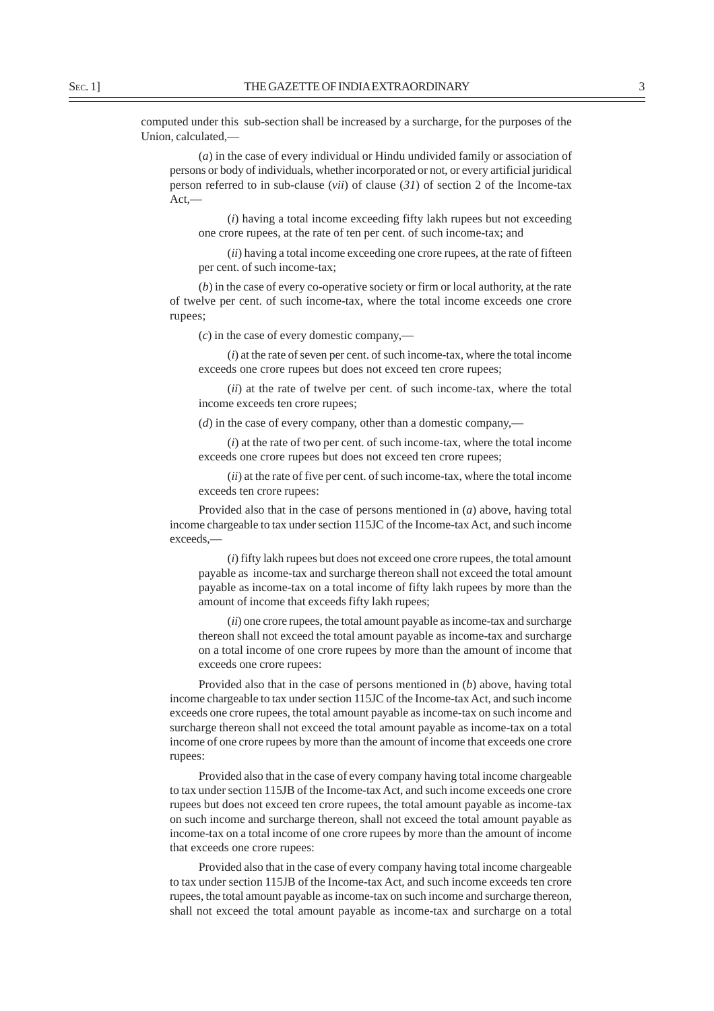computed under this sub-section shall be increased by a surcharge, for the purposes of the Union, calculated,—

(*a*) in the case of every individual or Hindu undivided family or association of persons or body of individuals, whether incorporated or not, or every artificial juridical person referred to in sub-clause (*vii*) of clause (*31*) of section 2 of the Income-tax Act,—

(*i*) having a total income exceeding fifty lakh rupees but not exceeding one crore rupees, at the rate of ten per cent. of such income-tax; and

(*ii*) having a total income exceeding one crore rupees, at the rate of fifteen per cent. of such income-tax;

(*b*) in the case of every co-operative society or firm or local authority, at the rate of twelve per cent. of such income-tax, where the total income exceeds one crore rupees;

(*c*) in the case of every domestic company,—

(*i*) at the rate of seven per cent. of such income-tax, where the total income exceeds one crore rupees but does not exceed ten crore rupees;

(*ii*) at the rate of twelve per cent. of such income-tax, where the total income exceeds ten crore rupees;

(*d*) in the case of every company, other than a domestic company,—

(*i*) at the rate of two per cent. of such income-tax, where the total income exceeds one crore rupees but does not exceed ten crore rupees;

(*ii*) at the rate of five per cent. of such income-tax, where the total income exceeds ten crore rupees:

Provided also that in the case of persons mentioned in (*a*) above, having total income chargeable to tax under section 115JC of the Income-tax Act, and such income exceeds,—

(*i*) fifty lakh rupees but does not exceed one crore rupees, the total amount payable as income-tax and surcharge thereon shall not exceed the total amount payable as income-tax on a total income of fifty lakh rupees by more than the amount of income that exceeds fifty lakh rupees;

(*ii*) one crore rupees, the total amount payable as income-tax and surcharge thereon shall not exceed the total amount payable as income-tax and surcharge on a total income of one crore rupees by more than the amount of income that exceeds one crore rupees:

Provided also that in the case of persons mentioned in (*b*) above, having total income chargeable to tax under section 115JC of the Income-tax Act, and such income exceeds one crore rupees, the total amount payable as income-tax on such income and surcharge thereon shall not exceed the total amount payable as income-tax on a total income of one crore rupees by more than the amount of income that exceeds one crore rupees:

Provided also that in the case of every company having total income chargeable to tax under section 115JB of the Income-tax Act, and such income exceeds one crore rupees but does not exceed ten crore rupees, the total amount payable as income-tax on such income and surcharge thereon, shall not exceed the total amount payable as income-tax on a total income of one crore rupees by more than the amount of income that exceeds one crore rupees:

Provided also that in the case of every company having total income chargeable to tax under section 115JB of the Income-tax Act, and such income exceeds ten crore rupees, the total amount payable as income-tax on such income and surcharge thereon, shall not exceed the total amount payable as income-tax and surcharge on a total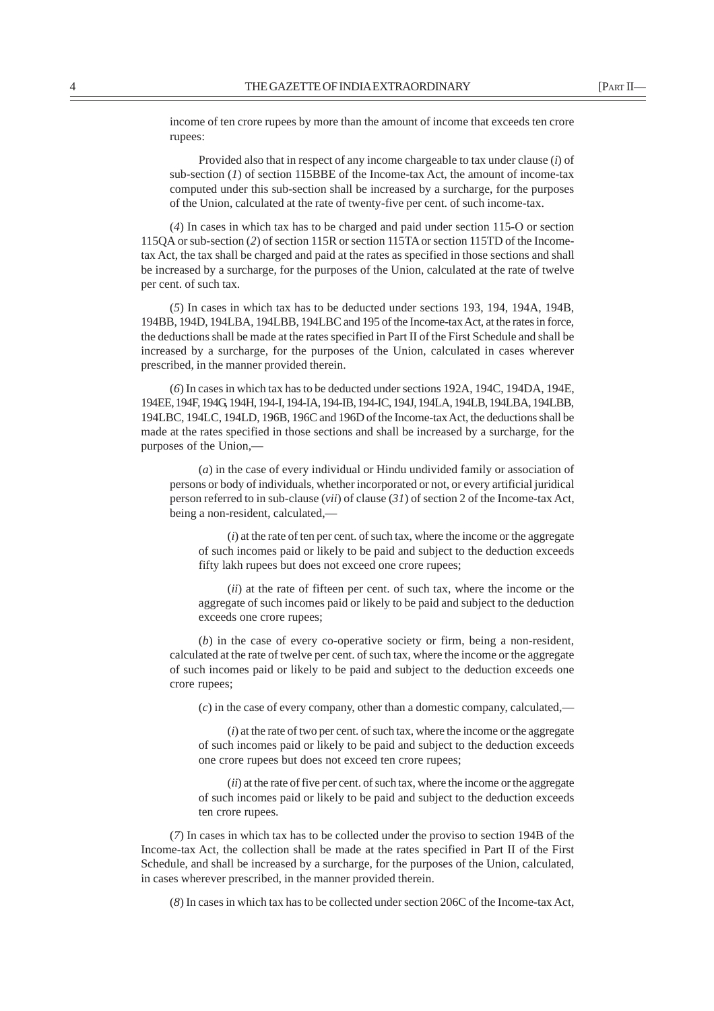income of ten crore rupees by more than the amount of income that exceeds ten crore rupees:

Provided also that in respect of any income chargeable to tax under clause (*i*) of sub-section (*1*) of section 115BBE of the Income-tax Act, the amount of income-tax computed under this sub-section shall be increased by a surcharge, for the purposes of the Union, calculated at the rate of twenty-five per cent. of such income-tax.

(*4*) In cases in which tax has to be charged and paid under section 115-O or section 115QA or sub-section (*2*) of section 115R or section 115TA or section 115TD of the Incometax Act, the tax shall be charged and paid at the rates as specified in those sections and shall be increased by a surcharge, for the purposes of the Union, calculated at the rate of twelve per cent. of such tax.

(*5*) In cases in which tax has to be deducted under sections 193, 194, 194A, 194B, 194BB, 194D, 194LBA, 194LBB, 194LBC and 195 of the Income-tax Act, at the rates in force, the deductions shall be made at the rates specified in Part II of the First Schedule and shall be increased by a surcharge, for the purposes of the Union, calculated in cases wherever prescribed, in the manner provided therein.

(*6*) In cases in which tax has to be deducted under sections 192A, 194C, 194DA, 194E, 194EE, 194F, 194G, 194H, 194-I, 194-IA, 194-IB, 194-IC, 194J, 194LA, 194LB, 194LBA, 194LBB, 194LBC, 194LC, 194LD, 196B, 196C and 196D of the Income-tax Act, the deductions shall be made at the rates specified in those sections and shall be increased by a surcharge, for the purposes of the Union,—

(*a*) in the case of every individual or Hindu undivided family or association of persons or body of individuals, whether incorporated or not, or every artificial juridical person referred to in sub-clause (*vii*) of clause (*31*) of section 2 of the Income-tax Act, being a non-resident, calculated,—

(*i*) at the rate of ten per cent. of such tax, where the income or the aggregate of such incomes paid or likely to be paid and subject to the deduction exceeds fifty lakh rupees but does not exceed one crore rupees;

(*ii*) at the rate of fifteen per cent. of such tax, where the income or the aggregate of such incomes paid or likely to be paid and subject to the deduction exceeds one crore rupees;

(*b*) in the case of every co-operative society or firm, being a non-resident, calculated at the rate of twelve per cent. of such tax, where the income or the aggregate of such incomes paid or likely to be paid and subject to the deduction exceeds one crore rupees;

(*c*) in the case of every company, other than a domestic company, calculated,—

(*i*) at the rate of two per cent. of such tax, where the income or the aggregate of such incomes paid or likely to be paid and subject to the deduction exceeds one crore rupees but does not exceed ten crore rupees;

(*ii*) at the rate of five per cent. of such tax, where the income or the aggregate of such incomes paid or likely to be paid and subject to the deduction exceeds ten crore rupees.

(*7*) In cases in which tax has to be collected under the proviso to section 194B of the Income-tax Act, the collection shall be made at the rates specified in Part II of the First Schedule, and shall be increased by a surcharge, for the purposes of the Union, calculated, in cases wherever prescribed, in the manner provided therein.

(*8*) In cases in which tax has to be collected under section 206C of the Income-tax Act,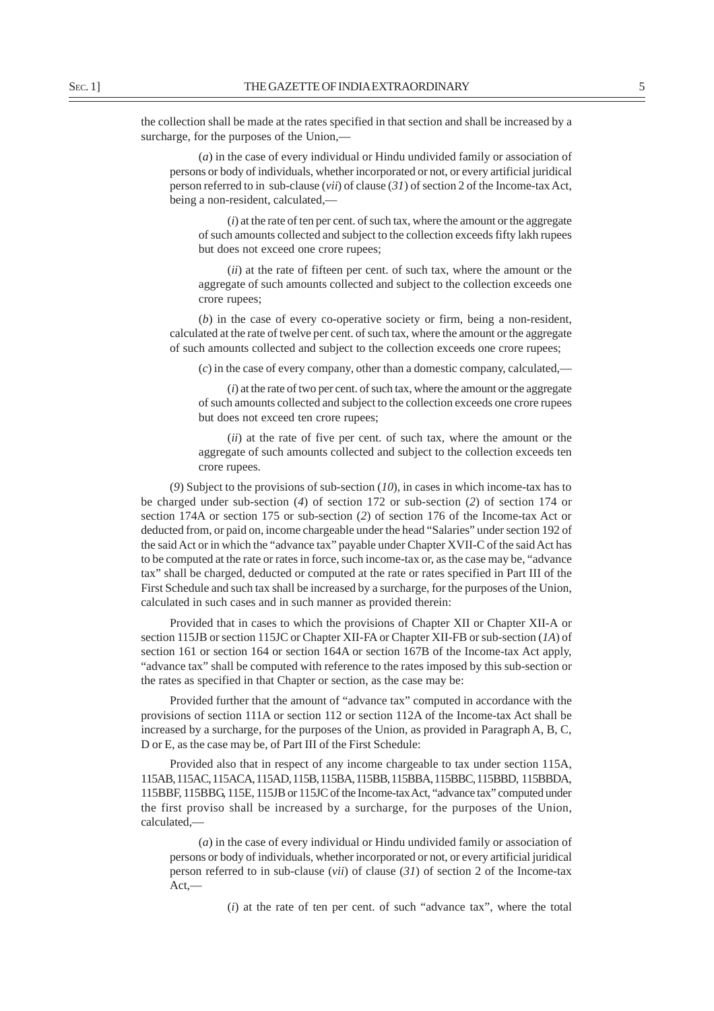the collection shall be made at the rates specified in that section and shall be increased by a surcharge, for the purposes of the Union,—

(*a*) in the case of every individual or Hindu undivided family or association of persons or body of individuals, whether incorporated or not, or every artificial juridical person referred to in sub-clause (*vii*) of clause (*31*) of section 2 of the Income-tax Act, being a non-resident, calculated,—

(*i*) at the rate of ten per cent. of such tax, where the amount or the aggregate of such amounts collected and subject to the collection exceeds fifty lakh rupees but does not exceed one crore rupees;

(*ii*) at the rate of fifteen per cent. of such tax, where the amount or the aggregate of such amounts collected and subject to the collection exceeds one crore rupees;

(*b*) in the case of every co-operative society or firm, being a non-resident, calculated at the rate of twelve per cent. of such tax, where the amount or the aggregate of such amounts collected and subject to the collection exceeds one crore rupees;

(*c*) in the case of every company, other than a domestic company, calculated,—

(*i*) at the rate of two per cent. of such tax, where the amount or the aggregate of such amounts collected and subject to the collection exceeds one crore rupees but does not exceed ten crore rupees;

(*ii*) at the rate of five per cent. of such tax, where the amount or the aggregate of such amounts collected and subject to the collection exceeds ten crore rupees.

(*9*) Subject to the provisions of sub-section (*10*), in cases in which income-tax has to be charged under sub-section (*4*) of section 172 or sub-section (*2*) of section 174 or section 174A or section 175 or sub-section (*2*) of section 176 of the Income-tax Act or deducted from, or paid on, income chargeable under the head "Salaries" under section 192 of the said Act or in which the "advance tax" payable under Chapter XVII-C of the said Act has to be computed at the rate or rates in force, such income-tax or, as the case may be, "advance tax" shall be charged, deducted or computed at the rate or rates specified in Part III of the First Schedule and such tax shall be increased by a surcharge, for the purposes of the Union, calculated in such cases and in such manner as provided therein:

Provided that in cases to which the provisions of Chapter XII or Chapter XII-A or section 115JB or section 115JC or Chapter XII-FA or Chapter XII-FB or sub-section (*1A*) of section 161 or section 164 or section 164A or section 167B of the Income-tax Act apply, "advance tax" shall be computed with reference to the rates imposed by this sub-section or the rates as specified in that Chapter or section, as the case may be:

Provided further that the amount of "advance tax" computed in accordance with the provisions of section 111A or section 112 or section 112A of the Income-tax Act shall be increased by a surcharge, for the purposes of the Union, as provided in Paragraph A, B, C, D or E, as the case may be, of Part III of the First Schedule:

Provided also that in respect of any income chargeable to tax under section 115A, 115AB, 115AC, 115ACA, 115AD, 115B, 115BA, 115BB, 115BBA, 115BBC, 115BBD, 115BBDA, 115BBF, 115BBG, 115E, 115JB or 115JC of the Income-tax Act, "advance tax" computed under the first proviso shall be increased by a surcharge, for the purposes of the Union, calculated,—

(*a*) in the case of every individual or Hindu undivided family or association of persons or body of individuals, whether incorporated or not, or every artificial juridical person referred to in sub-clause (*vii*) of clause (*31*) of section 2 of the Income-tax Act,—

(*i*) at the rate of ten per cent. of such "advance tax", where the total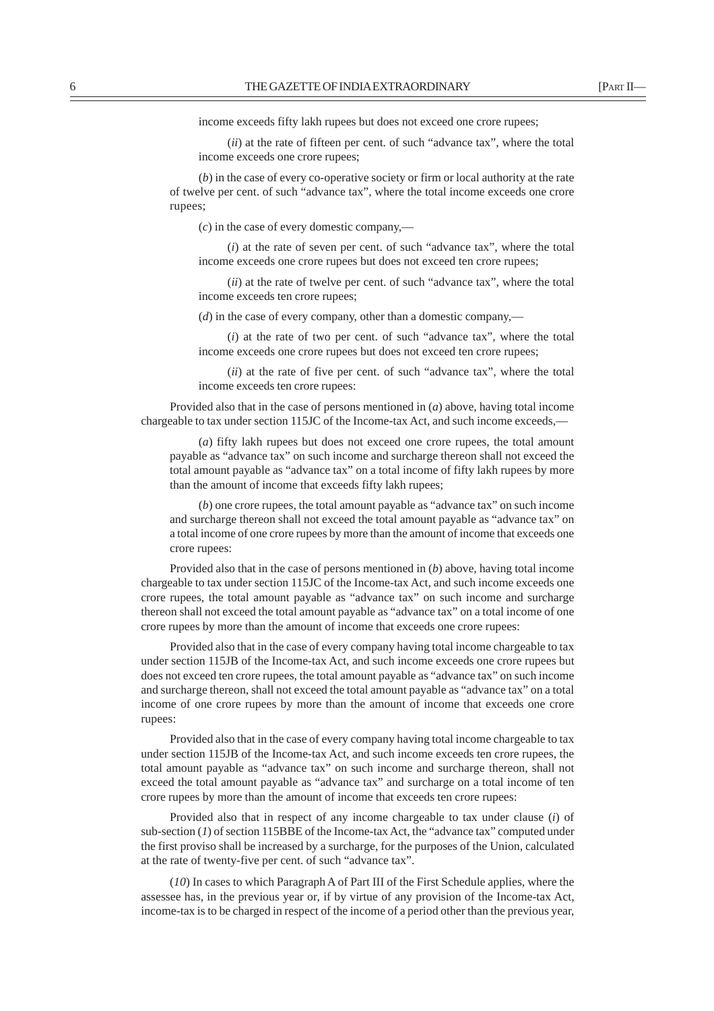income exceeds fifty lakh rupees but does not exceed one crore rupees;

(*ii*) at the rate of fifteen per cent. of such "advance tax", where the total income exceeds one crore rupees;

(*b*) in the case of every co-operative society or firm or local authority at the rate of twelve per cent. of such "advance tax", where the total income exceeds one crore rupees;

(*c*) in the case of every domestic company,—

(*i*) at the rate of seven per cent. of such "advance tax", where the total income exceeds one crore rupees but does not exceed ten crore rupees;

(*ii*) at the rate of twelve per cent. of such "advance tax", where the total income exceeds ten crore rupees;

(*d*) in the case of every company, other than a domestic company,—

(*i*) at the rate of two per cent. of such "advance tax", where the total income exceeds one crore rupees but does not exceed ten crore rupees;

(*ii*) at the rate of five per cent. of such "advance tax", where the total income exceeds ten crore rupees:

Provided also that in the case of persons mentioned in (*a*) above, having total income chargeable to tax under section 115JC of the Income-tax Act, and such income exceeds,—

(*a*) fifty lakh rupees but does not exceed one crore rupees, the total amount payable as "advance tax" on such income and surcharge thereon shall not exceed the total amount payable as "advance tax" on a total income of fifty lakh rupees by more than the amount of income that exceeds fifty lakh rupees;

(*b*) one crore rupees, the total amount payable as "advance tax" on such income and surcharge thereon shall not exceed the total amount payable as "advance tax" on a total income of one crore rupees by more than the amount of income that exceeds one crore rupees:

Provided also that in the case of persons mentioned in (*b*) above, having total income chargeable to tax under section 115JC of the Income-tax Act, and such income exceeds one crore rupees, the total amount payable as "advance tax" on such income and surcharge thereon shall not exceed the total amount payable as "advance tax" on a total income of one crore rupees by more than the amount of income that exceeds one crore rupees:

Provided also that in the case of every company having total income chargeable to tax under section 115JB of the Income-tax Act, and such income exceeds one crore rupees but does not exceed ten crore rupees, the total amount payable as "advance tax" on such income and surcharge thereon, shall not exceed the total amount payable as "advance tax" on a total income of one crore rupees by more than the amount of income that exceeds one crore rupees:

Provided also that in the case of every company having total income chargeable to tax under section 115JB of the Income-tax Act, and such income exceeds ten crore rupees, the total amount payable as "advance tax" on such income and surcharge thereon, shall not exceed the total amount payable as "advance tax" and surcharge on a total income of ten crore rupees by more than the amount of income that exceeds ten crore rupees:

Provided also that in respect of any income chargeable to tax under clause (*i*) of sub-section (*1*) of section 115BBE of the Income-tax Act, the "advance tax" computed under the first proviso shall be increased by a surcharge, for the purposes of the Union, calculated at the rate of twenty-five per cent. of such "advance tax".

(*10*) In cases to which Paragraph A of Part III of the First Schedule applies, where the assessee has, in the previous year or, if by virtue of any provision of the Income-tax Act, income-tax is to be charged in respect of the income of a period other than the previous year,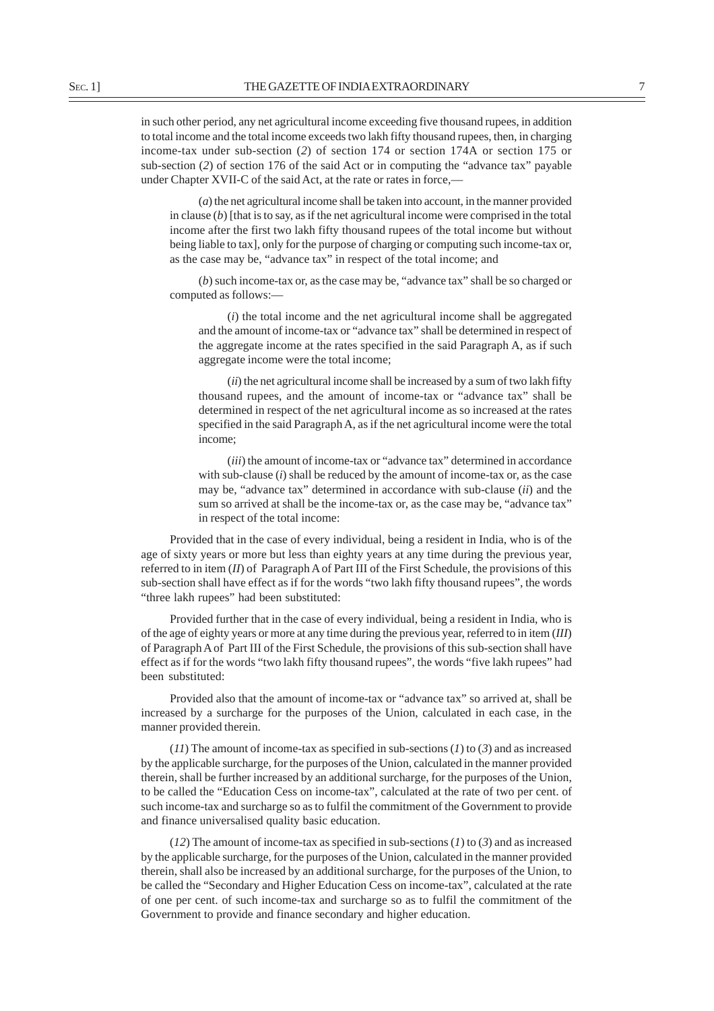in such other period, any net agricultural income exceeding five thousand rupees, in addition to total income and the total income exceeds two lakh fifty thousand rupees, then, in charging income-tax under sub-section (*2*) of section 174 or section 174A or section 175 or sub-section (*2*) of section 176 of the said Act or in computing the "advance tax" payable under Chapter XVII-C of the said Act, at the rate or rates in force,—

(*a*) the net agricultural income shall be taken into account, in the manner provided in clause (*b*) [that is to say, as if the net agricultural income were comprised in the total income after the first two lakh fifty thousand rupees of the total income but without being liable to tax], only for the purpose of charging or computing such income-tax or, as the case may be, "advance tax" in respect of the total income; and

(*b*) such income-tax or, as the case may be, "advance tax" shall be so charged or computed as follows:-

(*i*) the total income and the net agricultural income shall be aggregated and the amount of income-tax or "advance tax" shall be determined in respect of the aggregate income at the rates specified in the said Paragraph A, as if such aggregate income were the total income;

(*ii*) the net agricultural income shall be increased by a sum of two lakh fifty thousand rupees, and the amount of income-tax or "advance tax" shall be determined in respect of the net agricultural income as so increased at the rates specified in the said Paragraph A, as if the net agricultural income were the total income;

(*iii*) the amount of income-tax or "advance tax" determined in accordance with sub-clause (*i*) shall be reduced by the amount of income-tax or, as the case may be, "advance tax" determined in accordance with sub-clause (*ii*) and the sum so arrived at shall be the income-tax or, as the case may be, "advance tax" in respect of the total income:

Provided that in the case of every individual, being a resident in India, who is of the age of sixty years or more but less than eighty years at any time during the previous year, referred to in item (*II*) of Paragraph A of Part III of the First Schedule, the provisions of this sub-section shall have effect as if for the words "two lakh fifty thousand rupees", the words "three lakh rupees" had been substituted:

Provided further that in the case of every individual, being a resident in India, who is of the age of eighty years or more at any time during the previous year, referred to in item (*III*) of Paragraph A of Part III of the First Schedule, the provisions of this sub-section shall have effect as if for the words "two lakh fifty thousand rupees", the words "five lakh rupees" had been substituted:

Provided also that the amount of income-tax or "advance tax" so arrived at, shall be increased by a surcharge for the purposes of the Union, calculated in each case, in the manner provided therein.

(*11*) The amount of income-tax as specified in sub-sections (*1*) to (*3*) and as increased by the applicable surcharge, for the purposes of the Union, calculated in the manner provided therein, shall be further increased by an additional surcharge, for the purposes of the Union, to be called the "Education Cess on income-tax", calculated at the rate of two per cent. of such income-tax and surcharge so as to fulfil the commitment of the Government to provide and finance universalised quality basic education.

(*12*) The amount of income-tax as specified in sub-sections (*1*) to (*3*) and as increased by the applicable surcharge, for the purposes of the Union, calculated in the manner provided therein, shall also be increased by an additional surcharge, for the purposes of the Union, to be called the "Secondary and Higher Education Cess on income-tax", calculated at the rate of one per cent. of such income-tax and surcharge so as to fulfil the commitment of the Government to provide and finance secondary and higher education.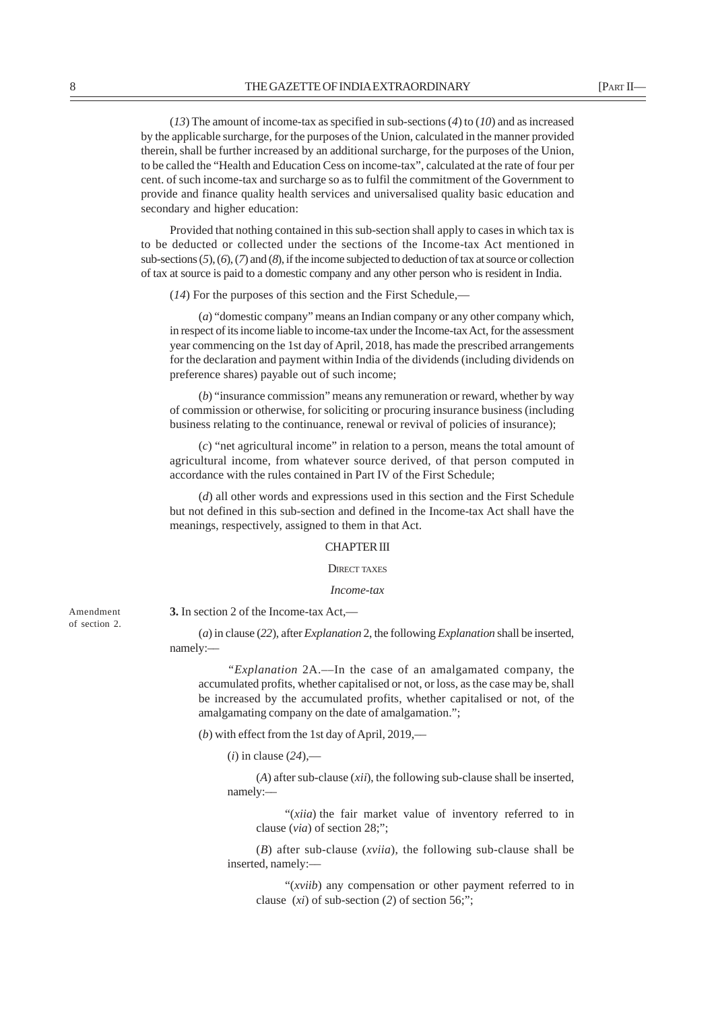(*13*) The amount of income-tax as specified in sub-sections (*4*) to (*10*) and as increased by the applicable surcharge, for the purposes of the Union, calculated in the manner provided therein, shall be further increased by an additional surcharge, for the purposes of the Union, to be called the "Health and Education Cess on income-tax", calculated at the rate of four per cent. of such income-tax and surcharge so as to fulfil the commitment of the Government to provide and finance quality health services and universalised quality basic education and secondary and higher education:

Provided that nothing contained in this sub-section shall apply to cases in which tax is to be deducted or collected under the sections of the Income-tax Act mentioned in sub-sections (*5*), (*6*), (*7*) and (*8*), if the income subjected to deduction of tax at source or collection of tax at source is paid to a domestic company and any other person who is resident in India.

(*14*) For the purposes of this section and the First Schedule,—

(*a*) "domestic company" means an Indian company or any other company which, in respect of its income liable to income-tax under the Income-tax Act, for the assessment year commencing on the 1st day of April, 2018, has made the prescribed arrangements for the declaration and payment within India of the dividends (including dividends on preference shares) payable out of such income;

(*b*) "insurance commission" means any remuneration or reward, whether by way of commission or otherwise, for soliciting or procuring insurance business (including business relating to the continuance, renewal or revival of policies of insurance);

(*c*) "net agricultural income" in relation to a person, means the total amount of agricultural income, from whatever source derived, of that person computed in accordance with the rules contained in Part IV of the First Schedule;

(*d*) all other words and expressions used in this section and the First Schedule but not defined in this sub-section and defined in the Income-tax Act shall have the meanings, respectively, assigned to them in that Act.

#### CHAPTER III

DIRECT TAXES

#### *Income-tax*

Amendment of section 2.

(*a*) in clause (*22*), after *Explanation* 2, the following *Explanation* shall be inserted, namely:––

*"Explanation* 2A.––In the case of an amalgamated company, the accumulated profits, whether capitalised or not, or loss, as the case may be, shall be increased by the accumulated profits, whether capitalised or not, of the amalgamating company on the date of amalgamation.";

(*b*) with effect from the 1st day of April, 2019,––

 $(i)$  in clause  $(24)$ ,—

**3.** In section 2 of the Income-tax Act,––

(*A*) after sub-clause (*xii*), the following sub-clause shall be inserted, namely:––

"(*xiia*) the fair market value of inventory referred to in clause (*via*) of section 28;";

(*B*) after sub-clause (*xviia*), the following sub-clause shall be inserted, namely:––

"(*xviib*) any compensation or other payment referred to in clause (*xi*) of sub-section (*2*) of section 56;";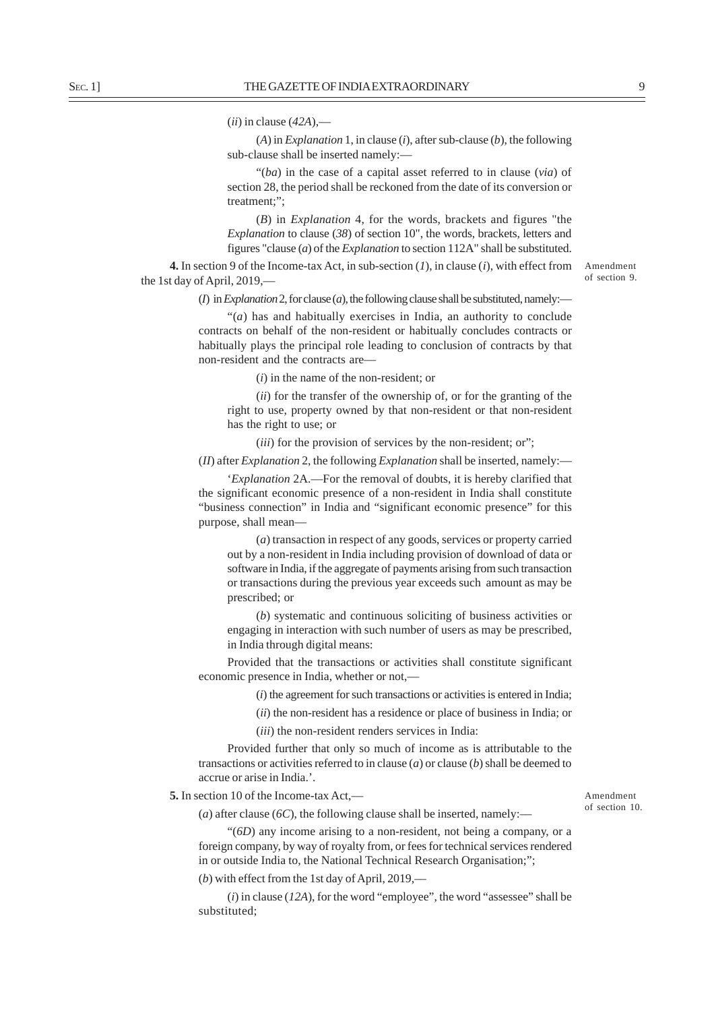(*ii*) in clause (*42A*),—

(*A*) in *Explanation* 1, in clause (*i*), after sub-clause (*b*), the following sub-clause shall be inserted namely:—

"(*ba*) in the case of a capital asset referred to in clause (*via*) of section 28, the period shall be reckoned from the date of its conversion or treatment;";

(*B*) in *Explanation* 4, for the words, brackets and figures "the *Explanation* to clause (*38*) of section 10", the words, brackets, letters and figures "clause (*a*) of the *Explanation* to section 112A" shall be substituted.

**4.** In section 9 of the Income-tax Act, in sub-section (*1*), in clause (*i*), with effect from the 1st day of April, 2019,––

of section 9.

Amendment

( $I$ ) in *Explanation* 2, for clause ( $a$ ), the following clause shall be substituted, namely:—

"(*a*) has and habitually exercises in India, an authority to conclude contracts on behalf of the non-resident or habitually concludes contracts or habitually plays the principal role leading to conclusion of contracts by that non-resident and the contracts are––

(*i*) in the name of the non-resident; or

(*ii*) for the transfer of the ownership of, or for the granting of the right to use, property owned by that non-resident or that non-resident has the right to use; or

(*iii*) for the provision of services by the non-resident; or";

(*II*) after *Explanation* 2, the following *Explanation* shall be inserted, namely:—

'*Explanation* 2A.––For the removal of doubts, it is hereby clarified that the significant economic presence of a non-resident in India shall constitute "business connection" in India and "significant economic presence" for this purpose, shall mean––

(*a*) transaction in respect of any goods, services or property carried out by a non-resident in India including provision of download of data or software in India, if the aggregate of payments arising from such transaction or transactions during the previous year exceeds such amount as may be prescribed; or

(*b*) systematic and continuous soliciting of business activities or engaging in interaction with such number of users as may be prescribed, in India through digital means:

Provided that the transactions or activities shall constitute significant economic presence in India, whether or not,—

(*i*) the agreement for such transactions or activities is entered in India;

(*ii*) the non-resident has a residence or place of business in India; or

(*iii*) the non-resident renders services in India:

Provided further that only so much of income as is attributable to the transactions or activities referred to in clause (*a*) or clause (*b*) shall be deemed to accrue or arise in India.'.

**5.** In section 10 of the Income-tax Act,––

(*a*) after clause ( $6C$ ), the following clause shall be inserted, namely:—

"(*6D*) any income arising to a non-resident, not being a company, or a foreign company, by way of royalty from, or fees for technical services rendered in or outside India to, the National Technical Research Organisation;";

(*b*) with effect from the 1st day of April, 2019,––

(*i*) in clause (*12A*), for the word "employee", the word "assessee" shall be substituted;

Amendment of section 10.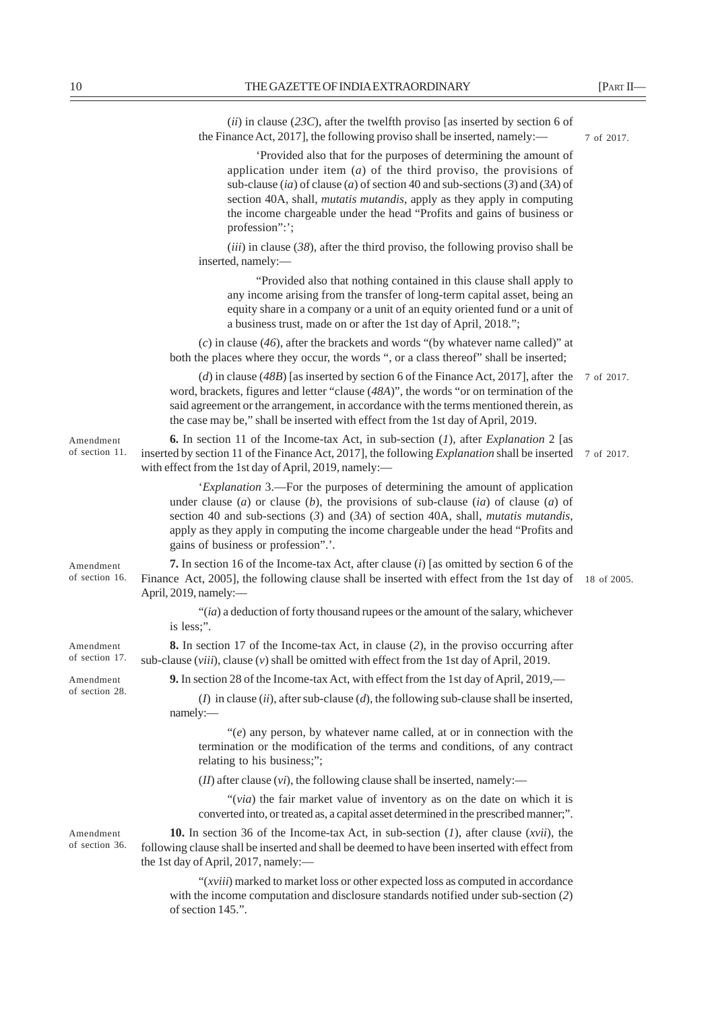|                             | (ii) in clause (23C), after the twelfth proviso [as inserted by section 6 of<br>the Finance Act, 2017], the following proviso shall be inserted, namely:—                                                                                                                                                                                                                                               | 7 of 2017.  |
|-----------------------------|---------------------------------------------------------------------------------------------------------------------------------------------------------------------------------------------------------------------------------------------------------------------------------------------------------------------------------------------------------------------------------------------------------|-------------|
|                             | 'Provided also that for the purposes of determining the amount of<br>application under item $(a)$ of the third proviso, the provisions of<br>sub-clause (ia) of clause (a) of section 40 and sub-sections (3) and (3A) of<br>section 40A, shall, <i>mutatis mutandis</i> , apply as they apply in computing<br>the income chargeable under the head "Profits and gains of business or<br>profession":'; |             |
|                             | $(iii)$ in clause (38), after the third proviso, the following proviso shall be<br>inserted, namely:-                                                                                                                                                                                                                                                                                                   |             |
|                             | "Provided also that nothing contained in this clause shall apply to<br>any income arising from the transfer of long-term capital asset, being an<br>equity share in a company or a unit of an equity oriented fund or a unit of<br>a business trust, made on or after the 1st day of April, 2018.";                                                                                                     |             |
|                             | $(c)$ in clause (46), after the brackets and words "(by whatever name called)" at<br>both the places where they occur, the words ", or a class thereof" shall be inserted;                                                                                                                                                                                                                              |             |
|                             | (d) in clause (48B) [as inserted by section 6 of the Finance Act, 2017], after the<br>word, brackets, figures and letter "clause (48A)", the words "or on termination of the<br>said agreement or the arrangement, in accordance with the terms mentioned therein, as<br>the case may be," shall be inserted with effect from the 1st day of April, 2019.                                               | 7 of 2017.  |
| Amendment<br>of section 11. | <b>6.</b> In section 11 of the Income-tax Act, in sub-section $(I)$ , after <i>Explanation</i> 2 [as<br>inserted by section 11 of the Finance Act, 2017], the following <i>Explanation</i> shall be inserted<br>with effect from the 1st day of April, 2019, namely:-                                                                                                                                   | 7 of 2017.  |
|                             | 'Explanation 3.—For the purposes of determining the amount of application<br>under clause (a) or clause (b), the provisions of sub-clause (ia) of clause (a) of<br>section 40 and sub-sections $(3)$ and $(3A)$ of section 40A, shall, mutatis mutandis,<br>apply as they apply in computing the income chargeable under the head "Profits and<br>gains of business or profession".'.                   |             |
| Amendment<br>of section 16. | <b>7.</b> In section 16 of the Income-tax Act, after clause <i>(i)</i> [as omitted by section 6 of the<br>Finance Act, 2005], the following clause shall be inserted with effect from the 1st day of<br>April, 2019, namely:-                                                                                                                                                                           | 18 of 2005. |
|                             | $"(ia)$ a deduction of forty thousand rupees or the amount of the salary, whichever<br>is less;".                                                                                                                                                                                                                                                                                                       |             |
| Amendment<br>of section 17. | <b>8.</b> In section 17 of the Income-tax Act, in clause (2), in the proviso occurring after<br>sub-clause $(viii)$ , clause $(v)$ shall be omitted with effect from the 1st day of April, 2019.                                                                                                                                                                                                        |             |
| Amendment                   | 9. In section 28 of the Income-tax Act, with effect from the 1st day of April, 2019,—                                                                                                                                                                                                                                                                                                                   |             |
| of section 28.              | ( $I$ ) in clause (ii), after sub-clause ( $d$ ), the following sub-clause shall be inserted,<br>namely:-                                                                                                                                                                                                                                                                                               |             |
|                             | " $(e)$ any person, by whatever name called, at or in connection with the<br>termination or the modification of the terms and conditions, of any contract<br>relating to his business;";                                                                                                                                                                                                                |             |
|                             | $(II)$ after clause $(vi)$ , the following clause shall be inserted, namely:—                                                                                                                                                                                                                                                                                                                           |             |
|                             | "(via) the fair market value of inventory as on the date on which it is<br>converted into, or treated as, a capital asset determined in the prescribed manner;".                                                                                                                                                                                                                                        |             |
| Amendment<br>of section 36. | <b>10.</b> In section 36 of the Income-tax Act, in sub-section $(1)$ , after clause $(xvii)$ , the<br>following clause shall be inserted and shall be deemed to have been inserted with effect from<br>the 1st day of April, 2017, namely:-                                                                                                                                                             |             |
|                             | "( <i>xviii</i> ) marked to market loss or other expected loss as computed in accordance<br>with the income computation and disclosure standards notified under sub-section (2)<br>of section 145.".                                                                                                                                                                                                    |             |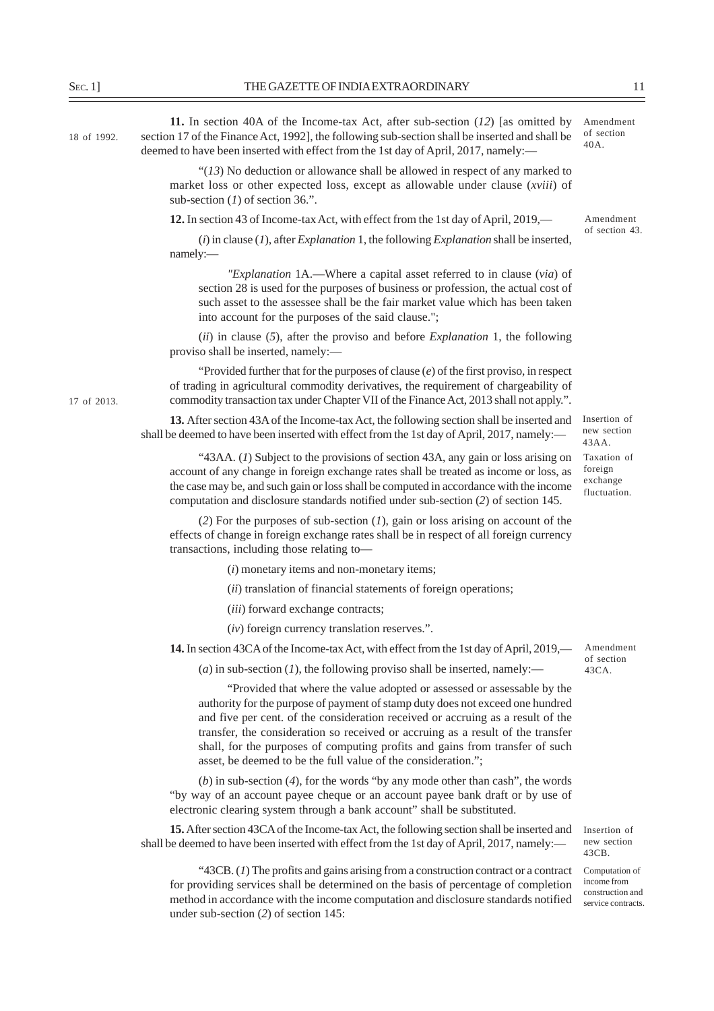| $S_{EC}.1]$ | THE GAZETTE OF INDIA EXTRAORDINARY                                                                                                                                                                                                                                                                                                                                                                                                                                               | 11                                                 |
|-------------|----------------------------------------------------------------------------------------------------------------------------------------------------------------------------------------------------------------------------------------------------------------------------------------------------------------------------------------------------------------------------------------------------------------------------------------------------------------------------------|----------------------------------------------------|
| 18 of 1992. | 11. In section 40A of the Income-tax Act, after sub-section $(12)$ [as omitted by<br>section 17 of the Finance Act, 1992], the following sub-section shall be inserted and shall be<br>deemed to have been inserted with effect from the 1st day of April, 2017, namely:-                                                                                                                                                                                                        | Amendment<br>of section<br>40A.                    |
|             | " $(13)$ No deduction or allowance shall be allowed in respect of any marked to<br>market loss or other expected loss, except as allowable under clause (xviii) of<br>sub-section $(I)$ of section 36.".                                                                                                                                                                                                                                                                         |                                                    |
|             | 12. In section 43 of Income-tax Act, with effect from the 1st day of April, 2019,—                                                                                                                                                                                                                                                                                                                                                                                               | Amendment                                          |
|             | $(i)$ in clause $(I)$ , after <i>Explanation</i> 1, the following <i>Explanation</i> shall be inserted,<br>namely:-                                                                                                                                                                                                                                                                                                                                                              | of section 43.                                     |
|             | "Explanation 1A.—Where a capital asset referred to in clause (via) of<br>section 28 is used for the purposes of business or profession, the actual cost of<br>such asset to the assessee shall be the fair market value which has been taken<br>into account for the purposes of the said clause.";                                                                                                                                                                              |                                                    |
|             | $(ii)$ in clause (5), after the proviso and before <i>Explanation</i> 1, the following<br>proviso shall be inserted, namely:-                                                                                                                                                                                                                                                                                                                                                    |                                                    |
| 17 of 2013. | "Provided further that for the purposes of clause $(e)$ of the first proviso, in respect<br>of trading in agricultural commodity derivatives, the requirement of chargeability of<br>commodity transaction tax under Chapter VII of the Finance Act, 2013 shall not apply.".                                                                                                                                                                                                     |                                                    |
|             | 13. After section 43A of the Income-tax Act, the following section shall be inserted and<br>shall be deemed to have been inserted with effect from the 1st day of April, 2017, namely:—                                                                                                                                                                                                                                                                                          | Insertion of<br>new section<br>43AA.               |
|             | "43AA. (1) Subject to the provisions of section 43A, any gain or loss arising on<br>account of any change in foreign exchange rates shall be treated as income or loss, as<br>the case may be, and such gain or loss shall be computed in accordance with the income<br>computation and disclosure standards notified under sub-section (2) of section 145.                                                                                                                      | Taxation of<br>foreign<br>exchange<br>fluctuation. |
|             | (2) For the purposes of sub-section $(I)$ , gain or loss arising on account of the<br>effects of change in foreign exchange rates shall be in respect of all foreign currency<br>transactions, including those relating to-                                                                                                                                                                                                                                                      |                                                    |
|             | $(i)$ monetary items and non-monetary items;                                                                                                                                                                                                                                                                                                                                                                                                                                     |                                                    |
|             | (ii) translation of financial statements of foreign operations;                                                                                                                                                                                                                                                                                                                                                                                                                  |                                                    |
|             | (iii) forward exchange contracts;                                                                                                                                                                                                                                                                                                                                                                                                                                                |                                                    |
|             | $(iv)$ foreign currency translation reserves.".                                                                                                                                                                                                                                                                                                                                                                                                                                  |                                                    |
|             | 14. In section 43CA of the Income-tax Act, with effect from the 1st day of April, 2019,—                                                                                                                                                                                                                                                                                                                                                                                         | Amendment                                          |
|             | (a) in sub-section (1), the following proviso shall be inserted, namely:—                                                                                                                                                                                                                                                                                                                                                                                                        | of section<br>43CA.                                |
|             | "Provided that where the value adopted or assessed or assessable by the<br>authority for the purpose of payment of stamp duty does not exceed one hundred<br>and five per cent. of the consideration received or accruing as a result of the<br>transfer, the consideration so received or accruing as a result of the transfer<br>shall, for the purposes of computing profits and gains from transfer of such<br>asset, be deemed to be the full value of the consideration."; |                                                    |
|             | (b) in sub-section $(4)$ , for the words "by any mode other than cash", the words<br>"by way of an account payee cheque or an account payee bank draft or by use of<br>electronic clearing system through a bank account" shall be substituted.                                                                                                                                                                                                                                  |                                                    |
|             | 15. After section 43CA of the Income-tax Act, the following section shall be inserted and Insertion of                                                                                                                                                                                                                                                                                                                                                                           |                                                    |

new section 43CB.

"43CB. (*1*) The profits and gains arising from a construction contract or a contract for providing services shall be determined on the basis of percentage of completion method in accordance with the income computation and disclosure standards notified under sub-section (*2*) of section 145:

shall be deemed to have been inserted with effect from the 1st day of April, 2017, namely:—

Computation of income from construction and service contracts.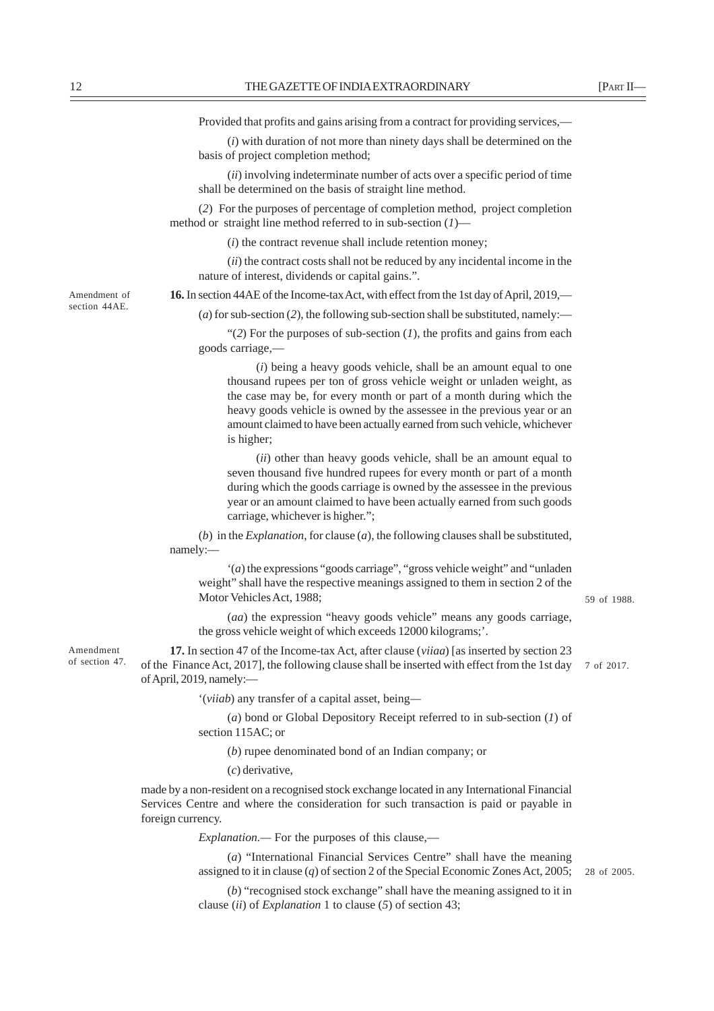Provided that profits and gains arising from a contract for providing services,—

(*i*) with duration of not more than ninety days shall be determined on the basis of project completion method;

(*ii*) involving indeterminate number of acts over a specific period of time shall be determined on the basis of straight line method.

(*2*) For the purposes of percentage of completion method, project completion method or straight line method referred to in sub-section (*1*)—

(*i*) the contract revenue shall include retention money;

(*ii*) the contract costs shall not be reduced by any incidental income in the nature of interest, dividends or capital gains.".

**16.** In section 44AE of the Income-tax Act, with effect from the 1st day of April, 2019,—

(*a*) for sub-section (*2*), the following sub-section shall be substituted, namely:—

" $(2)$  For the purposes of sub-section  $(1)$ , the profits and gains from each goods carriage,—

(*i*) being a heavy goods vehicle, shall be an amount equal to one thousand rupees per ton of gross vehicle weight or unladen weight, as the case may be, for every month or part of a month during which the heavy goods vehicle is owned by the assessee in the previous year or an amount claimed to have been actually earned from such vehicle, whichever is higher;

(*ii*) other than heavy goods vehicle, shall be an amount equal to seven thousand five hundred rupees for every month or part of a month during which the goods carriage is owned by the assessee in the previous year or an amount claimed to have been actually earned from such goods carriage, whichever is higher.";

(*b*) in the *Explanation*, for clause (*a*), the following clauses shall be substituted, namely:––

'(*a*) the expressions "goods carriage", "gross vehicle weight" and "unladen weight" shall have the respective meanings assigned to them in section 2 of the Motor Vehicles Act, 1988;

(*aa*) the expression "heavy goods vehicle" means any goods carriage, the gross vehicle weight of which exceeds 12000 kilograms;'.

**17.** In section 47 of the Income-tax Act, after clause (*viiaa*) [as inserted by section 23 of the Finance Act, 2017], the following clause shall be inserted with effect from the 1st day 7 of 2017. of April, 2019, namely:—

'(*viiab*) any transfer of a capital asset, being*—*

(*a*) bond or Global Depository Receipt referred to in sub-section (*1*) of section 115AC; or

(*b*) rupee denominated bond of an Indian company; or

(*c*) derivative,

made by a non-resident on a recognised stock exchange located in any International Financial Services Centre and where the consideration for such transaction is paid or payable in foreign currency.

*Explanation.—* For the purposes of this clause,—

(*a*) "International Financial Services Centre" shall have the meaning assigned to it in clause (*q*) of section 2 of the Special Economic Zones Act, 2005;

(*b*) "recognised stock exchange" shall have the meaning assigned to it in clause (*ii*) of *Explanation* 1 to clause (*5*) of section 43;

Amendment of section 44AE.

Amendment of section 47.

59 of 1988.

28 of 2005.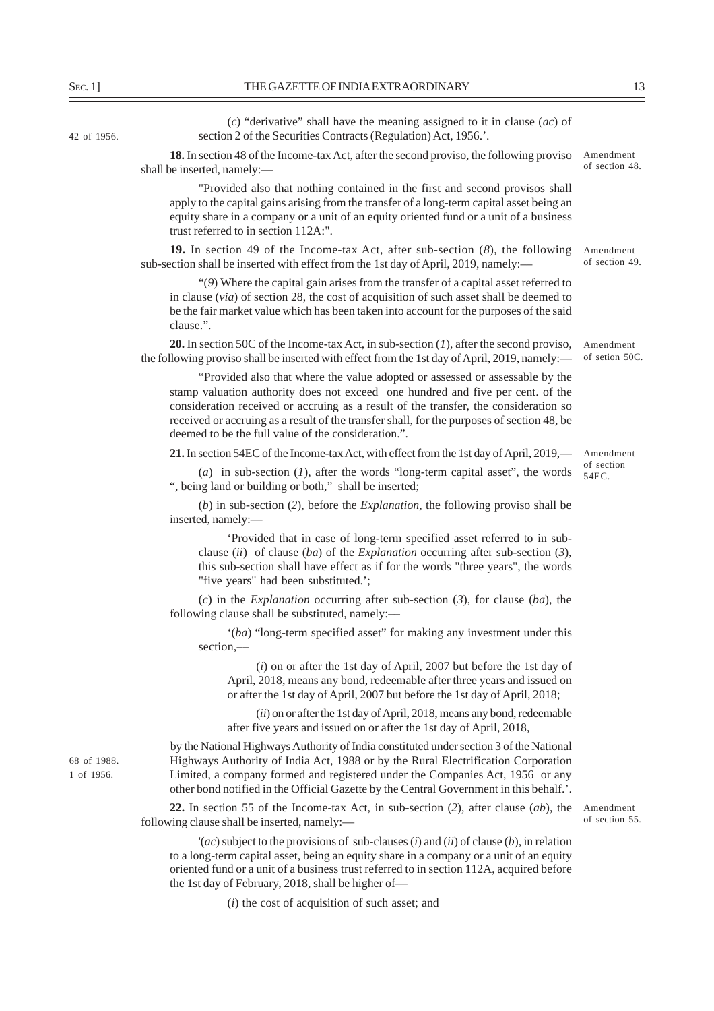42 of 1956.

shall be inserted, namely:—

(*c*) "derivative" shall have the meaning assigned to it in clause (*ac*) of section 2 of the Securities Contracts (Regulation) Act, 1956.'. **18.** In section 48 of the Income-tax Act, after the second proviso, the following proviso

Amendment of section 48.

Amendment of section 54EC.

"Provided also that nothing contained in the first and second provisos shall apply to the capital gains arising from the transfer of a long-term capital asset being an equity share in a company or a unit of an equity oriented fund or a unit of a business trust referred to in section 112A:".

**19.** In section 49 of the Income-tax Act, after sub-section (*8*), the following sub-section shall be inserted with effect from the 1st day of April, 2019, namely:— Amendment of section 49.

"(*9*) Where the capital gain arises from the transfer of a capital asset referred to in clause (*via*) of section 28, the cost of acquisition of such asset shall be deemed to be the fair market value which has been taken into account for the purposes of the said clause.".

**20.** In section 50C of the Income-tax Act, in sub-section (*1*), after the second proviso, the following proviso shall be inserted with effect from the 1st day of April, 2019, namely:— Amendment of setion 50C.

"Provided also that where the value adopted or assessed or assessable by the stamp valuation authority does not exceed one hundred and five per cent. of the consideration received or accruing as a result of the transfer, the consideration so received or accruing as a result of the transfer shall, for the purposes of section 48, be deemed to be the full value of the consideration.".

**21.** In section 54EC of the Income-tax Act, with effect from the 1st day of April, 2019,—

(*a*) in sub-section (*1*), after the words "long-term capital asset", the words ", being land or building or both," shall be inserted;

(*b*) in sub-section (*2*), before the *Explanation,* the following proviso shall be inserted, namely:—

'Provided that in case of long-term specified asset referred to in subclause (*ii*) of clause (*ba*) of the *Explanation* occurring after sub-section (*3*), this sub-section shall have effect as if for the words "three years", the words "five years" had been substituted.';

(*c*) in the *Explanation* occurring after sub-section (*3*), for clause (*ba*), the following clause shall be substituted, namely:—

'(*ba*) "long-term specified asset" for making any investment under this section,––

(*i*) on or after the 1st day of April, 2007 but before the 1st day of April, 2018, means any bond, redeemable after three years and issued on or after the 1st day of April, 2007 but before the 1st day of April, 2018;

(*ii*) on or after the 1st day of April, 2018, means any bond, redeemable after five years and issued on or after the 1st day of April, 2018,

by the National Highways Authority of India constituted under section 3 of the National Highways Authority of India Act, 1988 or by the Rural Electrification Corporation Limited, a company formed and registered under the Companies Act, 1956 or any other bond notified in the Official Gazette by the Central Government in this behalf.'.

**22.** In section 55 of the Income-tax Act, in sub-section (*2*), after clause (*ab*), the following clause shall be inserted, namely:—

Amendment of section 55.

'(*ac*) subject to the provisions of sub-clauses (*i*) and (*ii*) of clause (*b*), in relation to a long-term capital asset, being an equity share in a company or a unit of an equity oriented fund or a unit of a business trust referred to in section 112A, acquired before the 1st day of February, 2018, shall be higher of—

(*i*) the cost of acquisition of such asset; and

68 of 1988. 1 of 1956.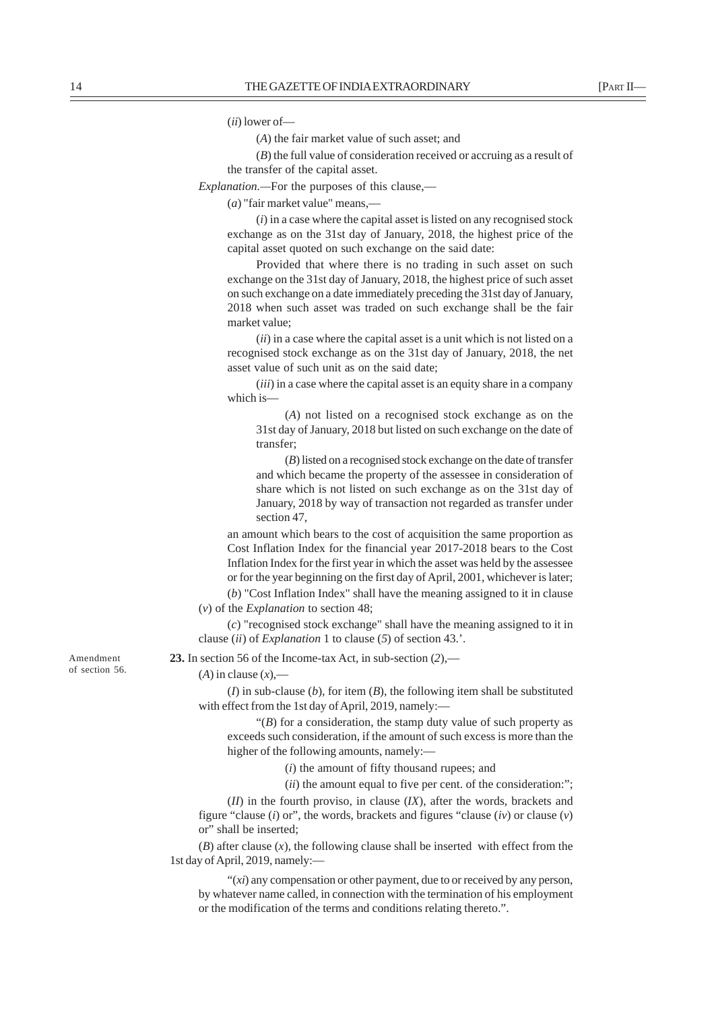(*ii*) lower of—

(*A*) the fair market value of such asset; and

(*B*) the full value of consideration received or accruing as a result of

the transfer of the capital asset. *Explanation.—*For the purposes of this clause,—

(*a*) "fair market value" means,—

(*i*) in a case where the capital asset is listed on any recognised stock exchange as on the 31st day of January, 2018, the highest price of the capital asset quoted on such exchange on the said date:

Provided that where there is no trading in such asset on such exchange on the 31st day of January, 2018, the highest price of such asset on such exchange on a date immediately preceding the 31st day of January, 2018 when such asset was traded on such exchange shall be the fair market value;

(*ii*) in a case where the capital asset is a unit which is not listed on a recognised stock exchange as on the 31st day of January, 2018, the net asset value of such unit as on the said date;

(*iii*) in a case where the capital asset is an equity share in a company which is—

(*A*) not listed on a recognised stock exchange as on the 31st day of January, 2018 but listed on such exchange on the date of transfer;

(*B*) listed on a recognised stock exchange on the date of transfer and which became the property of the assessee in consideration of share which is not listed on such exchange as on the 31st day of January, 2018 by way of transaction not regarded as transfer under section 47,

an amount which bears to the cost of acquisition the same proportion as Cost Inflation Index for the financial year 2017-2018 bears to the Cost Inflation Index for the first year in which the asset was held by the assessee or for the year beginning on the first day of April, 2001, whichever is later;

(*b*) "Cost Inflation Index" shall have the meaning assigned to it in clause (*v*) of the *Explanation* to section 48;

(*c*) "recognised stock exchange" shall have the meaning assigned to it in clause (*ii*) of *Explanation* 1 to clause (*5*) of section 43.'.

**23.** In section 56 of the Income-tax Act, in sub-section (*2*),––

#### $(A)$  in clause  $(x)$ ,—

(*I*) in sub-clause (*b*), for item (*B*), the following item shall be substituted with effect from the 1st day of April, 2019, namely:-

" $(B)$  for a consideration, the stamp duty value of such property as exceeds such consideration, if the amount of such excess is more than the higher of the following amounts, namely:-

(*i*) the amount of fifty thousand rupees; and

(*ii*) the amount equal to five per cent. of the consideration:";

(*II*) in the fourth proviso, in clause (*IX*), after the words, brackets and figure "clause (*i*) or", the words, brackets and figures "clause (*iv*) or clause (*v*) or" shall be inserted;

(*B*) after clause (*x*), the following clause shall be inserted with effect from the 1st day of April, 2019, namely:—

"(*xi*) any compensation or other payment, due to or received by any person, by whatever name called, in connection with the termination of his employment or the modification of the terms and conditions relating thereto.".

Amendment of section 56.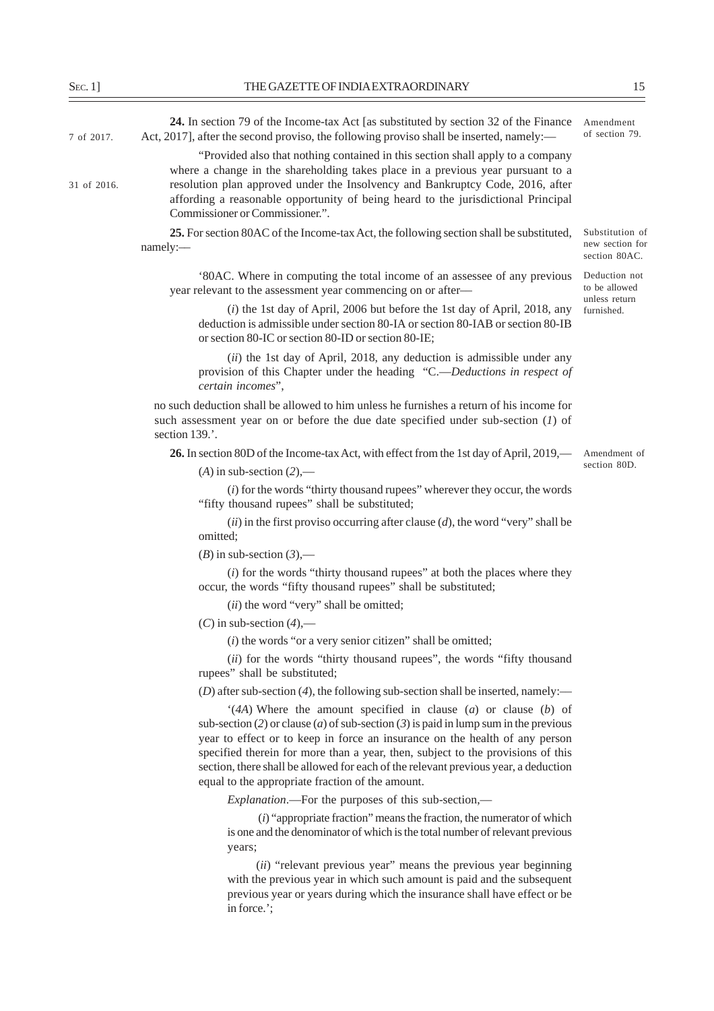**24.** In section 79 of the Income-tax Act [as substituted by section 32 of the Finance 7 of 2017. Act, 2017], after the second proviso, the following proviso shall be inserted, namely:— of section 79. "Provided also that nothing contained in this section shall apply to a company where a change in the shareholding takes place in a previous year pursuant to a resolution plan approved under the Insolvency and Bankruptcy Code, 2016, after affording a reasonable opportunity of being heard to the jurisdictional Principal Commissioner or Commissioner.". **25.** For section 80AC of the Income-tax Act, the following section shall be substituted, namely:–– '80AC. Where in computing the total income of an assessee of any previous year relevant to the assessment year commencing on or after–– (*i*) the 1st day of April, 2006 but before the 1st day of April, 2018, any deduction is admissible under section 80-IA or section 80-IAB or section 80-IB or section 80-IC or section 80-ID or section 80-IE; (*ii*) the 1st day of April, 2018, any deduction is admissible under any provision of this Chapter under the heading "C.—*Deductions in respect of certain incomes*", no such deduction shall be allowed to him unless he furnishes a return of his income for such assessment year on or before the due date specified under sub-section (*1*) of section 139.'. **26.** In section 80D of the Income-tax Act, with effect from the 1st day of April, 2019,—  $(A)$  in sub-section  $(2)$ , (*i*) for the words "thirty thousand rupees" wherever they occur, the words "fifty thousand rupees" shall be substituted; (*ii*) in the first proviso occurring after clause (*d*), the word "very" shall be omitted;  $(B)$  in sub-section  $(3)$ ,— (*i*) for the words "thirty thousand rupees" at both the places where they occur, the words "fifty thousand rupees" shall be substituted; (*ii*) the word "very" shall be omitted; (*C*) in sub-section (*4*),— (*i*) the words "or a very senior citizen" shall be omitted; (*ii*) for the words "thirty thousand rupees", the words "fifty thousand rupees" shall be substituted;  $(D)$  after sub-section  $(4)$ , the following sub-section shall be inserted, namely:— '(*4A*) Where the amount specified in clause (*a*) or clause (*b*) of sub-section (*2*) or clause (*a*) of sub-section (*3*) is paid in lump sum in the previous year to effect or to keep in force an insurance on the health of any person specified therein for more than a year, then, subject to the provisions of this section, there shall be allowed for each of the relevant previous year, a deduction equal to the appropriate fraction of the amount. *Explanation*.—For the purposes of this sub-section,— (*i*) "appropriate fraction" means the fraction, the numerator of which is one and the denominator of which is the total number of relevant previous years; (*ii*) "relevant previous year" means the previous year beginning with the previous year in which such amount is paid and the subsequent Substitution of new section for section 80AC. Deduction not to be allowed unless return furnished. Amendment 31 of 2016. Amendment of section 80D.

previous year or years during which the insurance shall have effect or be in force.';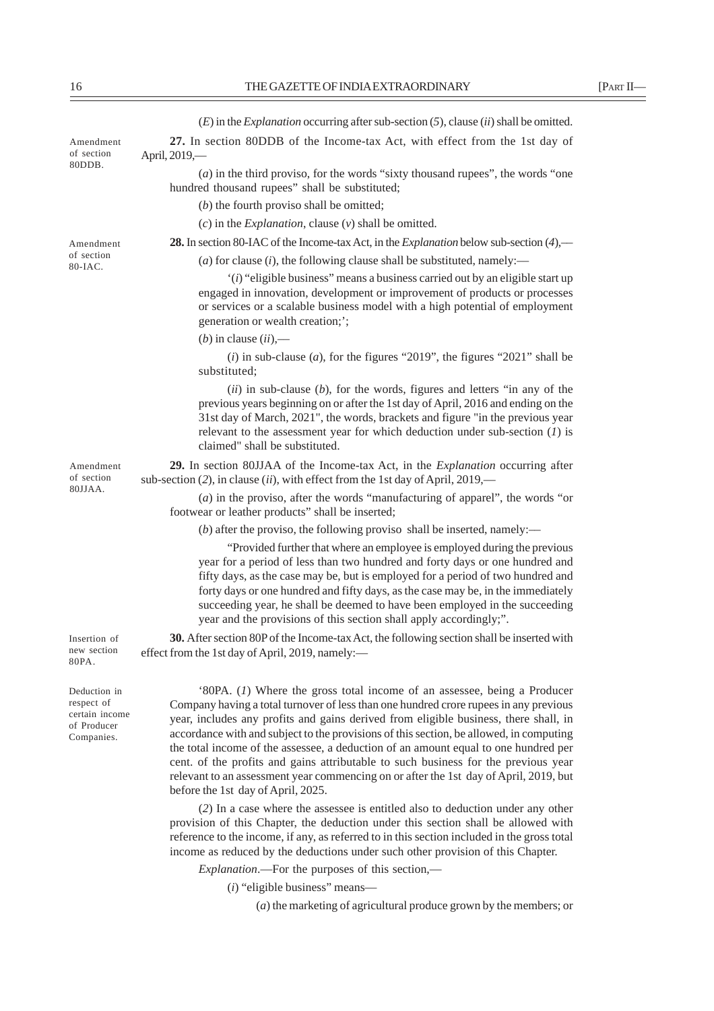(*E*) in the *Explanation* occurring after sub-section (*5*), clause (*ii*) shall be omitted.

**27.** In section 80DDB of the Income-tax Act, with effect from the 1st day of April, 2019,—

(*a*) in the third proviso, for the words "sixty thousand rupees", the words "one hundred thousand rupees" shall be substituted;

(*b*) the fourth proviso shall be omitted;

(*c*) in the *Explanation*, clause (*v*) shall be omitted.

**28.** In section 80-IAC of the Income-tax Act, in the *Explanation* below sub-section (*4*),––

(*a*) for clause (*i*), the following clause shall be substituted, namely:––

'(*i*) "eligible business" means a business carried out by an eligible start up engaged in innovation, development or improvement of products or processes or services or a scalable business model with a high potential of employment generation or wealth creation;';

 $(b)$  in clause  $(ii)$ ,—

(*i*) in sub-clause (*a*), for the figures "2019", the figures "2021" shall be substituted;

(*ii*) in sub-clause (*b*), for the words, figures and letters "in any of the previous years beginning on or after the 1st day of April, 2016 and ending on the 31st day of March, 2021", the words, brackets and figure "in the previous year relevant to the assessment year for which deduction under sub-section (*1*) is claimed" shall be substituted.

**29.** In section 80JJAA of the Income-tax Act, in the *Explanation* occurring after sub-section (*2*), in clause (*ii*), with effect from the 1st day of April, 2019,––

(*a*) in the proviso, after the words "manufacturing of apparel", the words "or footwear or leather products" shall be inserted;

(*b*) after the proviso, the following proviso shall be inserted, namely:—

"Provided further that where an employee is employed during the previous year for a period of less than two hundred and forty days or one hundred and fifty days, as the case may be, but is employed for a period of two hundred and forty days or one hundred and fifty days, as the case may be, in the immediately succeeding year, he shall be deemed to have been employed in the succeeding year and the provisions of this section shall apply accordingly;".

**30.** After section 80P of the Income-tax Act, the following section shall be inserted with effect from the 1st day of April, 2019, namely:—

'80PA. (*1*) Where the gross total income of an assessee, being a Producer Company having a total turnover of less than one hundred crore rupees in any previous year, includes any profits and gains derived from eligible business, there shall, in accordance with and subject to the provisions of this section, be allowed, in computing the total income of the assessee, a deduction of an amount equal to one hundred per cent. of the profits and gains attributable to such business for the previous year relevant to an assessment year commencing on or after the 1st day of April, 2019, but before the 1st day of April, 2025.

(*2*) In a case where the assessee is entitled also to deduction under any other provision of this Chapter, the deduction under this section shall be allowed with reference to the income, if any, as referred to in this section included in the gross total income as reduced by the deductions under such other provision of this Chapter.

*Explanation*.—For the purposes of this section,—

(*i*) "eligible business" means—

(*a*) the marketing of agricultural produce grown by the members; or

Amendment of section 80DDB.

Amendment of section 80JJAA.

Insertion of new section 80PA.

Deduction in respect of certain income of Producer Companies.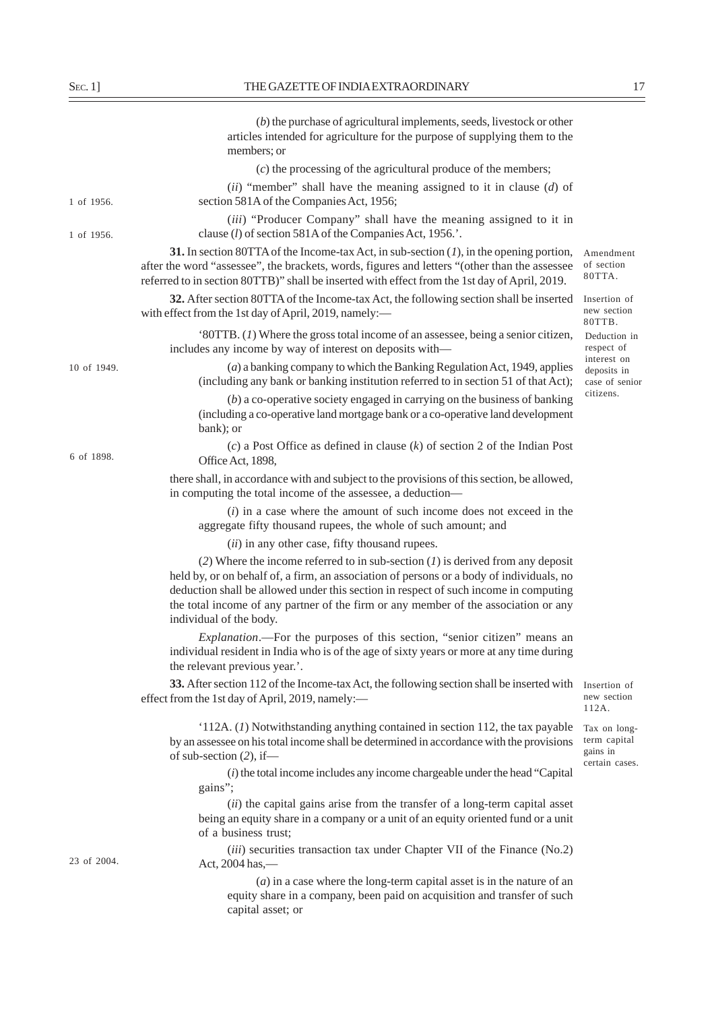|             | $(b)$ the purchase of agricultural implements, seeds, livestock or other<br>articles intended for agriculture for the purpose of supplying them to the<br>members; or                                                                                                                                                                                                                   |                                                            |
|-------------|-----------------------------------------------------------------------------------------------------------------------------------------------------------------------------------------------------------------------------------------------------------------------------------------------------------------------------------------------------------------------------------------|------------------------------------------------------------|
|             | $(c)$ the processing of the agricultural produce of the members;                                                                                                                                                                                                                                                                                                                        |                                                            |
| 1 of 1956.  | (ii) "member" shall have the meaning assigned to it in clause $(d)$ of<br>section 581A of the Companies Act, 1956;                                                                                                                                                                                                                                                                      |                                                            |
| 1 of 1956.  | <i>(iii)</i> "Producer Company" shall have the meaning assigned to it in<br>clause (l) of section 581A of the Companies Act, 1956.'.                                                                                                                                                                                                                                                    |                                                            |
|             | 31. In section 80TTA of the Income-tax Act, in sub-section $(I)$ , in the opening portion,<br>after the word "assessee", the brackets, words, figures and letters "(other than the assessee<br>referred to in section 80TTB)" shall be inserted with effect from the 1st day of April, 2019.                                                                                            | Amendment<br>of section<br>80TTA.                          |
|             | 32. After section 80TTA of the Income-tax Act, the following section shall be inserted<br>with effect from the 1st day of April, 2019, namely:-                                                                                                                                                                                                                                         | Insertion of<br>new section<br>80TTB.                      |
|             | '80TTB. $(I)$ Where the gross total income of an assessee, being a senior citizen,<br>includes any income by way of interest on deposits with-                                                                                                                                                                                                                                          | Deduction in<br>respect of                                 |
| 10 of 1949. | $(a)$ a banking company to which the Banking Regulation Act, 1949, applies<br>(including any bank or banking institution referred to in section 51 of that Act);                                                                                                                                                                                                                        | interest on<br>deposits in<br>case of senior               |
|             | $(b)$ a co-operative society engaged in carrying on the business of banking<br>(including a co-operative land mortgage bank or a co-operative land development<br>bank); or                                                                                                                                                                                                             | citizens.                                                  |
| 6 of 1898.  | (c) a Post Office as defined in clause $(k)$ of section 2 of the Indian Post<br>Office Act, 1898,                                                                                                                                                                                                                                                                                       |                                                            |
|             | there shall, in accordance with and subject to the provisions of this section, be allowed,<br>in computing the total income of the assessee, a deduction-                                                                                                                                                                                                                               |                                                            |
|             | $(i)$ in a case where the amount of such income does not exceed in the<br>aggregate fifty thousand rupees, the whole of such amount; and                                                                                                                                                                                                                                                |                                                            |
|             | (ii) in any other case, fifty thousand rupees.                                                                                                                                                                                                                                                                                                                                          |                                                            |
|             | (2) Where the income referred to in sub-section $(I)$ is derived from any deposit<br>held by, or on behalf of, a firm, an association of persons or a body of individuals, no<br>deduction shall be allowed under this section in respect of such income in computing<br>the total income of any partner of the firm or any member of the association or any<br>individual of the body. |                                                            |
|             | <i>Explanation</i> .—For the purposes of this section, "senior citizen" means an<br>individual resident in India who is of the age of sixty years or more at any time during<br>the relevant previous year.'.                                                                                                                                                                           |                                                            |
|             | 33. After section 112 of the Income-tax Act, the following section shall be inserted with<br>effect from the 1st day of April, 2019, namely:-                                                                                                                                                                                                                                           | Insertion of<br>new section<br>112A.                       |
|             | '112A. (1) Notwithstanding anything contained in section 112, the tax payable<br>by an assessee on his total income shall be determined in accordance with the provisions<br>of sub-section $(2)$ , if-                                                                                                                                                                                 | Tax on long-<br>term capital<br>gains in<br>certain cases. |
|             | $(i)$ the total income includes any income chargeable under the head "Capital"<br>gains";                                                                                                                                                                                                                                                                                               |                                                            |
|             | (ii) the capital gains arise from the transfer of a long-term capital asset<br>being an equity share in a company or a unit of an equity oriented fund or a unit<br>of a business trust;                                                                                                                                                                                                |                                                            |
| 23 of 2004. | (iii) securities transaction tax under Chapter VII of the Finance (No.2)<br>Act, 2004 has,-                                                                                                                                                                                                                                                                                             |                                                            |
|             | $(a)$ in a case where the long-term capital asset is in the nature of an<br>equity share in a company, been paid on acquisition and transfer of such<br>capital asset; or                                                                                                                                                                                                               |                                                            |
|             |                                                                                                                                                                                                                                                                                                                                                                                         |                                                            |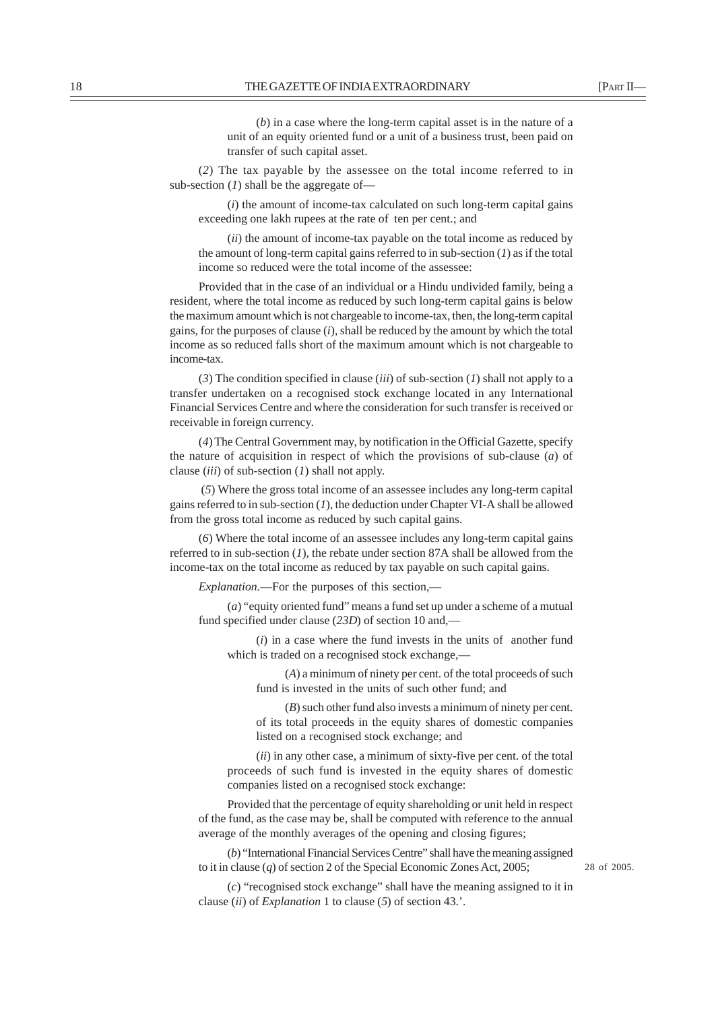(*b*) in a case where the long-term capital asset is in the nature of a unit of an equity oriented fund or a unit of a business trust, been paid on transfer of such capital asset.

(*2*) The tax payable by the assessee on the total income referred to in sub-section (*1*) shall be the aggregate of—

(*i*) the amount of income-tax calculated on such long-term capital gains exceeding one lakh rupees at the rate of ten per cent.; and

(*ii*) the amount of income-tax payable on the total income as reduced by the amount of long-term capital gains referred to in sub-section (*1*) as if the total income so reduced were the total income of the assessee:

Provided that in the case of an individual or a Hindu undivided family, being a resident, where the total income as reduced by such long-term capital gains is below the maximum amount which is not chargeable to income-tax, then, the long-term capital gains, for the purposes of clause (*i*), shall be reduced by the amount by which the total income as so reduced falls short of the maximum amount which is not chargeable to income-tax.

(*3*) The condition specified in clause (*iii*) of sub-section (*1*) shall not apply to a transfer undertaken on a recognised stock exchange located in any International Financial Services Centre and where the consideration for such transfer is received or receivable in foreign currency.

(*4*) The Central Government may, by notification in the Official Gazette, specify the nature of acquisition in respect of which the provisions of sub-clause (*a*) of clause (*iii*) of sub-section (*1*) shall not apply.

 (*5*) Where the gross total income of an assessee includes any long-term capital gains referred to in sub-section (*1*), the deduction under Chapter VI-A shall be allowed from the gross total income as reduced by such capital gains.

(*6*) Where the total income of an assessee includes any long-term capital gains referred to in sub-section (*1*), the rebate under section 87A shall be allowed from the income-tax on the total income as reduced by tax payable on such capital gains.

*Explanation.*—For the purposes of this section,—

(*a*) "equity oriented fund" means a fund set up under a scheme of a mutual fund specified under clause (*23D*) of section 10 and,—

(*i*) in a case where the fund invests in the units of another fund which is traded on a recognised stock exchange.—

(*A*) a minimum of ninety per cent. of the total proceeds of such fund is invested in the units of such other fund; and

(*B*) such other fund also invests a minimum of ninety per cent. of its total proceeds in the equity shares of domestic companies listed on a recognised stock exchange; and

(*ii*) in any other case, a minimum of sixty-five per cent. of the total proceeds of such fund is invested in the equity shares of domestic companies listed on a recognised stock exchange:

Provided that the percentage of equity shareholding or unit held in respect of the fund, as the case may be, shall be computed with reference to the annual average of the monthly averages of the opening and closing figures;

(*b*) "International Financial Services Centre" shall have the meaning assigned to it in clause (*q*) of section 2 of the Special Economic Zones Act, 2005;

28 of 2005.

(*c*) "recognised stock exchange" shall have the meaning assigned to it in clause (*ii*) of *Explanation* 1 to clause (*5*) of section 43.'.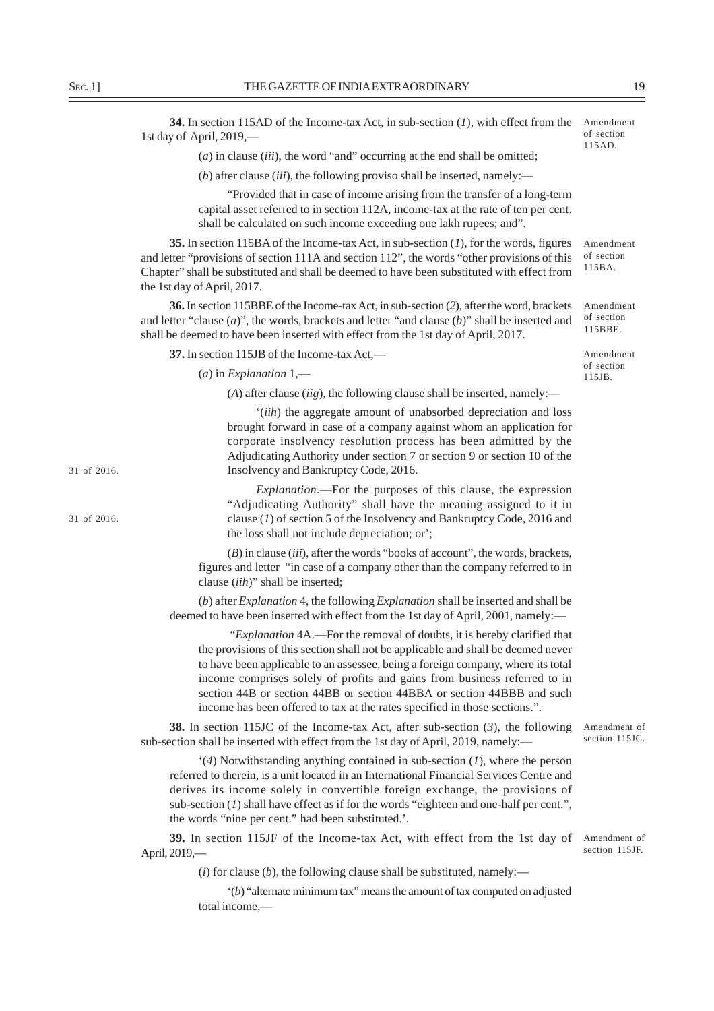**34.** In section 115AD of the Income-tax Act, in sub-section (*1*), with effect from the 1st day of April, 2019,— Amendment of section 115AD.

(*a*) in clause (*iii*), the word "and" occurring at the end shall be omitted;

(*b*) after clause (*iii*), the following proviso shall be inserted, namely:—

"Provided that in case of income arising from the transfer of a long-term capital asset referred to in section 112A, income-tax at the rate of ten per cent. shall be calculated on such income exceeding one lakh rupees; and".

**35.** In section 115BA of the Income-tax Act, in sub-section (*1*), for the words, figures and letter "provisions of section 111A and section 112", the words "other provisions of this Chapter" shall be substituted and shall be deemed to have been substituted with effect from the 1st day of April, 2017.

**36.** In section 115BBE of the Income-tax Act, in sub-section (*2*), after the word, brackets and letter "clause (*a*)", the words, brackets and letter "and clause (*b*)" shall be inserted and shall be deemed to have been inserted with effect from the 1st day of April, 2017.

**37.** In section 115JB of the Income-tax Act,—

(*a*) in *Explanation* 1,—

(*A*) after clause (*iig*), the following clause shall be inserted, namely:––

'(*iih*) the aggregate amount of unabsorbed depreciation and loss brought forward in case of a company against whom an application for corporate insolvency resolution process has been admitted by the Adjudicating Authority under section 7 or section 9 or section 10 of the Insolvency and Bankruptcy Code, 2016.

*Explanation*.––For the purposes of this clause, the expression "Adjudicating Authority" shall have the meaning assigned to it in clause (*1*) of section 5 of the Insolvency and Bankruptcy Code, 2016 and the loss shall not include depreciation; or';

(*B*) in clause (*iii*), after the words "books of account", the words, brackets, figures and letter "in case of a company other than the company referred to in clause (*iih*)" shall be inserted;

(*b*) after *Explanation* 4, the following *Explanation* shall be inserted and shall be deemed to have been inserted with effect from the 1st day of April, 2001, namely:––

 "*Explanation* 4A.—For the removal of doubts, it is hereby clarified that the provisions of this section shall not be applicable and shall be deemed never to have been applicable to an assessee, being a foreign company, where its total income comprises solely of profits and gains from business referred to in section 44B or section 44BB or section 44BBA or section 44BBB and such income has been offered to tax at the rates specified in those sections.".

**38.** In section 115JC of the Income-tax Act, after sub-section (*3*), the following sub-section shall be inserted with effect from the 1st day of April, 2019, namely:––

'(*4*) Notwithstanding anything contained in sub-section (*1*), where the person referred to therein, is a unit located in an International Financial Services Centre and derives its income solely in convertible foreign exchange, the provisions of sub-section (*1*) shall have effect as if for the words "eighteen and one-half per cent.", the words "nine per cent." had been substituted.'.

**39.** In section 115JF of the Income-tax Act, with effect from the 1st day of Amendment of April, 2019,—

 $(i)$  for clause  $(b)$ , the following clause shall be substituted, namely:—

'(*b*) "alternate minimum tax" means the amount of tax computed on adjusted total income,––

Amendment

Amendment of section 115BA.

Amendment of section

115JB.

of section 115BBE.

31 of 2016.

31 of 2016.

Amendment of section 115JC.

section 115JF.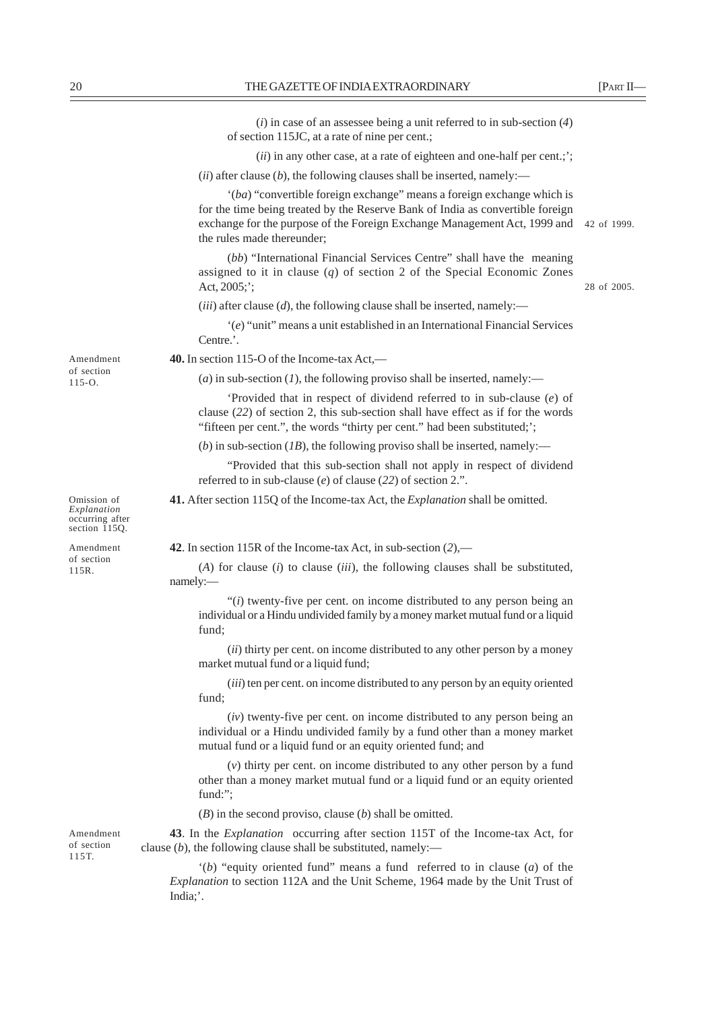(*i*) in case of an assessee being a unit referred to in sub-section (*4*) of section 115JC, at a rate of nine per cent.; (*ii*) in any other case, at a rate of eighteen and one-half per cent.;';  $(iii)$  after clause  $(b)$ , the following clauses shall be inserted, namely:-'(*ba*) "convertible foreign exchange" means a foreign exchange which is for the time being treated by the Reserve Bank of India as convertible foreign exchange for the purpose of the Foreign Exchange Management Act, 1999 and 42 of 1999. the rules made thereunder; (*bb*) "International Financial Services Centre" shall have the meaning assigned to it in clause (*q*) of section 2 of the Special Economic Zones Act, 2005;';  $(iii)$  after clause  $(d)$ , the following clause shall be inserted, namely:— '(*e*) "unit" means a unit established in an International Financial Services Centre.'. **40.** In section 115-O of the Income-tax Act,–– (*a*) in sub-section (*1*), the following proviso shall be inserted, namely:— 'Provided that in respect of dividend referred to in sub-clause (*e*) of clause (*22*) of section 2, this sub-section shall have effect as if for the words "fifteen per cent.", the words "thirty per cent." had been substituted;'; (*b*) in sub-section (*IB*), the following proviso shall be inserted, namely:— "Provided that this sub-section shall not apply in respect of dividend referred to in sub-clause (*e*) of clause (*22*) of section 2.". **41.** After section 115Q of the Income-tax Act, the *Explanation* shall be omitted. **42**. In section 115R of the Income-tax Act, in sub-section (*2*),–– (*A*) for clause (*i*) to clause (*iii*), the following clauses shall be substituted, namely:— "(*i*) twenty-five per cent. on income distributed to any person being an individual or a Hindu undivided family by a money market mutual fund or a liquid fund; (*ii*) thirty per cent. on income distributed to any other person by a money market mutual fund or a liquid fund; (*iii*) ten per cent. on income distributed to any person by an equity oriented fund; (*iv*) twenty-five per cent. on income distributed to any person being an individual or a Hindu undivided family by a fund other than a money market mutual fund or a liquid fund or an equity oriented fund; and (*v*) thirty per cent. on income distributed to any other person by a fund other than a money market mutual fund or a liquid fund or an equity oriented fund:"; (*B*) in the second proviso, clause (*b*) shall be omitted. **43**. In the *Explanation* occurring after section 115T of the Income-tax Act, for clause (*b*), the following clause shall be substituted, namely:–– Amendment of section  $115 - \Omega$ Omission of *Explanation* occurring after section 115Q. Amendment of section 115R. 28 of 2005. Amendment of section 115T.

'(*b*) "equity oriented fund" means a fund referred to in clause (*a*) of the *Explanation* to section 112A and the Unit Scheme, 1964 made by the Unit Trust of India;'.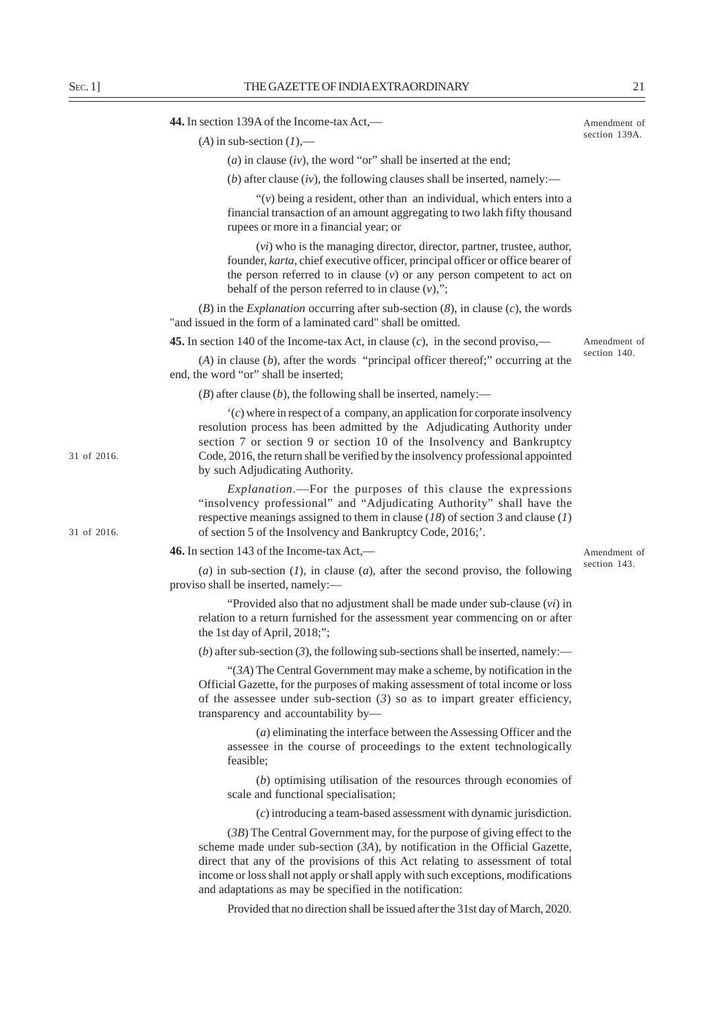| Amendment of  |  |
|---------------|--|
| section 139A. |  |

Amendment of section 140.

Amendment of section 143.

|             | $(A)$ in sub-section $(I)$ ,—                                                                                                                                                                                                                                                                                                                                                                   |
|-------------|-------------------------------------------------------------------------------------------------------------------------------------------------------------------------------------------------------------------------------------------------------------------------------------------------------------------------------------------------------------------------------------------------|
|             | (a) in clause $(iv)$ , the word "or" shall be inserted at the end;                                                                                                                                                                                                                                                                                                                              |
|             | (b) after clause $(iv)$ , the following clauses shall be inserted, namely:—                                                                                                                                                                                                                                                                                                                     |
|             | " $(v)$ being a resident, other than an individual, which enters into a<br>financial transaction of an amount aggregating to two lakh fifty thousand<br>rupees or more in a financial year; or                                                                                                                                                                                                  |
|             | $(vi)$ who is the managing director, director, partner, trustee, author,<br>founder, karta, chief executive officer, principal officer or office bearer of<br>the person referred to in clause $(v)$ or any person competent to act on<br>behalf of the person referred to in clause $(v)$ ,";                                                                                                  |
|             | $(B)$ in the <i>Explanation</i> occurring after sub-section $(8)$ , in clause $(c)$ , the words<br>"and issued in the form of a laminated card" shall be omitted.                                                                                                                                                                                                                               |
|             | <b>45.</b> In section 140 of the Income-tax Act, in clause $(c)$ , in the second proviso,—                                                                                                                                                                                                                                                                                                      |
|             | $(A)$ in clause $(b)$ , after the words "principal officer thereof;" occurring at the<br>end, the word "or" shall be inserted;                                                                                                                                                                                                                                                                  |
|             | $(B)$ after clause $(b)$ , the following shall be inserted, namely:—                                                                                                                                                                                                                                                                                                                            |
| 31 of 2016. | $(c)$ where in respect of a company, an application for corporate insolvency<br>resolution process has been admitted by the Adjudicating Authority under<br>section 7 or section 9 or section 10 of the Insolvency and Bankruptcy<br>Code, 2016, the return shall be verified by the insolvency professional appointed<br>by such Adjudicating Authority.                                       |
| 31 of 2016. | "insolvency professional" and "Adjudicating Authority" shall have the<br>respective meanings assigned to them in clause $(18)$ of section 3 and clause $(1)$<br>of section 5 of the Insolvency and Bankruptcy Code, 2016;'.                                                                                                                                                                     |
|             | 46. In section 143 of the Income-tax Act,—                                                                                                                                                                                                                                                                                                                                                      |
|             | (a) in sub-section $(I)$ , in clause $(a)$ , after the second proviso, the following<br>proviso shall be inserted, namely:-                                                                                                                                                                                                                                                                     |
|             | "Provided also that no adjustment shall be made under sub-clause $(vi)$ in<br>relation to a return furnished for the assessment year commencing on or after<br>the 1st day of April, 2018;";                                                                                                                                                                                                    |
|             | (b) after sub-section (3), the following sub-sections shall be inserted, namely:—                                                                                                                                                                                                                                                                                                               |
|             | "(3A) The Central Government may make a scheme, by notification in the<br>Official Gazette, for the purposes of making assessment of total income or loss<br>of the assessee under sub-section $(3)$ so as to impart greater efficiency,<br>transparency and accountability by-                                                                                                                 |
|             | $(a)$ eliminating the interface between the Assessing Officer and the<br>assessee in the course of proceedings to the extent technologically<br>feasible;                                                                                                                                                                                                                                       |
|             | (b) optimising utilisation of the resources through economies of<br>scale and functional specialisation;                                                                                                                                                                                                                                                                                        |
|             | (c) introducing a team-based assessment with dynamic jurisdiction.                                                                                                                                                                                                                                                                                                                              |
|             | $(3B)$ The Central Government may, for the purpose of giving effect to the<br>scheme made under sub-section $(3A)$ , by notification in the Official Gazette,<br>direct that any of the provisions of this Act relating to assessment of total<br>income or loss shall not apply or shall apply with such exceptions, modifications<br>and adaptations as may be specified in the notification: |

Provided that no direction shall be issued after the 31st day of March, 2020.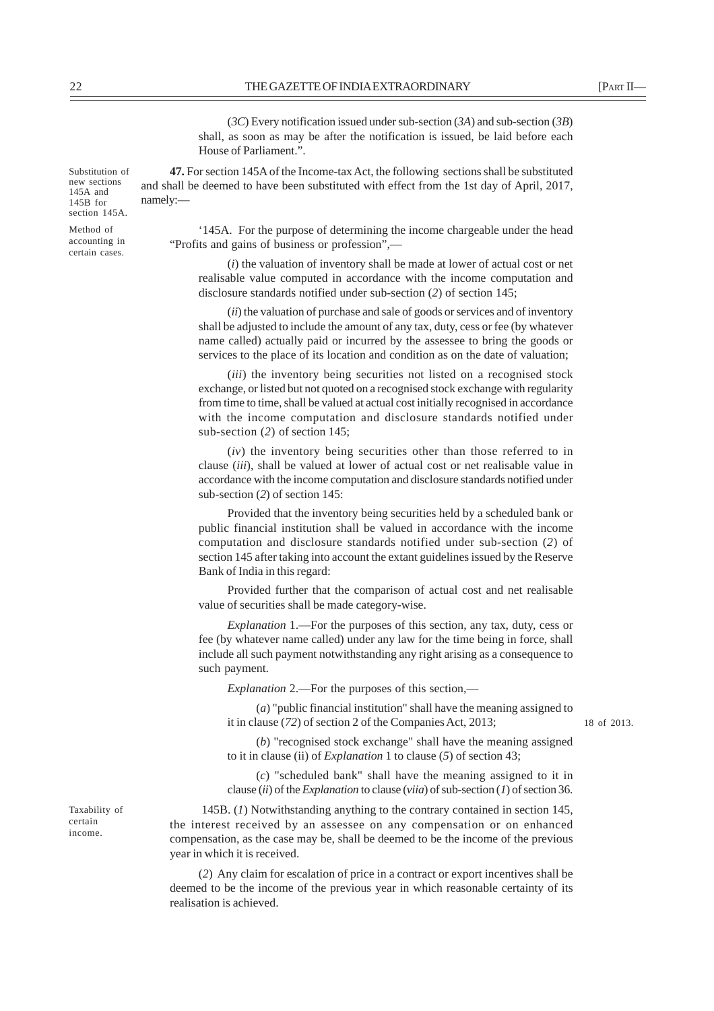(*3C*) Every notification issued under sub-section (*3A*) and sub-section (*3B*) shall, as soon as may be after the notification is issued, be laid before each House of Parliament.".

**47.** For section 145A of the Income-tax Act, the following sections shall be substituted and shall be deemed to have been substituted with effect from the 1st day of April, 2017, namely:—

'145A. For the purpose of determining the income chargeable under the head "Profits and gains of business or profession",––

(*i*) the valuation of inventory shall be made at lower of actual cost or net realisable value computed in accordance with the income computation and disclosure standards notified under sub-section (*2*) of section 145;

(*ii*) the valuation of purchase and sale of goods or services and of inventory shall be adjusted to include the amount of any tax, duty, cess or fee (by whatever name called) actually paid or incurred by the assessee to bring the goods or services to the place of its location and condition as on the date of valuation;

(*iii*) the inventory being securities not listed on a recognised stock exchange, or listed but not quoted on a recognised stock exchange with regularity from time to time, shall be valued at actual cost initially recognised in accordance with the income computation and disclosure standards notified under sub-section (*2*) of section 145;

(*iv*) the inventory being securities other than those referred to in clause (*iii*), shall be valued at lower of actual cost or net realisable value in accordance with the income computation and disclosure standards notified under sub-section (*2*) of section 145:

Provided that the inventory being securities held by a scheduled bank or public financial institution shall be valued in accordance with the income computation and disclosure standards notified under sub-section (*2*) of section 145 after taking into account the extant guidelines issued by the Reserve Bank of India in this regard:

Provided further that the comparison of actual cost and net realisable value of securities shall be made category-wise.

*Explanation* 1.—For the purposes of this section, any tax, duty, cess or fee (by whatever name called) under any law for the time being in force, shall include all such payment notwithstanding any right arising as a consequence to such payment.

*Explanation* 2.—For the purposes of this section,—

(*a*) "public financial institution" shall have the meaning assigned to it in clause (*72*) of section 2 of the Companies Act, 2013;

18 of 2013.

(*b*) "recognised stock exchange" shall have the meaning assigned to it in clause (ii) of *Explanation* 1 to clause (*5*) of section 43;

(*c*) "scheduled bank" shall have the meaning assigned to it in clause (*ii*) of the *Explanation* to clause (*viia*) of sub-section (*1*) of section 36.

 145B. (*1*) Notwithstanding anything to the contrary contained in section 145, the interest received by an assessee on any compensation or on enhanced compensation, as the case may be, shall be deemed to be the income of the previous year in which it is received.

(*2*) Any claim for escalation of price in a contract or export incentives shall be deemed to be the income of the previous year in which reasonable certainty of its realisation is achieved.

Taxability of certain income.

Substitution of new sections 145A and 145B for section 145A.

Method of accounting in certain cases.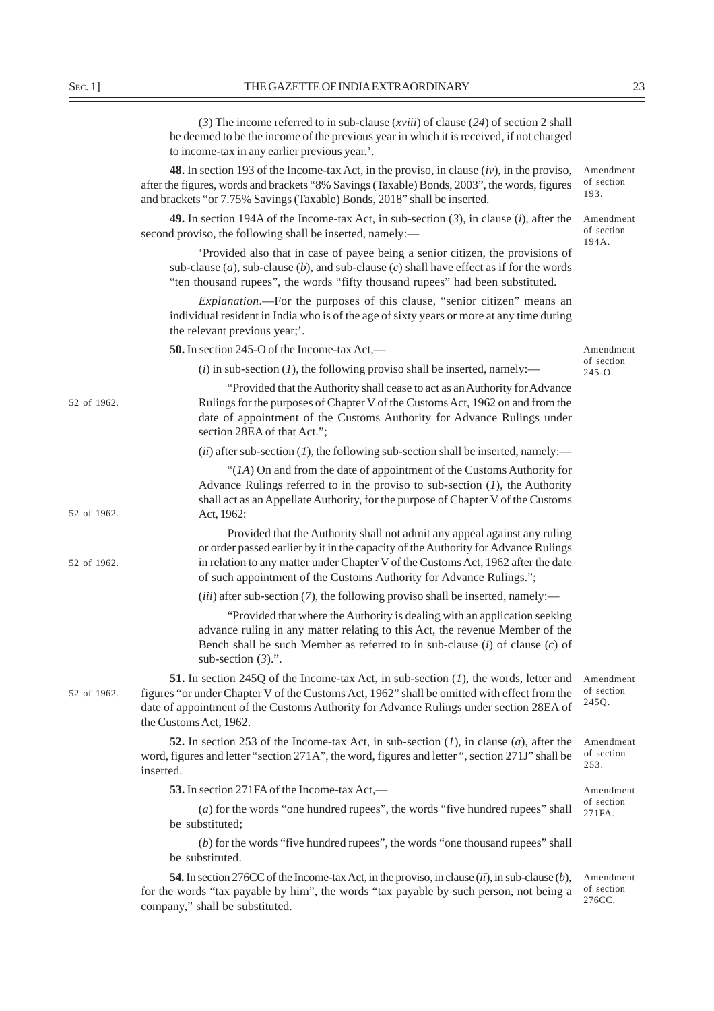|                                                                             | (3) The income referred to in sub-clause ( <i>xviii</i> ) of clause (24) of section 2 shall<br>be deemed to be the income of the previous year in which it is received, if not charged<br>to income-tax in any earlier previous year.'.                                                                           |             |
|-----------------------------------------------------------------------------|-------------------------------------------------------------------------------------------------------------------------------------------------------------------------------------------------------------------------------------------------------------------------------------------------------------------|-------------|
| Amendment<br>of section<br>193.                                             | <b>48.</b> In section 193 of the Income-tax Act, in the proviso, in clause $(iv)$ , in the proviso,<br>after the figures, words and brackets "8% Savings (Taxable) Bonds, 2003", the words, figures<br>and brackets "or 7.75% Savings (Taxable) Bonds, 2018" shall be inserted.                                   |             |
| Amendment<br>of section<br>194A.                                            | <b>49.</b> In section 194A of the Income-tax Act, in sub-section $(3)$ , in clause $(i)$ , after the<br>second proviso, the following shall be inserted, namely:-                                                                                                                                                 |             |
|                                                                             | 'Provided also that in case of payee being a senior citizen, the provisions of<br>sub-clause $(a)$ , sub-clause $(b)$ , and sub-clause $(c)$ shall have effect as if for the words<br>"ten thousand rupees", the words "fifty thousand rupees" had been substituted.                                              |             |
|                                                                             | <i>Explanation</i> .—For the purposes of this clause, "senior citizen" means an<br>individual resident in India who is of the age of sixty years or more at any time during<br>the relevant previous year;'.                                                                                                      |             |
| Amendment                                                                   | 50. In section 245-O of the Income-tax Act,—                                                                                                                                                                                                                                                                      |             |
| of section<br>$245 - 0.$                                                    | $(i)$ in sub-section (1), the following proviso shall be inserted, namely:—                                                                                                                                                                                                                                       |             |
| "Provided that the Authority shall cease to act as an Authority for Advance | Rulings for the purposes of Chapter V of the Customs Act, 1962 on and from the<br>date of appointment of the Customs Authority for Advance Rulings under<br>section 28EA of that Act.";                                                                                                                           | 52 of 1962. |
|                                                                             | (ii) after sub-section (1), the following sub-section shall be inserted, namely:—                                                                                                                                                                                                                                 |             |
| " $(IA)$ On and from the date of appointment of the Customs Authority for   | Advance Rulings referred to in the proviso to sub-section $(I)$ , the Authority<br>shall act as an Appellate Authority, for the purpose of Chapter V of the Customs<br>Act, 1962:                                                                                                                                 | 52 of 1962. |
| Provided that the Authority shall not admit any appeal against any ruling   | or order passed earlier by it in the capacity of the Authority for Advance Rulings<br>in relation to any matter under Chapter V of the Customs Act, 1962 after the date<br>of such appointment of the Customs Authority for Advance Rulings.";                                                                    | 52 of 1962. |
|                                                                             | $(iii)$ after sub-section (7), the following proviso shall be inserted, namely:—                                                                                                                                                                                                                                  |             |
| "Provided that where the Authority is dealing with an application seeking   | advance ruling in any matter relating to this Act, the revenue Member of the<br>Bench shall be such Member as referred to in sub-clause $(i)$ of clause $(c)$ of<br>sub-section $(3)$ .".                                                                                                                         |             |
| Amendment<br>of section<br>245Q.                                            | <b>51.</b> In section 245Q of the Income-tax Act, in sub-section $(I)$ , the words, letter and<br>figures "or under Chapter V of the Customs Act, 1962" shall be omitted with effect from the<br>date of appointment of the Customs Authority for Advance Rulings under section 28EA of<br>the Customs Act, 1962. | 52 of 1962. |
| Amendment<br>of section<br>253.                                             | <b>52.</b> In section 253 of the Income-tax Act, in sub-section $(I)$ , in clause $(a)$ , after the<br>word, figures and letter "section 271A", the word, figures and letter ", section 271J" shall be<br>inserted.                                                                                               |             |
| Amendment                                                                   | 53. In section 271FA of the Income-tax Act,—                                                                                                                                                                                                                                                                      |             |
| of section<br>271FA.                                                        | (a) for the words "one hundred rupees", the words "five hundred rupees" shall<br>be substituted;                                                                                                                                                                                                                  |             |
|                                                                             | (b) for the words "five hundred rupees", the words "one thousand rupees" shall<br>be substituted.                                                                                                                                                                                                                 |             |
| Amendment<br>of section<br>276CC.                                           | <b>54.</b> In section 276CC of the Income-tax Act, in the proviso, in clause $(ii)$ , in sub-clause $(b)$ ,<br>for the words "tax payable by him", the words "tax payable by such person, not being a<br>company," shall be substituted.                                                                          |             |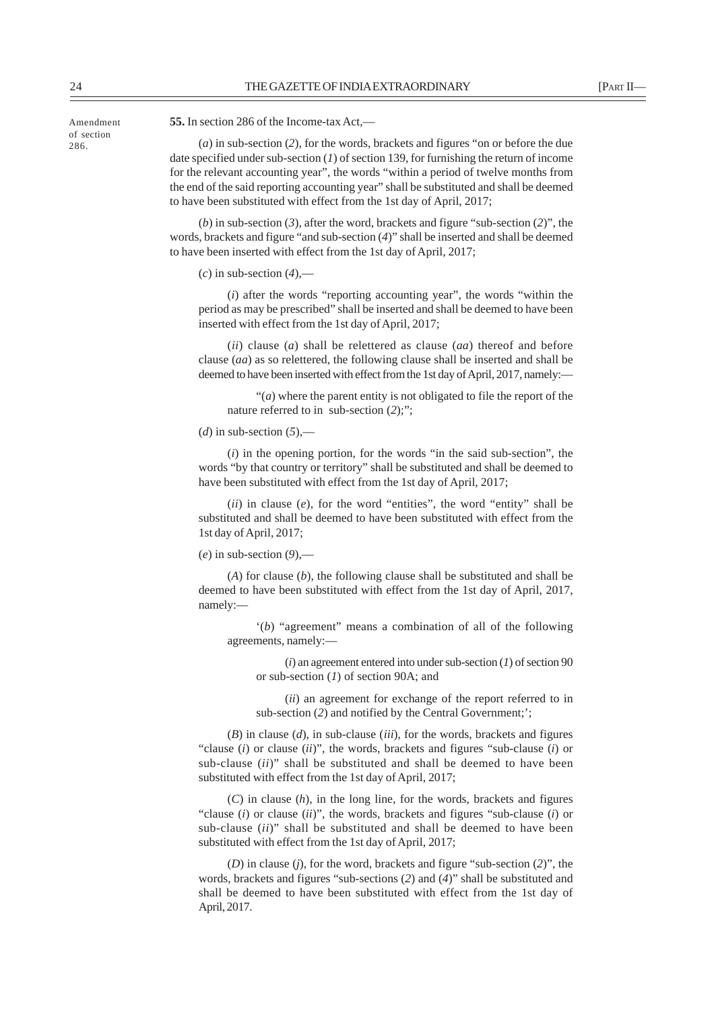24 THE GAZETTE OF INDIA EXTRAORDINARY [PART II—

Amendment of section 286.

**55.** In section 286 of the Income-tax Act,––

(*a*) in sub-section (*2*), for the words, brackets and figures "on or before the due date specified under sub-section (*1*) of section 139, for furnishing the return of income for the relevant accounting year", the words "within a period of twelve months from the end of the said reporting accounting year" shall be substituted and shall be deemed to have been substituted with effect from the 1st day of April, 2017;

(*b*) in sub-section (*3*), after the word, brackets and figure "sub-section (*2*)", the words, brackets and figure "and sub-section (*4*)" shall be inserted and shall be deemed to have been inserted with effect from the 1st day of April, 2017;

 $(c)$  in sub-section  $(4)$ ,—

(*i*) after the words "reporting accounting year", the words "within the period as may be prescribed" shall be inserted and shall be deemed to have been inserted with effect from the 1st day of April, 2017;

(*ii*) clause (*a*) shall be relettered as clause (*aa*) thereof and before clause (*aa*) as so relettered, the following clause shall be inserted and shall be deemed to have been inserted with effect from the 1st day of April, 2017, namely:—

"(*a*) where the parent entity is not obligated to file the report of the nature referred to in sub-section (*2*);";

 $(d)$  in sub-section  $(5)$ ,—

(*i*) in the opening portion, for the words "in the said sub-section", the words "by that country or territory" shall be substituted and shall be deemed to have been substituted with effect from the 1st day of April, 2017;

(*ii*) in clause (*e*), for the word "entities", the word "entity" shall be substituted and shall be deemed to have been substituted with effect from the 1st day of April, 2017;

(*e*) in sub-section (*9*),––

(*A*) for clause (*b*), the following clause shall be substituted and shall be deemed to have been substituted with effect from the 1st day of April, 2017, namely:––

'(*b*) "agreement" means a combination of all of the following agreements, namely:––

(*i*) an agreement entered into under sub-section (*1*) of section 90 or sub-section (*1*) of section 90A; and

(*ii*) an agreement for exchange of the report referred to in sub-section (2) and notified by the Central Government;';

(*B*) in clause (*d*), in sub-clause (*iii*), for the words, brackets and figures "clause (*i*) or clause (*ii*)", the words, brackets and figures "sub-clause (*i*) or sub-clause (*ii*)" shall be substituted and shall be deemed to have been substituted with effect from the 1st day of April, 2017;

(*C*) in clause (*h*), in the long line, for the words, brackets and figures "clause (*i*) or clause (*ii*)", the words, brackets and figures "sub-clause (*i*) or sub-clause (*ii*)" shall be substituted and shall be deemed to have been substituted with effect from the 1st day of April, 2017;

(*D*) in clause (*j*), for the word, brackets and figure "sub-section (*2*)", the words, brackets and figures "sub-sections (*2*) and (*4*)" shall be substituted and shall be deemed to have been substituted with effect from the 1st day of April, 2017.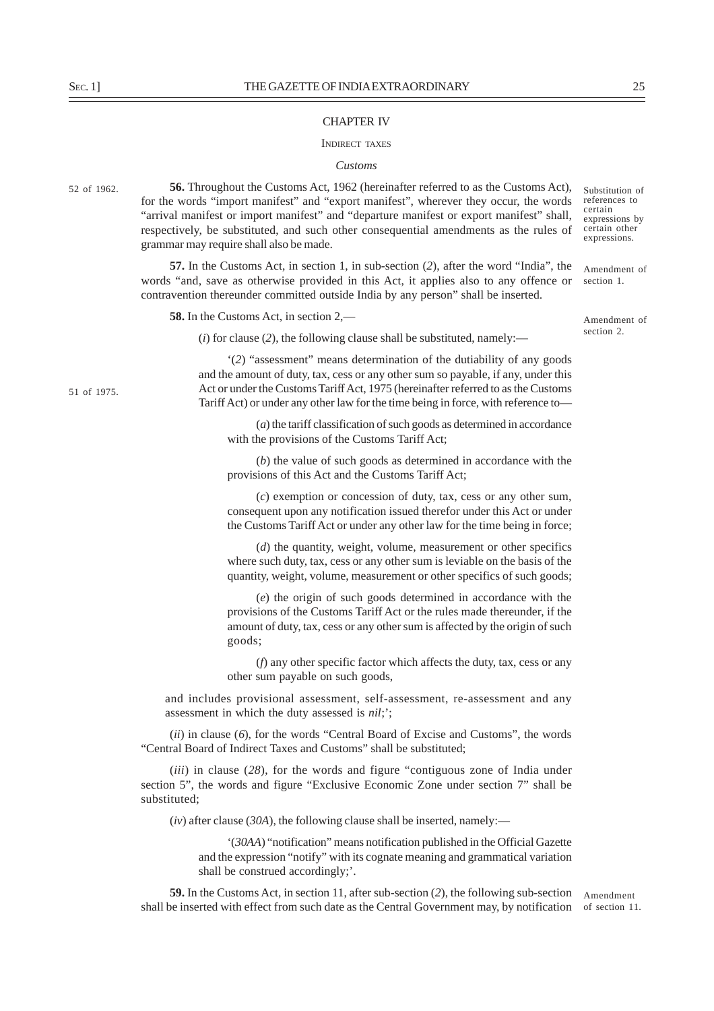#### CHAPTER IV

#### INDIRECT TAXES

#### *Customs*

52 of 1962.

**56.** Throughout the Customs Act, 1962 (hereinafter referred to as the Customs Act), for the words "import manifest" and "export manifest", wherever they occur, the words "arrival manifest or import manifest" and "departure manifest or export manifest" shall, respectively, be substituted, and such other consequential amendments as the rules of grammar may require shall also be made.

**57.** In the Customs Act, in section 1, in sub-section (*2*), after the word "India", the words "and, save as otherwise provided in this Act, it applies also to any offence or contravention thereunder committed outside India by any person" shall be inserted.

**58.** In the Customs Act, in section 2,—

Amendment of section 2.

Amendment of section 1.

Substitution of references to certain expressions by certain other expressions.

(*i*) for clause (*2*), the following clause shall be substituted, namely:—

'(*2*) "assessment" means determination of the dutiability of any goods and the amount of duty, tax, cess or any other sum so payable, if any, under this Act or under the Customs Tariff Act, 1975 (hereinafter referred to as the Customs Tariff Act) or under any other law for the time being in force, with reference to—

(*a*) the tariff classification of such goods as determined in accordance with the provisions of the Customs Tariff Act;

(*b*) the value of such goods as determined in accordance with the provisions of this Act and the Customs Tariff Act;

(*c*) exemption or concession of duty, tax, cess or any other sum, consequent upon any notification issued therefor under this Act or under the Customs Tariff Act or under any other law for the time being in force;

(*d*) the quantity, weight, volume, measurement or other specifics where such duty, tax, cess or any other sum is leviable on the basis of the quantity, weight, volume, measurement or other specifics of such goods;

(*e*) the origin of such goods determined in accordance with the provisions of the Customs Tariff Act or the rules made thereunder, if the amount of duty, tax, cess or any other sum is affected by the origin of such goods;

(*f*) any other specific factor which affects the duty, tax, cess or any other sum payable on such goods,

and includes provisional assessment, self-assessment, re-assessment and any assessment in which the duty assessed is *nil*;';

(*ii*) in clause (*6*), for the words "Central Board of Excise and Customs", the words "Central Board of Indirect Taxes and Customs" shall be substituted;

(*iii*) in clause (*28*), for the words and figure "contiguous zone of India under section 5", the words and figure "Exclusive Economic Zone under section 7" shall be substituted;

(*iv*) after clause (*30A*), the following clause shall be inserted, namely:—

'(*30AA*) "notification" means notification published in the Official Gazette and the expression "notify" with its cognate meaning and grammatical variation shall be construed accordingly;'.

Amendment shall be inserted with effect from such date as the Central Government may, by notification of section 11. **59.** In the Customs Act, in section 11, after sub-section (*2*), the following sub-section

51 of 1975.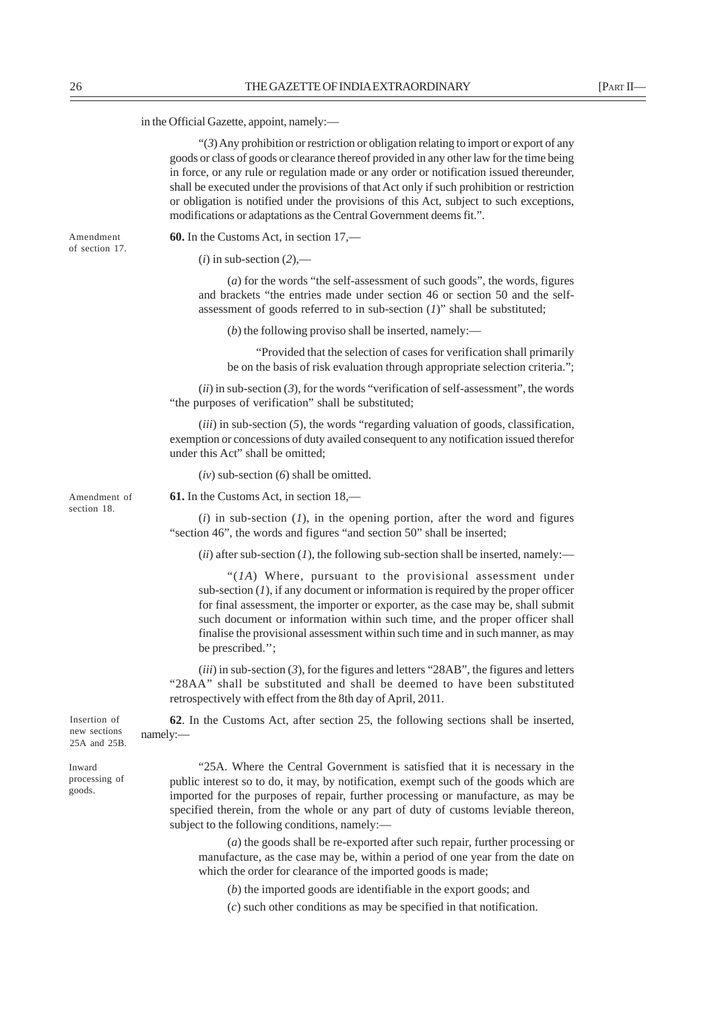in the Official Gazette, appoint, namely:—

"(*3*) Any prohibition or restriction or obligation relating to import or export of any goods or class of goods or clearance thereof provided in any other law for the time being in force, or any rule or regulation made or any order or notification issued thereunder, shall be executed under the provisions of that Act only if such prohibition or restriction or obligation is notified under the provisions of this Act, subject to such exceptions, modifications or adaptations as the Central Government deems fit.".

Amendment of section 17. **60.** In the Customs Act, in section 17,—

 $(i)$  in sub-section  $(2)$ ,—

(*a*) for the words "the self-assessment of such goods", the words, figures and brackets "the entries made under section 46 or section 50 and the selfassessment of goods referred to in sub-section (*1*)" shall be substituted;

(*b*) the following proviso shall be inserted, namely:—

"Provided that the selection of cases for verification shall primarily be on the basis of risk evaluation through appropriate selection criteria.";

(*ii*) in sub-section (*3*), for the words "verification of self-assessment", the words "the purposes of verification" shall be substituted;

(*iii*) in sub-section (*5*), the words "regarding valuation of goods, classification, exemption or concessions of duty availed consequent to any notification issued therefor under this Act" shall be omitted;

(*iv*) sub-section (*6*) shall be omitted.

**61.** In the Customs Act, in section 18,—

(*i*) in sub-section (*1*), in the opening portion, after the word and figures "section 46", the words and figures "and section 50" shall be inserted;

 $(iii)$  after sub-section  $(I)$ , the following sub-section shall be inserted, namely:—

"(*1A*) Where, pursuant to the provisional assessment under sub-section  $(1)$ , if any document or information is required by the proper officer for final assessment, the importer or exporter, as the case may be, shall submit such document or information within such time, and the proper officer shall finalise the provisional assessment within such time and in such manner, as may be prescribed.'';

(*iii*) in sub-section (*3*), for the figures and letters "28AB", the figures and letters "28AA" shall be substituted and shall be deemed to have been substituted retrospectively with effect from the 8th day of April, 2011.

**62**. In the Customs Act, after section 25, the following sections shall be inserted, namely:—

25A and 25B. Inward

Insertion of new sections

processing of goods.

"25A. Where the Central Government is satisfied that it is necessary in the public interest so to do, it may, by notification, exempt such of the goods which are imported for the purposes of repair, further processing or manufacture, as may be specified therein, from the whole or any part of duty of customs leviable thereon, subject to the following conditions, namely:—

(*a*) the goods shall be re-exported after such repair, further processing or manufacture, as the case may be, within a period of one year from the date on which the order for clearance of the imported goods is made;

(*b*) the imported goods are identifiable in the export goods; and

(*c*) such other conditions as may be specified in that notification.

Amendment of section 18.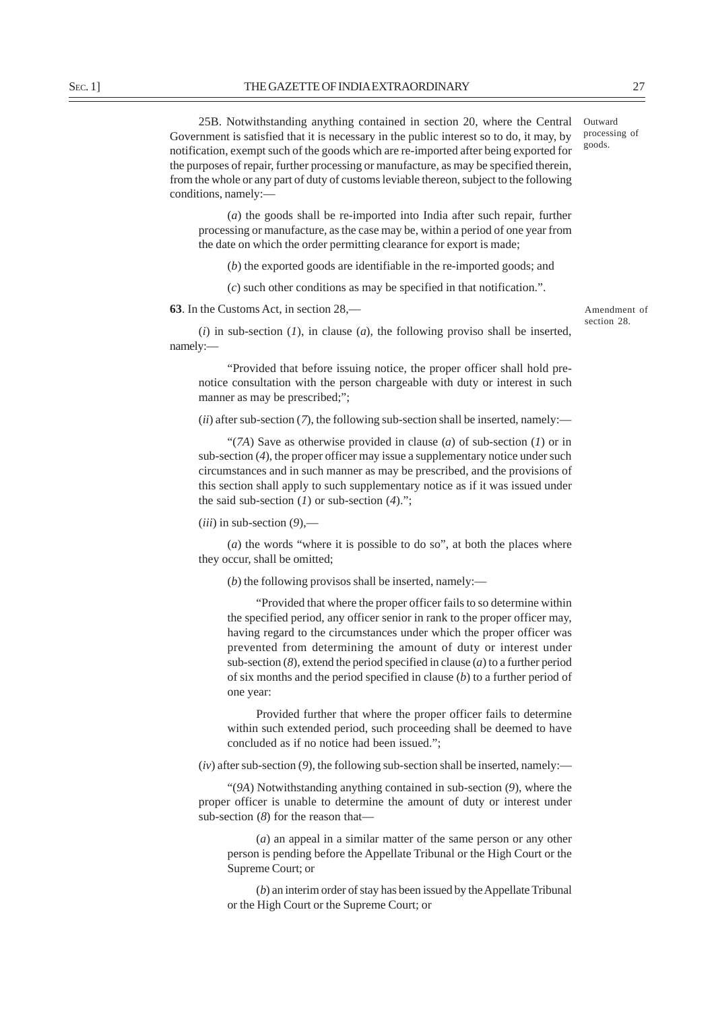25B. Notwithstanding anything contained in section 20, where the Central Government is satisfied that it is necessary in the public interest so to do, it may, by notification, exempt such of the goods which are re-imported after being exported for the purposes of repair, further processing or manufacture, as may be specified therein, from the whole or any part of duty of customs leviable thereon, subject to the following conditions, namely: goods.

(*a*) the goods shall be re-imported into India after such repair, further processing or manufacture, as the case may be, within a period of one year from the date on which the order permitting clearance for export is made;

(*b*) the exported goods are identifiable in the re-imported goods; and

(*c*) such other conditions as may be specified in that notification.".

**63**. In the Customs Act, in section 28,—

Amendment of section 28.

(*i*) in sub-section (*1*), in clause (*a*), the following proviso shall be inserted, namely:—

"Provided that before issuing notice, the proper officer shall hold prenotice consultation with the person chargeable with duty or interest in such manner as may be prescribed;";

(*ii*) after sub-section (*7*), the following sub-section shall be inserted, namely:—

"(*7A*) Save as otherwise provided in clause (*a*) of sub-section (*1*) or in sub-section (*4*), the proper officer may issue a supplementary notice under such circumstances and in such manner as may be prescribed, and the provisions of this section shall apply to such supplementary notice as if it was issued under the said sub-section (*1*) or sub-section (*4*).";

(*iii*) in sub-section (*9*),—

(*a*) the words "where it is possible to do so", at both the places where they occur, shall be omitted;

(*b*) the following provisos shall be inserted, namely:—

"Provided that where the proper officer fails to so determine within the specified period, any officer senior in rank to the proper officer may, having regard to the circumstances under which the proper officer was prevented from determining the amount of duty or interest under sub-section (*8*), extend the period specified in clause (*a*) to a further period of six months and the period specified in clause (*b*) to a further period of one year:

Provided further that where the proper officer fails to determine within such extended period, such proceeding shall be deemed to have concluded as if no notice had been issued.";

 $(iv)$  after sub-section  $(9)$ , the following sub-section shall be inserted, namely:—

"(*9A*) Notwithstanding anything contained in sub-section (*9*), where the proper officer is unable to determine the amount of duty or interest under sub-section (*8*) for the reason that—

(*a*) an appeal in a similar matter of the same person or any other person is pending before the Appellate Tribunal or the High Court or the Supreme Court; or

(*b*) an interim order of stay has been issued by the Appellate Tribunal or the High Court or the Supreme Court; or

Outward processing of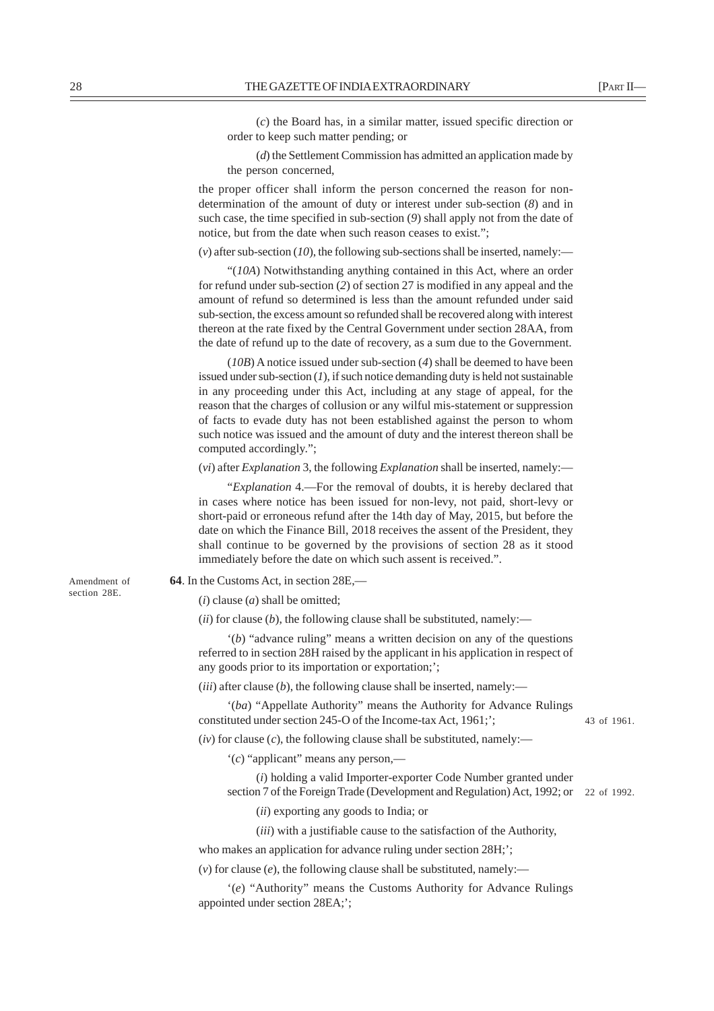(*c*) the Board has, in a similar matter, issued specific direction or order to keep such matter pending; or

(*d*) the Settlement Commission has admitted an application made by the person concerned,

the proper officer shall inform the person concerned the reason for nondetermination of the amount of duty or interest under sub-section (*8*) and in such case, the time specified in sub-section (*9*) shall apply not from the date of notice, but from the date when such reason ceases to exist.";

 $(v)$  after sub-section  $(10)$ , the following sub-sections shall be inserted, namely:—

"(*10A*) Notwithstanding anything contained in this Act, where an order for refund under sub-section (*2*) of section 27 is modified in any appeal and the amount of refund so determined is less than the amount refunded under said sub-section, the excess amount so refunded shall be recovered along with interest thereon at the rate fixed by the Central Government under section 28AA, from the date of refund up to the date of recovery, as a sum due to the Government.

(*10B*) A notice issued under sub-section (*4*) shall be deemed to have been issued under sub-section (*1*), if such notice demanding duty is held not sustainable in any proceeding under this Act, including at any stage of appeal, for the reason that the charges of collusion or any wilful mis-statement or suppression of facts to evade duty has not been established against the person to whom such notice was issued and the amount of duty and the interest thereon shall be computed accordingly.";

(*vi*) after *Explanation* 3, the following *Explanation* shall be inserted, namely:—

"*Explanation* 4.—For the removal of doubts, it is hereby declared that in cases where notice has been issued for non-levy, not paid, short-levy or short-paid or erroneous refund after the 14th day of May, 2015, but before the date on which the Finance Bill, 2018 receives the assent of the President, they shall continue to be governed by the provisions of section 28 as it stood immediately before the date on which such assent is received.".

Amendment of section 28E.

**64**. In the Customs Act, in section 28E,—

 $(i)$  clause  $(a)$  shall be omitted:

 $(iii)$  for clause  $(b)$ , the following clause shall be substituted, namely:—

'(*b*) "advance ruling" means a written decision on any of the questions referred to in section 28H raised by the applicant in his application in respect of any goods prior to its importation or exportation;';

(*iii*) after clause (*b*), the following clause shall be inserted, namely:—

'(*ba*) "Appellate Authority" means the Authority for Advance Rulings constituted under section 245-O of the Income-tax Act, 1961;';

43 of 1961.

 $(iv)$  for clause  $(c)$ , the following clause shall be substituted, namely:—

'(*c*) "applicant" means any person,—

(*i*) holding a valid Importer-exporter Code Number granted under section 7 of the Foreign Trade (Development and Regulation) Act, 1992; or 22 of 1992.

(*ii*) exporting any goods to India; or

(*iii*) with a justifiable cause to the satisfaction of the Authority,

who makes an application for advance ruling under section  $28H$ ;

 $(v)$  for clause  $(e)$ , the following clause shall be substituted, namely:—

'(*e*) "Authority" means the Customs Authority for Advance Rulings appointed under section 28EA;';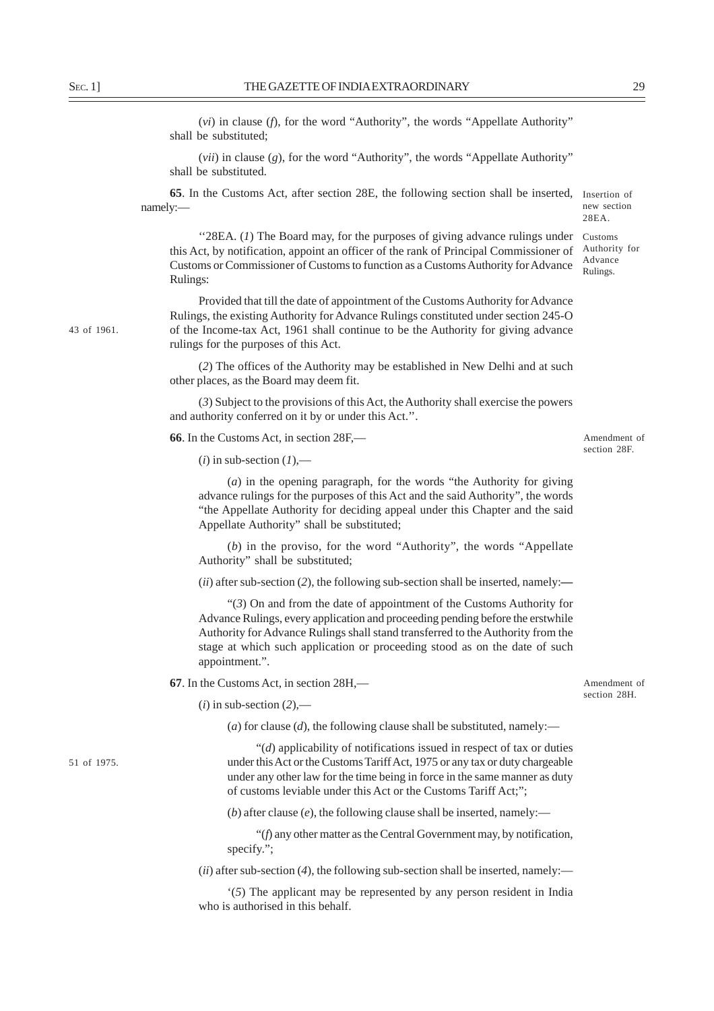(*vi*) in clause (*f*), for the word "Authority", the words "Appellate Authority" shall be substituted;

(*vii*) in clause (*g*), for the word "Authority", the words "Appellate Authority" shall be substituted.

**65**. In the Customs Act, after section 28E, the following section shall be inserted, Insertion of namely:—

"28EA. (*1*) The Board may, for the purposes of giving advance rulings under this Act, by notification, appoint an officer of the rank of Principal Commissioner of Customs or Commissioner of Customs to function as a Customs Authority for Advance Rulings:

Provided that till the date of appointment of the Customs Authority for Advance Rulings, the existing Authority for Advance Rulings constituted under section 245-O of the Income-tax Act, 1961 shall continue to be the Authority for giving advance rulings for the purposes of this Act.

(*2*) The offices of the Authority may be established in New Delhi and at such other places, as the Board may deem fit.

(*3*) Subject to the provisions of this Act, the Authority shall exercise the powers and authority conferred on it by or under this Act.''.

**66**. In the Customs Act, in section 28F,—

 $(i)$  in sub-section  $(I)$ ,—

(*a*) in the opening paragraph, for the words "the Authority for giving advance rulings for the purposes of this Act and the said Authority", the words "the Appellate Authority for deciding appeal under this Chapter and the said Appellate Authority" shall be substituted;

(*b*) in the proviso, for the word "Authority", the words "Appellate Authority" shall be substituted;

(*ii*) after sub-section (*2*), the following sub-section shall be inserted, namely:**—**

"(*3*) On and from the date of appointment of the Customs Authority for Advance Rulings, every application and proceeding pending before the erstwhile Authority for Advance Rulings shall stand transferred to the Authority from the stage at which such application or proceeding stood as on the date of such appointment.".

**67**. In the Customs Act, in section 28H,—

Amendment of section 28H.

 $(i)$  in sub-section  $(2)$ ,—

(*a*) for clause (*d*), the following clause shall be substituted, namely:—

"(*d*) applicability of notifications issued in respect of tax or duties under this Act or the Customs Tariff Act, 1975 or any tax or duty chargeable under any other law for the time being in force in the same manner as duty of customs leviable under this Act or the Customs Tariff Act;";

(*b*) after clause (*e*), the following clause shall be inserted, namely:—

"(*f*) any other matter as the Central Government may, by notification, specify.";

(*ii*) after sub-section (*4*), the following sub-section shall be inserted, namely:—

'(*5*) The applicant may be represented by any person resident in India who is authorised in this behalf.

51 of 1975.

43 of 1961.

Amendment of section 28F

new section 28EA. Customs Authority for Advance Rulings.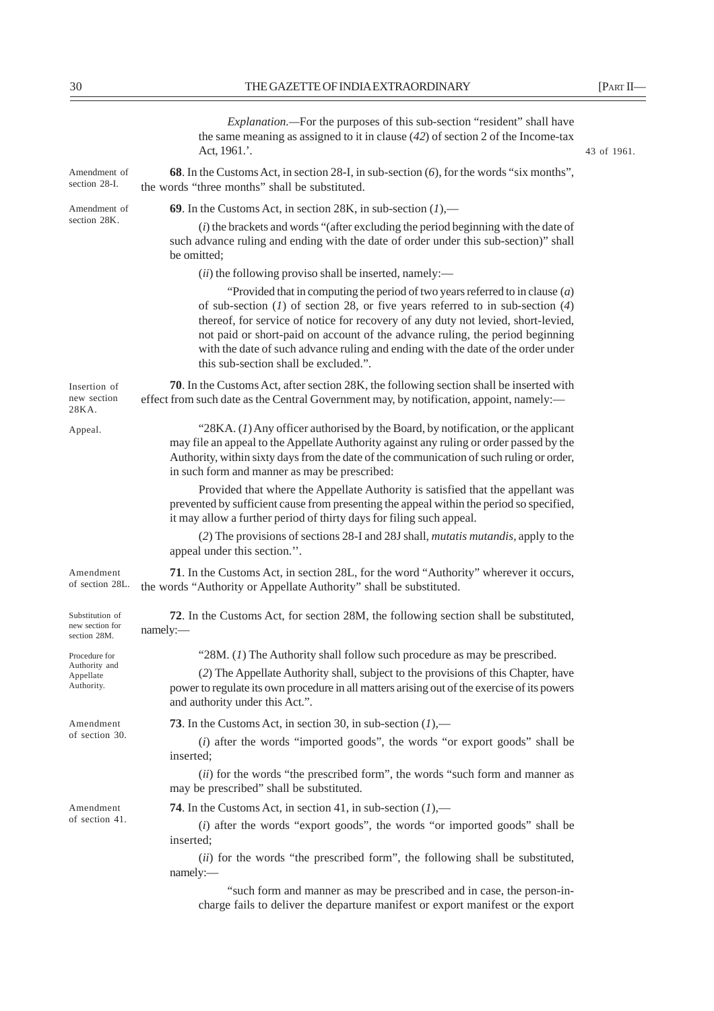|                                                    | <i>Explanation</i> .—For the purposes of this sub-section "resident" shall have<br>the same meaning as assigned to it in clause $(42)$ of section 2 of the Income-tax<br>Act, 1961.'.                                                                                                                                                                                                                                                                                    | 43 of 1961. |
|----------------------------------------------------|--------------------------------------------------------------------------------------------------------------------------------------------------------------------------------------------------------------------------------------------------------------------------------------------------------------------------------------------------------------------------------------------------------------------------------------------------------------------------|-------------|
| Amendment of<br>section 28-I.                      | 68. In the Customs Act, in section 28-I, in sub-section (6), for the words "six months",<br>the words "three months" shall be substituted.                                                                                                                                                                                                                                                                                                                               |             |
| Amendment of                                       | 69. In the Customs Act, in section 28K, in sub-section $(l)$ ,—                                                                                                                                                                                                                                                                                                                                                                                                          |             |
| section 28K.                                       | $(i)$ the brackets and words "(after excluding the period beginning with the date of<br>such advance ruling and ending with the date of order under this sub-section)" shall<br>be omitted;                                                                                                                                                                                                                                                                              |             |
|                                                    | $(ii)$ the following proviso shall be inserted, namely:—                                                                                                                                                                                                                                                                                                                                                                                                                 |             |
|                                                    | "Provided that in computing the period of two years referred to in clause $(a)$<br>of sub-section $(1)$ of section 28, or five years referred to in sub-section $(4)$<br>thereof, for service of notice for recovery of any duty not levied, short-levied,<br>not paid or short-paid on account of the advance ruling, the period beginning<br>with the date of such advance ruling and ending with the date of the order under<br>this sub-section shall be excluded.". |             |
| Insertion of<br>new section<br>28KA.               | 70. In the Customs Act, after section 28K, the following section shall be inserted with<br>effect from such date as the Central Government may, by notification, appoint, namely:-                                                                                                                                                                                                                                                                                       |             |
| Appeal.                                            | "28KA. $(I)$ Any officer authorised by the Board, by notification, or the applicant<br>may file an appeal to the Appellate Authority against any ruling or order passed by the<br>Authority, within sixty days from the date of the communication of such ruling or order,<br>in such form and manner as may be prescribed:                                                                                                                                              |             |
|                                                    | Provided that where the Appellate Authority is satisfied that the appellant was<br>prevented by sufficient cause from presenting the appeal within the period so specified,<br>it may allow a further period of thirty days for filing such appeal.                                                                                                                                                                                                                      |             |
|                                                    | (2) The provisions of sections 28-I and 28J shall, <i>mutatis mutandis</i> , apply to the<br>appeal under this section.".                                                                                                                                                                                                                                                                                                                                                |             |
| Amendment<br>of section 28L.                       | 71. In the Customs Act, in section 28L, for the word "Authority" wherever it occurs,<br>the words "Authority or Appellate Authority" shall be substituted.                                                                                                                                                                                                                                                                                                               |             |
| Substitution of<br>new section for<br>section 28M. | 72. In the Customs Act, for section 28M, the following section shall be substituted,<br>namely:-                                                                                                                                                                                                                                                                                                                                                                         |             |
| Procedure for                                      | "28M. $(1)$ The Authority shall follow such procedure as may be prescribed.                                                                                                                                                                                                                                                                                                                                                                                              |             |
| Authority and<br>Appellate<br>Authority.           | (2) The Appellate Authority shall, subject to the provisions of this Chapter, have<br>power to regulate its own procedure in all matters arising out of the exercise of its powers<br>and authority under this Act.".                                                                                                                                                                                                                                                    |             |
| Amendment                                          | 73. In the Customs Act, in section 30, in sub-section $(1)$ ,—                                                                                                                                                                                                                                                                                                                                                                                                           |             |
| of section 30.                                     | $(i)$ after the words "imported goods", the words "or export goods" shall be<br>inserted;                                                                                                                                                                                                                                                                                                                                                                                |             |
|                                                    | (ii) for the words "the prescribed form", the words "such form and manner as<br>may be prescribed" shall be substituted.                                                                                                                                                                                                                                                                                                                                                 |             |
| Amendment<br>of section 41.                        | 74. In the Customs Act, in section 41, in sub-section $(1)$ ,—                                                                                                                                                                                                                                                                                                                                                                                                           |             |
|                                                    | (i) after the words "export goods", the words "or imported goods" shall be<br>inserted;                                                                                                                                                                                                                                                                                                                                                                                  |             |
|                                                    | (ii) for the words "the prescribed form", the following shall be substituted,<br>namely:                                                                                                                                                                                                                                                                                                                                                                                 |             |
|                                                    | "such form and manner as may be prescribed and in case, the person-in-<br>charge fails to deliver the departure manifest or export manifest or the export                                                                                                                                                                                                                                                                                                                |             |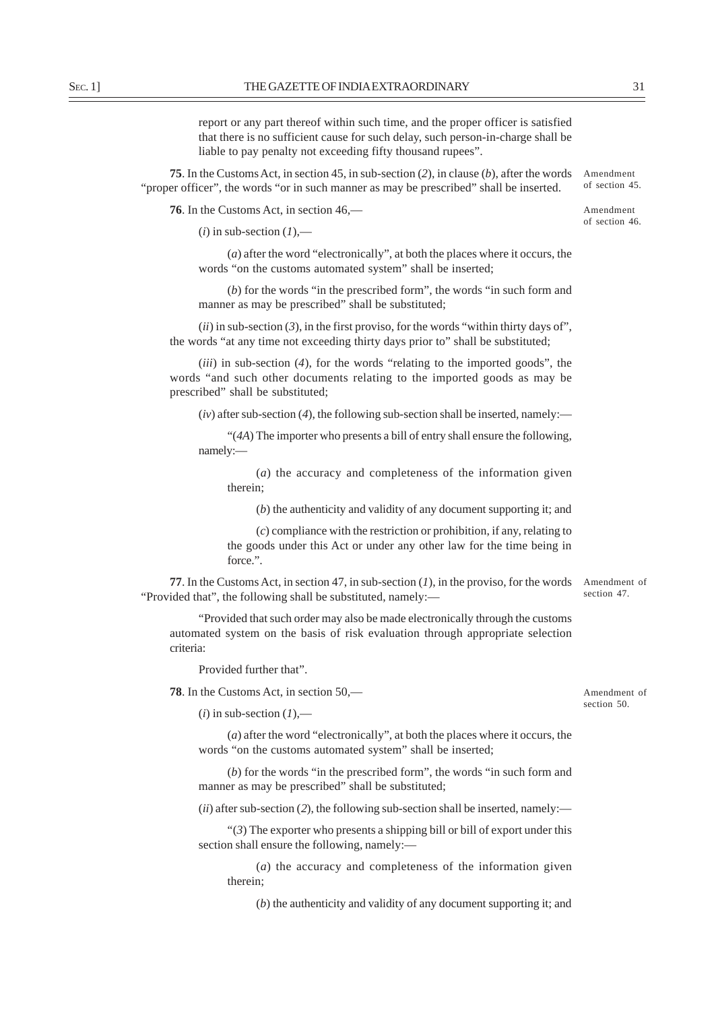report or any part thereof within such time, and the proper officer is satisfied that there is no sufficient cause for such delay, such person-in-charge shall be liable to pay penalty not exceeding fifty thousand rupees".

**75**. In the Customs Act, in section 45, in sub-section (*2*), in clause (*b*), after the words "proper officer", the words "or in such manner as may be prescribed" shall be inserted. Amendment

**76**. In the Customs Act, in section 46,—

Amendment of section 46.

of section 45.

 $(i)$  in sub-section  $(I)$ ,—

(*a*) after the word "electronically", at both the places where it occurs, the words "on the customs automated system" shall be inserted;

(*b*) for the words "in the prescribed form", the words "in such form and manner as may be prescribed" shall be substituted;

 $(iii)$  in sub-section  $(3)$ , in the first proviso, for the words "within thirty days of", the words "at any time not exceeding thirty days prior to" shall be substituted;

(*iii*) in sub-section (*4*), for the words "relating to the imported goods", the words "and such other documents relating to the imported goods as may be prescribed" shall be substituted;

 $(iv)$  after sub-section (4), the following sub-section shall be inserted, namely:—

"(*4A*) The importer who presents a bill of entry shall ensure the following, namely:—

(*a*) the accuracy and completeness of the information given therein;

(*b*) the authenticity and validity of any document supporting it; and

(*c*) compliance with the restriction or prohibition, if any, relating to the goods under this Act or under any other law for the time being in force.".

**77**. In the Customs Act, in section 47, in sub-section (1), in the proviso, for the words Amendment of "Provided that", the following shall be substituted, namely: section 47.

"Provided that such order may also be made electronically through the customs automated system on the basis of risk evaluation through appropriate selection criteria:

Provided further that".

**78**. In the Customs Act, in section 50,—

 $(i)$  in sub-section  $(I)$ ,—

(*a*) after the word "electronically", at both the places where it occurs, the words "on the customs automated system" shall be inserted;

(*b*) for the words "in the prescribed form", the words "in such form and manner as may be prescribed" shall be substituted;

(*ii*) after sub-section (*2*), the following sub-section shall be inserted, namely:—

"(*3*) The exporter who presents a shipping bill or bill of export under this section shall ensure the following, namely:-

(*a*) the accuracy and completeness of the information given therein;

(*b*) the authenticity and validity of any document supporting it; and

Amendment of section 50.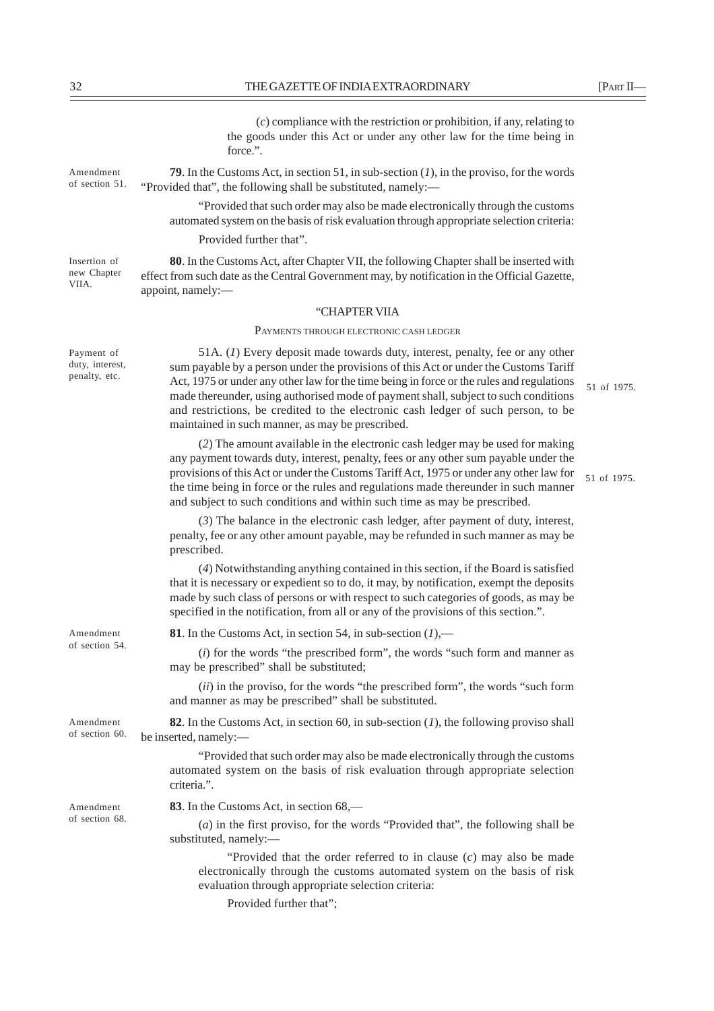Amendment of section 51.

Insertion of new Chapter VIIA.

Payment of duty, interest, penalty, etc.

(*c*) compliance with the restriction or prohibition, if any, relating to the goods under this Act or under any other law for the time being in force.".

**79**. In the Customs Act, in section 51, in sub-section (*1*), in the proviso, for the words "Provided that", the following shall be substituted, namely:—

"Provided that such order may also be made electronically through the customs automated system on the basis of risk evaluation through appropriate selection criteria:

Provided further that".

**80**. In the Customs Act, after Chapter VII, the following Chapter shall be inserted with effect from such date as the Central Government may, by notification in the Official Gazette, appoint, namely:—

#### "CHAPTER VIIA

PAYMENTS THROUGH ELECTRONIC CASH LEDGER

51A. (*1*) Every deposit made towards duty, interest, penalty, fee or any other sum payable by a person under the provisions of this Act or under the Customs Tariff Act, 1975 or under any other law for the time being in force or the rules and regulations made thereunder, using authorised mode of payment shall, subject to such conditions and restrictions, be credited to the electronic cash ledger of such person, to be maintained in such manner, as may be prescribed.

(*2*) The amount available in the electronic cash ledger may be used for making any payment towards duty, interest, penalty, fees or any other sum payable under the provisions of this Act or under the Customs Tariff Act, 1975 or under any other law for the time being in force or the rules and regulations made thereunder in such manner and subject to such conditions and within such time as may be prescribed.

51 of 1975.

51 of 1975.

(*3*) The balance in the electronic cash ledger, after payment of duty, interest, penalty, fee or any other amount payable, may be refunded in such manner as may be prescribed.

(*4*) Notwithstanding anything contained in this section, if the Board is satisfied that it is necessary or expedient so to do, it may, by notification, exempt the deposits made by such class of persons or with respect to such categories of goods, as may be specified in the notification, from all or any of the provisions of this section.".

**81**. In the Customs Act, in section 54, in sub-section (*1*),—

(*i*) for the words "the prescribed form", the words "such form and manner as may be prescribed" shall be substituted;

(*ii*) in the proviso, for the words "the prescribed form", the words "such form and manner as may be prescribed" shall be substituted.

**82**. In the Customs Act, in section 60, in sub-section (*1*), the following proviso shall be inserted, namely:—

"Provided that such order may also be made electronically through the customs automated system on the basis of risk evaluation through appropriate selection criteria.".

Amendment of section 68. **83**. In the Customs Act, in section 68,—

(*a*) in the first proviso, for the words "Provided that", the following shall be substituted, namely:—

"Provided that the order referred to in clause (*c*) may also be made electronically through the customs automated system on the basis of risk evaluation through appropriate selection criteria:

Provided further that";

Amendment of section 54.

Amendment of section 60.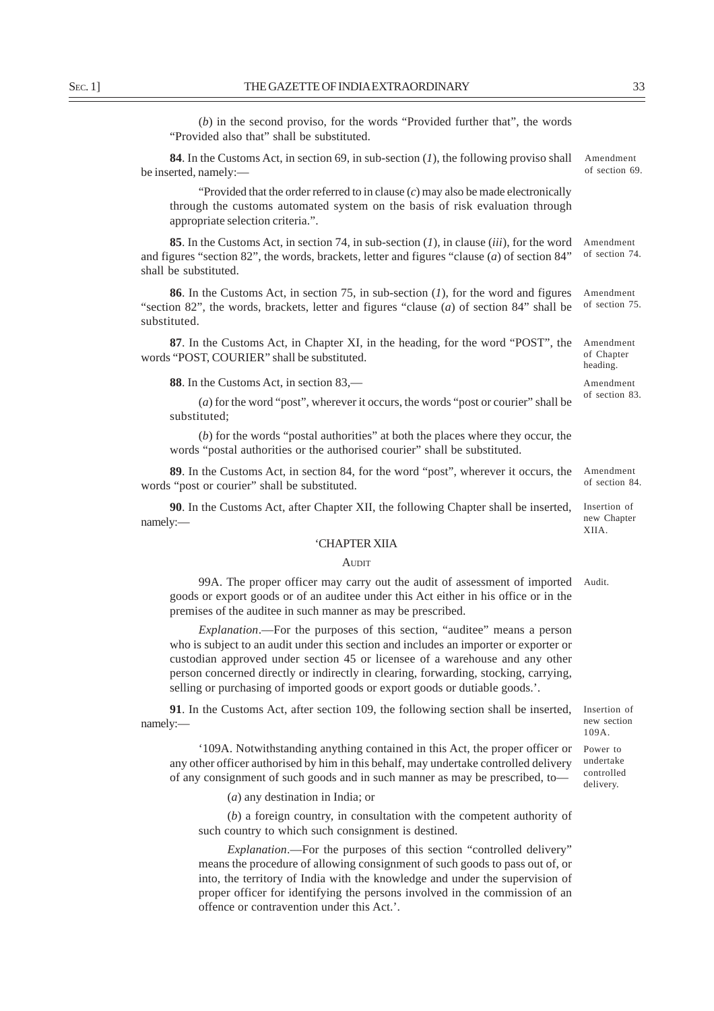(*b*) in the second proviso, for the words "Provided further that", the words "Provided also that" shall be substituted.

**84**. In the Customs Act, in section 69, in sub-section (*1*), the following proviso shall be inserted, namely:-Amendment of section 69.

"Provided that the order referred to in clause (*c*) may also be made electronically through the customs automated system on the basis of risk evaluation through appropriate selection criteria.".

**85**. In the Customs Act, in section 74, in sub-section (*1*), in clause (*iii*), for the word and figures "section 82", the words, brackets, letter and figures "clause (*a*) of section 84" shall be substituted. Amendment of section 74.

**86**. In the Customs Act, in section 75, in sub-section (*1*), for the word and figures "section 82", the words, brackets, letter and figures "clause (*a*) of section 84" shall be substituted. Amendment of section 75.

**87**. In the Customs Act, in Chapter XI, in the heading, for the word "POST", the words "POST, COURIER" shall be substituted.

**88**. In the Customs Act, in section 83,—

(*a*) for the word "post", wherever it occurs, the words "post or courier" shall be substituted;

(*b*) for the words "postal authorities" at both the places where they occur, the words "postal authorities or the authorised courier" shall be substituted.

**89**. In the Customs Act, in section 84, for the word "post", wherever it occurs, the words "post or courier" shall be substituted.

**90**. In the Customs Act, after Chapter XII, the following Chapter shall be inserted, namely:—

#### 'CHAPTER XIIA

#### AUDIT

99A. The proper officer may carry out the audit of assessment of imported goods or export goods or of an auditee under this Act either in his office or in the premises of the auditee in such manner as may be prescribed. Audit.

*Explanation*.—For the purposes of this section, "auditee" means a person who is subject to an audit under this section and includes an importer or exporter or custodian approved under section 45 or licensee of a warehouse and any other person concerned directly or indirectly in clearing, forwarding, stocking, carrying, selling or purchasing of imported goods or export goods or dutiable goods.'.

**91**. In the Customs Act, after section 109, the following section shall be inserted, namely:—

'109A. Notwithstanding anything contained in this Act, the proper officer or any other officer authorised by him in this behalf, may undertake controlled delivery of any consignment of such goods and in such manner as may be prescribed, to—

(*a*) any destination in India; or

(*b*) a foreign country, in consultation with the competent authority of such country to which such consignment is destined.

*Explanation*.—For the purposes of this section "controlled delivery" means the procedure of allowing consignment of such goods to pass out of, or into, the territory of India with the knowledge and under the supervision of proper officer for identifying the persons involved in the commission of an offence or contravention under this Act.'.

Insertion of new section 109A.

Power to undertake controlled delivery.

Amendment of Chapter heading.

Amendment of section 83.

Amendment of section 84.

Insertion of new Chapter XIIA.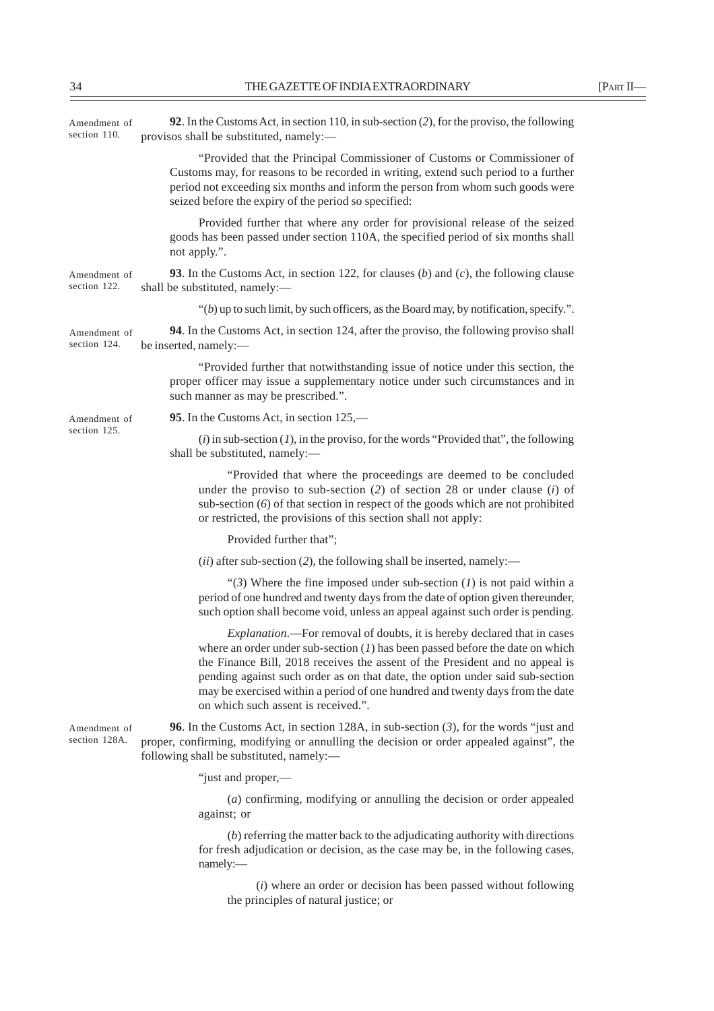| Amendment of<br>section 110.  | 92. In the Customs Act, in section 110, in sub-section $(2)$ , for the proviso, the following<br>provisos shall be substituted, namely:-                                                                                                                                                                                                                                                                                                                    |
|-------------------------------|-------------------------------------------------------------------------------------------------------------------------------------------------------------------------------------------------------------------------------------------------------------------------------------------------------------------------------------------------------------------------------------------------------------------------------------------------------------|
|                               | "Provided that the Principal Commissioner of Customs or Commissioner of<br>Customs may, for reasons to be recorded in writing, extend such period to a further<br>period not exceeding six months and inform the person from whom such goods were<br>seized before the expiry of the period so specified:                                                                                                                                                   |
|                               | Provided further that where any order for provisional release of the seized<br>goods has been passed under section 110A, the specified period of six months shall<br>not apply.".                                                                                                                                                                                                                                                                           |
| Amendment of<br>section 122.  | <b>93</b> . In the Customs Act, in section 122, for clauses (b) and (c), the following clause<br>shall be substituted, namely:-                                                                                                                                                                                                                                                                                                                             |
|                               | " $(b)$ up to such limit, by such officers, as the Board may, by notification, specify.".                                                                                                                                                                                                                                                                                                                                                                   |
| Amendment of<br>section 124.  | 94. In the Customs Act, in section 124, after the proviso, the following proviso shall<br>be inserted, namely:-                                                                                                                                                                                                                                                                                                                                             |
|                               | "Provided further that notwithstanding issue of notice under this section, the<br>proper officer may issue a supplementary notice under such circumstances and in<br>such manner as may be prescribed.".                                                                                                                                                                                                                                                    |
| Amendment of                  | 95. In the Customs Act, in section 125,—                                                                                                                                                                                                                                                                                                                                                                                                                    |
| section 125.                  | $(i)$ in sub-section $(I)$ , in the proviso, for the words "Provided that", the following<br>shall be substituted, namely:-                                                                                                                                                                                                                                                                                                                                 |
|                               | "Provided that where the proceedings are deemed to be concluded<br>under the proviso to sub-section $(2)$ of section 28 or under clause $(i)$ of<br>sub-section $(6)$ of that section in respect of the goods which are not prohibited<br>or restricted, the provisions of this section shall not apply:                                                                                                                                                    |
|                               | Provided further that";                                                                                                                                                                                                                                                                                                                                                                                                                                     |
|                               | $(ii)$ after sub-section (2), the following shall be inserted, namely:—                                                                                                                                                                                                                                                                                                                                                                                     |
|                               | "(3) Where the fine imposed under sub-section $(I)$ is not paid within a<br>period of one hundred and twenty days from the date of option given thereunder,<br>such option shall become void, unless an appeal against such order is pending.                                                                                                                                                                                                               |
|                               | <i>Explanation</i> .—For removal of doubts, it is hereby declared that in cases<br>where an order under sub-section $(I)$ has been passed before the date on which<br>the Finance Bill, 2018 receives the assent of the President and no appeal is<br>pending against such order as on that date, the option under said sub-section<br>may be exercised within a period of one hundred and twenty days from the date<br>on which such assent is received.". |
| Amendment of<br>section 128A. | <b>96.</b> In the Customs Act, in section 128A, in sub-section $(3)$ , for the words "just and<br>proper, confirming, modifying or annulling the decision or order appealed against", the<br>following shall be substituted, namely:-                                                                                                                                                                                                                       |
|                               | "just and proper,—                                                                                                                                                                                                                                                                                                                                                                                                                                          |
|                               | $(a)$ confirming, modifying or annulling the decision or order appealed<br>against; or                                                                                                                                                                                                                                                                                                                                                                      |
|                               | $(b)$ referring the matter back to the adjudicating authority with directions<br>for fresh adjudication or decision, as the case may be, in the following cases,<br>namely:-                                                                                                                                                                                                                                                                                |
|                               | $(i)$ where an order or decision has been passed without following<br>the principles of natural justice; or                                                                                                                                                                                                                                                                                                                                                 |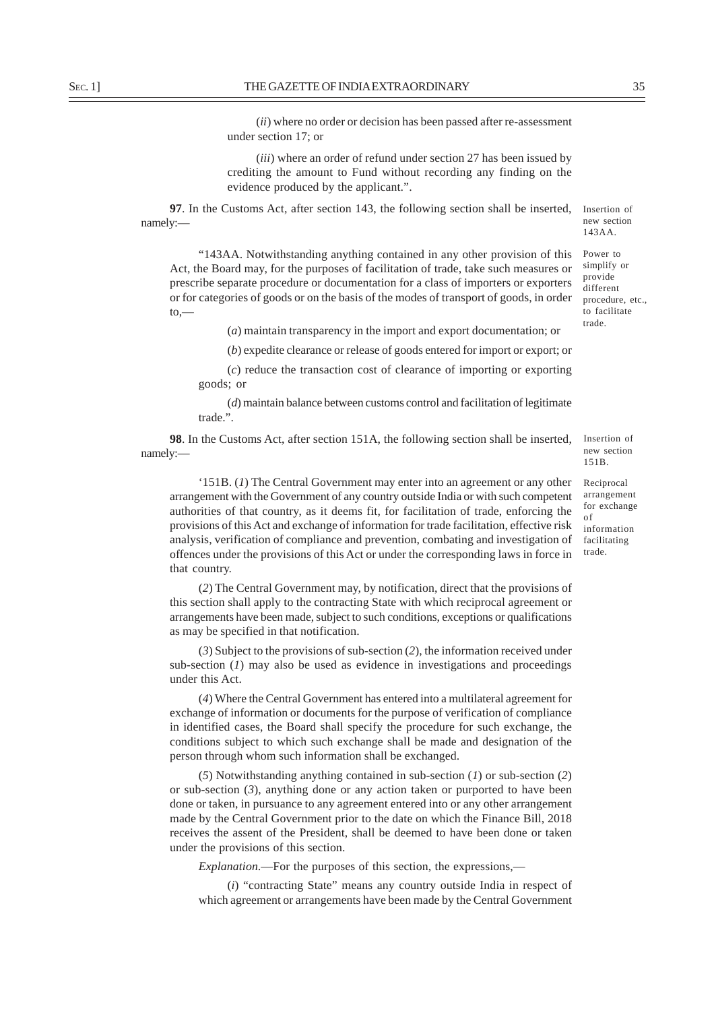(*ii*) where no order or decision has been passed after re-assessment under section 17; or

(*iii*) where an order of refund under section 27 has been issued by crediting the amount to Fund without recording any finding on the evidence produced by the applicant.".

**97**. In the Customs Act, after section 143, the following section shall be inserted, namely:—

"143AA. Notwithstanding anything contained in any other provision of this Act, the Board may, for the purposes of facilitation of trade, take such measures or prescribe separate procedure or documentation for a class of importers or exporters or for categories of goods or on the basis of the modes of transport of goods, in order to,—

(*a*) maintain transparency in the import and export documentation; or

(*b*) expedite clearance or release of goods entered for import or export; or

(*c*) reduce the transaction cost of clearance of importing or exporting goods; or

(*d*) maintain balance between customs control and facilitation of legitimate trade.".

**98**. In the Customs Act, after section 151A, the following section shall be inserted, namely:—

'151B. (*1*) The Central Government may enter into an agreement or any other arrangement with the Government of any country outside India or with such competent authorities of that country, as it deems fit, for facilitation of trade, enforcing the provisions of this Act and exchange of information for trade facilitation, effective risk analysis, verification of compliance and prevention, combating and investigation of offences under the provisions of this Act or under the corresponding laws in force in that country.

(*2*) The Central Government may, by notification, direct that the provisions of this section shall apply to the contracting State with which reciprocal agreement or arrangements have been made, subject to such conditions, exceptions or qualifications as may be specified in that notification.

(*3*) Subject to the provisions of sub-section (*2*), the information received under sub-section (*1*) may also be used as evidence in investigations and proceedings under this Act.

(*4*) Where the Central Government has entered into a multilateral agreement for exchange of information or documents for the purpose of verification of compliance in identified cases, the Board shall specify the procedure for such exchange, the conditions subject to which such exchange shall be made and designation of the person through whom such information shall be exchanged.

(*5*) Notwithstanding anything contained in sub-section (*1*) or sub-section (*2*) or sub-section  $(3)$ , anything done or any action taken or purported to have been done or taken, in pursuance to any agreement entered into or any other arrangement made by the Central Government prior to the date on which the Finance Bill, 2018 receives the assent of the President, shall be deemed to have been done or taken under the provisions of this section.

*Explanation*.—For the purposes of this section, the expressions,—

(*i*) "contracting State" means any country outside India in respect of which agreement or arrangements have been made by the Central Government

procedure, etc., to facilitate trade.

Insertion of new section 143AA. Power to simplify or provide different

151B. Reciprocal arrangement for exchange

Insertion of new section

of information facilitating trade.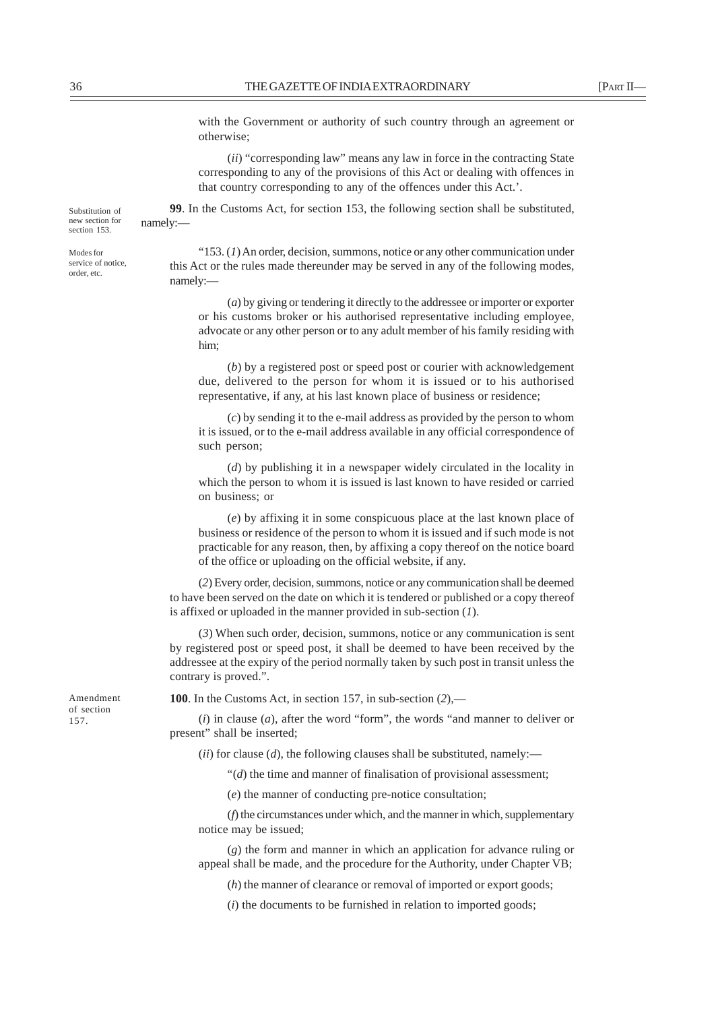(*ii*) "corresponding law" means any law in force in the contracting State corresponding to any of the provisions of this Act or dealing with offences in that country corresponding to any of the offences under this Act.'.

**99**. In the Customs Act, for section 153, the following section shall be substituted, namely:— Substitution of new section for

Modes for service of notice, order, etc.

section 153.

"153. (*1*) An order, decision, summons, notice or any other communication under this Act or the rules made thereunder may be served in any of the following modes, namely:—

(*a*) by giving or tendering it directly to the addressee or importer or exporter or his customs broker or his authorised representative including employee, advocate or any other person or to any adult member of his family residing with him;

(*b*) by a registered post or speed post or courier with acknowledgement due, delivered to the person for whom it is issued or to his authorised representative, if any, at his last known place of business or residence;

(*c*) by sending it to the e-mail address as provided by the person to whom it is issued, or to the e-mail address available in any official correspondence of such person;

(*d*) by publishing it in a newspaper widely circulated in the locality in which the person to whom it is issued is last known to have resided or carried on business; or

(*e*) by affixing it in some conspicuous place at the last known place of business or residence of the person to whom it is issued and if such mode is not practicable for any reason, then, by affixing a copy thereof on the notice board of the office or uploading on the official website, if any.

(*2*) Every order, decision, summons, notice or any communication shall be deemed to have been served on the date on which it is tendered or published or a copy thereof is affixed or uploaded in the manner provided in sub-section (*1*).

(*3*) When such order, decision, summons, notice or any communication is sent by registered post or speed post, it shall be deemed to have been received by the addressee at the expiry of the period normally taken by such post in transit unless the contrary is proved.".

**100**. In the Customs Act, in section 157, in sub-section (*2*),—

(*i*) in clause (*a*), after the word "form", the words "and manner to deliver or present" shall be inserted;

(*ii*) for clause (*d*), the following clauses shall be substituted, namely:—

"(*d*) the time and manner of finalisation of provisional assessment;

(*e*) the manner of conducting pre-notice consultation;

(*f*) the circumstances under which, and the manner in which, supplementary notice may be issued;

(*g*) the form and manner in which an application for advance ruling or appeal shall be made, and the procedure for the Authority, under Chapter VB;

(*h*) the manner of clearance or removal of imported or export goods;

(*i*) the documents to be furnished in relation to imported goods;

Amendment of section 157.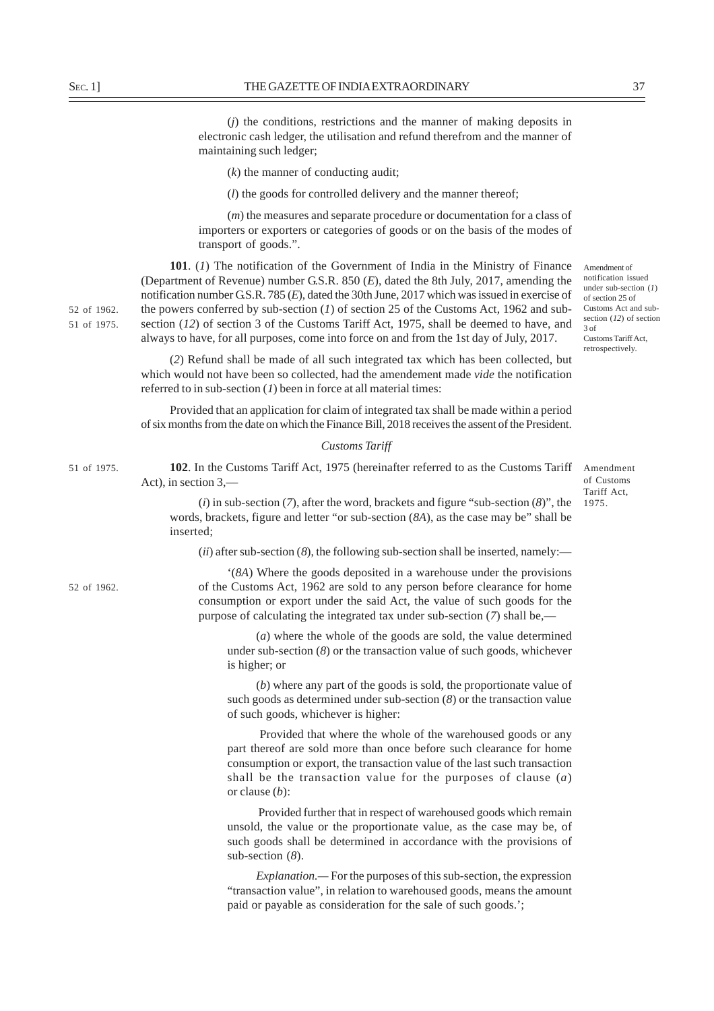(*j*) the conditions, restrictions and the manner of making deposits in electronic cash ledger, the utilisation and refund therefrom and the manner of

(*k*) the manner of conducting audit;

maintaining such ledger;

(*l*) the goods for controlled delivery and the manner thereof;

(*m*) the measures and separate procedure or documentation for a class of importers or exporters or categories of goods or on the basis of the modes of transport of goods.".

**101**. (*1*) The notification of the Government of India in the Ministry of Finance (Department of Revenue) number G.S.R. 850 (*E*), dated the 8th July, 2017, amending the notification number G.S.R. 785 (*E*), dated the 30th June, 2017 which was issued in exercise of the powers conferred by sub-section (*1*) of section 25 of the Customs Act, 1962 and subsection (*12*) of section 3 of the Customs Tariff Act, 1975, shall be deemed to have, and always to have, for all purposes, come into force on and from the 1st day of July, 2017.

(*2*) Refund shall be made of all such integrated tax which has been collected, but which would not have been so collected, had the amendement made *vide* the notification referred to in sub-section (*1*) been in force at all material times:

Provided that an application for claim of integrated tax shall be made within a period of six months from the date on which the Finance Bill, 2018 receives the assent of the President.

## *Customs Tariff*

**102**. In the Customs Tariff Act, 1975 (hereinafter referred to as the Customs Tariff Act), in section 3,—

of Customs Tariff Act, 1975.

3 of

Amendment of notification issued under sub-section (*1*) of section 25 of Customs Act and subsection (*12*) of section

Customs Tariff Act, retrospectively.

Amendment

(*i*) in sub-section (*7*), after the word, brackets and figure "sub-section (*8*)", the words, brackets, figure and letter "or sub-section (*8A*), as the case may be" shall be inserted;

(*ii*) after sub-section (*8*), the following sub-section shall be inserted, namely:—

'(*8A*) Where the goods deposited in a warehouse under the provisions of the Customs Act, 1962 are sold to any person before clearance for home consumption or export under the said Act, the value of such goods for the purpose of calculating the integrated tax under sub-section (*7*) shall be,—

(*a*) where the whole of the goods are sold, the value determined under sub-section (*8*) or the transaction value of such goods, whichever is higher; or

(*b*) where any part of the goods is sold, the proportionate value of such goods as determined under sub-section (*8*) or the transaction value of such goods, whichever is higher:

 Provided that where the whole of the warehoused goods or any part thereof are sold more than once before such clearance for home consumption or export, the transaction value of the last such transaction shall be the transaction value for the purposes of clause (*a*) or clause (*b*):

 Provided further that in respect of warehoused goods which remain unsold, the value or the proportionate value, as the case may be, of such goods shall be determined in accordance with the provisions of sub-section (*8*).

*Explanation.—* For the purposes of this sub-section, the expression "transaction value", in relation to warehoused goods, means the amount paid or payable as consideration for the sale of such goods.';

52 of 1962. 51 of 1975.

51 of 1975.

52 of 1962.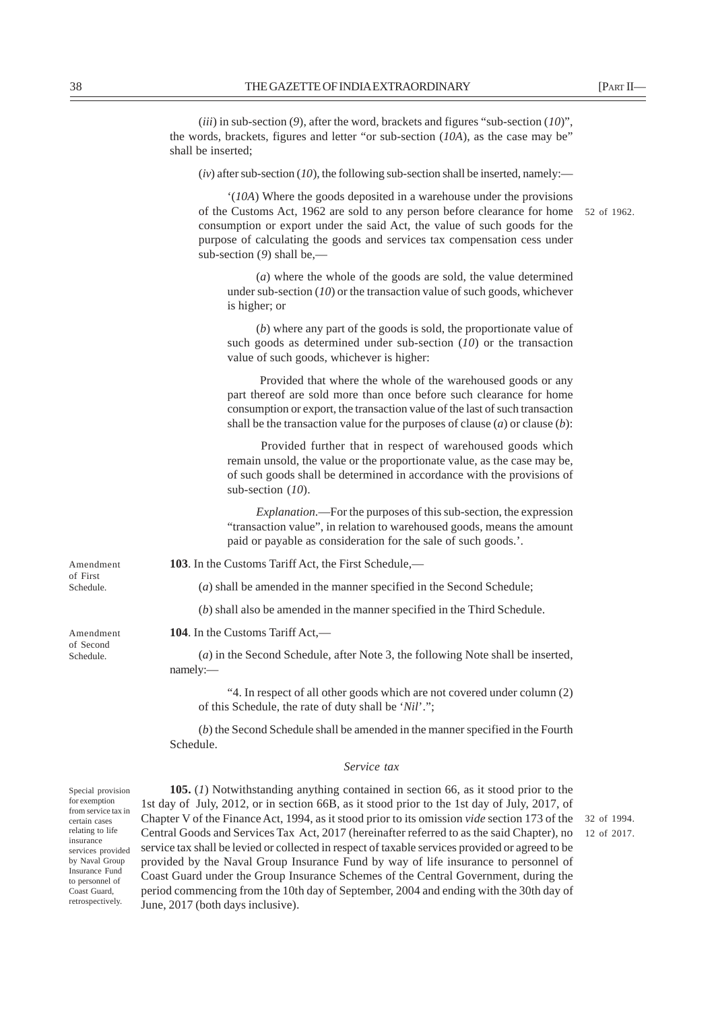(*iii*) in sub-section (*9*), after the word, brackets and figures "sub-section (*10*)", the words, brackets, figures and letter "or sub-section (*10A*), as the case may be" shall be inserted;

 $(iv)$  after sub-section (*10*), the following sub-section shall be inserted, namely:—

'(*10A*) Where the goods deposited in a warehouse under the provisions of the Customs Act, 1962 are sold to any person before clearance for home consumption or export under the said Act, the value of such goods for the purpose of calculating the goods and services tax compensation cess under sub-section (*9*) shall be,—

(*a*) where the whole of the goods are sold, the value determined under sub-section (*10*) or the transaction value of such goods, whichever is higher; or

(*b*) where any part of the goods is sold, the proportionate value of such goods as determined under sub-section (*10*) or the transaction value of such goods, whichever is higher:

 Provided that where the whole of the warehoused goods or any part thereof are sold more than once before such clearance for home consumption or export, the transaction value of the last of such transaction shall be the transaction value for the purposes of clause (*a*) or clause (*b*):

 Provided further that in respect of warehoused goods which remain unsold, the value or the proportionate value, as the case may be, of such goods shall be determined in accordance with the provisions of sub-section (*10*).

*Explanation*.—For the purposes of this sub-section, the expression "transaction value", in relation to warehoused goods, means the amount paid or payable as consideration for the sale of such goods.'.

**103**. In the Customs Tariff Act, the First Schedule,—

(*a*) shall be amended in the manner specified in the Second Schedule;

(*b*) shall also be amended in the manner specified in the Third Schedule.

**104**. In the Customs Tariff Act,—

(*a*) in the Second Schedule, after Note 3, the following Note shall be inserted, namely:—

"4. In respect of all other goods which are not covered under column (2) of this Schedule, the rate of duty shall be '*Nil*'.";

(*b*) the Second Schedule shall be amended in the manner specified in the Fourth Schedule.

## *Service tax*

Special provision for exemption from service tax in certain cases relating to life insurance services provided by Naval Group Insurance Fund to personnel of Coast Guard, retrospectively.

**105.** (*1*) Notwithstanding anything contained in section 66, as it stood prior to the 1st day of July, 2012, or in section 66B, as it stood prior to the 1st day of July, 2017, of Chapter V of the Finance Act, 1994, as it stood prior to its omission *vide* section 173 of the Central Goods and Services Tax Act, 2017 (hereinafter referred to as the said Chapter), no service tax shall be levied or collected in respect of taxable services provided or agreed to be provided by the Naval Group Insurance Fund by way of life insurance to personnel of Coast Guard under the Group Insurance Schemes of the Central Government, during the period commencing from the 10th day of September, 2004 and ending with the 30th day of June, 2017 (both days inclusive).

Amendment of First Schedule.

Amendment of Second Schedule.

52 of 1962.

32 of 1994. 12 of 2017.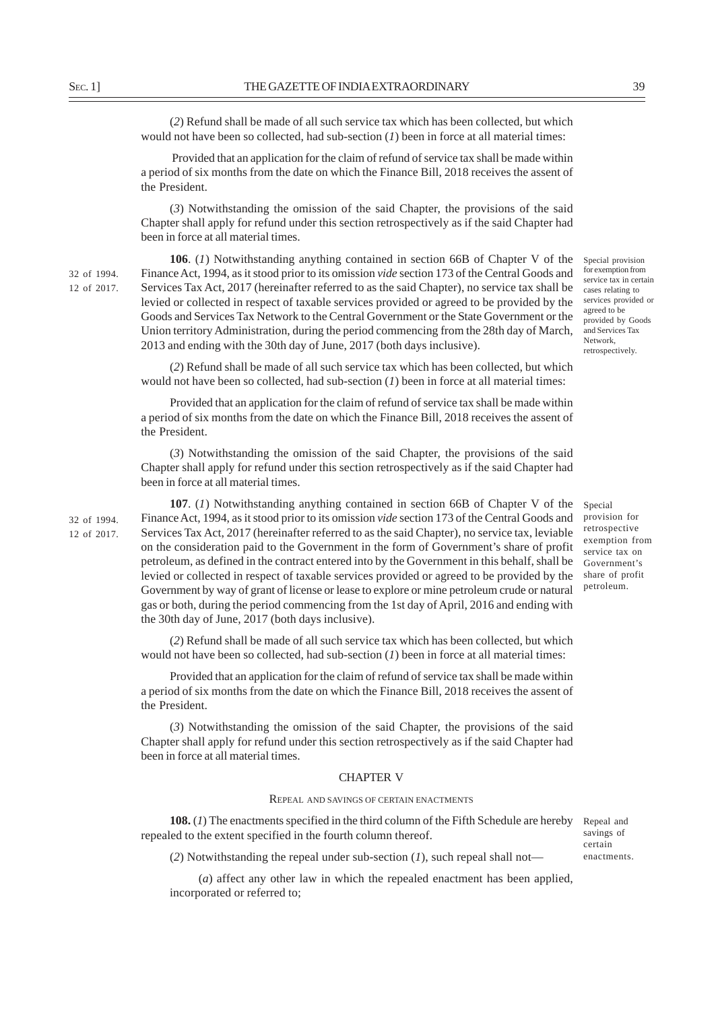(*2*) Refund shall be made of all such service tax which has been collected, but which would not have been so collected, had sub-section (*1*) been in force at all material times:

 Provided that an application for the claim of refund of service tax shall be made within a period of six months from the date on which the Finance Bill, 2018 receives the assent of the President.

(*3*) Notwithstanding the omission of the said Chapter, the provisions of the said Chapter shall apply for refund under this section retrospectively as if the said Chapter had been in force at all material times.

32 of 1994. 12 of 2017.

32 of 1994. 12 of 2017.

**106**. (*1*) Notwithstanding anything contained in section 66B of Chapter V of the Finance Act, 1994, as it stood prior to its omission *vide* section 173 of the Central Goods and Services Tax Act, 2017 (hereinafter referred to as the said Chapter), no service tax shall be levied or collected in respect of taxable services provided or agreed to be provided by the Goods and Services Tax Network to the Central Government or the State Government or the Union territory Administration, during the period commencing from the 28th day of March, 2013 and ending with the 30th day of June, 2017 (both days inclusive).

(*2*) Refund shall be made of all such service tax which has been collected, but which would not have been so collected, had sub-section (*1*) been in force at all material times: Network, retrospectively.

Provided that an application for the claim of refund of service tax shall be made within a period of six months from the date on which the Finance Bill, 2018 receives the assent of the President.

(*3*) Notwithstanding the omission of the said Chapter, the provisions of the said Chapter shall apply for refund under this section retrospectively as if the said Chapter had been in force at all material times.

**107**. (*1*) Notwithstanding anything contained in section 66B of Chapter V of the Finance Act, 1994, as it stood prior to its omission *vide* section 173 of the Central Goods and Services Tax Act, 2017 (hereinafter referred to as the said Chapter), no service tax, leviable on the consideration paid to the Government in the form of Government's share of profit petroleum, as defined in the contract entered into by the Government in this behalf, shall be levied or collected in respect of taxable services provided or agreed to be provided by the Government by way of grant of license or lease to explore or mine petroleum crude or natural gas or both, during the period commencing from the 1st day of April, 2016 and ending with the 30th day of June, 2017 (both days inclusive).

(*2*) Refund shall be made of all such service tax which has been collected, but which would not have been so collected, had sub-section (*1*) been in force at all material times:

Provided that an application for the claim of refund of service tax shall be made within a period of six months from the date on which the Finance Bill, 2018 receives the assent of the President.

(*3*) Notwithstanding the omission of the said Chapter, the provisions of the said Chapter shall apply for refund under this section retrospectively as if the said Chapter had been in force at all material times.

#### CHAPTER V

## REPEAL AND SAVINGS OF CERTAIN ENACTMENTS

**108.** (1) The enactments specified in the third column of the Fifth Schedule are hereby Repeal and repealed to the extent specified in the fourth column thereof.

(*2*) Notwithstanding the repeal under sub-section (*1*), such repeal shall not—

(*a*) affect any other law in which the repealed enactment has been applied, incorporated or referred to;

agreed to be provided by Goods and Services Tax

Special provision for retrospective exemption from service tax on Government's share of profit petroleum.

savings of certain enactments.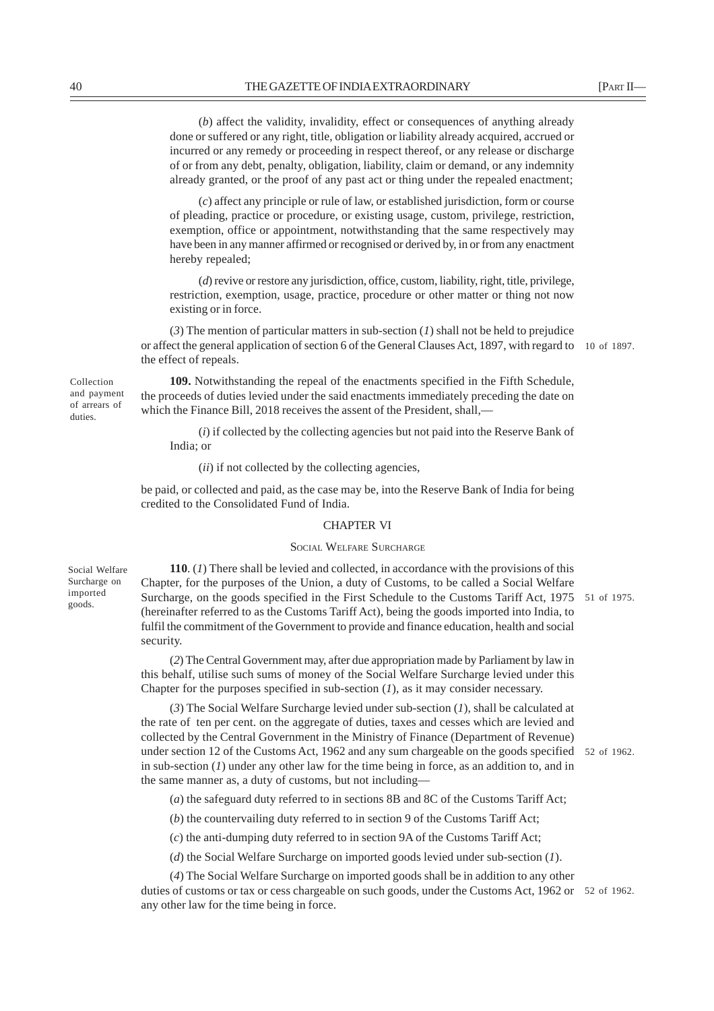(*b*) affect the validity, invalidity, effect or consequences of anything already done or suffered or any right, title, obligation or liability already acquired, accrued or incurred or any remedy or proceeding in respect thereof, or any release or discharge of or from any debt, penalty, obligation, liability, claim or demand, or any indemnity already granted, or the proof of any past act or thing under the repealed enactment;

(*c*) affect any principle or rule of law, or established jurisdiction, form or course of pleading, practice or procedure, or existing usage, custom, privilege, restriction, exemption, office or appointment, notwithstanding that the same respectively may have been in any manner affirmed or recognised or derived by, in or from any enactment hereby repealed;

(*d*) revive or restore any jurisdiction, office, custom, liability, right, title, privilege, restriction, exemption, usage, practice, procedure or other matter or thing not now existing or in force.

(*3*) The mention of particular matters in sub-section (*1*) shall not be held to prejudice or affect the general application of section 6 of the General Clauses Act, 1897, with regard to 10 of 1897. the effect of repeals.

**109.** Notwithstanding the repeal of the enactments specified in the Fifth Schedule, the proceeds of duties levied under the said enactments immediately preceding the date on which the Finance Bill, 2018 receives the assent of the President, shall,—

(*i*) if collected by the collecting agencies but not paid into the Reserve Bank of India; or

(*ii*) if not collected by the collecting agencies,

be paid, or collected and paid, as the case may be, into the Reserve Bank of India for being credited to the Consolidated Fund of India.

## CHAPTER VI

# SOCIAL WELFARE SURCHARGE

Social Welfare Surcharge on imported goods.

Collection and payment of arrears of duties.

> **110**. (*1*) There shall be levied and collected, in accordance with the provisions of this Chapter, for the purposes of the Union, a duty of Customs, to be called a Social Welfare Surcharge, on the goods specified in the First Schedule to the Customs Tariff Act, 1975 51 of 1975. (hereinafter referred to as the Customs Tariff Act), being the goods imported into India, to fulfil the commitment of the Government to provide and finance education, health and social security.

(*2*) The Central Government may, after due appropriation made by Parliament by law in this behalf, utilise such sums of money of the Social Welfare Surcharge levied under this Chapter for the purposes specified in sub-section (*1*), as it may consider necessary.

(*3*) The Social Welfare Surcharge levied under sub-section (*1*), shall be calculated at the rate of ten per cent. on the aggregate of duties, taxes and cesses which are levied and collected by the Central Government in the Ministry of Finance (Department of Revenue) under section 12 of the Customs Act, 1962 and any sum chargeable on the goods specified 52 of 1962. in sub-section (*1*) under any other law for the time being in force, as an addition to, and in the same manner as, a duty of customs, but not including—

(*a*) the safeguard duty referred to in sections 8B and 8C of the Customs Tariff Act;

(*b*) the countervailing duty referred to in section 9 of the Customs Tariff Act;

(*c*) the anti-dumping duty referred to in section 9A of the Customs Tariff Act;

(*d*) the Social Welfare Surcharge on imported goods levied under sub-section (*1*).

(*4*) The Social Welfare Surcharge on imported goods shall be in addition to any other duties of customs or tax or cess chargeable on such goods, under the Customs Act, 1962 or 52 of 1962.any other law for the time being in force.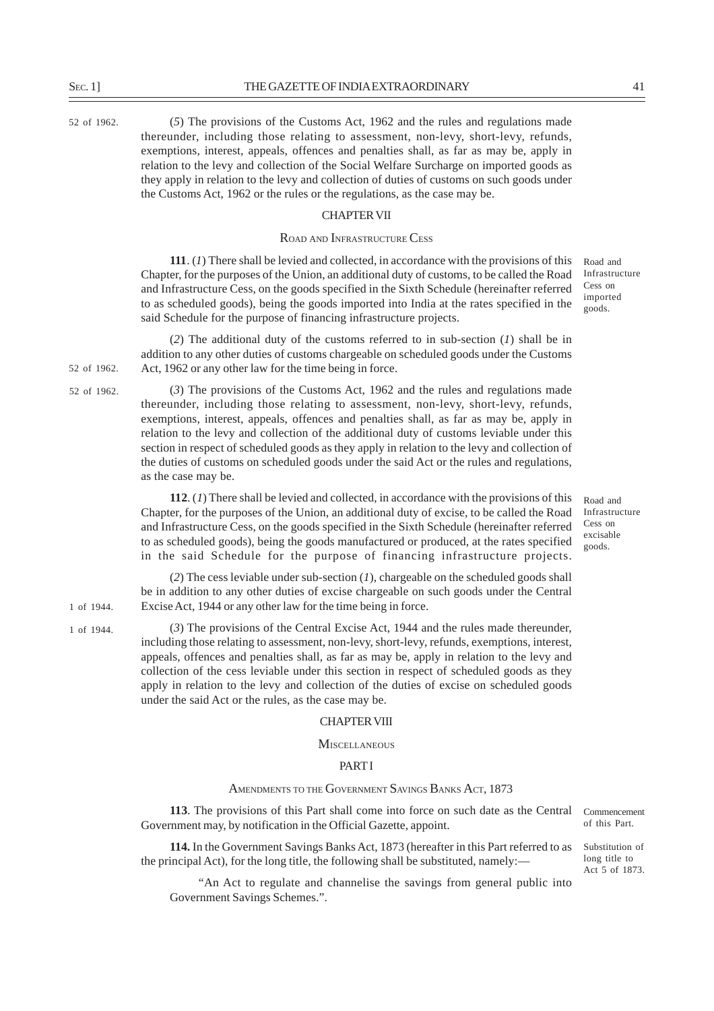52 of 1962.

52 of 1962.

1 of 1944.

(*5*) The provisions of the Customs Act, 1962 and the rules and regulations made thereunder, including those relating to assessment, non-levy, short-levy, refunds, exemptions, interest, appeals, offences and penalties shall, as far as may be, apply in relation to the levy and collection of the Social Welfare Surcharge on imported goods as they apply in relation to the levy and collection of duties of customs on such goods under the Customs Act, 1962 or the rules or the regulations, as the case may be.

# CHAPTER VII

#### ROAD AND INFRASTRUCTURE CESS

**111**. (*1*) There shall be levied and collected, in accordance with the provisions of this Chapter, for the purposes of the Union, an additional duty of customs, to be called the Road and Infrastructure Cess, on the goods specified in the Sixth Schedule (hereinafter referred to as scheduled goods), being the goods imported into India at the rates specified in the said Schedule for the purpose of financing infrastructure projects.

(*2*) The additional duty of the customs referred to in sub-section (*1*) shall be in addition to any other duties of customs chargeable on scheduled goods under the Customs Act, 1962 or any other law for the time being in force. 52 of 1962.

> (*3*) The provisions of the Customs Act, 1962 and the rules and regulations made thereunder, including those relating to assessment, non-levy, short-levy, refunds, exemptions, interest, appeals, offences and penalties shall, as far as may be, apply in relation to the levy and collection of the additional duty of customs leviable under this section in respect of scheduled goods as they apply in relation to the levy and collection of the duties of customs on scheduled goods under the said Act or the rules and regulations, as the case may be.

> **112**. (*1*) There shall be levied and collected, in accordance with the provisions of this Chapter, for the purposes of the Union, an additional duty of excise, to be called the Road and Infrastructure Cess, on the goods specified in the Sixth Schedule (hereinafter referred to as scheduled goods), being the goods manufactured or produced, at the rates specified in the said Schedule for the purpose of financing infrastructure projects.

(*2*) The cess leviable under sub-section (*1*), chargeable on the scheduled goods shall be in addition to any other duties of excise chargeable on such goods under the Central Excise Act, 1944 or any other law for the time being in force. 1 of 1944.

> (*3*) The provisions of the Central Excise Act, 1944 and the rules made thereunder, including those relating to assessment, non-levy, short-levy, refunds, exemptions, interest, appeals, offences and penalties shall, as far as may be, apply in relation to the levy and collection of the cess leviable under this section in respect of scheduled goods as they apply in relation to the levy and collection of the duties of excise on scheduled goods under the said Act or the rules, as the case may be.

#### CHAPTER VIII

**MISCELLANEOUS** 

# **PART I**

# AMENDMENTS TO THE GOVERNMENT SAVINGS BANKS ACT, 1873

**113**. The provisions of this Part shall come into force on such date as the Central Government may, by notification in the Official Gazette, appoint.

**114.** In the Government Savings Banks Act, 1873 (hereafter in this Part referred to as the principal Act), for the long title, the following shall be substituted, namely:—

"An Act to regulate and channelise the savings from general public into Government Savings Schemes.".

Road and Infrastructure Cess on imported goods.

Road and Infrastructure Cess on excisable goods.

Commencement of this Part.

Substitution of long title to Act 5 of 1873.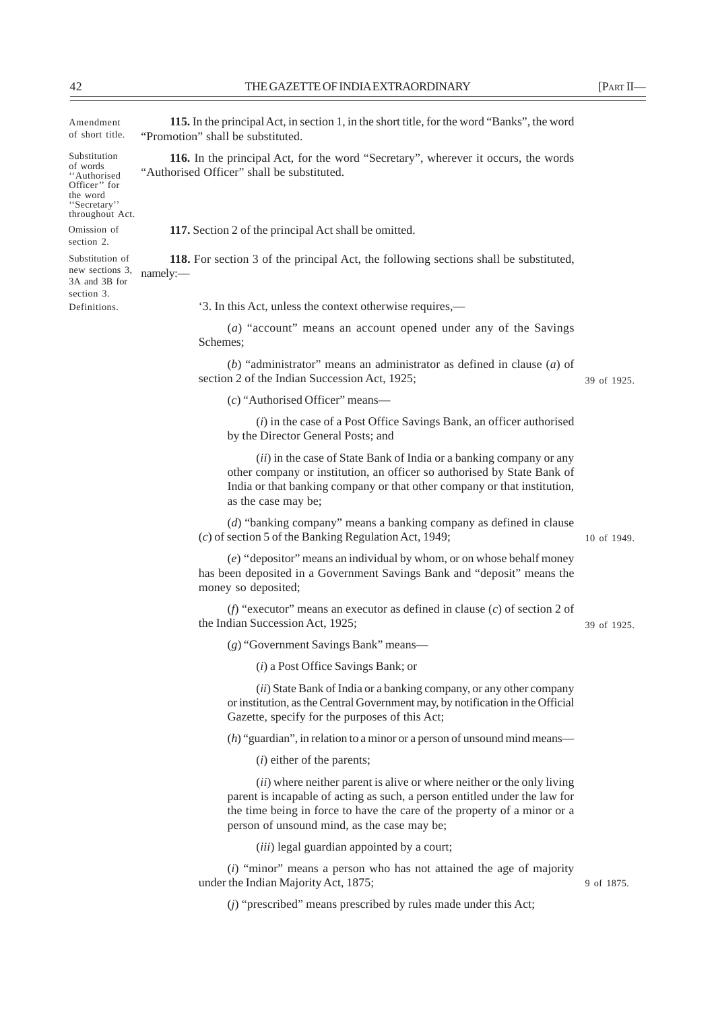Amendment of short title.

Substitution of words 'Authorised Officer'' for the word ''Secretary'' throughout Act.

Omission of section 2.

Substitution of new sections 3, 3A and 3B for section 3. Definitions.

"Promotion" shall be substituted.

**116.** In the principal Act, for the word "Secretary", wherever it occurs, the words "Authorised Officer" shall be substituted.

**115.** In the principal Act, in section 1, in the short title, for the word "Banks", the word

**117.** Section 2 of the principal Act shall be omitted.

**118.** For section 3 of the principal Act, the following sections shall be substituted, namely:—

'3. In this Act, unless the context otherwise requires,—

(*a*) "account" means an account opened under any of the Savings Schemes;

(*b*) "administrator" means an administrator as defined in clause (*a*) of section 2 of the Indian Succession Act, 1925;

(*c*) "Authorised Officer" means—

(*i*) in the case of a Post Office Savings Bank, an officer authorised by the Director General Posts; and

(*ii*) in the case of State Bank of India or a banking company or any other company or institution, an officer so authorised by State Bank of India or that banking company or that other company or that institution, as the case may be;

(*d*) "banking company" means a banking company as defined in clause (*c*) of section 5 of the Banking Regulation Act, 1949;

10 of 1949.

39 of 1925.

39 of 1925.

(*e*) ''depositor" means an individual by whom, or on whose behalf money has been deposited in a Government Savings Bank and "deposit" means the money so deposited;

(*f*) "executor" means an executor as defined in clause (*c*) of section 2 of the Indian Succession Act, 1925;

(*g*) "Government Savings Bank" means—

(*i*) a Post Office Savings Bank; or

(*ii*) State Bank of India or a banking company, or any other company or institution, as the Central Government may, by notification in the Official Gazette, specify for the purposes of this Act;

(*h*) "guardian", in relation to a minor or a person of unsound mind means—

(*i*) either of the parents;

(*ii*) where neither parent is alive or where neither or the only living parent is incapable of acting as such, a person entitled under the law for the time being in force to have the care of the property of a minor or a person of unsound mind, as the case may be;

(*iii*) legal guardian appointed by a court;

(*i*) "minor" means a person who has not attained the age of majority under the Indian Majority Act, 1875;

9 of 1875.

(*j*) "prescribed" means prescribed by rules made under this Act;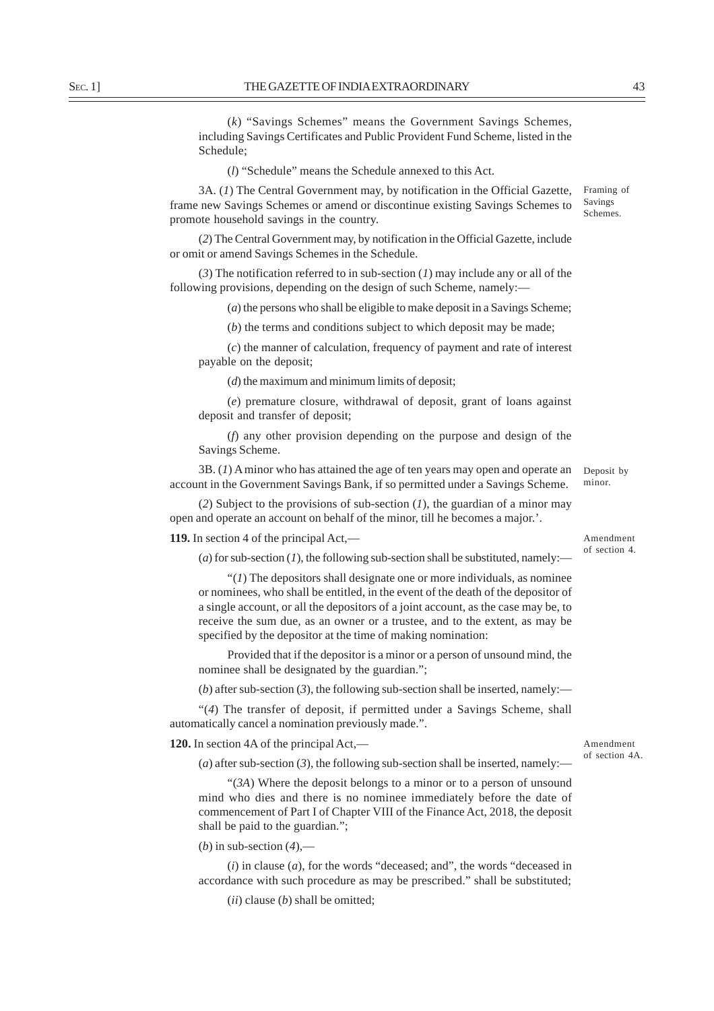(*k*) "Savings Schemes" means the Government Savings Schemes, including Savings Certificates and Public Provident Fund Scheme, listed in the Schedule;

(*l*) "Schedule" means the Schedule annexed to this Act.

3A. (*1*) The Central Government may, by notification in the Official Gazette, frame new Savings Schemes or amend or discontinue existing Savings Schemes to promote household savings in the country. Framing of

(*2*) The Central Government may, by notification in the Official Gazette, include or omit or amend Savings Schemes in the Schedule.

(*3*) The notification referred to in sub-section (*1*) may include any or all of the following provisions, depending on the design of such Scheme, namely:—

(*a*) the persons who shall be eligible to make deposit in a Savings Scheme;

(*b*) the terms and conditions subject to which deposit may be made;

(*c*) the manner of calculation, frequency of payment and rate of interest payable on the deposit;

(*d*) the maximum and minimum limits of deposit;

(*e*) premature closure, withdrawal of deposit, grant of loans against deposit and transfer of deposit;

(*f*) any other provision depending on the purpose and design of the Savings Scheme.

3B. (*1*) A minor who has attained the age of ten years may open and operate an account in the Government Savings Bank, if so permitted under a Savings Scheme. Deposit by minor.

(*2*) Subject to the provisions of sub-section (*1*), the guardian of a minor may open and operate an account on behalf of the minor, till he becomes a major.'.

**119.** In section 4 of the principal Act,—

Amendment of section 4.

(*a*) for sub-section (*1*), the following sub-section shall be substituted, namely:—

 $''(1)$  The depositors shall designate one or more individuals, as nominee or nominees, who shall be entitled, in the event of the death of the depositor of a single account, or all the depositors of a joint account, as the case may be, to receive the sum due, as an owner or a trustee, and to the extent, as may be specified by the depositor at the time of making nomination:

Provided that if the depositor is a minor or a person of unsound mind, the nominee shall be designated by the guardian.";

(*b*) after sub-section (3), the following sub-section shall be inserted, namely:—

"(*4*) The transfer of deposit, if permitted under a Savings Scheme, shall automatically cancel a nomination previously made.".

**120.** In section 4A of the principal Act,—

(*a*) after sub-section (*3*), the following sub-section shall be inserted, namely:—

"(*3A*) Where the deposit belongs to a minor or to a person of unsound mind who dies and there is no nominee immediately before the date of commencement of Part I of Chapter VIII of the Finance Act, 2018, the deposit shall be paid to the guardian.";

(*b*) in sub-section (*4*),—

(*i*) in clause (*a*), for the words "deceased; and", the words "deceased in accordance with such procedure as may be prescribed." shall be substituted;

(*ii*) clause (*b*) shall be omitted;

Savings Schemes.

Amendment of section 4A.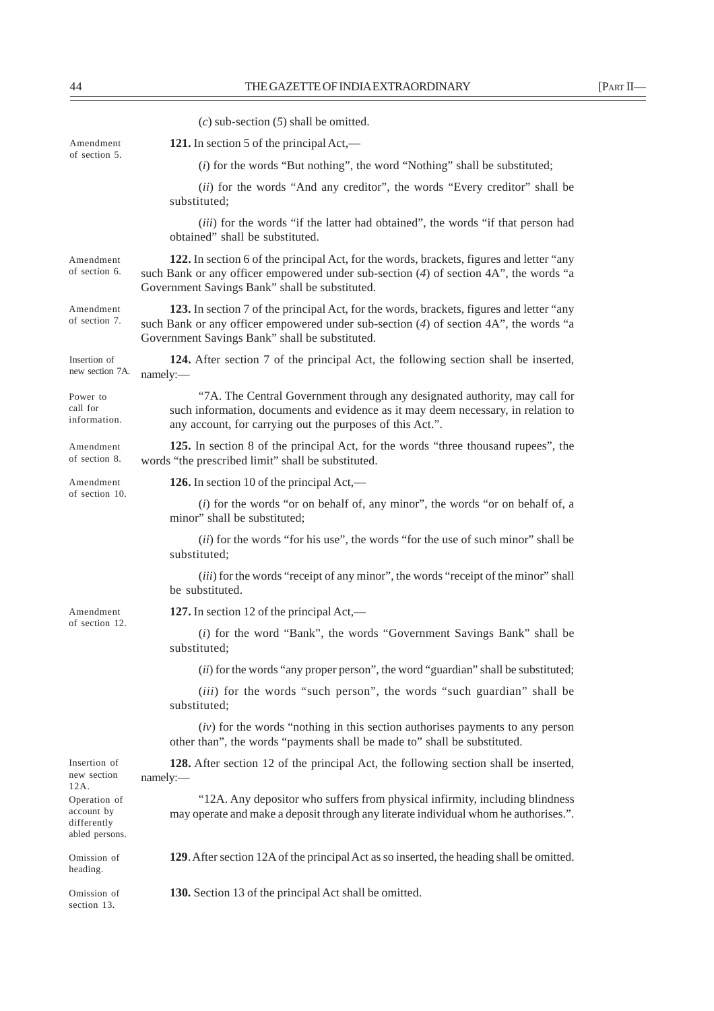|                                                             | $(c)$ sub-section $(5)$ shall be omitted.                                                                                                                                                                                                |
|-------------------------------------------------------------|------------------------------------------------------------------------------------------------------------------------------------------------------------------------------------------------------------------------------------------|
| Amendment                                                   | 121. In section 5 of the principal $Act$ ,—                                                                                                                                                                                              |
| of section 5.                                               | $(i)$ for the words "But nothing", the word "Nothing" shall be substituted;                                                                                                                                                              |
|                                                             | (ii) for the words "And any creditor", the words "Every creditor" shall be<br>substituted;                                                                                                                                               |
|                                                             | (iii) for the words "if the latter had obtained", the words "if that person had<br>obtained" shall be substituted.                                                                                                                       |
| Amendment<br>of section 6.                                  | 122. In section 6 of the principal Act, for the words, brackets, figures and letter "any<br>such Bank or any officer empowered under sub-section $(4)$ of section $4A$ ", the words "a<br>Government Savings Bank" shall be substituted. |
| Amendment<br>of section 7.                                  | 123. In section 7 of the principal Act, for the words, brackets, figures and letter "any<br>such Bank or any officer empowered under sub-section $(4)$ of section $4A$ ", the words "a<br>Government Savings Bank" shall be substituted. |
| Insertion of<br>new section 7A.                             | 124. After section 7 of the principal Act, the following section shall be inserted,<br>namely:-                                                                                                                                          |
| Power to<br>call for<br>information.                        | "7A. The Central Government through any designated authority, may call for<br>such information, documents and evidence as it may deem necessary, in relation to<br>any account, for carrying out the purposes of this Act.".             |
| Amendment<br>of section 8.                                  | 125. In section 8 of the principal Act, for the words "three thousand rupees", the<br>words "the prescribed limit" shall be substituted.                                                                                                 |
| Amendment<br>of section 10.                                 | 126. In section 10 of the principal $Act$ ,—                                                                                                                                                                                             |
|                                                             | $(i)$ for the words "or on behalf of, any minor", the words "or on behalf of, a<br>minor" shall be substituted;                                                                                                                          |
|                                                             | (ii) for the words "for his use", the words "for the use of such minor" shall be<br>substituted;                                                                                                                                         |
|                                                             | (iii) for the words "receipt of any minor", the words "receipt of the minor" shall<br>be substituted.                                                                                                                                    |
| Amendment                                                   | 127. In section 12 of the principal Act,—                                                                                                                                                                                                |
| of section 12.                                              | (i) for the word "Bank", the words "Government Savings Bank" shall be<br>substituted;                                                                                                                                                    |
|                                                             | (ii) for the words "any proper person", the word "guardian" shall be substituted;                                                                                                                                                        |
|                                                             | <i>(iii)</i> for the words "such person", the words "such guardian" shall be<br>substituted;                                                                                                                                             |
|                                                             | $(iv)$ for the words "nothing in this section authorises payments to any person<br>other than", the words "payments shall be made to" shall be substituted.                                                                              |
| Insertion of<br>new section<br>12A.                         | 128. After section 12 of the principal Act, the following section shall be inserted,<br>namely:-                                                                                                                                         |
| Operation of<br>account by<br>differently<br>abled persons. | "12A. Any depositor who suffers from physical infirmity, including blindness<br>may operate and make a deposit through any literate individual whom he authorises.".                                                                     |
| Omission of<br>heading.                                     | 129. After section 12A of the principal Act as so inserted, the heading shall be omitted.                                                                                                                                                |
| Omission of<br>section 13.                                  | 130. Section 13 of the principal Act shall be omitted.                                                                                                                                                                                   |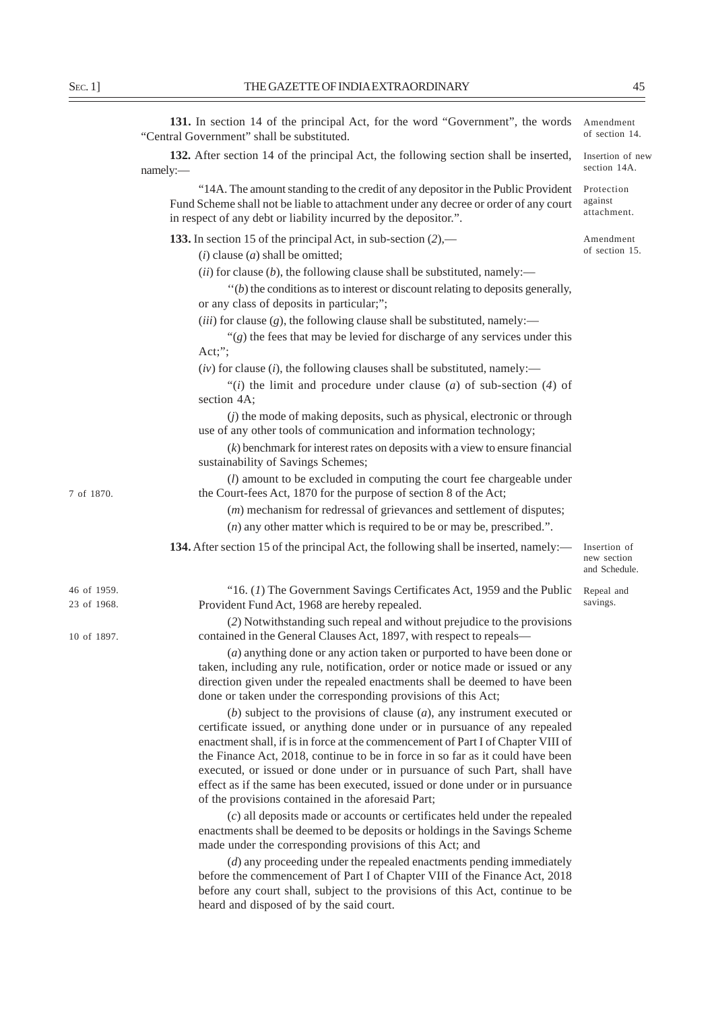| 131. In section 14 of the principal Act, for the word "Government", the words<br>"Central Government" shall be substituted. |
|-----------------------------------------------------------------------------------------------------------------------------|
| <b>132.</b> After section 14 of the principal Act, the following section shall be inserted,<br>namely:                      |
| "14A. The amount standing to the credit of any depositor in the Public Provident                                            |

"14A. The amount standing to the credit of any depositor in the Public Provident Fund Scheme shall not be liable to attachment under any decree or order of any court in respect of any debt or liability incurred by the depositor.". **133.** In section 15 of the principal Act, in sub-section (*2*),— (*i*) clause (*a*) shall be omitted;  $(iii)$  for clause  $(b)$ , the following clause shall be substituted, namely: ''(*b*) the conditions as to interest or discount relating to deposits generally, or any class of deposits in particular;";  $(iii)$  for clause  $(g)$ , the following clause shall be substituted, namely:—  $\mathcal{C}(g)$  the fees that may be levied for discharge of any services under this Act;"; (*iv*) for clause (*i*), the following clauses shall be substituted, namely:— "(*i*) the limit and procedure under clause (*a*) of sub-section (*4*) of section 4A; (*j*) the mode of making deposits, such as physical, electronic or through use of any other tools of communication and information technology; (*k*) benchmark for interest rates on deposits with a view to ensure financial sustainability of Savings Schemes; (*l*) amount to be excluded in computing the court fee chargeable under the Court-fees Act, 1870 for the purpose of section 8 of the Act; (*m*) mechanism for redressal of grievances and settlement of disputes; (*n*) any other matter which is required to be or may be, prescribed.". **134.** After section 15 of the principal Act, the following shall be inserted, namely:— "16. (*1*) The Government Savings Certificates Act, 1959 and the Public Provident Fund Act, 1968 are hereby repealed. (*2*) Notwithstanding such repeal and without prejudice to the provisions contained in the General Clauses Act, 1897, with respect to repeals— (*a*) anything done or any action taken or purported to have been done or taken, including any rule, notification, order or notice made or issued or any direction given under the repealed enactments shall be deemed to have been done or taken under the corresponding provisions of this Act; Protection against attachment. Amendment of section 15. Insertion of new section and Schedule. 46 of 1959. 23 of 1968. 10 of 1897. 7 of 1870. Repeal and savings.

> (*b*) subject to the provisions of clause (*a*), any instrument executed or certificate issued, or anything done under or in pursuance of any repealed enactment shall, if is in force at the commencement of Part I of Chapter VIII of the Finance Act, 2018, continue to be in force in so far as it could have been executed, or issued or done under or in pursuance of such Part, shall have effect as if the same has been executed, issued or done under or in pursuance of the provisions contained in the aforesaid Part;

> (*c*) all deposits made or accounts or certificates held under the repealed enactments shall be deemed to be deposits or holdings in the Savings Scheme made under the corresponding provisions of this Act; and

> (*d*) any proceeding under the repealed enactments pending immediately before the commencement of Part I of Chapter VIII of the Finance Act, 2018 before any court shall, subject to the provisions of this Act, continue to be heard and disposed of by the said court.

Insertion of new section 14A.

Amendment of section 14.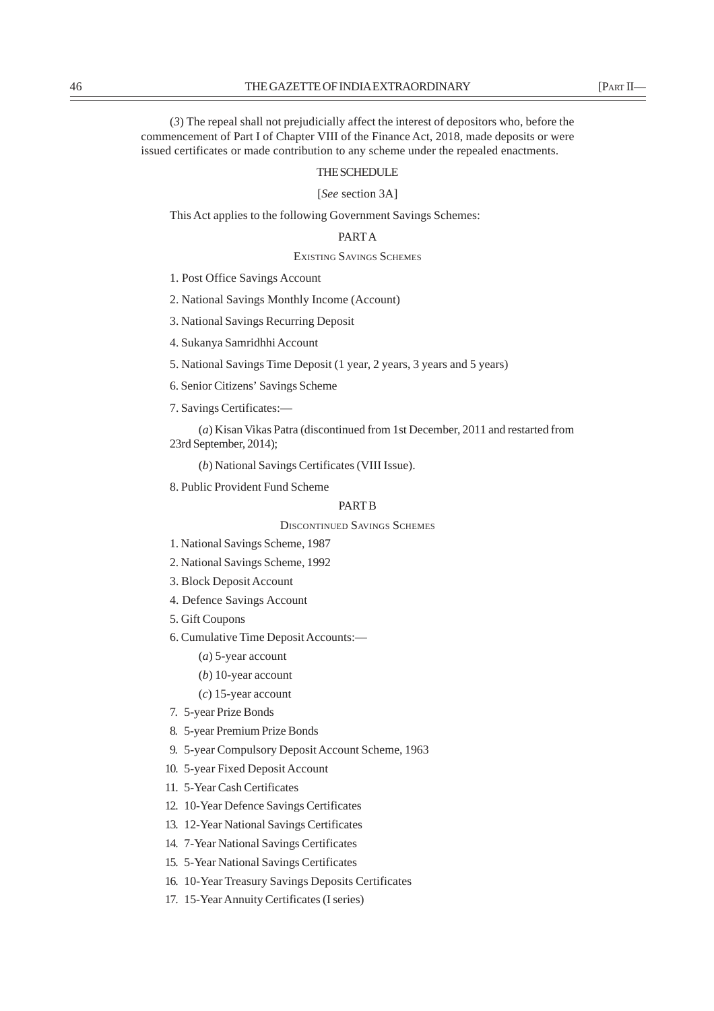(*3*) The repeal shall not prejudicially affect the interest of depositors who, before the commencement of Part I of Chapter VIII of the Finance Act, 2018, made deposits or were issued certificates or made contribution to any scheme under the repealed enactments.

# THE SCHEDULE

[*See* section 3A]

This Act applies to the following Government Savings Schemes:

# PART A

EXISTING SAVINGS SCHEMES

1. Post Office Savings Account

2. National Savings Monthly Income (Account)

3. National Savings Recurring Deposit

4. Sukanya Samridhhi Account

5. National Savings Time Deposit (1 year, 2 years, 3 years and 5 years)

6. Senior Citizens' Savings Scheme

7. Savings Certificates:—

(*a*) Kisan Vikas Patra (discontinued from 1st December, 2011 and restarted from 23rd September, 2014);

(*b*) National Savings Certificates (VIII Issue).

8. Public Provident Fund Scheme

# PART B

DISCONTINUED SAVINGS SCHEMES

- 1. National Savings Scheme, 1987
- 2. National Savings Scheme, 1992
- 3. Block Deposit Account
- 4. Defence Savings Account
- 5. Gift Coupons
- 6. Cumulative Time Deposit Accounts:—
	- (*a*) 5-year account
	- (*b*) 10-year account
	- (*c*) 15-year account
- 7. 5-year Prize Bonds
- 8. 5-year Premium Prize Bonds
- 9. 5-year Compulsory Deposit Account Scheme, 1963
- 10. 5-year Fixed Deposit Account
- 11. 5-Year Cash Certificates
- 12. 10-Year Defence Savings Certificates
- 13. 12-Year National Savings Certificates
- 14. 7-Year National Savings Certificates
- 15. 5-Year National Savings Certificates
- 16. 10-Year Treasury Savings Deposits Certificates
- 17. 15-Year Annuity Certificates (I series)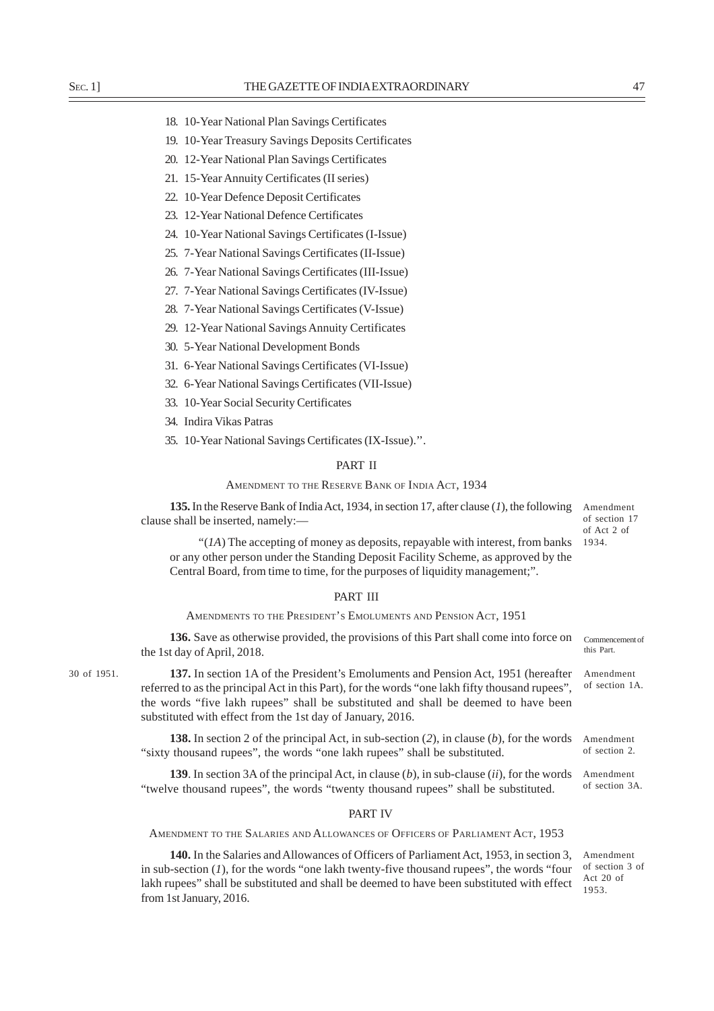- 18. 10-Year National Plan Savings Certificates
- 19. 10-Year Treasury Savings Deposits Certificates
- 20. 12-Year National Plan Savings Certificates
- 21. 15-Year Annuity Certificates (II series)
- 22. 10-Year Defence Deposit Certificates
- 23. 12-Year National Defence Certificates
- 24. 10-Year National Savings Certificates (I-Issue)
- 25. 7-Year National Savings Certificates (II-Issue)
- 26. 7-Year National Savings Certificates (III-Issue)
- 27. 7-Year National Savings Certificates (IV-Issue)
- 28. 7-Year National Savings Certificates (V-Issue)
- 29. 12-Year National Savings Annuity Certificates
- 30. 5-Year National Development Bonds
- 31. 6-Year National Savings Certificates (VI-Issue)
- 32. 6-Year National Savings Certificates (VII-Issue)
- 33. 10-Year Social Security Certificates
- 34. Indira Vikas Patras
- 35. 10-Year National Savings Certificates (IX-Issue).''.

# PART II

## AMENDMENT TO THE RESERVE BANK OF INDIA ACT, 1934

**135.** In the Reserve Bank of India Act, 1934, in section 17, after clause (*1*), the following clause shall be inserted, namely:—

Amendment of section 17 of Act 2 of 1934.

Amendment of section 1A.

Commencement of this Part.

Amendment of section 3A.

"(*1A*) The accepting of money as deposits, repayable with interest, from banks or any other person under the Standing Deposit Facility Scheme, as approved by the Central Board, from time to time, for the purposes of liquidity management;".

# PART III

AMENDMENTS TO THE PRESIDENT'S EMOLUMENTS AND PENSION ACT, 1951

**136.** Save as otherwise provided, the provisions of this Part shall come into force on the 1st day of April, 2018.

30 of 1951.

**137.** In section 1A of the President's Emoluments and Pension Act, 1951 (hereafter referred to as the principal Act in this Part), for the words "one lakh fifty thousand rupees", the words "five lakh rupees" shall be substituted and shall be deemed to have been substituted with effect from the 1st day of January, 2016.

**138.** In section 2 of the principal Act, in sub-section (*2*), in clause (*b*), for the words "sixty thousand rupees", the words "one lakh rupees" shall be substituted. Amendment of section 2.

**139**. In section 3A of the principal Act, in clause (*b*), in sub-clause (*ii*), for the words "twelve thousand rupees", the words "twenty thousand rupees" shall be substituted.

## PART IV

AMENDMENT TO THE SALARIES AND ALLOWANCES OF OFFICERS OF PARLIAMENT ACT, 1953

**140.** In the Salaries and Allowances of Officers of Parliament Act, 1953, in section 3, in sub-section (*1*), for the words "one lakh twenty-five thousand rupees", the words "four lakh rupees" shall be substituted and shall be deemed to have been substituted with effect from 1st January, 2016.

Amendment of section 3 of Act 20 of 1953.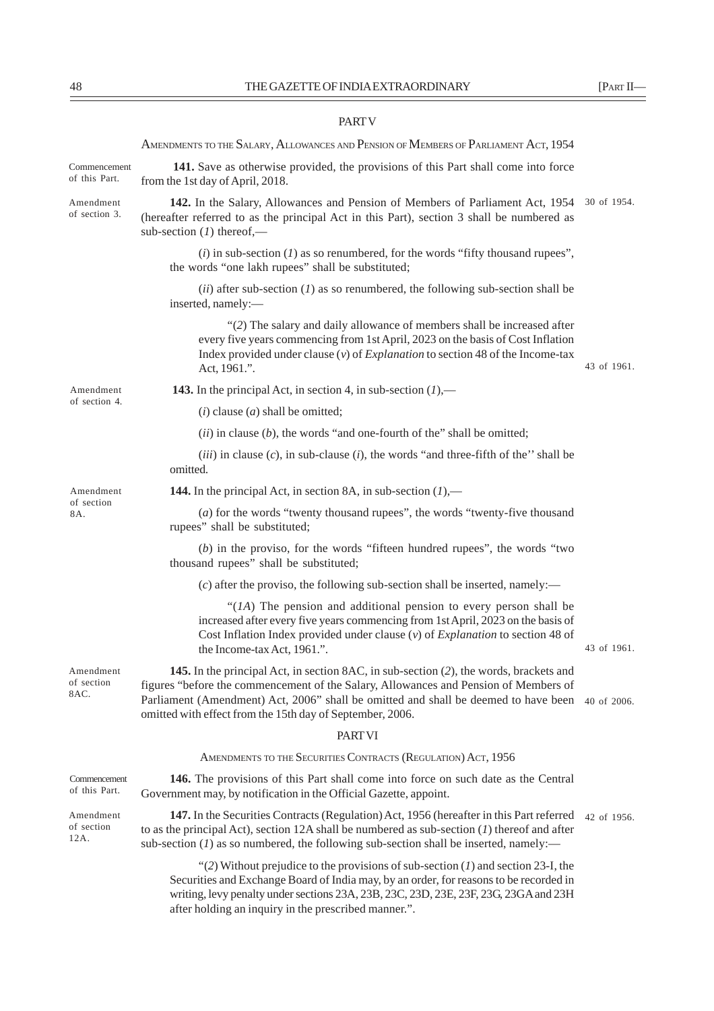#### PART V

AMENDMENTS TO THE SALARY, ALLOWANCES AND PENSION OF MEMBERS OF PARLIAMENT ACT, 1954 **141.** Save as otherwise provided, the provisions of this Part shall come into force from the 1st day of April, 2018. **142.** In the Salary, Allowances and Pension of Members of Parliament Act, 1954 30 of 1954. (hereafter referred to as the principal Act in this Part), section 3 shall be numbered as sub-section (*1*) thereof,— (*i*) in sub-section (*1*) as so renumbered, for the words "fifty thousand rupees", the words "one lakh rupees" shall be substituted; (*ii*) after sub-section (*1*) as so renumbered, the following sub-section shall be inserted, namely:— "(*2*) The salary and daily allowance of members shall be increased after every five years commencing from 1st April, 2023 on the basis of Cost Inflation Index provided under clause (*v*) of *Explanation* to section 48 of the Income-tax Act, 1961.". **143.** In the principal Act, in section 4, in sub-section (*1*),— (*i*) clause (*a*) shall be omitted; (*ii*) in clause (*b*), the words "and one-fourth of the" shall be omitted; (*iii*) in clause (*c*), in sub-clause (*i*), the words "and three-fifth of the'' shall be omitted. **144.** In the principal Act, in section 8A, in sub-section (*1*),— (*a*) for the words "twenty thousand rupees", the words "twenty-five thousand rupees" shall be substituted; (*b*) in the proviso, for the words "fifteen hundred rupees", the words "two thousand rupees" shall be substituted; (*c*) after the proviso, the following sub-section shall be inserted, namely:— "(*1A*) The pension and additional pension to every person shall be increased after every five years commencing from 1st April, 2023 on the basis of Cost Inflation Index provided under clause (*v*) of *Explanation* to section 48 of the Income-tax Act, 1961.". **145.** In the principal Act, in section 8AC, in sub-section (*2*), the words, brackets and figures "before the commencement of the Salary, Allowances and Pension of Members of Parliament (Amendment) Act, 2006" shall be omitted and shall be deemed to have been 40 of 2006. omitted with effect from the 15th day of September, 2006. PART VI AMENDMENTS TO THE SECURITIES CONTRACTS (REGULATION) ACT, 1956 **146.** The provisions of this Part shall come into force on such date as the Central Government may, by notification in the Official Gazette, appoint. 147. In the Securities Contracts (Regulation) Act, 1956 (hereafter in this Part referred 42 of 1956. to as the principal Act), section 12A shall be numbered as sub-section (*1*) thereof and after sub-section  $(I)$  as so numbered, the following sub-section shall be inserted, namely:— "(*2*) Without prejudice to the provisions of sub-section (*1*) and section 23-I, the Amendment of section 3. Amendment of section 4. Amendment of section 8A. Amendment Commencement of this Part. Amendment of section 12A. Commencement of this Part. 43 of 1961. 43 of 1961.

Securities and Exchange Board of India may, by an order, for reasons to be recorded in writing, levy penalty under sections 23A, 23B, 23C, 23D, 23E, 23F, 23G, 23GA and 23H after holding an inquiry in the prescribed manner.".

of section 8AC.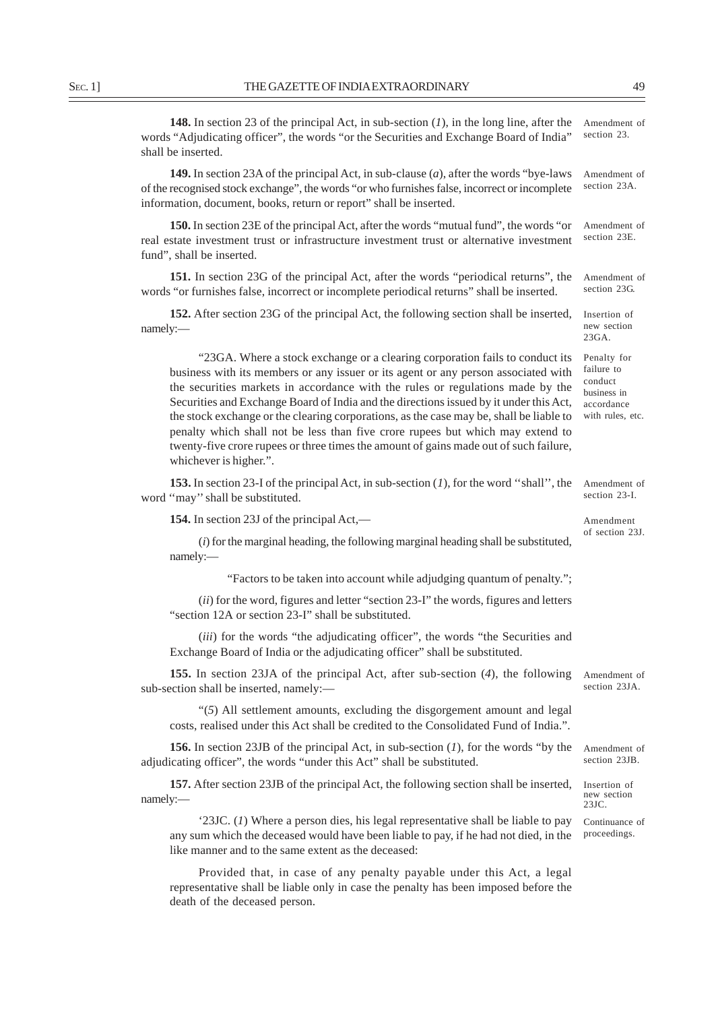**148.** In section 23 of the principal Act, in sub-section (*1*), in the long line, after the words "Adjudicating officer", the words "or the Securities and Exchange Board of India" shall be inserted. Amendment of section 23.

**149.** In section 23A of the principal Act, in sub-clause (*a*), after the words "bye-laws of the recognised stock exchange", the words "or who furnishes false, incorrect or incomplete information, document, books, return or report" shall be inserted. Amendment of section 23A.

**150.** In section 23E of the principal Act, after the words "mutual fund", the words "or real estate investment trust or infrastructure investment trust or alternative investment fund", shall be inserted. Amendment of section 23E.

**151.** In section 23G of the principal Act, after the words "periodical returns", the words "or furnishes false, incorrect or incomplete periodical returns" shall be inserted. Amendment of section 23G.

**152.** After section 23G of the principal Act, the following section shall be inserted, namely:— Insertion of new section 23GA.

"23GA. Where a stock exchange or a clearing corporation fails to conduct its business with its members or any issuer or its agent or any person associated with the securities markets in accordance with the rules or regulations made by the Securities and Exchange Board of India and the directions issued by it under this Act, the stock exchange or the clearing corporations, as the case may be, shall be liable to penalty which shall not be less than five crore rupees but which may extend to twenty-five crore rupees or three times the amount of gains made out of such failure, whichever is higher.".

**153.** In section 23-I of the principal Act, in sub-section (*1*), for the word ''shall'', the word ''may'' shall be substituted. Amendment of section 23-I.

**154.** In section 23J of the principal Act,—

(*i*) for the marginal heading, the following marginal heading shall be substituted, namely:—

"Factors to be taken into account while adjudging quantum of penalty.";

(*ii*) for the word, figures and letter "section 23-I" the words, figures and letters "section 12A or section 23-I" shall be substituted.

(*iii*) for the words "the adjudicating officer", the words "the Securities and Exchange Board of India or the adjudicating officer" shall be substituted.

**155.** In section 23JA of the principal Act, after sub-section (*4*), the following sub-section shall be inserted, namely:— Amendment of section 23JA.

"(*5*) All settlement amounts, excluding the disgorgement amount and legal costs, realised under this Act shall be credited to the Consolidated Fund of India.".

**156.** In section 23JB of the principal Act, in sub-section (*1*), for the words "by the adjudicating officer", the words "under this Act" shall be substituted.

**157.** After section 23JB of the principal Act, the following section shall be inserted, namely:—

'23JC. (*1*) Where a person dies, his legal representative shall be liable to pay any sum which the deceased would have been liable to pay, if he had not died, in the like manner and to the same extent as the deceased:

Provided that, in case of any penalty payable under this Act, a legal representative shall be liable only in case the penalty has been imposed before the death of the deceased person.

of section 23J.

Amendment

Penalty for failure to conduct business in accordance with rules, etc.

Amendment of section 23JB.

Insertion of new section  $231C$ 

Continuance of proceedings.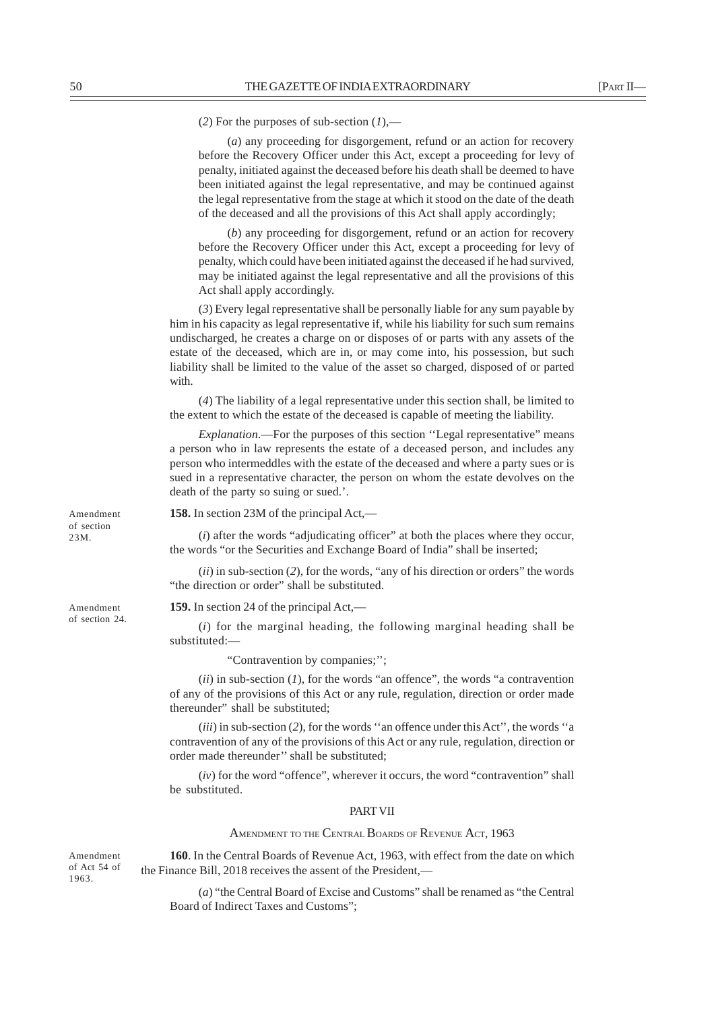(*2*) For the purposes of sub-section (*1*),—

(*a*) any proceeding for disgorgement, refund or an action for recovery before the Recovery Officer under this Act, except a proceeding for levy of penalty, initiated against the deceased before his death shall be deemed to have been initiated against the legal representative, and may be continued against the legal representative from the stage at which it stood on the date of the death of the deceased and all the provisions of this Act shall apply accordingly;

(*b*) any proceeding for disgorgement, refund or an action for recovery before the Recovery Officer under this Act, except a proceeding for levy of penalty, which could have been initiated against the deceased if he had survived, may be initiated against the legal representative and all the provisions of this Act shall apply accordingly.

(*3*) Every legal representative shall be personally liable for any sum payable by him in his capacity as legal representative if, while his liability for such sum remains undischarged, he creates a charge on or disposes of or parts with any assets of the estate of the deceased, which are in, or may come into, his possession, but such liability shall be limited to the value of the asset so charged, disposed of or parted with.

(*4*) The liability of a legal representative under this section shall, be limited to the extent to which the estate of the deceased is capable of meeting the liability.

*Explanation*.—For the purposes of this section "Legal representative" means a person who in law represents the estate of a deceased person, and includes any person who intermeddles with the estate of the deceased and where a party sues or is sued in a representative character, the person on whom the estate devolves on the death of the party so suing or sued.'.

**158.** In section 23M of the principal Act,—

(*i*) after the words "adjudicating officer" at both the places where they occur, the words "or the Securities and Exchange Board of India" shall be inserted;

(*ii*) in sub-section (*2*), for the words, "any of his direction or orders" the words "the direction or order" shall be substituted.

**159.** In section 24 of the principal Act,—

(*i*) for the marginal heading, the following marginal heading shall be substituted:—

"Contravention by companies;'';

(*ii*) in sub-section (*1*), for the words "an offence", the words "a contravention of any of the provisions of this Act or any rule, regulation, direction or order made thereunder" shall be substituted;

(*iii*) in sub-section (*2*), for the words ''an offence under this Act'', the words ''a contravention of any of the provisions of this Act or any rule, regulation, direction or order made thereunder'' shall be substituted;

(*iv*) for the word "offence", wherever it occurs, the word "contravention" shall be substituted.

## PART VII

AMENDMENT TO THE CENTRAL BOARDS OF REVENUE ACT, 1963

**160**. In the Central Boards of Revenue Act, 1963, with effect from the date on which the Finance Bill, 2018 receives the assent of the President,—

(*a*) "the Central Board of Excise and Customs" shall be renamed as "the Central Board of Indirect Taxes and Customs";

Amendment of section 23M.

Amendment of section 24.

Amendment of Act 54 of 1963.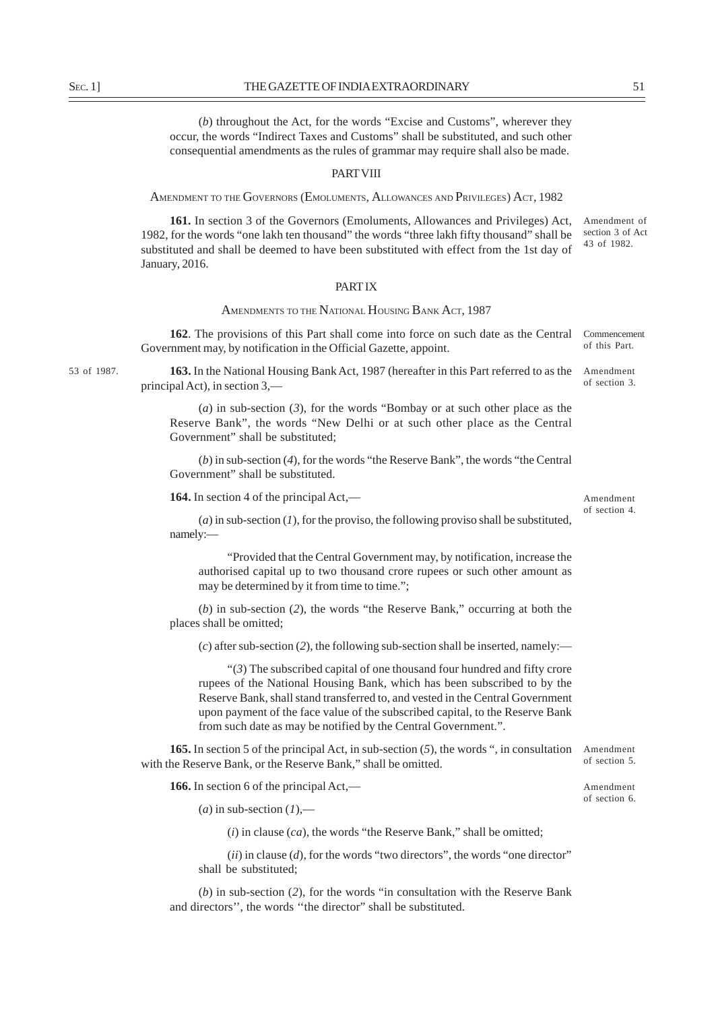(*b*) throughout the Act, for the words "Excise and Customs", wherever they occur, the words "Indirect Taxes and Customs" shall be substituted, and such other consequential amendments as the rules of grammar may require shall also be made.

#### PART VIII

AMENDMENT TO THE GOVERNORS (EMOLUMENTS, ALLOWANCES AND PRIVILEGES) ACT, 1982

**161.** In section 3 of the Governors (Emoluments, Allowances and Privileges) Act, 1982, for the words "one lakh ten thousand" the words "three lakh fifty thousand" shall be substituted and shall be deemed to have been substituted with effect from the 1st day of January, 2016. Amendment of section 3 of Act 43 of 1982.

# PART IX

# AMENDMENTS TO THE NATIONAL HOUSING BANK ACT, 1987

**162**. The provisions of this Part shall come into force on such date as the Central Government may, by notification in the Official Gazette, appoint. Commencement of this Part.

53 of 1987.

163. In the National Housing Bank Act, 1987 (hereafter in this Part referred to as the Amendment principal Act), in section 3, of section 3.

(*a*) in sub-section (*3*), for the words "Bombay or at such other place as the Reserve Bank", the words "New Delhi or at such other place as the Central Government" shall be substituted;

(*b*) in sub-section (*4*), for the words "the Reserve Bank", the words "the Central Government" shall be substituted.

**164.** In section 4 of the principal Act,—

(*a*) in sub-section (*1*), for the proviso, the following proviso shall be substituted, namely:—

"Provided that the Central Government may, by notification, increase the authorised capital up to two thousand crore rupees or such other amount as may be determined by it from time to time.":

(*b*) in sub-section (*2*), the words "the Reserve Bank," occurring at both the places shall be omitted;

(*c*) after sub-section (*2*), the following sub-section shall be inserted, namely:—

"(*3*) The subscribed capital of one thousand four hundred and fifty crore rupees of the National Housing Bank, which has been subscribed to by the Reserve Bank, shall stand transferred to, and vested in the Central Government upon payment of the face value of the subscribed capital, to the Reserve Bank from such date as may be notified by the Central Government.".

**165.** In section 5 of the principal Act, in sub-section (*5*), the words ", in consultation with the Reserve Bank, or the Reserve Bank," shall be omitted. Amendment

**166.** In section 6 of the principal Act,—

 $(a)$  in sub-section  $(I)$ ,—

(*i*) in clause (*ca*), the words "the Reserve Bank," shall be omitted;

(*ii*) in clause (*d*), for the words "two directors", the words "one director" shall be substituted;

(*b*) in sub-section (*2*), for the words "in consultation with the Reserve Bank and directors'', the words ''the director" shall be substituted.

Amendment of section 6.

Amendment of section 4.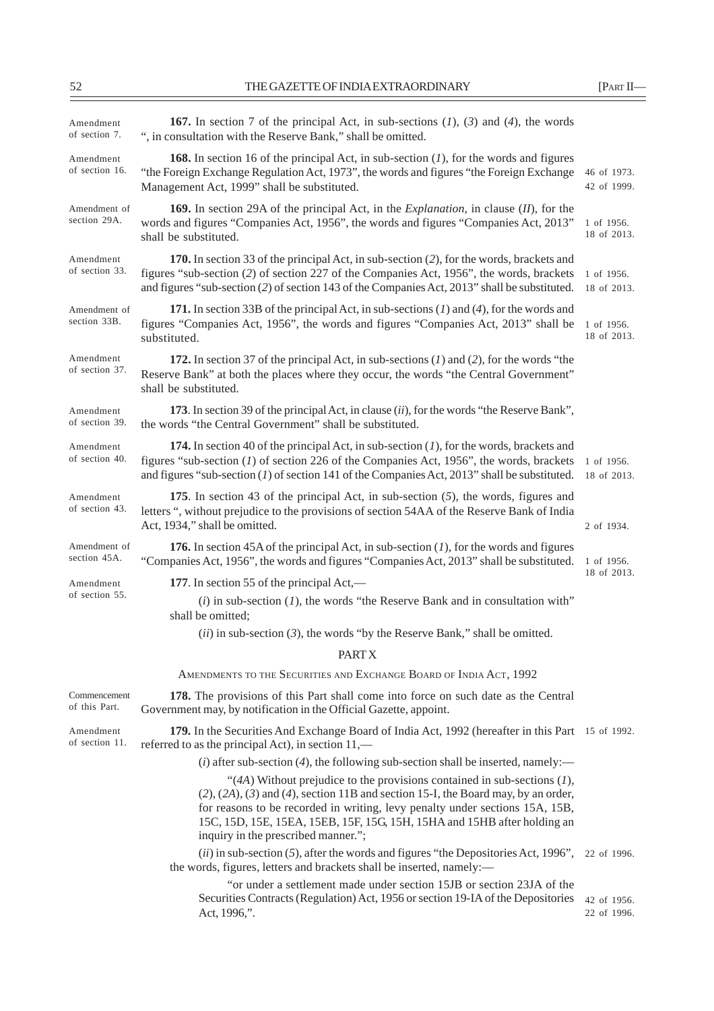| Amendment<br>of section 7.    | <b>167.</b> In section 7 of the principal Act, in sub-sections $(1)$ , $(3)$ and $(4)$ , the words<br>", in consultation with the Reserve Bank," shall be omitted.                                                                                                                                                                                                             |                            |  |
|-------------------------------|--------------------------------------------------------------------------------------------------------------------------------------------------------------------------------------------------------------------------------------------------------------------------------------------------------------------------------------------------------------------------------|----------------------------|--|
| Amendment<br>of section 16.   | <b>168.</b> In section 16 of the principal Act, in sub-section $(I)$ , for the words and figures<br>"the Foreign Exchange Regulation Act, 1973", the words and figures "the Foreign Exchange"<br>Management Act, 1999" shall be substituted.                                                                                                                                   |                            |  |
| Amendment of<br>section 29A.  | <b>169.</b> In section 29A of the principal Act, in the <i>Explanation</i> , in clause ( <i>II</i> ), for the<br>words and figures "Companies Act, 1956", the words and figures "Companies Act, 2013"<br>shall be substituted.                                                                                                                                                 | 1 of 1956.<br>18 of 2013.  |  |
| Amendment<br>of section 33.   | 170. In section 33 of the principal Act, in sub-section (2), for the words, brackets and<br>figures "sub-section (2) of section 227 of the Companies Act, 1956", the words, brackets<br>and figures "sub-section (2) of section 143 of the Companies Act, 2013" shall be substituted.                                                                                          |                            |  |
| Amendment of<br>section 33B.  | 171. In section 33B of the principal Act, in sub-sections $(1)$ and $(4)$ , for the words and<br>figures "Companies Act, 1956", the words and figures "Companies Act, 2013" shall be<br>substituted.                                                                                                                                                                           |                            |  |
| Amendment<br>of section 37.   | 172. In section 37 of the principal Act, in sub-sections $(1)$ and $(2)$ , for the words "the<br>Reserve Bank" at both the places where they occur, the words "the Central Government"<br>shall be substituted.                                                                                                                                                                |                            |  |
| Amendment<br>of section 39.   | 173. In section 39 of the principal Act, in clause <i>(ii)</i> , for the words "the Reserve Bank",<br>the words "the Central Government" shall be substituted.                                                                                                                                                                                                                 |                            |  |
| Amendment<br>of section 40.   | 174. In section 40 of the principal Act, in sub-section $(1)$ , for the words, brackets and<br>figures "sub-section $(1)$ of section 226 of the Companies Act, 1956", the words, brackets<br>and figures "sub-section $(I)$ of section 141 of the Companies Act, 2013" shall be substituted.                                                                                   |                            |  |
| Amendment<br>of section 43.   | 175. In section 43 of the principal Act, in sub-section $(5)$ , the words, figures and<br>letters ", without prejudice to the provisions of section 54AA of the Reserve Bank of India<br>Act, 1934," shall be omitted.                                                                                                                                                         | 2 of 1934.                 |  |
| Amendment of<br>section 45A.  | <b>176.</b> In section 45A of the principal Act, in sub-section $(1)$ , for the words and figures<br>"Companies Act, 1956", the words and figures "Companies Act, 2013" shall be substituted.                                                                                                                                                                                  | 1 of 1956.                 |  |
| Amendment                     | 177. In section 55 of the principal Act,—                                                                                                                                                                                                                                                                                                                                      | 18 of 2013.                |  |
| of section 55.                | $(i)$ in sub-section $(I)$ , the words "the Reserve Bank and in consultation with"<br>shall be omitted;                                                                                                                                                                                                                                                                        |                            |  |
|                               | $(ii)$ in sub-section (3), the words "by the Reserve Bank," shall be omitted.                                                                                                                                                                                                                                                                                                  |                            |  |
|                               | <b>PARTX</b>                                                                                                                                                                                                                                                                                                                                                                   |                            |  |
|                               | AMENDMENTS TO THE SECURITIES AND EXCHANGE BOARD OF INDIA ACT, 1992                                                                                                                                                                                                                                                                                                             |                            |  |
| Commencement<br>of this Part. | 178. The provisions of this Part shall come into force on such date as the Central<br>Government may, by notification in the Official Gazette, appoint.                                                                                                                                                                                                                        |                            |  |
| Amendment<br>of section 11.   | 179. In the Securities And Exchange Board of India Act, 1992 (hereafter in this Part 15 of 1992.<br>referred to as the principal Act), in section 11,—                                                                                                                                                                                                                         |                            |  |
|                               | (i) after sub-section (4), the following sub-section shall be inserted, namely:—                                                                                                                                                                                                                                                                                               |                            |  |
|                               | "(4A) Without prejudice to the provisions contained in sub-sections $(1)$ ,<br>$(2)$ , $(2A)$ , $(3)$ and $(4)$ , section 11B and section 15-I, the Board may, by an order,<br>for reasons to be recorded in writing, levy penalty under sections 15A, 15B,<br>15C, 15D, 15E, 15EA, 15EB, 15F, 15G, 15H, 15HA and 15HB after holding an<br>inquiry in the prescribed manner."; |                            |  |
|                               | $(ii)$ in sub-section (5), after the words and figures "the Depositories Act, 1996",<br>the words, figures, letters and brackets shall be inserted, namely:-                                                                                                                                                                                                                   | 22 of 1996.                |  |
|                               | "or under a settlement made under section 15JB or section 23JA of the<br>Securities Contracts (Regulation) Act, 1956 or section 19-IA of the Depositories<br>Act, 1996,".                                                                                                                                                                                                      | 42 of 1956.<br>22 of 1996. |  |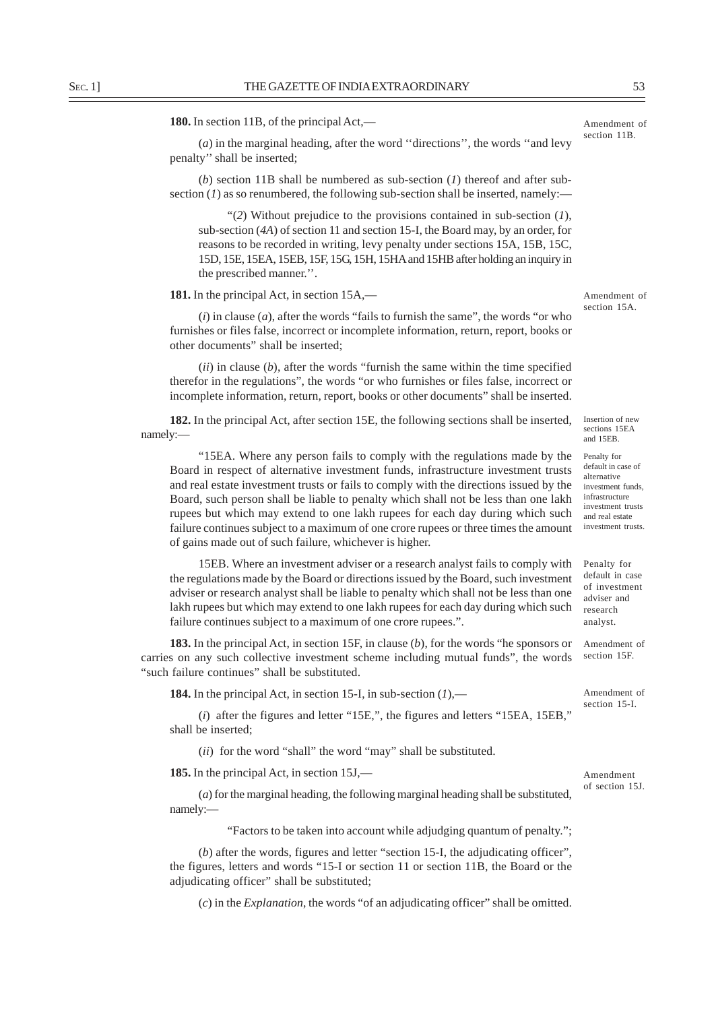**180.** In section 11B, of the principal Act,—

(*a*) in the marginal heading, after the word ''directions'', the words ''and levy penalty'' shall be inserted;

(*b*) section 11B shall be numbered as sub-section (*1*) thereof and after subsection  $(I)$  as so renumbered, the following sub-section shall be inserted, namely:—

"(*2*) Without prejudice to the provisions contained in sub-section (*1*), sub-section (*4A*) of section 11 and section 15-I, the Board may, by an order, for reasons to be recorded in writing, levy penalty under sections 15A, 15B, 15C, 15D, 15E, 15EA, 15EB, 15F, 15G, 15H, 15HA and 15HB after holding an inquiry in the prescribed manner.''.

**181.** In the principal Act, in section 15A,—

(*i*) in clause (*a*), after the words "fails to furnish the same", the words "or who furnishes or files false, incorrect or incomplete information, return, report, books or other documents" shall be inserted;

(*ii*) in clause (*b*), after the words "furnish the same within the time specified therefor in the regulations", the words "or who furnishes or files false, incorrect or incomplete information, return, report, books or other documents" shall be inserted.

**182.** In the principal Act, after section 15E, the following sections shall be inserted, namely:—

"15EA. Where any person fails to comply with the regulations made by the Board in respect of alternative investment funds, infrastructure investment trusts and real estate investment trusts or fails to comply with the directions issued by the Board, such person shall be liable to penalty which shall not be less than one lakh rupees but which may extend to one lakh rupees for each day during which such failure continues subject to a maximum of one crore rupees or three times the amount of gains made out of such failure, whichever is higher.

15EB. Where an investment adviser or a research analyst fails to comply with the regulations made by the Board or directions issued by the Board, such investment adviser or research analyst shall be liable to penalty which shall not be less than one lakh rupees but which may extend to one lakh rupees for each day during which such failure continues subject to a maximum of one crore rupees.".

**183.** In the principal Act, in section 15F, in clause (*b*), for the words "he sponsors or carries on any such collective investment scheme including mutual funds", the words "such failure continues" shall be substituted. Amendment of section 15F.

**184.** In the principal Act, in section 15-I, in sub-section (*1*),—

(*i*) after the figures and letter "15E,", the figures and letters "15EA, 15EB," shall be inserted;

(*ii*) for the word "shall" the word "may" shall be substituted.

**185.** In the principal Act, in section 15J,—

(*a*) for the marginal heading, the following marginal heading shall be substituted, namely:—

"Factors to be taken into account while adjudging quantum of penalty.";

(*b*) after the words, figures and letter "section 15-I, the adjudicating officer", the figures, letters and words "15-I or section 11 or section 11B, the Board or the adjudicating officer" shall be substituted;

(*c*) in the *Explanation*, the words "of an adjudicating officer" shall be omitted.

Amendment of section 15J.

Amendment of section 15-I.

Insertion of new sections 15EA and 15EB.

Penalty for default in case of alternative investment funds, infrastructure investment trusts and real estate investment trusts.

Penalty for default in case of investment adviser and

research analyst.

Amendment of section 15A.

Amendment of section 11B.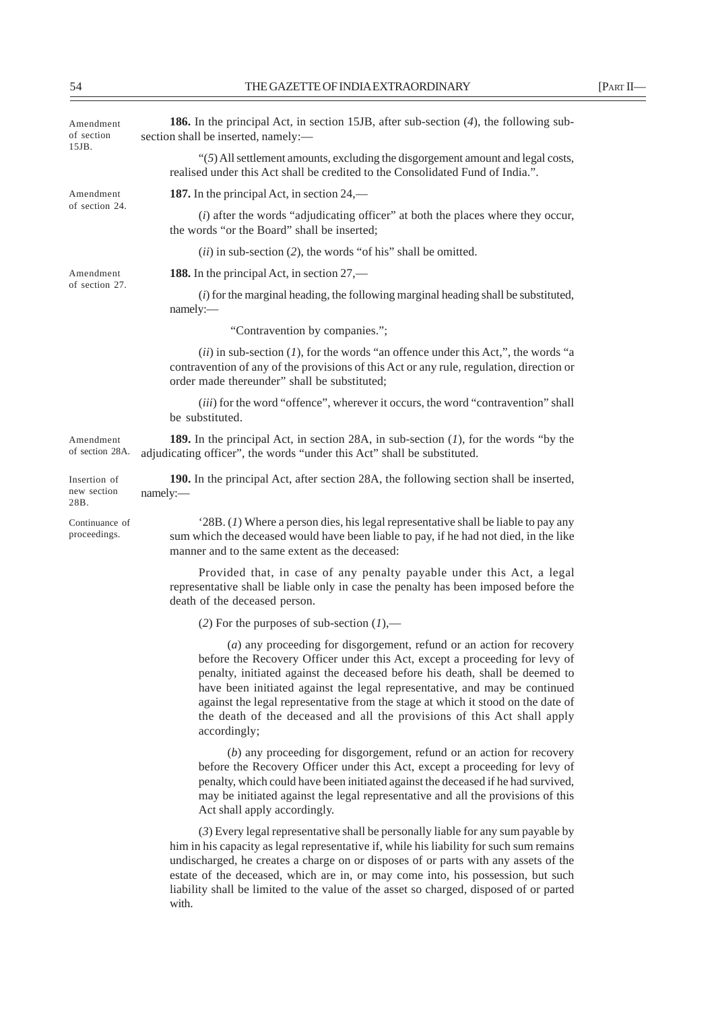| Amendment<br>of section<br>15JB.    | 186. In the principal Act, in section 15JB, after sub-section (4), the following sub-<br>section shall be inserted, namely:-                                                                                                                                                                                                                                                                                                                                                                       |  |
|-------------------------------------|----------------------------------------------------------------------------------------------------------------------------------------------------------------------------------------------------------------------------------------------------------------------------------------------------------------------------------------------------------------------------------------------------------------------------------------------------------------------------------------------------|--|
|                                     | "(5) All settlement amounts, excluding the disgorgement amount and legal costs,<br>realised under this Act shall be credited to the Consolidated Fund of India.".                                                                                                                                                                                                                                                                                                                                  |  |
| Amendment                           | 187. In the principal Act, in section $24$ ,—                                                                                                                                                                                                                                                                                                                                                                                                                                                      |  |
| of section 24.                      | $(i)$ after the words "adjudicating officer" at both the places where they occur,<br>the words "or the Board" shall be inserted;                                                                                                                                                                                                                                                                                                                                                                   |  |
|                                     | $(ii)$ in sub-section (2), the words "of his" shall be omitted.                                                                                                                                                                                                                                                                                                                                                                                                                                    |  |
| Amendment                           | <b>188.</b> In the principal Act, in section 27,—                                                                                                                                                                                                                                                                                                                                                                                                                                                  |  |
| of section 27.                      | $(i)$ for the marginal heading, the following marginal heading shall be substituted,<br>namely:-                                                                                                                                                                                                                                                                                                                                                                                                   |  |
|                                     | "Contravention by companies.";                                                                                                                                                                                                                                                                                                                                                                                                                                                                     |  |
|                                     | $(ii)$ in sub-section $(I)$ , for the words "an offence under this Act,", the words "a<br>contravention of any of the provisions of this Act or any rule, regulation, direction or<br>order made thereunder" shall be substituted;                                                                                                                                                                                                                                                                 |  |
|                                     | (iii) for the word "offence", wherever it occurs, the word "contravention" shall<br>be substituted.                                                                                                                                                                                                                                                                                                                                                                                                |  |
| Amendment<br>of section 28A.        | 189. In the principal Act, in section 28A, in sub-section $(I)$ , for the words "by the<br>adjudicating officer", the words "under this Act" shall be substituted.                                                                                                                                                                                                                                                                                                                                 |  |
| Insertion of<br>new section<br>28B. | 190. In the principal Act, after section 28A, the following section shall be inserted,<br>namely:-                                                                                                                                                                                                                                                                                                                                                                                                 |  |
| Continuance of<br>proceedings.      | $28B$ . (1) Where a person dies, his legal representative shall be liable to pay any<br>sum which the deceased would have been liable to pay, if he had not died, in the like<br>manner and to the same extent as the deceased:                                                                                                                                                                                                                                                                    |  |
|                                     | Provided that, in case of any penalty payable under this Act, a legal<br>representative shall be liable only in case the penalty has been imposed before the<br>death of the deceased person.                                                                                                                                                                                                                                                                                                      |  |
|                                     | (2) For the purposes of sub-section $(1)$ ,—                                                                                                                                                                                                                                                                                                                                                                                                                                                       |  |
|                                     | (a) any proceeding for disgorgement, refund or an action for recovery<br>before the Recovery Officer under this Act, except a proceeding for levy of<br>penalty, initiated against the deceased before his death, shall be deemed to<br>have been initiated against the legal representative, and may be continued<br>against the legal representative from the stage at which it stood on the date of<br>the death of the deceased and all the provisions of this Act shall apply<br>accordingly; |  |
|                                     | (b) any proceeding for disgorgement, refund or an action for recovery<br>before the Recovery Officer under this Act, except a proceeding for levy of<br>penalty, which could have been initiated against the deceased if he had survived,<br>may be initiated against the legal representative and all the provisions of this<br>Act shall apply accordingly.                                                                                                                                      |  |
|                                     | (3) Every legal representative shall be personally liable for any sum payable by<br>him in his capacity as legal representative if, while his liability for such sum remains<br>undischarged, he creates a charge on or disposes of or parts with any assets of the<br>estate of the deceased, which are in, or may come into, his possession, but such<br>liability shall be limited to the value of the asset so charged, disposed of or parted<br>with.                                         |  |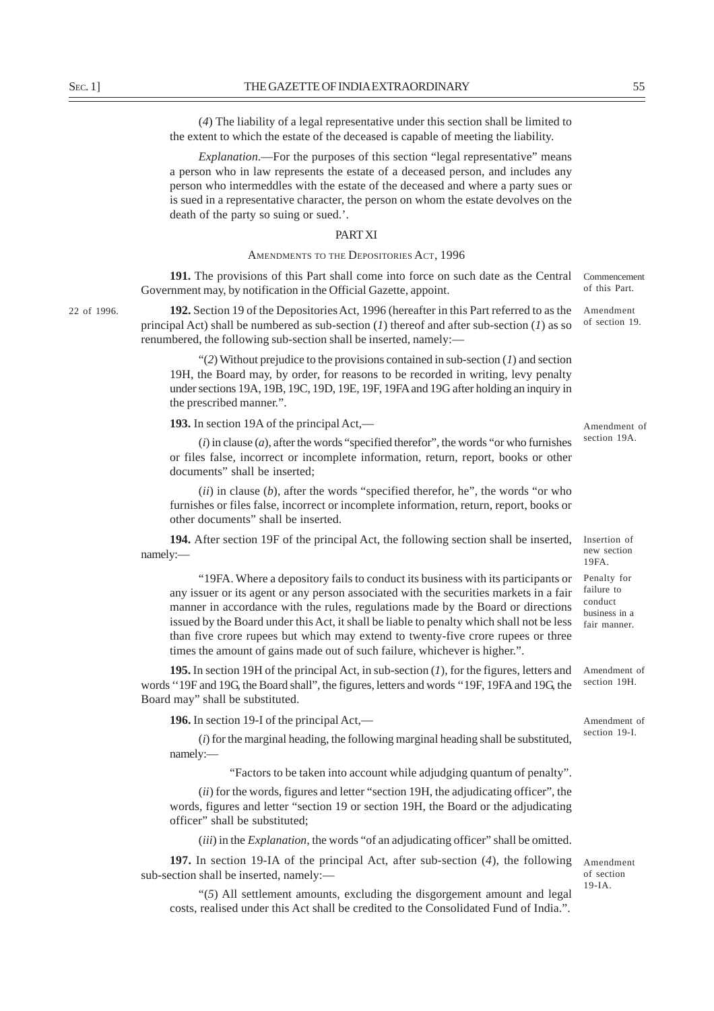(*4*) The liability of a legal representative under this section shall be limited to the extent to which the estate of the deceased is capable of meeting the liability.

*Explanation*.—For the purposes of this section "legal representative" means a person who in law represents the estate of a deceased person, and includes any person who intermeddles with the estate of the deceased and where a party sues or is sued in a representative character, the person on whom the estate devolves on the death of the party so suing or sued.'.

# PART XI

# AMENDMENTS TO THE DEPOSITORIES ACT, 1996

**191.** The provisions of this Part shall come into force on such date as the Central Government may, by notification in the Official Gazette, appoint.

22 of 1996.

**192.** Section 19 of the Depositories Act, 1996 (hereafter in this Part referred to as the principal Act) shall be numbered as sub-section  $(I)$  thereof and after sub-section  $(I)$  as so renumbered, the following sub-section shall be inserted, namely:—

"(*2*) Without prejudice to the provisions contained in sub-section (*1*) and section 19H, the Board may, by order, for reasons to be recorded in writing, levy penalty under sections 19A, 19B, 19C, 19D, 19E, 19F, 19FA and 19G after holding an inquiry in the prescribed manner.".

**193.** In section 19A of the principal Act,—

 $(i)$  in clause  $(a)$ , after the words "specified therefor", the words "or who furnishes or files false, incorrect or incomplete information, return, report, books or other documents" shall be inserted;

(*ii*) in clause (*b*), after the words "specified therefor, he", the words "or who furnishes or files false, incorrect or incomplete information, return, report, books or other documents" shall be inserted.

**194.** After section 19F of the principal Act, the following section shall be inserted, namely:—

"19FA. Where a depository fails to conduct its business with its participants or any issuer or its agent or any person associated with the securities markets in a fair manner in accordance with the rules, regulations made by the Board or directions issued by the Board under this Act, it shall be liable to penalty which shall not be less than five crore rupees but which may extend to twenty-five crore rupees or three times the amount of gains made out of such failure, whichever is higher.".

**195.** In section 19H of the principal Act, in sub-section (*1*), for the figures, letters and words ''19F and 19G, the Board shall", the figures, letters and words ''19F, 19FA and 19G, the Board may" shall be substituted.

**196.** In section 19-I of the principal Act,—

(*i*) for the marginal heading, the following marginal heading shall be substituted, namely:—

"Factors to be taken into account while adjudging quantum of penalty".

(*ii*) for the words, figures and letter "section 19H, the adjudicating officer", the words, figures and letter "section 19 or section 19H, the Board or the adjudicating officer" shall be substituted;

(*iii*) in the *Explanation,* the words "of an adjudicating officer" shall be omitted.

**197.** In section 19-IA of the principal Act, after sub-section (*4*), the following sub-section shall be inserted, namely:-

Amendment of section 19-IA.

"(*5*) All settlement amounts, excluding the disgorgement amount and legal costs, realised under this Act shall be credited to the Consolidated Fund of India.".

Amendment of section 19A.

Commencement of this Part. Amendment of section 19.

Insertion of new section 19FA.

Penalty for failure to conduct business in a fair manner.

Amendment of section 19H.

Amendment of section 19-I.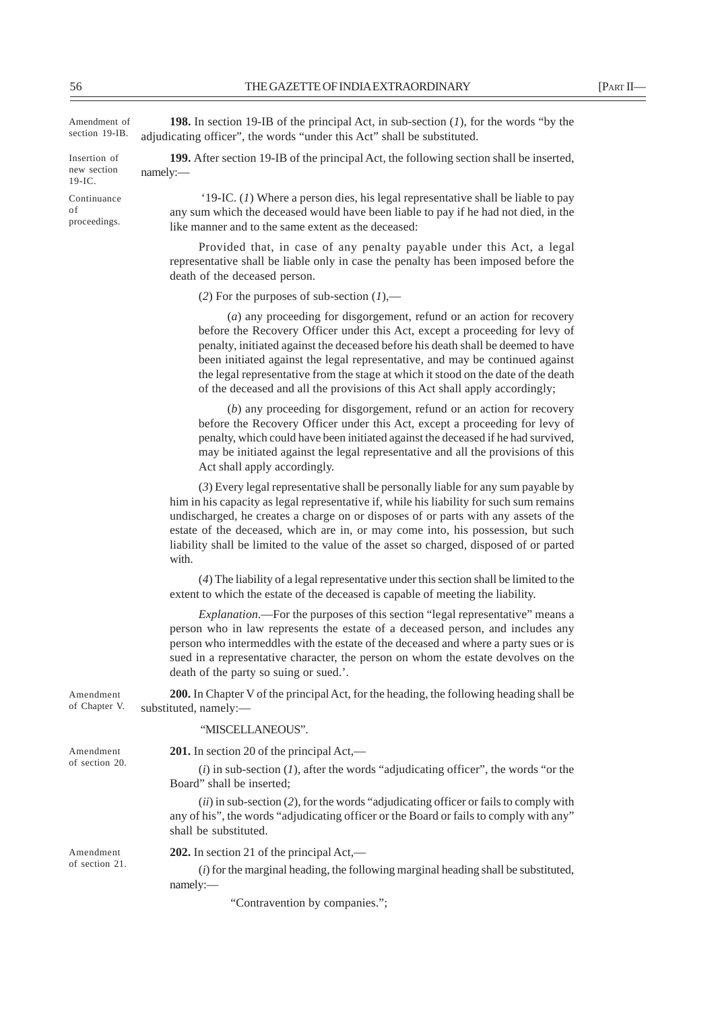| Amendment of<br>section 19-IB.           | <b>198.</b> In section 19-IB of the principal Act, in sub-section $(I)$ , for the words "by the<br>adjudicating officer", the words "under this Act" shall be substituted.                                                                                                                                                                                                                                                                                                                       |  |  |
|------------------------------------------|--------------------------------------------------------------------------------------------------------------------------------------------------------------------------------------------------------------------------------------------------------------------------------------------------------------------------------------------------------------------------------------------------------------------------------------------------------------------------------------------------|--|--|
| Insertion of<br>new section<br>$19-IC$ . | 199. After section 19-IB of the principal Act, the following section shall be inserted,<br>namely:-                                                                                                                                                                                                                                                                                                                                                                                              |  |  |
| Continuance<br>оf<br>proceedings.        | '19-IC. $(I)$ Where a person dies, his legal representative shall be liable to pay<br>any sum which the deceased would have been liable to pay if he had not died, in the<br>like manner and to the same extent as the deceased:                                                                                                                                                                                                                                                                 |  |  |
|                                          | Provided that, in case of any penalty payable under this Act, a legal<br>representative shall be liable only in case the penalty has been imposed before the<br>death of the deceased person.                                                                                                                                                                                                                                                                                                    |  |  |
|                                          | (2) For the purposes of sub-section $(1)$ ,—                                                                                                                                                                                                                                                                                                                                                                                                                                                     |  |  |
|                                          | $(a)$ any proceeding for disgorgement, refund or an action for recovery<br>before the Recovery Officer under this Act, except a proceeding for levy of<br>penalty, initiated against the deceased before his death shall be deemed to have<br>been initiated against the legal representative, and may be continued against<br>the legal representative from the stage at which it stood on the date of the death<br>of the deceased and all the provisions of this Act shall apply accordingly; |  |  |
|                                          | (b) any proceeding for disgorgement, refund or an action for recovery<br>before the Recovery Officer under this Act, except a proceeding for levy of<br>penalty, which could have been initiated against the deceased if he had survived,<br>may be initiated against the legal representative and all the provisions of this<br>Act shall apply accordingly.                                                                                                                                    |  |  |
|                                          | (3) Every legal representative shall be personally liable for any sum payable by<br>him in his capacity as legal representative if, while his liability for such sum remains<br>undischarged, he creates a charge on or disposes of or parts with any assets of the<br>estate of the deceased, which are in, or may come into, his possession, but such<br>liability shall be limited to the value of the asset so charged, disposed of or parted<br>with.                                       |  |  |
|                                          | (4) The liability of a legal representative under this section shall be limited to the<br>extent to which the estate of the deceased is capable of meeting the liability.                                                                                                                                                                                                                                                                                                                        |  |  |
|                                          | <i>Explanation</i> .—For the purposes of this section "legal representative" means a<br>person who in law represents the estate of a deceased person, and includes any<br>person who intermeddles with the estate of the deceased and where a party sues or is<br>sued in a representative character, the person on whom the estate devolves on the<br>death of the party so suing or sued.'.                                                                                                    |  |  |
| Amendment<br>of Chapter V.               | 200. In Chapter V of the principal Act, for the heading, the following heading shall be<br>substituted, namely:-                                                                                                                                                                                                                                                                                                                                                                                 |  |  |
|                                          | "MISCELLANEOUS".                                                                                                                                                                                                                                                                                                                                                                                                                                                                                 |  |  |
| Amendment                                | <b>201.</b> In section 20 of the principal $Act$ ,—                                                                                                                                                                                                                                                                                                                                                                                                                                              |  |  |
| of section 20.                           | $(i)$ in sub-section $(I)$ , after the words "adjudicating officer", the words "or the<br>Board" shall be inserted;                                                                                                                                                                                                                                                                                                                                                                              |  |  |
|                                          | $(ii)$ in sub-section (2), for the words "adjudicating officer or fails to comply with<br>any of his", the words "adjudicating officer or the Board or fails to comply with any"<br>shall be substituted.                                                                                                                                                                                                                                                                                        |  |  |
| Amendment                                | 202. In section 21 of the principal Act,—                                                                                                                                                                                                                                                                                                                                                                                                                                                        |  |  |
| of section 21.                           | $(i)$ for the marginal heading, the following marginal heading shall be substituted,                                                                                                                                                                                                                                                                                                                                                                                                             |  |  |

namely:—

"Contravention by companies.";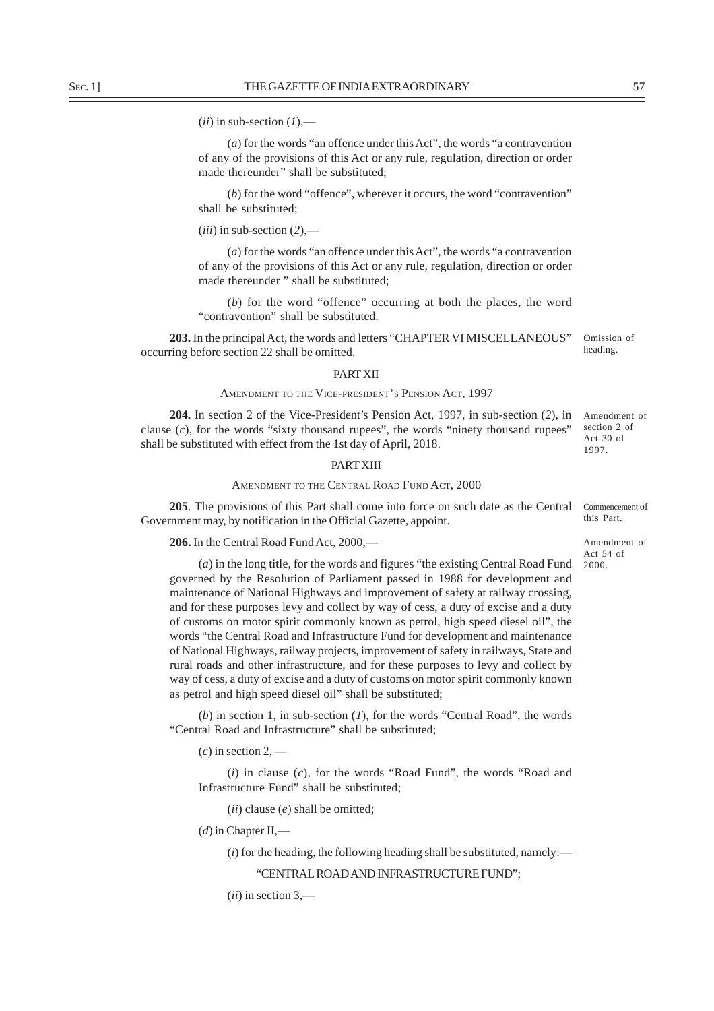$(iii)$  in sub-section  $(1)$ ,—

(*a*) for the words "an offence under this Act", the words "a contravention of any of the provisions of this Act or any rule, regulation, direction or order made thereunder" shall be substituted;

(*b*) for the word "offence", wherever it occurs, the word "contravention" shall be substituted;

(*iii*) in sub-section (*2*),—

(*a*) for the words "an offence under this Act", the words "a contravention of any of the provisions of this Act or any rule, regulation, direction or order made thereunder " shall be substituted;

(*b*) for the word "offence" occurring at both the places, the word "contravention" shall be substituted.

**203.** In the principal Act, the words and letters "CHAPTER VI MISCELLANEOUS" occurring before section 22 shall be omitted.

Omission of heading.

Amendment of section 2 of Act 30 of 1997.

#### PART XII

#### AMENDMENT TO THE VICE-PRESIDENT'S PENSION ACT, 1997

**204.** In section 2 of the Vice-President's Pension Act, 1997, in sub-section (*2*), in clause  $(c)$ , for the words "sixty thousand rupees", the words "ninety thousand rupees" shall be substituted with effect from the 1st day of April, 2018.

# PART XIII

## AMENDMENT TO THE CENTRAL ROAD FUND ACT, 2000

**205**. The provisions of this Part shall come into force on such date as the Central Government may, by notification in the Official Gazette, appoint.

**206.** In the Central Road Fund Act, 2000,—

(*a*) in the long title, for the words and figures "the existing Central Road Fund governed by the Resolution of Parliament passed in 1988 for development and maintenance of National Highways and improvement of safety at railway crossing, and for these purposes levy and collect by way of cess, a duty of excise and a duty of customs on motor spirit commonly known as petrol, high speed diesel oil", the words "the Central Road and Infrastructure Fund for development and maintenance of National Highways, railway projects, improvement of safety in railways, State and rural roads and other infrastructure, and for these purposes to levy and collect by way of cess, a duty of excise and a duty of customs on motor spirit commonly known as petrol and high speed diesel oil" shall be substituted;

(*b*) in section 1, in sub-section (*1*), for the words "Central Road", the words "Central Road and Infrastructure" shall be substituted;

 $(c)$  in section 2, —

(*i*) in clause (*c*), for the words "Road Fund", the words "Road and Infrastructure Fund" shall be substituted;

(*ii*) clause (*e*) shall be omitted;

(*d*) in Chapter II,—

 $(i)$  for the heading, the following heading shall be substituted, namely:—

"CENTRAL ROAD AND INFRASTRUCTURE FUND";

(*ii*) in section 3,—

Commencement of this Part.

Amendment of Act 54 of 2000.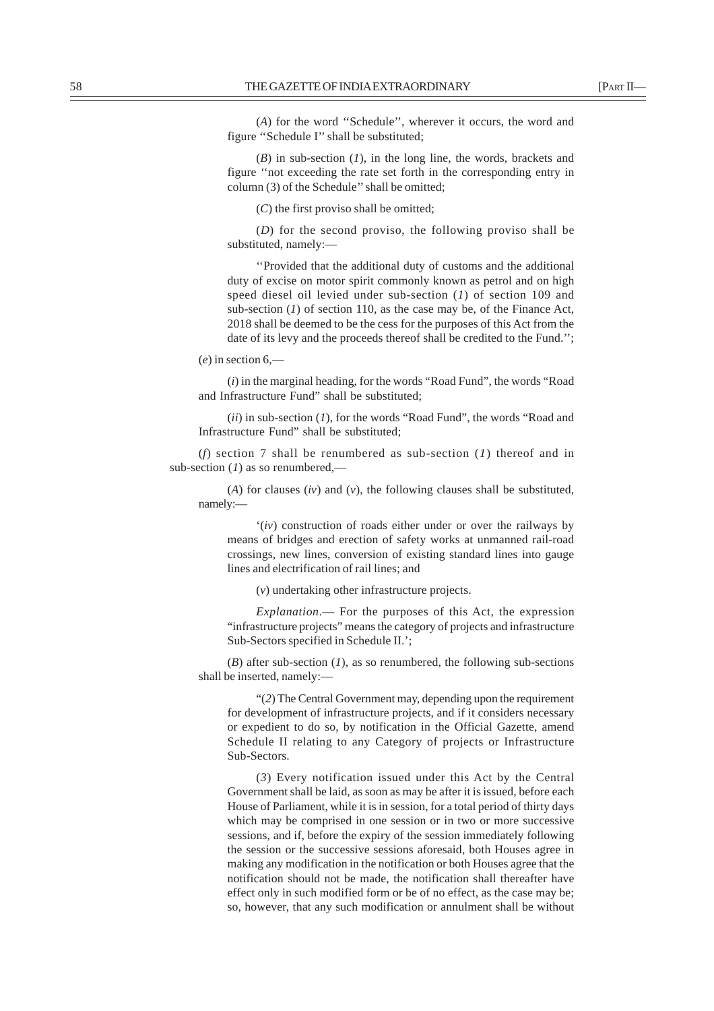(*A*) for the word ''Schedule'', wherever it occurs, the word and figure ''Schedule I'' shall be substituted;

(*B*) in sub-section (*1*), in the long line, the words, brackets and figure ''not exceeding the rate set forth in the corresponding entry in column (3) of the Schedule'' shall be omitted;

(*C*) the first proviso shall be omitted;

(*D*) for the second proviso, the following proviso shall be substituted, namely:—

''Provided that the additional duty of customs and the additional duty of excise on motor spirit commonly known as petrol and on high speed diesel oil levied under sub-section (*1*) of section 109 and sub-section (*1*) of section 110, as the case may be, of the Finance Act, 2018 shall be deemed to be the cess for the purposes of this Act from the date of its levy and the proceeds thereof shall be credited to the Fund.'';

(*e*) in section 6,—

(*i*) in the marginal heading, for the words "Road Fund", the words "Road and Infrastructure Fund" shall be substituted;

(*ii*) in sub-section (*1*), for the words "Road Fund", the words "Road and Infrastructure Fund" shall be substituted;

(*f*) section 7 shall be renumbered as sub-section (*1*) thereof and in sub-section (*1*) as so renumbered,—

(*A*) for clauses (*iv*) and (*v*), the following clauses shall be substituted, namely:—

'(*iv*) construction of roads either under or over the railways by means of bridges and erection of safety works at unmanned rail-road crossings, new lines, conversion of existing standard lines into gauge lines and electrification of rail lines; and

(*v*) undertaking other infrastructure projects.

*Explanation*.— For the purposes of this Act, the expression "infrastructure projects" means the category of projects and infrastructure Sub-Sectors specified in Schedule II.';

(*B*) after sub-section (*1*), as so renumbered, the following sub-sections shall be inserted, namely:—

"(*2*) The Central Government may, depending upon the requirement for development of infrastructure projects, and if it considers necessary or expedient to do so, by notification in the Official Gazette, amend Schedule II relating to any Category of projects or Infrastructure Sub-Sectors.

(*3*) Every notification issued under this Act by the Central Government shall be laid, as soon as may be after it is issued, before each House of Parliament, while it is in session, for a total period of thirty days which may be comprised in one session or in two or more successive sessions, and if, before the expiry of the session immediately following the session or the successive sessions aforesaid, both Houses agree in making any modification in the notification or both Houses agree that the notification should not be made, the notification shall thereafter have effect only in such modified form or be of no effect, as the case may be; so, however, that any such modification or annulment shall be without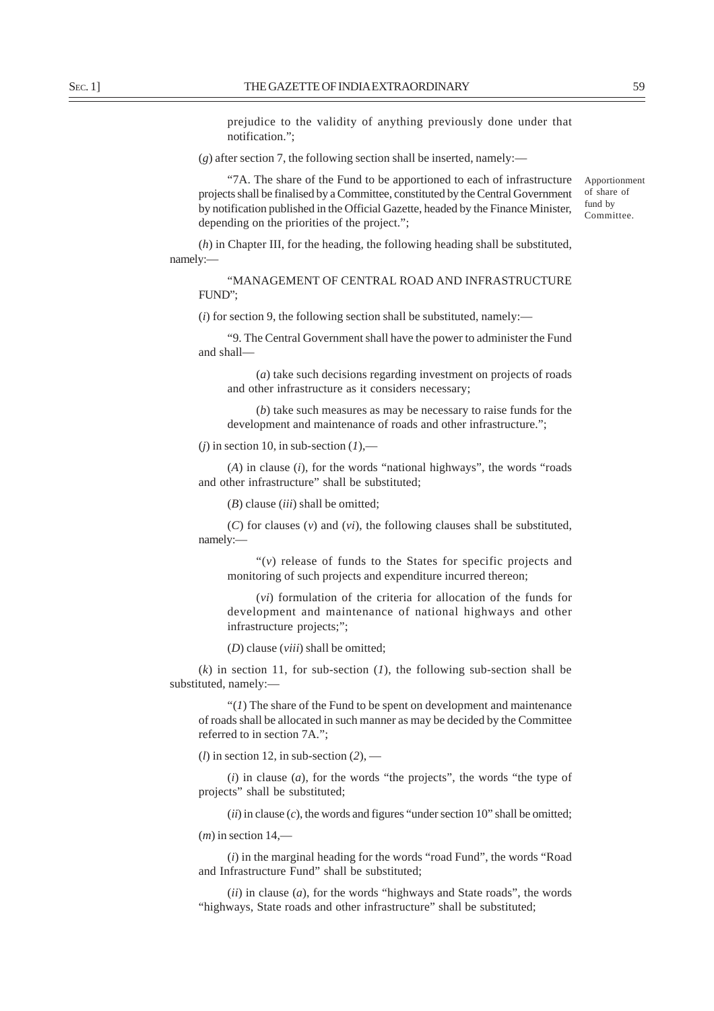prejudice to the validity of anything previously done under that notification.";

 $(g)$  after section 7, the following section shall be inserted, namely:—

"7A. The share of the Fund to be apportioned to each of infrastructure projects shall be finalised by a Committee, constituted by the Central Government by notification published in the Official Gazette, headed by the Finance Minister, depending on the priorities of the project.";

(*h*) in Chapter III, for the heading, the following heading shall be substituted, namely:—

"MANAGEMENT OF CENTRAL ROAD AND INFRASTRUCTURE FUND";

 $(i)$  for section 9, the following section shall be substituted, namely:—

"9. The Central Government shall have the power to administer the Fund and shall—

(*a*) take such decisions regarding investment on projects of roads and other infrastructure as it considers necessary;

(*b*) take such measures as may be necessary to raise funds for the development and maintenance of roads and other infrastructure.";

 $(i)$  in section 10, in sub-section  $(I)$ ,—

(*A*) in clause (*i*), for the words "national highways", the words "roads and other infrastructure" shall be substituted;

(*B*) clause (*iii*) shall be omitted;

(*C*) for clauses (*v*) and (*vi*), the following clauses shall be substituted, namely:—

" $(v)$  release of funds to the States for specific projects and monitoring of such projects and expenditure incurred thereon;

(*vi*) formulation of the criteria for allocation of the funds for development and maintenance of national highways and other infrastructure projects;";

(*D*) clause (*viii*) shall be omitted;

(*k*) in section 11, for sub-section (*1*), the following sub-section shall be substituted, namely:—

"(*1*) The share of the Fund to be spent on development and maintenance of roads shall be allocated in such manner as may be decided by the Committee referred to in section 7A.";

(*l*) in section 12, in sub-section (*2*), —

(*i*) in clause (*a*), for the words "the projects", the words "the type of projects" shall be substituted;

(*ii*) in clause (*c*), the words and figures "under section 10" shall be omitted;

(*m*) in section 14,—

(*i*) in the marginal heading for the words "road Fund", the words "Road and Infrastructure Fund" shall be substituted;

(*ii*) in clause (*a*), for the words "highways and State roads", the words "highways, State roads and other infrastructure" shall be substituted;

Apportionment of share of fund by Committee.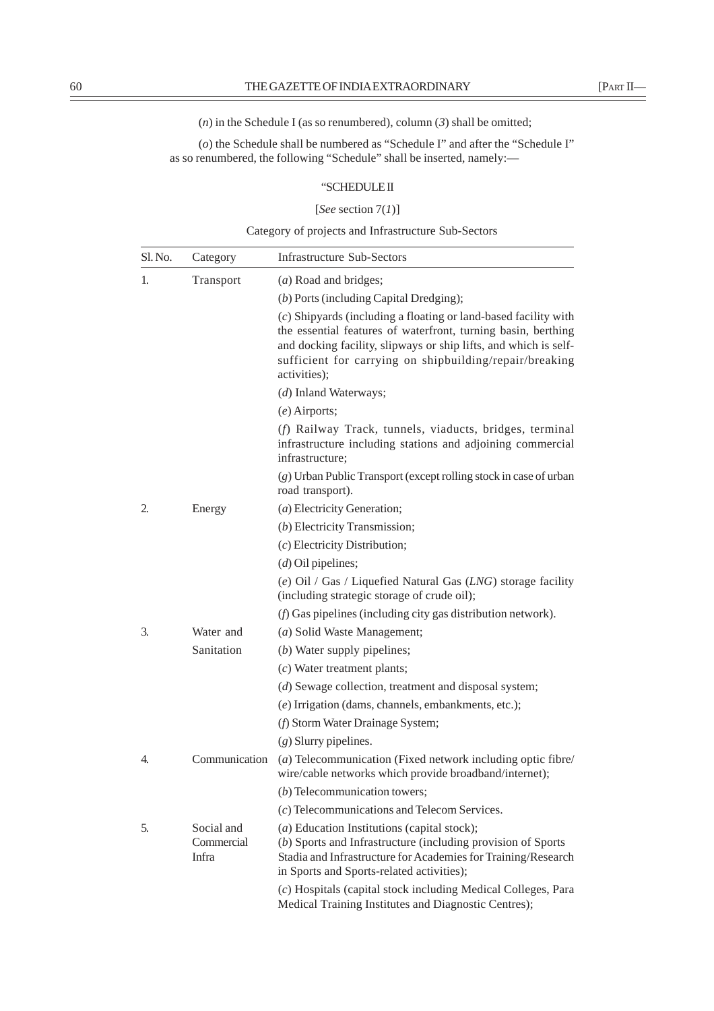$(n)$  in the Schedule I (as so renumbered), column  $(3)$  shall be omitted;

(*o*) the Schedule shall be numbered as "Schedule I" and after the "Schedule I" as so renumbered, the following "Schedule" shall be inserted, namely:—

# "SCHEDULE II

# [*See* section 7(*1*)]

Category of projects and Infrastructure Sub-Sectors

| Sl. No. | Category                          | <b>Infrastructure Sub-Sectors</b>                                                                                                                                                                                                                                               |
|---------|-----------------------------------|---------------------------------------------------------------------------------------------------------------------------------------------------------------------------------------------------------------------------------------------------------------------------------|
| 1.      | Transport                         | (a) Road and bridges;                                                                                                                                                                                                                                                           |
|         |                                   | $(b)$ Ports (including Capital Dredging);                                                                                                                                                                                                                                       |
|         |                                   | (c) Shipyards (including a floating or land-based facility with<br>the essential features of waterfront, turning basin, berthing<br>and docking facility, slipways or ship lifts, and which is self-<br>sufficient for carrying on shipbuilding/repair/breaking<br>activities); |
|         |                                   | (d) Inland Waterways;                                                                                                                                                                                                                                                           |
|         |                                   | $(e)$ Airports;                                                                                                                                                                                                                                                                 |
|         |                                   | (f) Railway Track, tunnels, viaducts, bridges, terminal<br>infrastructure including stations and adjoining commercial<br>infrastructure;                                                                                                                                        |
|         |                                   | (g) Urban Public Transport (except rolling stock in case of urban<br>road transport).                                                                                                                                                                                           |
| 2.      | Energy                            | (a) Electricity Generation;                                                                                                                                                                                                                                                     |
|         |                                   | (b) Electricity Transmission;                                                                                                                                                                                                                                                   |
|         |                                   | $(c)$ Electricity Distribution;                                                                                                                                                                                                                                                 |
|         |                                   | $(d)$ Oil pipelines;                                                                                                                                                                                                                                                            |
|         |                                   | (e) Oil / Gas / Liquefied Natural Gas $(LNG)$ storage facility<br>(including strategic storage of crude oil);                                                                                                                                                                   |
|         |                                   | $(f)$ Gas pipelines (including city gas distribution network).                                                                                                                                                                                                                  |
| 3.      | Water and                         | (a) Solid Waste Management;                                                                                                                                                                                                                                                     |
|         | Sanitation                        | $(b)$ Water supply pipelines;                                                                                                                                                                                                                                                   |
|         |                                   | $(c)$ Water treatment plants;                                                                                                                                                                                                                                                   |
|         |                                   | (d) Sewage collection, treatment and disposal system;                                                                                                                                                                                                                           |
|         |                                   | (e) Irrigation (dams, channels, embankments, etc.);                                                                                                                                                                                                                             |
|         |                                   | (f) Storm Water Drainage System;                                                                                                                                                                                                                                                |
|         |                                   | $(g)$ Slurry pipelines.                                                                                                                                                                                                                                                         |
| 4.      | Communication                     | (a) Telecommunication (Fixed network including optic fibre/<br>wire/cable networks which provide broadband/internet);                                                                                                                                                           |
|         |                                   | $(b)$ Telecommunication towers;                                                                                                                                                                                                                                                 |
|         |                                   | (c) Telecommunications and Telecom Services.                                                                                                                                                                                                                                    |
| 5.      | Social and<br>Commercial<br>Infra | (a) Education Institutions (capital stock);<br>(b) Sports and Infrastructure (including provision of Sports<br>Stadia and Infrastructure for Academies for Training/Research<br>in Sports and Sports-related activities);                                                       |
|         |                                   | (c) Hospitals (capital stock including Medical Colleges, Para<br>Medical Training Institutes and Diagnostic Centres);                                                                                                                                                           |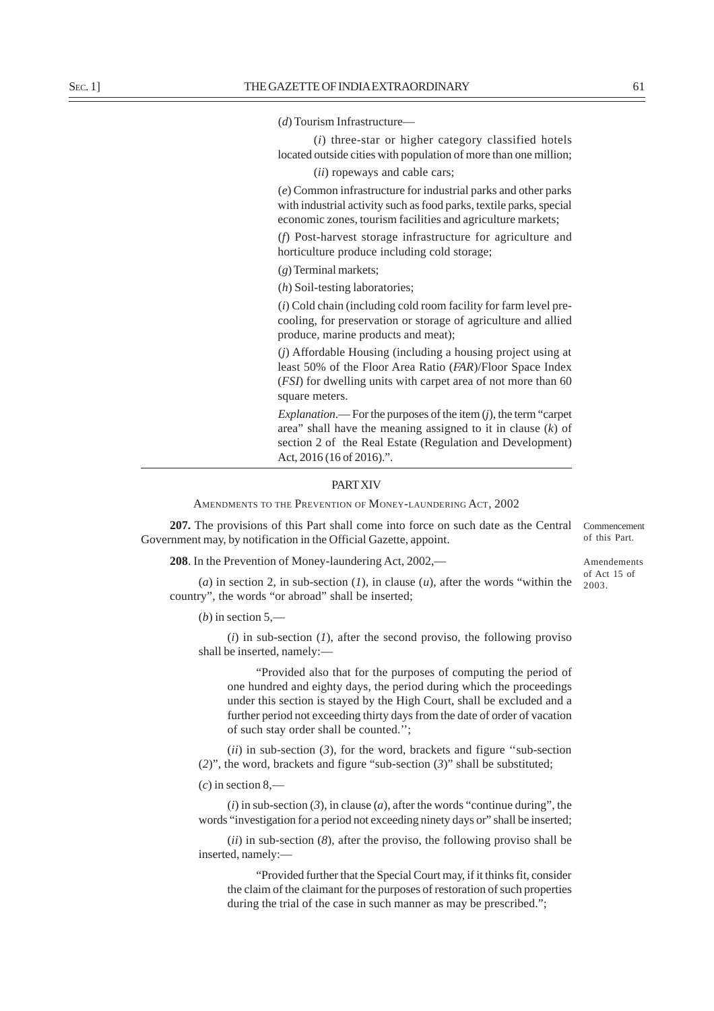(*d*) Tourism Infrastructure—

(*i*) three-star or higher category classified hotels located outside cities with population of more than one million;

(*ii*) ropeways and cable cars;

(*e*) Common infrastructure for industrial parks and other parks with industrial activity such as food parks, textile parks, special economic zones, tourism facilities and agriculture markets;

(*f*) Post-harvest storage infrastructure for agriculture and horticulture produce including cold storage;

(*g*) Terminal markets;

(*h*) Soil-testing laboratories;

(*i*) Cold chain (including cold room facility for farm level precooling, for preservation or storage of agriculture and allied produce, marine products and meat);

(*j*) Affordable Housing (including a housing project using at least 50% of the Floor Area Ratio (*FAR*)/Floor Space Index (*FSI*) for dwelling units with carpet area of not more than 60 square meters.

*Explanation*.— For the purposes of the item (*j*), the term "carpet area" shall have the meaning assigned to it in clause (*k*) of section 2 of the Real Estate (Regulation and Development) Act, 2016 (16 of 2016).".

## PART XIV

AMENDMENTS TO THE PREVENTION OF MONEY-LAUNDERING ACT, 2002

**207.** The provisions of this Part shall come into force on such date as the Central Government may, by notification in the Official Gazette, appoint.

**208**. In the Prevention of Money-laundering Act, 2002,—

Amendements of Act 15 of

Commencement of this Part.

(*a*) in section 2, in sub-section (*1*), in clause (*u*), after the words "within the  $\frac{2003}{2003}$ . country", the words "or abroad" shall be inserted;

 $(b)$  in section 5,—

(*i*) in sub-section (*1*), after the second proviso, the following proviso shall be inserted, namely:—

"Provided also that for the purposes of computing the period of one hundred and eighty days, the period during which the proceedings under this section is stayed by the High Court, shall be excluded and a further period not exceeding thirty days from the date of order of vacation of such stay order shall be counted.'';

(*ii*) in sub-section (*3*), for the word, brackets and figure ''sub-section (*2*)", the word, brackets and figure "sub-section (*3*)" shall be substituted;

(*c*) in section 8,—

(*i*) in sub-section (*3*), in clause (*a*), after the words "continue during", the words "investigation for a period not exceeding ninety days or" shall be inserted;

(*ii*) in sub-section (*8*), after the proviso, the following proviso shall be inserted, namely:—

"Provided further that the Special Court may, if it thinks fit, consider the claim of the claimant for the purposes of restoration of such properties during the trial of the case in such manner as may be prescribed.";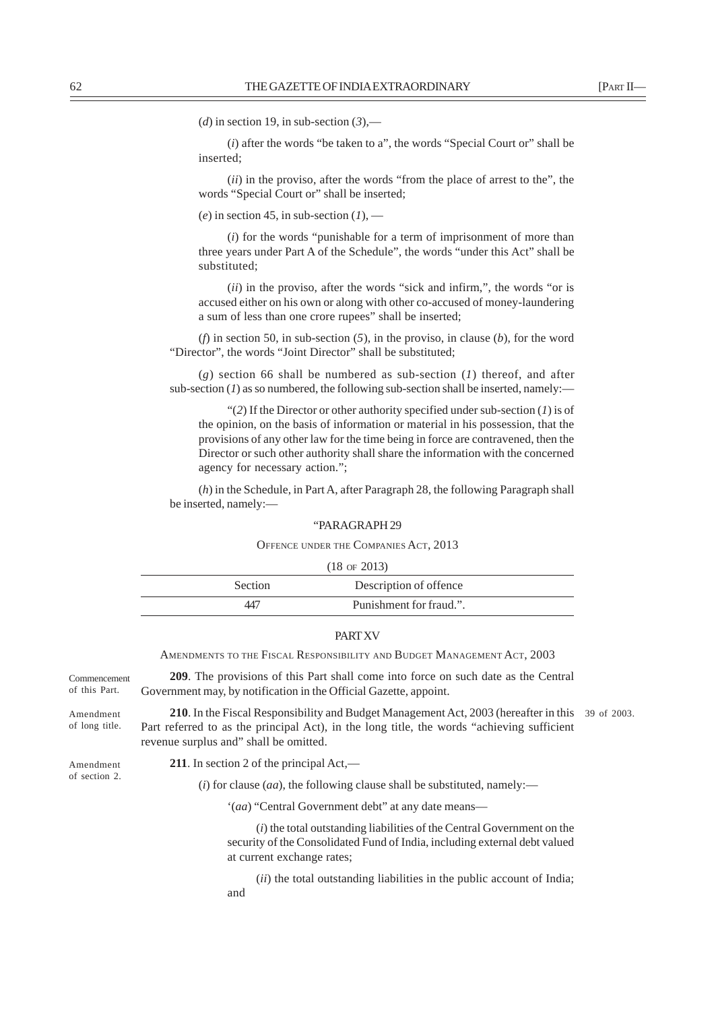(*d*) in section 19, in sub-section  $(3)$ ,—

(*i*) after the words "be taken to a", the words "Special Court or" shall be inserted;

(*ii*) in the proviso, after the words "from the place of arrest to the", the words "Special Court or" shall be inserted;

(*e*) in section 45, in sub-section  $(1)$ , —

(*i*) for the words "punishable for a term of imprisonment of more than three years under Part A of the Schedule", the words "under this Act" shall be substituted;

(*ii*) in the proviso, after the words "sick and infirm,", the words "or is accused either on his own or along with other co-accused of money-laundering a sum of less than one crore rupees" shall be inserted;

(*f*) in section 50, in sub-section (*5*), in the proviso, in clause (*b*), for the word "Director", the words "Joint Director" shall be substituted;

(*g*) section 66 shall be numbered as sub-section (*1*) thereof, and after sub-section  $(I)$  as so numbered, the following sub-section shall be inserted, namely:-

"(*2*) If the Director or other authority specified under sub-section (*1*) is of the opinion, on the basis of information or material in his possession, that the provisions of any other law for the time being in force are contravened, then the Director or such other authority shall share the information with the concerned agency for necessary action.";

(*h*) in the Schedule, in Part A, after Paragraph 28, the following Paragraph shall be inserted, namely:—

#### "PARAGRAPH 29

## OFFENCE UNDER THE COMPANIES ACT, 2013

| $(18 \text{ of } 2013)$ |                         |  |
|-------------------------|-------------------------|--|
| Section                 | Description of offence  |  |
| 447                     | Punishment for fraud.". |  |

## **PART XV**

AMENDMENTS TO THE FISCAL RESPONSIBILITY AND BUDGET MANAGEMENT ACT, 2003

**209**. The provisions of this Part shall come into force on such date as the Central Government may, by notification in the Official Gazette, appoint. **210**. In the Fiscal Responsibility and Budget Management Act, 2003 (hereafter in this 39 of 2003. Part referred to as the principal Act), in the long title, the words "achieving sufficient revenue surplus and" shall be omitted. **211**. In section 2 of the principal Act,—  $(i)$  for clause (*aa*), the following clause shall be substituted, namely:— '(*aa*) "Central Government debt" at any date means— (*i*) the total outstanding liabilities of the Central Government on the security of the Consolidated Fund of India, including external debt valued at current exchange rates; (*ii*) the total outstanding liabilities in the public account of India; and Commencement of this Part. Amendment of long title. Amendment of section 2.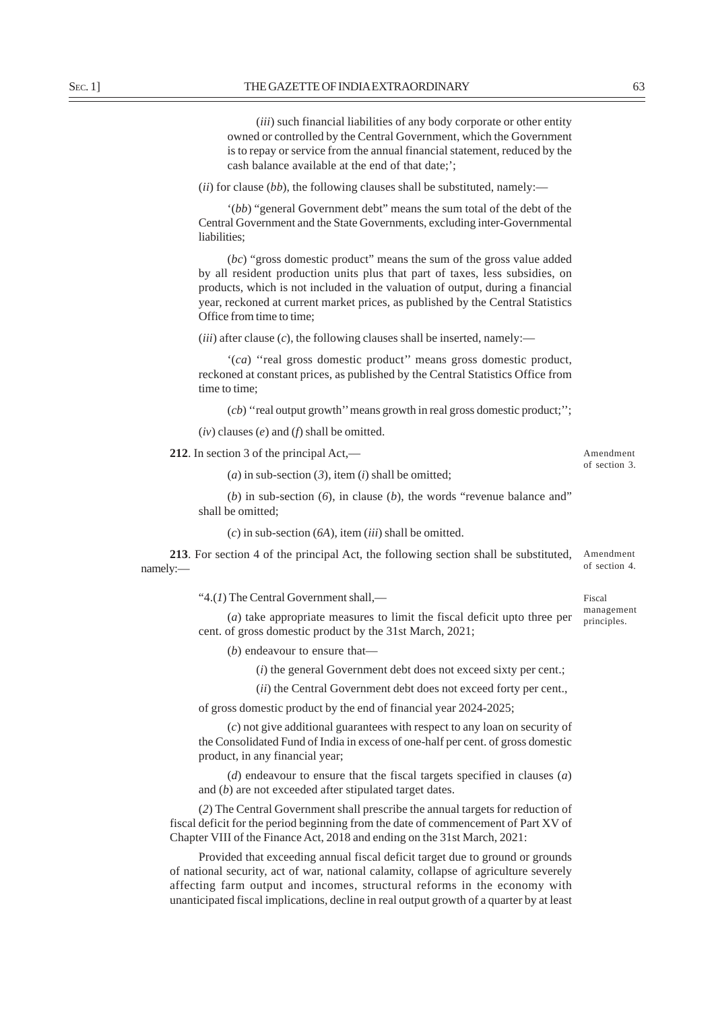(*iii*) such financial liabilities of any body corporate or other entity owned or controlled by the Central Government, which the Government is to repay or service from the annual financial statement, reduced by the cash balance available at the end of that date;';

(*ii*) for clause (*bb*), the following clauses shall be substituted, namely:—

'(*bb*) "general Government debt" means the sum total of the debt of the Central Government and the State Governments, excluding inter-Governmental liabilities;

(*bc*) "gross domestic product" means the sum of the gross value added by all resident production units plus that part of taxes, less subsidies, on products, which is not included in the valuation of output, during a financial year, reckoned at current market prices, as published by the Central Statistics Office from time to time;

 $(iii)$  after clause  $(c)$ , the following clauses shall be inserted, namely:—

'(*ca*) ''real gross domestic product'' means gross domestic product, reckoned at constant prices, as published by the Central Statistics Office from time to time;

(*cb*) ''real output growth'' means growth in real gross domestic product;'';

(*iv*) clauses (*e*) and (*f*) shall be omitted.

**212**. In section 3 of the principal Act,—

Amendment of section 3.

Fiscal

 $(a)$  in sub-section  $(3)$ , item  $(i)$  shall be omitted;

(*b*) in sub-section (*6*), in clause (*b*), the words "revenue balance and" shall be omitted;

(*c*) in sub-section (*6A*), item (*iii*) shall be omitted.

**213**. For section 4 of the principal Act, the following section shall be substituted, namely:— Amendment of section 4.

"4.(*1*) The Central Government shall,—

(*a*) take appropriate measures to limit the fiscal deficit upto three per cent. of gross domestic product by the 31st March, 2021; management principles.

(*b*) endeavour to ensure that—

(*i*) the general Government debt does not exceed sixty per cent.;

(*ii*) the Central Government debt does not exceed forty per cent.,

of gross domestic product by the end of financial year 2024-2025;

(*c*) not give additional guarantees with respect to any loan on security of the Consolidated Fund of India in excess of one-half per cent. of gross domestic product, in any financial year;

(*d*) endeavour to ensure that the fiscal targets specified in clauses (*a*) and (*b*) are not exceeded after stipulated target dates.

(*2*) The Central Government shall prescribe the annual targets for reduction of fiscal deficit for the period beginning from the date of commencement of Part XV of Chapter VIII of the Finance Act, 2018 and ending on the 31st March, 2021:

Provided that exceeding annual fiscal deficit target due to ground or grounds of national security, act of war, national calamity, collapse of agriculture severely affecting farm output and incomes, structural reforms in the economy with unanticipated fiscal implications, decline in real output growth of a quarter by at least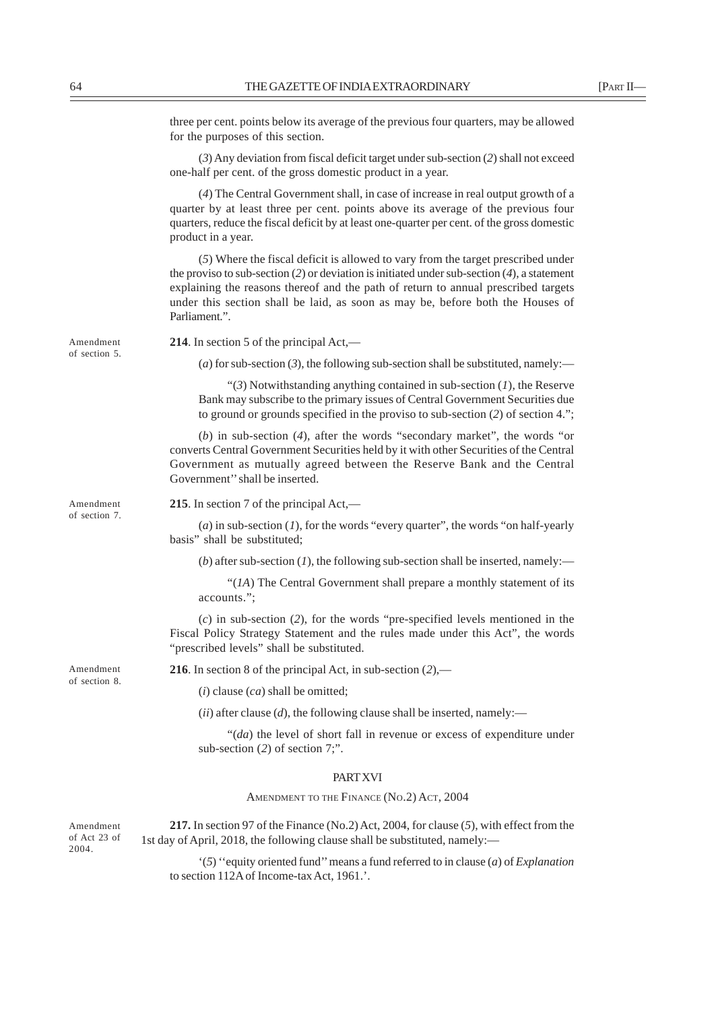three per cent. points below its average of the previous four quarters, may be allowed for the purposes of this section.

(*3*) Any deviation from fiscal deficit target under sub-section (*2*) shall not exceed one-half per cent. of the gross domestic product in a year.

(*4*) The Central Government shall, in case of increase in real output growth of a quarter by at least three per cent. points above its average of the previous four quarters, reduce the fiscal deficit by at least one-quarter per cent. of the gross domestic product in a year.

(*5*) Where the fiscal deficit is allowed to vary from the target prescribed under the proviso to sub-section (*2*) or deviation is initiated under sub-section (*4*), a statement explaining the reasons thereof and the path of return to annual prescribed targets under this section shall be laid, as soon as may be, before both the Houses of Parliament.".

**214**. In section 5 of the principal Act,—

(*a*) for sub-section (*3*), the following sub-section shall be substituted, namely:—

"(*3*) Notwithstanding anything contained in sub-section (*1*), the Reserve Bank may subscribe to the primary issues of Central Government Securities due to ground or grounds specified in the proviso to sub-section (*2*) of section 4.";

(*b*) in sub-section (*4*), after the words "secondary market", the words "or converts Central Government Securities held by it with other Securities of the Central Government as mutually agreed between the Reserve Bank and the Central Government'' shall be inserted.

Amendment of section 7.

Amendment of section 5.

**215**. In section 7 of the principal Act,—

(*a*) in sub-section (*1*), for the words "every quarter", the words "on half-yearly basis" shall be substituted;

(*b*) after sub-section (*1*), the following sub-section shall be inserted, namely:—

"(*1A*) The Central Government shall prepare a monthly statement of its accounts.";

(*c*) in sub-section (*2*), for the words "pre-specified levels mentioned in the Fiscal Policy Strategy Statement and the rules made under this Act", the words "prescribed levels" shall be substituted.

**216**. In section 8 of the principal Act, in sub-section (*2*),—

(*i*) clause (*ca*) shall be omitted;

 $(iii)$  after clause  $(d)$ , the following clause shall be inserted, namely:—

"(*da*) the level of short fall in revenue or excess of expenditure under sub-section (*2*) of section 7;".

#### PART XVI

AMENDMENT TO THE FINANCE (No.2) ACT, 2004

**217.** In section 97 of the Finance (No.2) Act, 2004, for clause (*5*), with effect from the 1st day of April, 2018, the following clause shall be substituted, namely:— Amendment

> '(*5*) ''equity oriented fund'' means a fund referred to in clause (*a*) of *Explanation* to section 112A of Income-tax Act, 1961.'.

Amendment of section 8.

of Act 23 of 2004.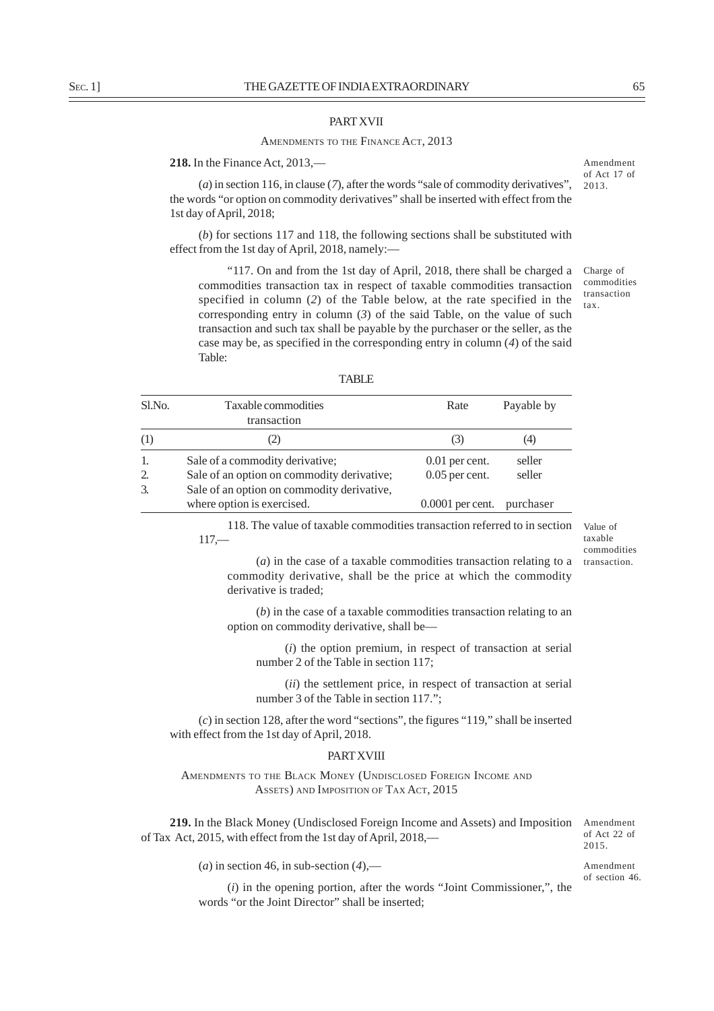## PART XVII

## AMENDMENTS TO THE FINANCE ACT, 2013

# **218.** In the Finance Act, 2013,—

(*a*) in section 116, in clause (*7*), after the words "sale of commodity derivatives", the words "or option on commodity derivatives" shall be inserted with effect from the 1st day of April, 2018;

(*b*) for sections 117 and 118, the following sections shall be substituted with effect from the 1st day of April, 2018, namely:—

"117. On and from the 1st day of April, 2018, there shall be charged a commodities transaction tax in respect of taxable commodities transaction specified in column (*2*) of the Table below, at the rate specified in the corresponding entry in column (*3*) of the said Table, on the value of such transaction and such tax shall be payable by the purchaser or the seller, as the case may be, as specified in the corresponding entry in column (*4*) of the said Table:

Amendment of Act 17 of 2013.

Charge of commodities transaction tax.

| Sl.No. | Taxable commodities<br>transaction                                       | Rate               | Payable by |
|--------|--------------------------------------------------------------------------|--------------------|------------|
| (1)    |                                                                          | (3)                | (4)        |
|        | Sale of a commodity derivative:                                          | $0.01$ per cent.   | seller     |
| 2.     | Sale of an option on commodity derivative;                               | $0.05$ per cent.   | seller     |
| 3.     | Sale of an option on commodity derivative,<br>where option is exercised. | $0.0001$ per cent. | purchaser  |

118. The value of taxable commodities transaction referred to in section  $117, -$ 

Value of taxable commodities transaction.

(*a*) in the case of a taxable commodities transaction relating to a commodity derivative, shall be the price at which the commodity derivative is traded;

(*b*) in the case of a taxable commodities transaction relating to an option on commodity derivative, shall be—

(*i*) the option premium, in respect of transaction at serial number 2 of the Table in section 117;

(*ii*) the settlement price, in respect of transaction at serial number 3 of the Table in section 117.";

(*c*) in section 128, after the word "sections", the figures "119," shall be inserted with effect from the 1st day of April, 2018.

# **PART XVIII**

AMENDMENTS TO THE BLACK MONEY (UNDISCLOSED FOREIGN INCOME AND ASSETS) AND IMPOSITION OF TAX ACT, 2015

**219.** In the Black Money (Undisclosed Foreign Income and Assets) and Imposition of Tax Act, 2015, with effect from the 1st day of April, 2018,—

 $(a)$  in section 46, in sub-section  $(4)$ ,—

(*i*) in the opening portion, after the words "Joint Commissioner,", the words "or the Joint Director" shall be inserted;

2015. Amendment of section 46.

Amendment of Act 22 of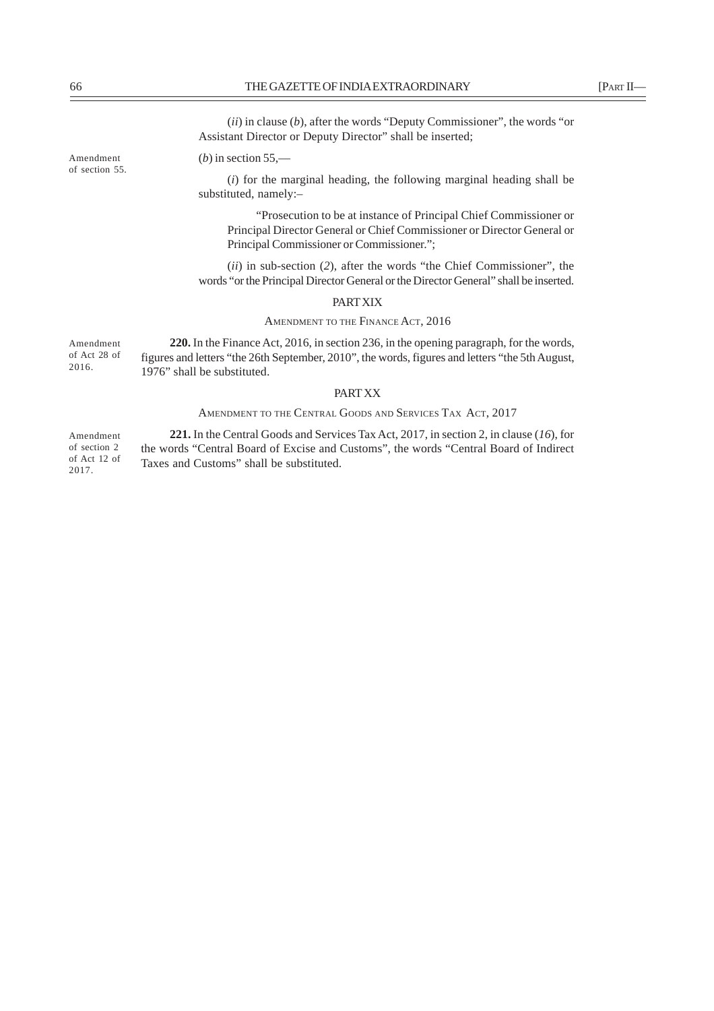(*ii*) in clause (*b*), after the words "Deputy Commissioner", the words "or Assistant Director or Deputy Director" shall be inserted;

(*b*) in section 55,—

(*i*) for the marginal heading, the following marginal heading shall be substituted, namely:–

"Prosecution to be at instance of Principal Chief Commissioner or Principal Director General or Chief Commissioner or Director General or Principal Commissioner or Commissioner.";

(*ii*) in sub-section (*2*), after the words "the Chief Commissioner", the words "or the Principal Director General or the Director General" shall be inserted.

# PART XIX

# AMENDMENT TO THE FINANCE ACT, 2016

**220.** In the Finance Act, 2016, in section 236, in the opening paragraph, for the words, figures and letters "the 26th September, 2010", the words, figures and letters "the 5th August, 1976" shall be substituted. Amendment of Act 28 of 2016.

# PART XX

# AMENDMENT TO THE CENTRAL GOODS AND SERVICES TAX ACT, 2017

**221.** In the Central Goods and Services Tax Act, 2017, in section 2, in clause (*16*), for the words "Central Board of Excise and Customs", the words "Central Board of Indirect Taxes and Customs" shall be substituted. Amendment of section 2 of Act 12 of 2017.

Amendment of section 55.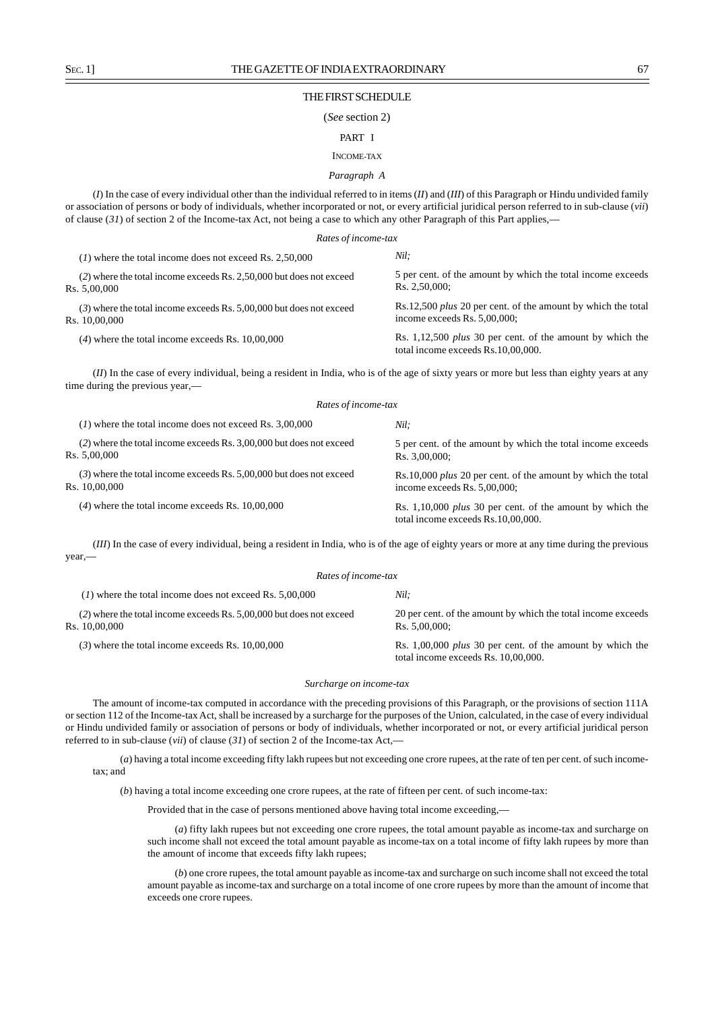#### THE FIRST SCHEDULE

#### (*See* section 2)

#### PART I

## INCOME-TAX

## *Paragraph A*

(*I*) In the case of every individual other than the individual referred to in items (*II*) and (*III*) of this Paragraph or Hindu undivided family or association of persons or body of individuals, whether incorporated or not, or every artificial juridical person referred to in sub-clause (*vii*) of clause (*31*) of section 2 of the Income-tax Act, not being a case to which any other Paragraph of this Part applies,—

| Rates of income-tax                                                                    |                                                                                                        |
|----------------------------------------------------------------------------------------|--------------------------------------------------------------------------------------------------------|
| $(1)$ where the total income does not exceed Rs. 2,50,000                              | Nil:                                                                                                   |
| (2) where the total income exceeds Rs. 2,50,000 but does not exceed<br>Rs. 5,00,000    | 5 per cent. of the amount by which the total income exceeds<br>Rs. 2.50.000:                           |
| $(3)$ where the total income exceeds Rs. 5,00,000 but does not exceed<br>Rs. 10.00.000 | Rs.12,500 <i>plus</i> 20 per cent. of the amount by which the total<br>income exceeds Rs. $5,00,000$ ; |
| $(4)$ where the total income exceeds Rs. 10,00,000                                     | Rs. 1,12,500 <i>plus</i> 30 per cent. of the amount by which the<br>total income exceeds Rs.10,00,000. |

(*II*) In the case of every individual, being a resident in India, who is of the age of sixty years or more but less than eighty years at any time during the previous year,—

| Rates of income-tax                                                                    |                                                                                                 |  |
|----------------------------------------------------------------------------------------|-------------------------------------------------------------------------------------------------|--|
| $(1)$ where the total income does not exceed Rs. 3,00,000                              | Nil:                                                                                            |  |
| (2) where the total income exceeds Rs. 3,00,000 but does not exceed<br>Rs. 5,00,000    | 5 per cent. of the amount by which the total income exceeds<br>Rs. 3.00.000:                    |  |
| $(3)$ where the total income exceeds Rs. 5,00,000 but does not exceed<br>Rs. 10,00,000 | Rs.10,000 plus 20 per cent. of the amount by which the total<br>income exceeds Rs. 5,00,000;    |  |
| $(4)$ where the total income exceeds Rs. 10,00,000                                     | Rs. 1,10,000 plus 30 per cent. of the amount by which the<br>total income exceeds Rs.10,00,000. |  |

(*III*) In the case of every individual, being a resident in India, who is of the age of eighty years or more at any time during the previous year,—

| Rates of income-tax                                                                    |                                                                                                    |  |
|----------------------------------------------------------------------------------------|----------------------------------------------------------------------------------------------------|--|
| $(1)$ where the total income does not exceed Rs. 5,00,000                              | Nil:                                                                                               |  |
| $(2)$ where the total income exceeds Rs. 5,00,000 but does not exceed<br>Rs. 10,00,000 | 20 per cent. of the amount by which the total income exceeds<br>Rs. 5,00,000;                      |  |
| $(3)$ where the total income exceeds Rs. 10,00,000                                     | Rs. $1,00,000$ plus 30 per cent. of the amount by which the<br>total income exceeds Rs. 10,00,000. |  |

#### *Surcharge on income-tax*

The amount of income-tax computed in accordance with the preceding provisions of this Paragraph, or the provisions of section 111A or section 112 of the Income-tax Act, shall be increased by a surcharge for the purposes of the Union, calculated, in the case of every individual or Hindu undivided family or association of persons or body of individuals, whether incorporated or not, or every artificial juridical person referred to in sub-clause (*vii*) of clause (*31*) of section 2 of the Income-tax Act,—

(*a*) having a total income exceeding fifty lakh rupees but not exceeding one crore rupees, at the rate of ten per cent. of such incometax; and

(*b*) having a total income exceeding one crore rupees, at the rate of fifteen per cent. of such income-tax:

Provided that in the case of persons mentioned above having total income exceeding,—

(*a*) fifty lakh rupees but not exceeding one crore rupees, the total amount payable as income-tax and surcharge on such income shall not exceed the total amount payable as income-tax on a total income of fifty lakh rupees by more than the amount of income that exceeds fifty lakh rupees;

(*b*) one crore rupees, the total amount payable as income-tax and surcharge on such income shall not exceed the total amount payable as income-tax and surcharge on a total income of one crore rupees by more than the amount of income that exceeds one crore rupees.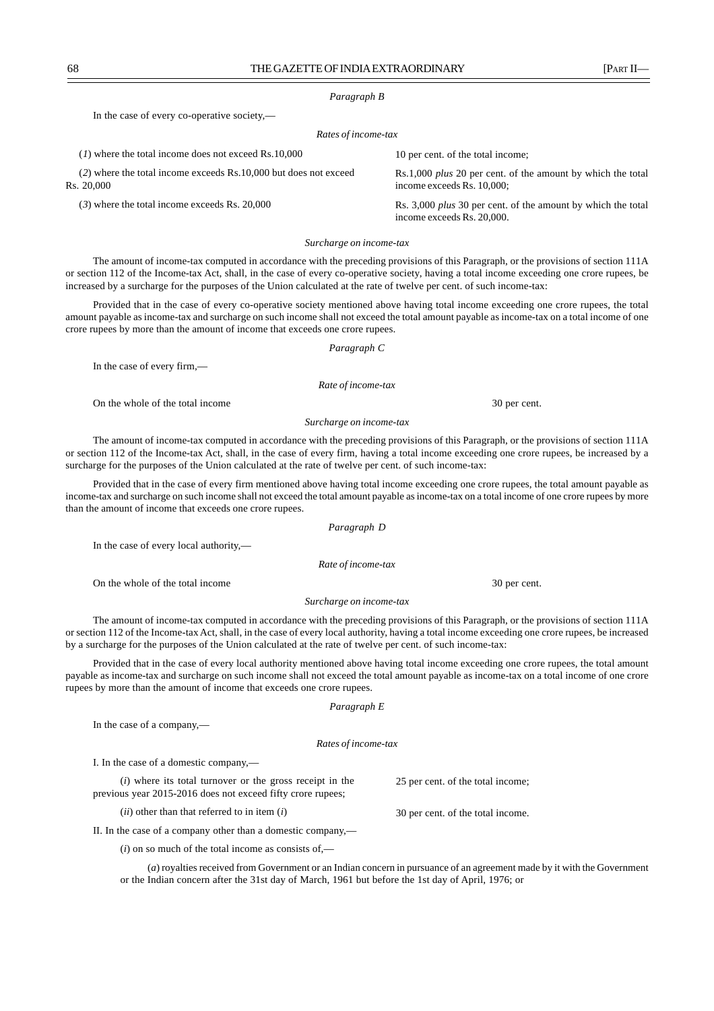## *Paragraph B*

In the case of every co-operative society,—

#### *Rates of income-tax*

| $(1)$ where the total income does not exceed Rs.10,000                           | 10 per cent. of the total income;                                                                 |
|----------------------------------------------------------------------------------|---------------------------------------------------------------------------------------------------|
| $(2)$ where the total income exceeds Rs.10,000 but does not exceed<br>Rs. 20.000 | Rs.1,000 <i>plus</i> 20 per cent. of the amount by which the total<br>income exceeds Rs. 10,000;  |
| $(3)$ where the total income exceeds Rs. 20,000                                  | Rs. 3,000 <i>plus</i> 30 per cent. of the amount by which the total<br>income exceeds Rs. 20,000. |

*Surcharge on income-tax*

The amount of income-tax computed in accordance with the preceding provisions of this Paragraph, or the provisions of section 111A or section 112 of the Income-tax Act, shall, in the case of every co-operative society, having a total income exceeding one crore rupees, be increased by a surcharge for the purposes of the Union calculated at the rate of twelve per cent. of such income-tax:

Provided that in the case of every co-operative society mentioned above having total income exceeding one crore rupees, the total amount payable as income-tax and surcharge on such income shall not exceed the total amount payable as income-tax on a total income of one crore rupees by more than the amount of income that exceeds one crore rupees.

## *Paragraph C*

In the case of every firm,—

*Rate of income-tax*

On the whole of the total income 30 per cent.

## *Surcharge on income-tax*

The amount of income-tax computed in accordance with the preceding provisions of this Paragraph, or the provisions of section 111A or section 112 of the Income-tax Act, shall, in the case of every firm, having a total income exceeding one crore rupees, be increased by a surcharge for the purposes of the Union calculated at the rate of twelve per cent. of such income-tax:

Provided that in the case of every firm mentioned above having total income exceeding one crore rupees, the total amount payable as income-tax and surcharge on such income shall not exceed the total amount payable as income-tax on a total income of one crore rupees by more than the amount of income that exceeds one crore rupees.

*Paragraph D*

In the case of every local authority,—

*Rate of income-tax*

On the whole of the total income 30 per cent.

#### *Surcharge on income-tax*

The amount of income-tax computed in accordance with the preceding provisions of this Paragraph, or the provisions of section 111A or section 112 of the Income-tax Act, shall, in the case of every local authority, having a total income exceeding one crore rupees, be increased by a surcharge for the purposes of the Union calculated at the rate of twelve per cent. of such income-tax:

Provided that in the case of every local authority mentioned above having total income exceeding one crore rupees, the total amount payable as income-tax and surcharge on such income shall not exceed the total amount payable as income-tax on a total income of one crore rupees by more than the amount of income that exceeds one crore rupees.

## *Paragraph E*

In the case of a company,—

#### *Rates of income-tax*

I. In the case of a domestic company,—

(*i*) where its total turnover or the gross receipt in the previous year 2015-2016 does not exceed fifty crore rupees;

(*ii*) other than that referred to in item (*i*)

II. In the case of a company other than a domestic company,—

 $(i)$  on so much of the total income as consists of,—

(*a*) royalties received from Government or an Indian concern in pursuance of an agreement made by it with the Government or the Indian concern after the 31st day of March, 1961 but before the 1st day of April, 1976; or

25 per cent. of the total income;

30 per cent. of the total income.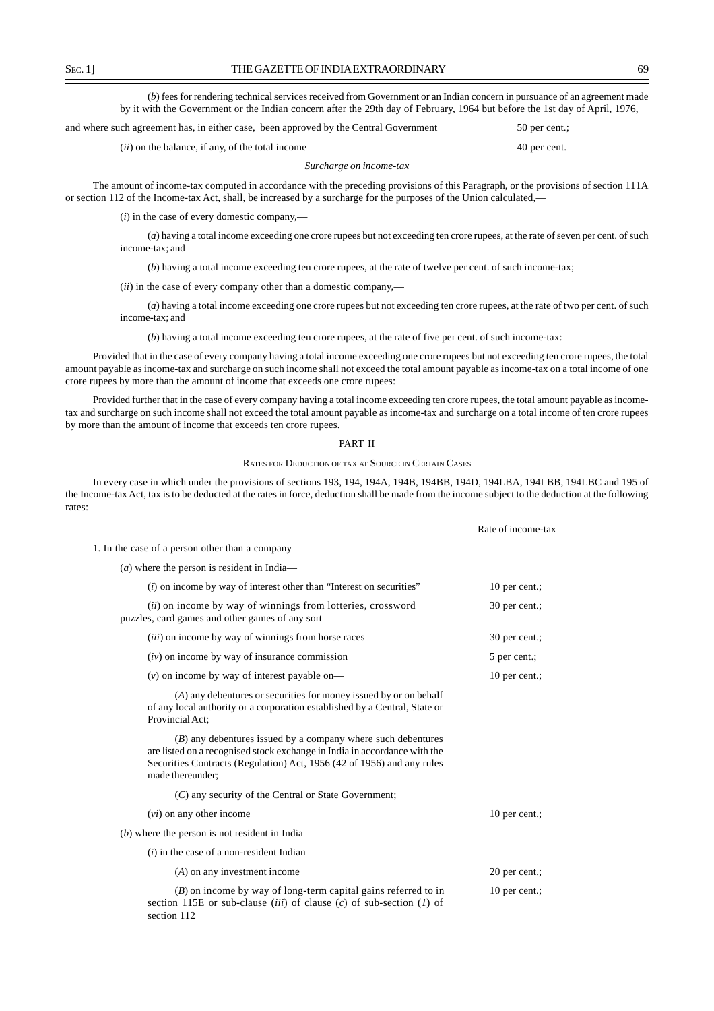(*b*) fees for rendering technical services received from Government or an Indian concern in pursuance of an agreement made by it with the Government or the Indian concern after the 29th day of February, 1964 but before the 1st day of April, 1976,

and where such agreement has, in either case, been approved by the Central Government 50 per cent.;

(*ii*) on the balance, if any, of the total income 40 per cent.

*Surcharge on income-tax*

The amount of income-tax computed in accordance with the preceding provisions of this Paragraph, or the provisions of section 111A or section 112 of the Income-tax Act, shall, be increased by a surcharge for the purposes of the Union calculated,—

(*i*) in the case of every domestic company,––

(*a*) having a total income exceeding one crore rupees but not exceeding ten crore rupees, at the rate of seven per cent. of such income-tax; and

(*b*) having a total income exceeding ten crore rupees, at the rate of twelve per cent. of such income-tax;

(*ii*) in the case of every company other than a domestic company,––

(*a*) having a total income exceeding one crore rupees but not exceeding ten crore rupees, at the rate of two per cent. of such income-tax; and

(*b*) having a total income exceeding ten crore rupees, at the rate of five per cent. of such income-tax:

Provided that in the case of every company having a total income exceeding one crore rupees but not exceeding ten crore rupees, the total amount payable as income-tax and surcharge on such income shall not exceed the total amount payable as income-tax on a total income of one crore rupees by more than the amount of income that exceeds one crore rupees:

Provided further that in the case of every company having a total income exceeding ten crore rupees, the total amount payable as incometax and surcharge on such income shall not exceed the total amount payable as income-tax and surcharge on a total income of ten crore rupees by more than the amount of income that exceeds ten crore rupees.

#### PART II

#### RATES FOR DEDUCTION OF TAX AT SOURCE IN CERTAIN CASES

In every case in which under the provisions of sections 193, 194, 194A, 194B, 194BB, 194D, 194LBA, 194LBB, 194LBC and 195 of the Income-tax Act, tax is to be deducted at the rates in force, deduction shall be made from the income subject to the deduction at the following rates:–

|                                                                                                                                                                                                                                           | Rate of income-tax |
|-------------------------------------------------------------------------------------------------------------------------------------------------------------------------------------------------------------------------------------------|--------------------|
| 1. In the case of a person other than a company—                                                                                                                                                                                          |                    |
| $(a)$ where the person is resident in India—                                                                                                                                                                                              |                    |
| $(i)$ on income by way of interest other than "Interest on securities"                                                                                                                                                                    | 10 per cent.;      |
| (ii) on income by way of winnings from lotteries, crossword<br>puzzles, card games and other games of any sort                                                                                                                            | 30 per cent.;      |
| ( <i>iii</i> ) on income by way of winnings from horse races                                                                                                                                                                              | 30 per cent.;      |
| $(iv)$ on income by way of insurance commission                                                                                                                                                                                           | 5 per cent.;       |
| $(v)$ on income by way of interest payable on—                                                                                                                                                                                            | 10 per cent.;      |
| (A) any debentures or securities for money issued by or on behalf<br>of any local authority or a corporation established by a Central, State or<br>Provincial Act;                                                                        |                    |
| $(B)$ any debentures issued by a company where such debentures<br>are listed on a recognised stock exchange in India in accordance with the<br>Securities Contracts (Regulation) Act, 1956 (42 of 1956) and any rules<br>made thereunder; |                    |
| (C) any security of the Central or State Government;                                                                                                                                                                                      |                    |
| $(vi)$ on any other income                                                                                                                                                                                                                | 10 per cent.;      |
| $(b)$ where the person is not resident in India—                                                                                                                                                                                          |                    |
| $(i)$ in the case of a non-resident Indian—                                                                                                                                                                                               |                    |
| $(A)$ on any investment income                                                                                                                                                                                                            | 20 per cent.;      |
| $(B)$ on income by way of long-term capital gains referred to in<br>section 115E or sub-clause <i>(iii)</i> of clause <i>(c)</i> of sub-section <i>(1)</i> of<br>section 112                                                              | 10 per cent.;      |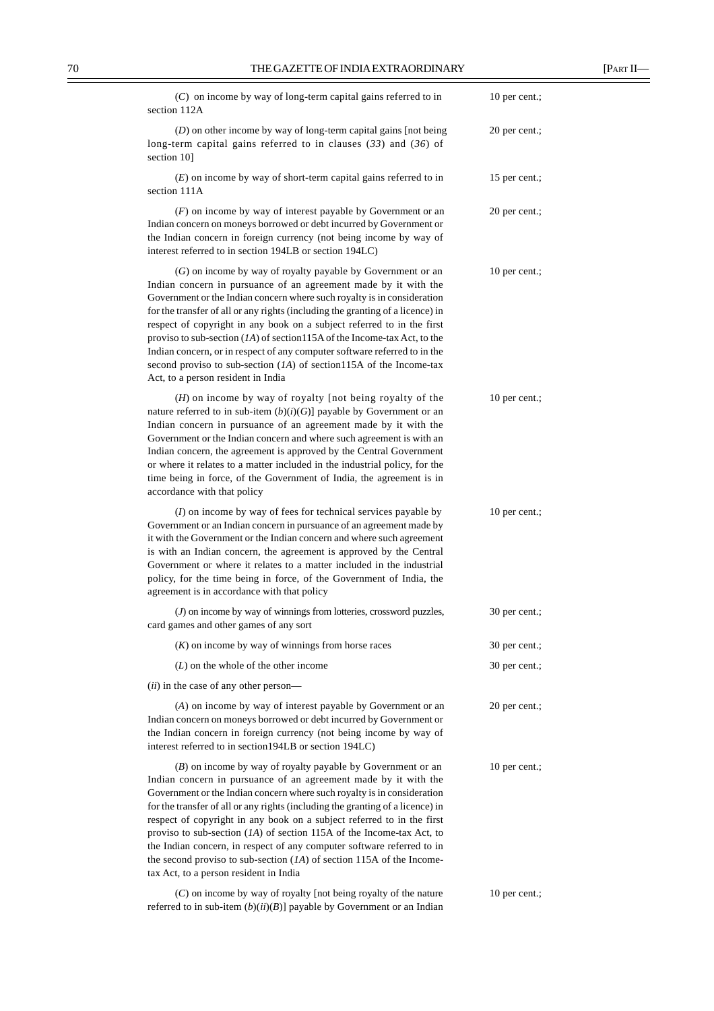| $(C)$ on income by way of long-term capital gains referred to in<br>section 112A                                                                                                                                                                                                                                                                                                                                                                                                                                                                                                                                                                  | 10 per cent.; |
|---------------------------------------------------------------------------------------------------------------------------------------------------------------------------------------------------------------------------------------------------------------------------------------------------------------------------------------------------------------------------------------------------------------------------------------------------------------------------------------------------------------------------------------------------------------------------------------------------------------------------------------------------|---------------|
| $(D)$ on other income by way of long-term capital gains [not being]<br>long-term capital gains referred to in clauses $(33)$ and $(36)$ of<br>section 10]                                                                                                                                                                                                                                                                                                                                                                                                                                                                                         | 20 per cent.; |
| $(E)$ on income by way of short-term capital gains referred to in<br>section 111A                                                                                                                                                                                                                                                                                                                                                                                                                                                                                                                                                                 | 15 per cent.; |
| $(F)$ on income by way of interest payable by Government or an<br>Indian concern on moneys borrowed or debt incurred by Government or<br>the Indian concern in foreign currency (not being income by way of<br>interest referred to in section 194LB or section 194LC)                                                                                                                                                                                                                                                                                                                                                                            | 20 per cent.; |
| (G) on income by way of royalty payable by Government or an<br>Indian concern in pursuance of an agreement made by it with the<br>Government or the Indian concern where such royalty is in consideration<br>for the transfer of all or any rights (including the granting of a licence) in<br>respect of copyright in any book on a subject referred to in the first<br>proviso to sub-section $(IA)$ of section 115A of the Income-tax Act, to the<br>Indian concern, or in respect of any computer software referred to in the<br>second proviso to sub-section $(IA)$ of section115A of the Income-tax<br>Act, to a person resident in India  | 10 per cent.; |
| $(H)$ on income by way of royalty [not being royalty of the<br>nature referred to in sub-item $(b)(i)(G)$ ] payable by Government or an<br>Indian concern in pursuance of an agreement made by it with the<br>Government or the Indian concern and where such agreement is with an<br>Indian concern, the agreement is approved by the Central Government<br>or where it relates to a matter included in the industrial policy, for the<br>time being in force, of the Government of India, the agreement is in<br>accordance with that policy                                                                                                    | 10 per cent.; |
| $(I)$ on income by way of fees for technical services payable by<br>Government or an Indian concern in pursuance of an agreement made by<br>it with the Government or the Indian concern and where such agreement<br>is with an Indian concern, the agreement is approved by the Central<br>Government or where it relates to a matter included in the industrial<br>policy, for the time being in force, of the Government of India, the<br>agreement is in accordance with that policy                                                                                                                                                          | 10 per cent.; |
| $(J)$ on income by way of winnings from lotteries, crossword puzzles,<br>card games and other games of any sort                                                                                                                                                                                                                                                                                                                                                                                                                                                                                                                                   | 30 per cent.; |
| $(K)$ on income by way of winnings from horse races                                                                                                                                                                                                                                                                                                                                                                                                                                                                                                                                                                                               | 30 per cent.; |
| $(L)$ on the whole of the other income                                                                                                                                                                                                                                                                                                                                                                                                                                                                                                                                                                                                            | 30 per cent.; |
| ( <i>ii</i> ) in the case of any other person—                                                                                                                                                                                                                                                                                                                                                                                                                                                                                                                                                                                                    |               |
| (A) on income by way of interest payable by Government or an<br>Indian concern on moneys borrowed or debt incurred by Government or<br>the Indian concern in foreign currency (not being income by way of<br>interest referred to in section194LB or section 194LC)                                                                                                                                                                                                                                                                                                                                                                               | 20 per cent.; |
| $(B)$ on income by way of royalty payable by Government or an<br>Indian concern in pursuance of an agreement made by it with the<br>Government or the Indian concern where such royalty is in consideration<br>for the transfer of all or any rights (including the granting of a licence) in<br>respect of copyright in any book on a subject referred to in the first<br>proviso to sub-section $(1A)$ of section 115A of the Income-tax Act, to<br>the Indian concern, in respect of any computer software referred to in<br>the second proviso to sub-section $(1A)$ of section 115A of the Income-<br>tax Act, to a person resident in India | 10 per cent.; |
| (C) on income by way of royalty [not being royalty of the nature                                                                                                                                                                                                                                                                                                                                                                                                                                                                                                                                                                                  | 10 per cent.; |

referred to in sub-item (*b*)(*ii*)(*B*)] payable by Government or an Indian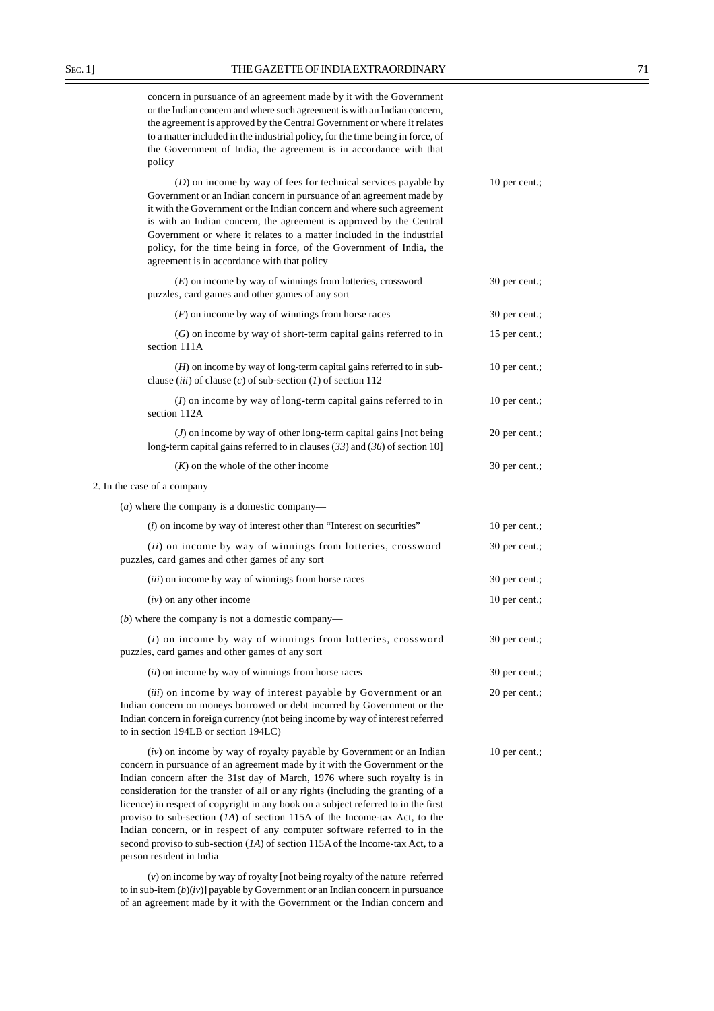concern in pursuance of an agreement made by it with the Government or the Indian concern and where such agreement is with an Indian concern, the agreement is approved by the Central Government or where it relates to a matter included in the industrial policy, for the time being in force, of the Government of India, the agreement is in accordance with that policy

(*D*) on income by way of fees for technical services payable by 10 per cent.; Government or an Indian concern in pursuance of an agreement made by it with the Government or the Indian concern and where such agreement is with an Indian concern, the agreement is approved by the Central Government or where it relates to a matter included in the industrial policy, for the time being in force, of the Government of India, the agreement is in accordance with that policy

(*E*) on income by way of winnings from lotteries, crossword 30 per cent.; puzzles, card games and other games of any sort

| $(F)$ on income by way of winnings from horse races                                                                                                                                                                                                                    | 30 per cent.; |
|------------------------------------------------------------------------------------------------------------------------------------------------------------------------------------------------------------------------------------------------------------------------|---------------|
| $(G)$ on income by way of short-term capital gains referred to in<br>section 111A                                                                                                                                                                                      | 15 per cent.; |
| $(H)$ on income by way of long-term capital gains referred to in sub-<br>clause (iii) of clause (c) of sub-section (1) of section 112                                                                                                                                  | 10 per cent.; |
| $(I)$ on income by way of long-term capital gains referred to in<br>section 112A                                                                                                                                                                                       | 10 per cent.; |
| $(J)$ on income by way of other long-term capital gains [not being<br>long-term capital gains referred to in clauses $(33)$ and $(36)$ of section 10]                                                                                                                  | 20 per cent.; |
| $(K)$ on the whole of the other income                                                                                                                                                                                                                                 | 30 per cent.; |
| 2. In the case of a company-                                                                                                                                                                                                                                           |               |
| ( <i>a</i> ) where the company is a domestic company—                                                                                                                                                                                                                  |               |
| $(i)$ on income by way of interest other than "Interest on securities"                                                                                                                                                                                                 | 10 per cent.; |
| (ii) on income by way of winnings from lotteries, crossword<br>puzzles, card games and other games of any sort                                                                                                                                                         | 30 per cent.; |
| (iii) on income by way of winnings from horse races                                                                                                                                                                                                                    | 30 per cent.; |
| $(iv)$ on any other income                                                                                                                                                                                                                                             | 10 per cent.; |
| $(b)$ where the company is not a domestic company—                                                                                                                                                                                                                     |               |
| $(i)$ on income by way of winnings from lotteries, crossword<br>puzzles, card games and other games of any sort                                                                                                                                                        | 30 per cent.; |
| ( <i>ii</i> ) on income by way of winnings from horse races                                                                                                                                                                                                            | 30 per cent.; |
| (iii) on income by way of interest payable by Government or an<br>Indian concern on moneys borrowed or debt incurred by Government or the<br>Indian concern in foreign currency (not being income by way of interest referred<br>to in section 194LB or section 194LC) | 20 per cent.; |
| $(iv)$ on income by way of royalty payable by Government or an Indian<br>concern in pursuance of an agreement made by it with the Government or the                                                                                                                    | 10 per cent.; |

Indian concern after the 31st day of March, 1976 where such royalty is in consideration for the transfer of all or any rights (including the granting of a licence) in respect of copyright in any book on a subject referred to in the first proviso to sub-section (*1A*) of section 115A of the Income-tax Act, to the Indian concern, or in respect of any computer software referred to in the second proviso to sub-section (*1A*) of section 115A of the Income-tax Act, to a

(*v*) on income by way of royalty [not being royalty of the nature referred to in sub-item (*b*)(*iv*)] payable by Government or an Indian concern in pursuance of an agreement made by it with the Government or the Indian concern and

person resident in India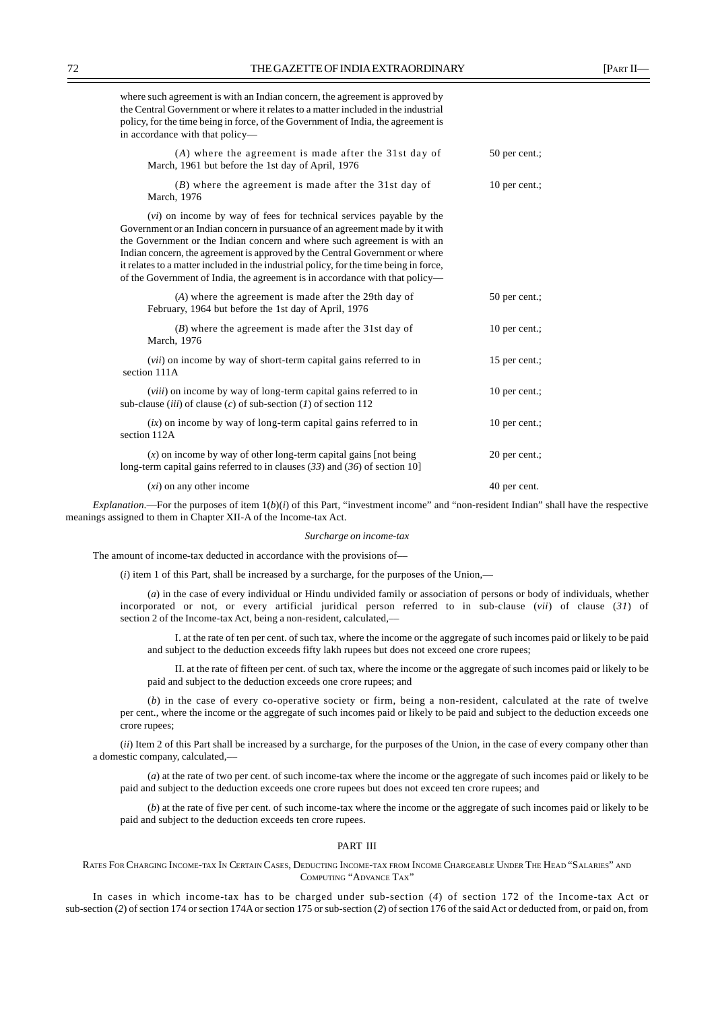| where such agreement is with an Indian concern, the agreement is approved by      |  |  |  |  |  |  |
|-----------------------------------------------------------------------------------|--|--|--|--|--|--|
| the Central Government or where it relates to a matter included in the industrial |  |  |  |  |  |  |
| policy, for the time being in force, of the Government of India, the agreement is |  |  |  |  |  |  |
| in accordance with that policy—                                                   |  |  |  |  |  |  |
|                                                                                   |  |  |  |  |  |  |

| (A) where the agreement is made after the 31st day of<br>March, 1961 but before the 1st day of April, 1976                                                                                                                                                                                                                                                                                                                                                                                         | 50 per cent.; |  |
|----------------------------------------------------------------------------------------------------------------------------------------------------------------------------------------------------------------------------------------------------------------------------------------------------------------------------------------------------------------------------------------------------------------------------------------------------------------------------------------------------|---------------|--|
| $(B)$ where the agreement is made after the 31st day of<br>March, 1976                                                                                                                                                                                                                                                                                                                                                                                                                             | 10 per cent.; |  |
| ( <i>vi</i> ) on income by way of fees for technical services payable by the<br>Government or an Indian concern in pursuance of an agreement made by it with<br>the Government or the Indian concern and where such agreement is with an<br>Indian concern, the agreement is approved by the Central Government or where<br>it relates to a matter included in the industrial policy, for the time being in force,<br>of the Government of India, the agreement is in accordance with that policy- |               |  |
| (A) where the agreement is made after the 29th day of<br>February, 1964 but before the 1st day of April, 1976                                                                                                                                                                                                                                                                                                                                                                                      | 50 per cent.; |  |
| $(B)$ where the agreement is made after the 31st day of<br>March, 1976                                                                                                                                                                                                                                                                                                                                                                                                                             | 10 per cent.; |  |
| (vii) on income by way of short-term capital gains referred to in<br>section 111A                                                                                                                                                                                                                                                                                                                                                                                                                  | 15 per cent.; |  |
| ( <i>viii</i> ) on income by way of long-term capital gains referred to in<br>sub-clause <i>(iii)</i> of clause <i>(c)</i> of sub-section <i>(1)</i> of section 112                                                                                                                                                                                                                                                                                                                                | 10 per cent.; |  |
| $(ix)$ on income by way of long-term capital gains referred to in<br>section 112A                                                                                                                                                                                                                                                                                                                                                                                                                  | 10 per cent.; |  |
| $(x)$ on income by way of other long-term capital gains [not being]<br>long-term capital gains referred to in clauses $(33)$ and $(36)$ of section 10]                                                                                                                                                                                                                                                                                                                                             | 20 per cent.; |  |
| $(xi)$ on any other income                                                                                                                                                                                                                                                                                                                                                                                                                                                                         | 40 per cent.  |  |

*Explanation*.—For the purposes of item  $1(b)(i)$  of this Part, "investment income" and "non-resident Indian" shall have the respective meanings assigned to them in Chapter XII-A of the Income-tax Act.

#### *Surcharge on income-tax*

The amount of income-tax deducted in accordance with the provisions of––

(*i*) item 1 of this Part, shall be increased by a surcharge, for the purposes of the Union,––

(*a*) in the case of every individual or Hindu undivided family or association of persons or body of individuals, whether incorporated or not, or every artificial juridical person referred to in sub-clause (*vii*) of clause (*31*) of section 2 of the Income-tax Act, being a non-resident, calculated,––

I. at the rate of ten per cent. of such tax, where the income or the aggregate of such incomes paid or likely to be paid and subject to the deduction exceeds fifty lakh rupees but does not exceed one crore rupees;

II. at the rate of fifteen per cent. of such tax, where the income or the aggregate of such incomes paid or likely to be paid and subject to the deduction exceeds one crore rupees; and

(*b*) in the case of every co-operative society or firm, being a non-resident, calculated at the rate of twelve per cent., where the income or the aggregate of such incomes paid or likely to be paid and subject to the deduction exceeds one crore rupees;

(*ii*) Item 2 of this Part shall be increased by a surcharge, for the purposes of the Union, in the case of every company other than a domestic company, calculated,––

(*a*) at the rate of two per cent. of such income-tax where the income or the aggregate of such incomes paid or likely to be paid and subject to the deduction exceeds one crore rupees but does not exceed ten crore rupees; and

(*b*) at the rate of five per cent. of such income-tax where the income or the aggregate of such incomes paid or likely to be paid and subject to the deduction exceeds ten crore rupees.

## PART III

RATES FOR CHARGING INCOME-TAX IN CERTAIN CASES, DEDUCTING INCOME-TAX FROM INCOME CHARGEABLE UNDER THE HEAD "SALARIES" AND COMPUTING "ADVANCE TAX"

In cases in which income-tax has to be charged under sub-section (*4*) of section 172 of the Income-tax Act or sub-section (*2*) of section 174 or section 174A or section 175 or sub-section (*2*) of section 176 of the said Act or deducted from, or paid on, from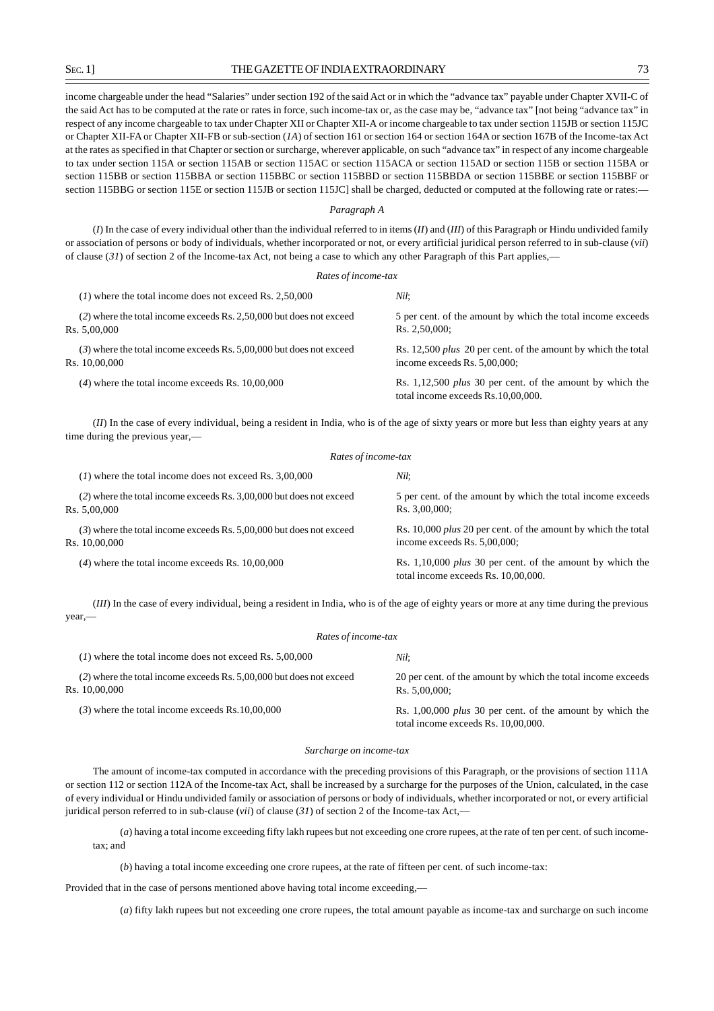income chargeable under the head "Salaries" under section 192 of the said Act or in which the "advance tax" payable under Chapter XVII-C of the said Act has to be computed at the rate or rates in force, such income-tax or, as the case may be, "advance tax" [not being "advance tax" in respect of any income chargeable to tax under Chapter XII or Chapter XII-A or income chargeable to tax under section 115JB or section 115JC or Chapter XII-FA or Chapter XII-FB or sub-section (*1A*) of section 161 or section 164 or section 164A or section 167B of the Income-tax Act at the rates as specified in that Chapter or section or surcharge, wherever applicable, on such "advance tax" in respect of any income chargeable to tax under section 115A or section 115AB or section 115AC or section 115ACA or section 115AD or section 115B or section 115BA or section 115BB or section 115BBA or section 115BBC or section 115BBD or section 115BBDA or section 115BBE or section 115BBF or section 115BBG or section 115E or section 115JB or section 115JC] shall be charged, deducted or computed at the following rate or rates:

## *Paragraph A*

(*I*) In the case of every individual other than the individual referred to in items (*II*) and (*III*) of this Paragraph or Hindu undivided family or association of persons or body of individuals, whether incorporated or not, or every artificial juridical person referred to in sub-clause (*vii*) of clause (*31*) of section 2 of the Income-tax Act, not being a case to which any other Paragraph of this Part applies,—

| Rates of income-tax                                                                    |                                                                                                         |  |
|----------------------------------------------------------------------------------------|---------------------------------------------------------------------------------------------------------|--|
| $(1)$ where the total income does not exceed Rs. 2,50,000                              | Nil:                                                                                                    |  |
| (2) where the total income exceeds Rs. 2,50,000 but does not exceed<br>Rs. 5,00,000    | 5 per cent. of the amount by which the total income exceeds<br>Rs. 2.50.000:                            |  |
| $(3)$ where the total income exceeds Rs. 5,00,000 but does not exceed<br>Rs. 10,00,000 | Rs. 12,500 <i>plus</i> 20 per cent. of the amount by which the total<br>income exceeds Rs. $5,00,000$ ; |  |
| $(4)$ where the total income exceeds Rs. $10,00,000$                                   | Rs. 1,12,500 <i>plus</i> 30 per cent. of the amount by which the<br>total income exceeds Rs.10,00,000.  |  |

(*II*) In the case of every individual, being a resident in India, who is of the age of sixty years or more but less than eighty years at any time during the previous year,—

| Rates of income-tax                                                                    |                                                                                                         |  |  |
|----------------------------------------------------------------------------------------|---------------------------------------------------------------------------------------------------------|--|--|
| $(1)$ where the total income does not exceed Rs. 3,00,000                              | Nil:                                                                                                    |  |  |
| (2) where the total income exceeds Rs. 3,00,000 but does not exceed<br>Rs. 5,00,000    | 5 per cent. of the amount by which the total income exceeds<br>Rs. 3,00,000;                            |  |  |
| $(3)$ where the total income exceeds Rs. 5,00,000 but does not exceed<br>Rs. 10,00,000 | Rs. 10,000 <i>plus</i> 20 per cent. of the amount by which the total<br>income exceeds Rs. $5,00,000$ ; |  |  |
| $(4)$ where the total income exceeds Rs. $10,00,000$                                   | Rs. $1,10,000$ plus 30 per cent. of the amount by which the<br>total income exceeds Rs. 10,00,000.      |  |  |

(*III*) In the case of every individual, being a resident in India, who is of the age of eighty years or more at any time during the previous year,—

| Rates of income-tax                                                   |                                                                                                    |  |  |  |
|-----------------------------------------------------------------------|----------------------------------------------------------------------------------------------------|--|--|--|
| $(1)$ where the total income does not exceed Rs. 5,00,000             | Nil:                                                                                               |  |  |  |
| $(2)$ where the total income exceeds Rs. 5,00,000 but does not exceed | 20 per cent. of the amount by which the total income exceeds<br>Rs. 5.00.000:                      |  |  |  |
| $(3)$ where the total income exceeds Rs.10,00,000                     | Rs. $1,00,000$ plus 30 per cent. of the amount by which the<br>total income exceeds Rs. 10,00,000. |  |  |  |
|                                                                       | Rs. 10,00,000                                                                                      |  |  |  |

#### *Surcharge on income-tax*

The amount of income-tax computed in accordance with the preceding provisions of this Paragraph, or the provisions of section 111A or section 112 or section 112A of the Income-tax Act, shall be increased by a surcharge for the purposes of the Union, calculated, in the case of every individual or Hindu undivided family or association of persons or body of individuals, whether incorporated or not, or every artificial juridical person referred to in sub-clause (*vii*) of clause (*31*) of section 2 of the Income-tax Act,—

(*a*) having a total income exceeding fifty lakh rupees but not exceeding one crore rupees, at the rate of ten per cent. of such incometax; and

(*b*) having a total income exceeding one crore rupees, at the rate of fifteen per cent. of such income-tax:

Provided that in the case of persons mentioned above having total income exceeding,—

(*a*) fifty lakh rupees but not exceeding one crore rupees, the total amount payable as income-tax and surcharge on such income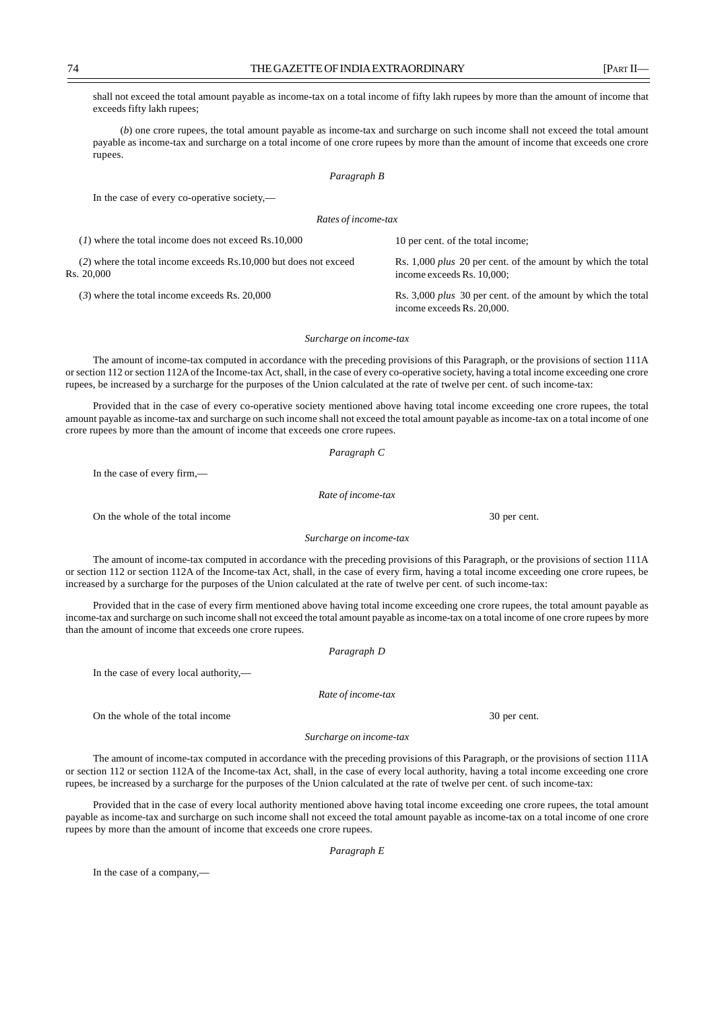74 THE GAZETTE OF INDIA EXTRAORDINARY [PART II]

shall not exceed the total amount payable as income-tax on a total income of fifty lakh rupees by more than the amount of income that exceeds fifty lakh rupees;

(*b*) one crore rupees, the total amount payable as income-tax and surcharge on such income shall not exceed the total amount payable as income-tax and surcharge on a total income of one crore rupees by more than the amount of income that exceeds one crore rupees.

*Paragraph B*

In the case of every co-operative society,—

*Rates of income-tax*

| $(1)$ where the total income does not exceed Rs.10,000                           | 10 per cent. of the total income;                                                                 |
|----------------------------------------------------------------------------------|---------------------------------------------------------------------------------------------------|
| $(2)$ where the total income exceeds Rs.10,000 but does not exceed<br>Rs. 20.000 | Rs. 1,000 <i>plus</i> 20 per cent. of the amount by which the total<br>income exceeds Rs. 10,000; |
| $(3)$ where the total income exceeds Rs. 20,000                                  | Rs. 3,000 <i>plus</i> 30 per cent. of the amount by which the total<br>income exceeds Rs. 20,000. |

#### *Surcharge on income-tax*

The amount of income-tax computed in accordance with the preceding provisions of this Paragraph, or the provisions of section 111A or section 112 or section 112A of the Income-tax Act, shall, in the case of every co-operative society, having a total income exceeding one crore rupees, be increased by a surcharge for the purposes of the Union calculated at the rate of twelve per cent. of such income-tax:

Provided that in the case of every co-operative society mentioned above having total income exceeding one crore rupees, the total amount payable as income-tax and surcharge on such income shall not exceed the total amount payable as income-tax on a total income of one crore rupees by more than the amount of income that exceeds one crore rupees.

*Paragraph C*

In the case of every firm,—

*Rate of income-tax*

On the whole of the total income 30 per cent.

*Surcharge on income-tax*

The amount of income-tax computed in accordance with the preceding provisions of this Paragraph, or the provisions of section 111A or section 112 or section 112A of the Income-tax Act, shall, in the case of every firm, having a total income exceeding one crore rupees, be increased by a surcharge for the purposes of the Union calculated at the rate of twelve per cent. of such income-tax:

Provided that in the case of every firm mentioned above having total income exceeding one crore rupees, the total amount payable as income-tax and surcharge on such income shall not exceed the total amount payable as income-tax on a total income of one crore rupees by more than the amount of income that exceeds one crore rupees.

*Paragraph D*

In the case of every local authority,—

*Rate of income-tax*

On the whole of the total income 30 per cent.

*Surcharge on income-tax*

The amount of income-tax computed in accordance with the preceding provisions of this Paragraph, or the provisions of section 111A or section 112 or section 112A of the Income-tax Act, shall, in the case of every local authority, having a total income exceeding one crore rupees, be increased by a surcharge for the purposes of the Union calculated at the rate of twelve per cent. of such income-tax:

Provided that in the case of every local authority mentioned above having total income exceeding one crore rupees, the total amount payable as income-tax and surcharge on such income shall not exceed the total amount payable as income-tax on a total income of one crore rupees by more than the amount of income that exceeds one crore rupees.

*Paragraph E*

In the case of a company,—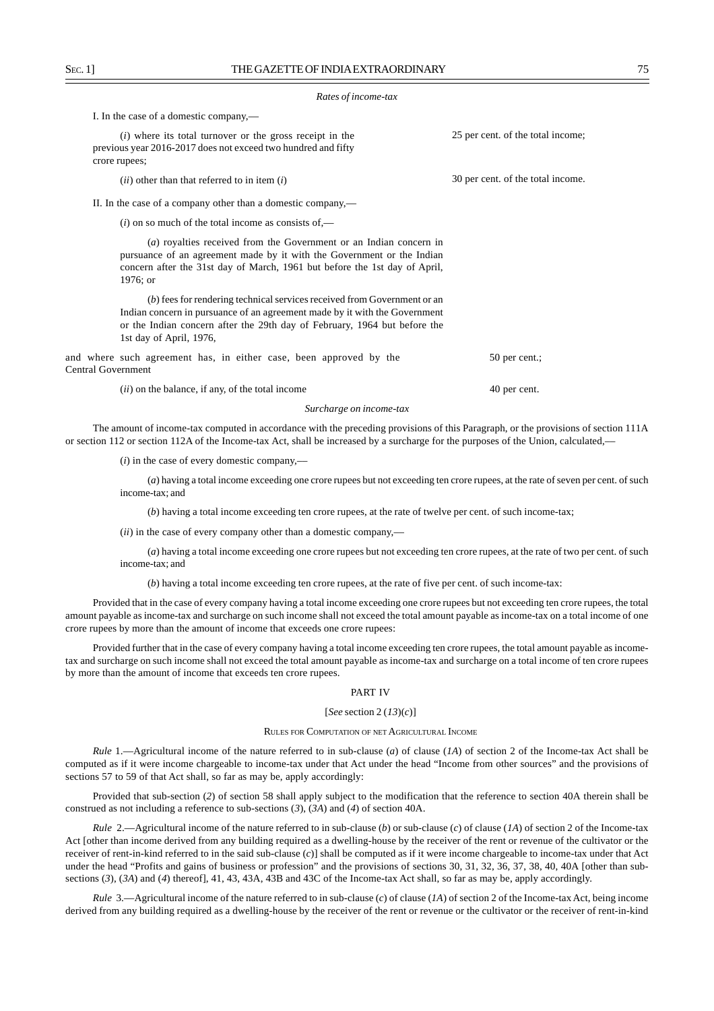#### *Rates of income-tax*

I. In the case of a domestic company,—

|                           | $(i)$ where its total turnover or the gross receipt in the<br>previous year 2016-2017 does not exceed two hundred and fifty<br>crore rupees;                                                                                                                   | 25 per cent. of the total income; |
|---------------------------|----------------------------------------------------------------------------------------------------------------------------------------------------------------------------------------------------------------------------------------------------------------|-----------------------------------|
|                           | $(ii)$ other than that referred to in item $(i)$                                                                                                                                                                                                               | 30 per cent. of the total income. |
|                           | II. In the case of a company other than a domestic company,—                                                                                                                                                                                                   |                                   |
|                           | $(i)$ on so much of the total income as consists of,—                                                                                                                                                                                                          |                                   |
|                           | $(a)$ royalties received from the Government or an Indian concern in<br>pursuance of an agreement made by it with the Government or the Indian<br>concern after the 31st day of March, 1961 but before the 1st day of April,<br>1976; or                       |                                   |
|                           | (b) fees for rendering technical services received from Government or an<br>Indian concern in pursuance of an agreement made by it with the Government<br>or the Indian concern after the 29th day of February, 1964 but before the<br>1st day of April, 1976, |                                   |
| <b>Central Government</b> | and where such agreement has, in either case, been approved by the                                                                                                                                                                                             | $50$ per cent.;                   |
|                           | ( <i>ii</i> ) on the balance, if any, of the total income                                                                                                                                                                                                      | 40 per cent.                      |

*Surcharge on income-tax*

The amount of income-tax computed in accordance with the preceding provisions of this Paragraph, or the provisions of section 111A or section 112 or section 112A of the Income-tax Act, shall be increased by a surcharge for the purposes of the Union, calculated,––

(*i*) in the case of every domestic company,––

(*a*) having a total income exceeding one crore rupees but not exceeding ten crore rupees, at the rate of seven per cent. of such income-tax; and

(*b*) having a total income exceeding ten crore rupees, at the rate of twelve per cent. of such income-tax;

(*ii*) in the case of every company other than a domestic company,––

(*a*) having a total income exceeding one crore rupees but not exceeding ten crore rupees, at the rate of two per cent. of such income-tax; and

(*b*) having a total income exceeding ten crore rupees, at the rate of five per cent. of such income-tax:

Provided that in the case of every company having a total income exceeding one crore rupees but not exceeding ten crore rupees, the total amount payable as income-tax and surcharge on such income shall not exceed the total amount payable as income-tax on a total income of one crore rupees by more than the amount of income that exceeds one crore rupees:

Provided further that in the case of every company having a total income exceeding ten crore rupees, the total amount payable as incometax and surcharge on such income shall not exceed the total amount payable as income-tax and surcharge on a total income of ten crore rupees by more than the amount of income that exceeds ten crore rupees.

# PART IV

#### [*See* section 2 (*13*)(*c*)]

### RULES FOR COMPUTATION OF NET AGRICULTURAL INCOME

*Rule* 1.—Agricultural income of the nature referred to in sub-clause (*a*) of clause (*1A*) of section 2 of the Income-tax Act shall be computed as if it were income chargeable to income-tax under that Act under the head "Income from other sources" and the provisions of sections 57 to 59 of that Act shall, so far as may be, apply accordingly:

Provided that sub-section (*2*) of section 58 shall apply subject to the modification that the reference to section 40A therein shall be construed as not including a reference to sub-sections (*3*), (*3A*) and (*4*) of section 40A.

*Rule* 2.—Agricultural income of the nature referred to in sub-clause (*b*) or sub-clause (*c*) of clause (*1A*) of section 2 of the Income-tax Act [other than income derived from any building required as a dwelling-house by the receiver of the rent or revenue of the cultivator or the receiver of rent-in-kind referred to in the said sub-clause (*c*)] shall be computed as if it were income chargeable to income-tax under that Act under the head "Profits and gains of business or profession" and the provisions of sections 30, 31, 32, 36, 37, 38, 40, 40A [other than subsections (*3*), (*3A*) and (*4*) thereof], 41, 43, 43A, 43B and 43C of the Income-tax Act shall, so far as may be, apply accordingly.

*Rule* 3.—Agricultural income of the nature referred to in sub-clause (*c*) of clause (*1A*) of section 2 of the Income-tax Act, being income derived from any building required as a dwelling-house by the receiver of the rent or revenue or the cultivator or the receiver of rent-in-kind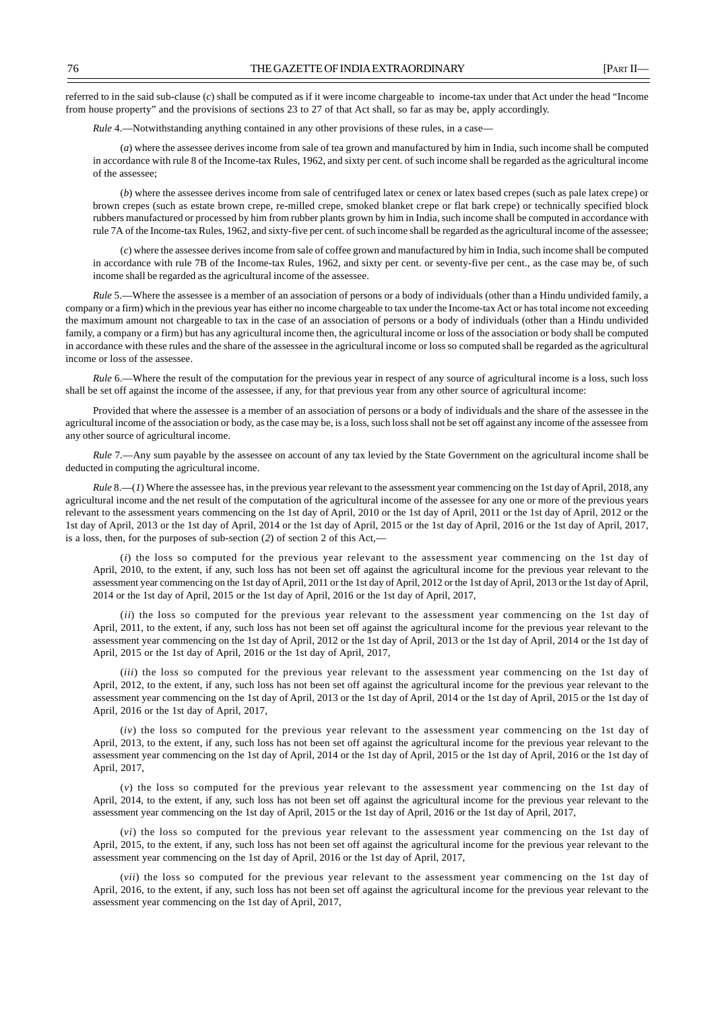referred to in the said sub-clause (*c*) shall be computed as if it were income chargeable to income-tax under that Act under the head "Income from house property" and the provisions of sections 23 to 27 of that Act shall, so far as may be, apply accordingly.

*Rule* 4.—Notwithstanding anything contained in any other provisions of these rules, in a case—

(*a*) where the assessee derives income from sale of tea grown and manufactured by him in India, such income shall be computed in accordance with rule 8 of the Income-tax Rules, 1962, and sixty per cent. of such income shall be regarded as the agricultural income of the assessee;

(*b*) where the assessee derives income from sale of centrifuged latex or cenex or latex based crepes (such as pale latex crepe) or brown crepes (such as estate brown crepe, re-milled crepe, smoked blanket crepe or flat bark crepe) or technically specified block rubbers manufactured or processed by him from rubber plants grown by him in India, such income shall be computed in accordance with rule 7A of the Income-tax Rules, 1962, and sixty-five per cent. of such income shall be regarded as the agricultural income of the assessee;

(*c*) where the assessee derives income from sale of coffee grown and manufactured by him in India, such income shall be computed in accordance with rule 7B of the Income-tax Rules, 1962, and sixty per cent. or seventy-five per cent., as the case may be, of such income shall be regarded as the agricultural income of the assessee.

*Rule* 5.—Where the assessee is a member of an association of persons or a body of individuals (other than a Hindu undivided family, a company or a firm) which in the previous year has either no income chargeable to tax under the Income-tax Act or has total income not exceeding the maximum amount not chargeable to tax in the case of an association of persons or a body of individuals (other than a Hindu undivided family, a company or a firm) but has any agricultural income then, the agricultural income or loss of the association or body shall be computed in accordance with these rules and the share of the assessee in the agricultural income or loss so computed shall be regarded as the agricultural income or loss of the assessee.

*Rule* 6.—Where the result of the computation for the previous year in respect of any source of agricultural income is a loss, such loss shall be set off against the income of the assessee, if any, for that previous year from any other source of agricultural income:

Provided that where the assessee is a member of an association of persons or a body of individuals and the share of the assessee in the agricultural income of the association or body, as the case may be, is a loss, such loss shall not be set off against any income of the assessee from any other source of agricultural income.

*Rule* 7.—Any sum payable by the assessee on account of any tax levied by the State Government on the agricultural income shall be deducted in computing the agricultural income.

*Rule* 8.—(*1*) Where the assessee has, in the previous year relevant to the assessment year commencing on the 1st day of April, 2018, any agricultural income and the net result of the computation of the agricultural income of the assessee for any one or more of the previous years relevant to the assessment years commencing on the 1st day of April, 2010 or the 1st day of April, 2011 or the 1st day of April, 2012 or the 1st day of April, 2013 or the 1st day of April, 2014 or the 1st day of April, 2015 or the 1st day of April, 2016 or the 1st day of April, 2017, is a loss, then, for the purposes of sub-section (*2*) of section 2 of this Act,—

(*i*) the loss so computed for the previous year relevant to the assessment year commencing on the 1st day of April, 2010, to the extent, if any, such loss has not been set off against the agricultural income for the previous year relevant to the assessment year commencing on the 1st day of April, 2011 or the 1st day of April, 2012 or the 1st day of April, 2013 or the 1st day of April, 2014 or the 1st day of April, 2015 or the 1st day of April, 2016 or the 1st day of April, 2017,

(*ii*) the loss so computed for the previous year relevant to the assessment year commencing on the 1st day of April, 2011, to the extent, if any, such loss has not been set off against the agricultural income for the previous year relevant to the assessment year commencing on the 1st day of April, 2012 or the 1st day of April, 2013 or the 1st day of April, 2014 or the 1st day of April, 2015 or the 1st day of April, 2016 or the 1st day of April, 2017,

(*iii*) the loss so computed for the previous year relevant to the assessment year commencing on the 1st day of April, 2012, to the extent, if any, such loss has not been set off against the agricultural income for the previous year relevant to the assessment year commencing on the 1st day of April, 2013 or the 1st day of April, 2014 or the 1st day of April, 2015 or the 1st day of April, 2016 or the 1st day of April, 2017,

(*iv*) the loss so computed for the previous year relevant to the assessment year commencing on the 1st day of April, 2013, to the extent, if any, such loss has not been set off against the agricultural income for the previous year relevant to the assessment year commencing on the 1st day of April, 2014 or the 1st day of April, 2015 or the 1st day of April, 2016 or the 1st day of April, 2017,

(*v*) the loss so computed for the previous year relevant to the assessment year commencing on the 1st day of April, 2014, to the extent, if any, such loss has not been set off against the agricultural income for the previous year relevant to the assessment year commencing on the 1st day of April, 2015 or the 1st day of April, 2016 or the 1st day of April, 2017,

(*vi*) the loss so computed for the previous year relevant to the assessment year commencing on the 1st day of April, 2015, to the extent, if any, such loss has not been set off against the agricultural income for the previous year relevant to the assessment year commencing on the 1st day of April, 2016 or the 1st day of April, 2017,

(*vii*) the loss so computed for the previous year relevant to the assessment year commencing on the 1st day of April, 2016, to the extent, if any, such loss has not been set off against the agricultural income for the previous year relevant to the assessment year commencing on the 1st day of April, 2017,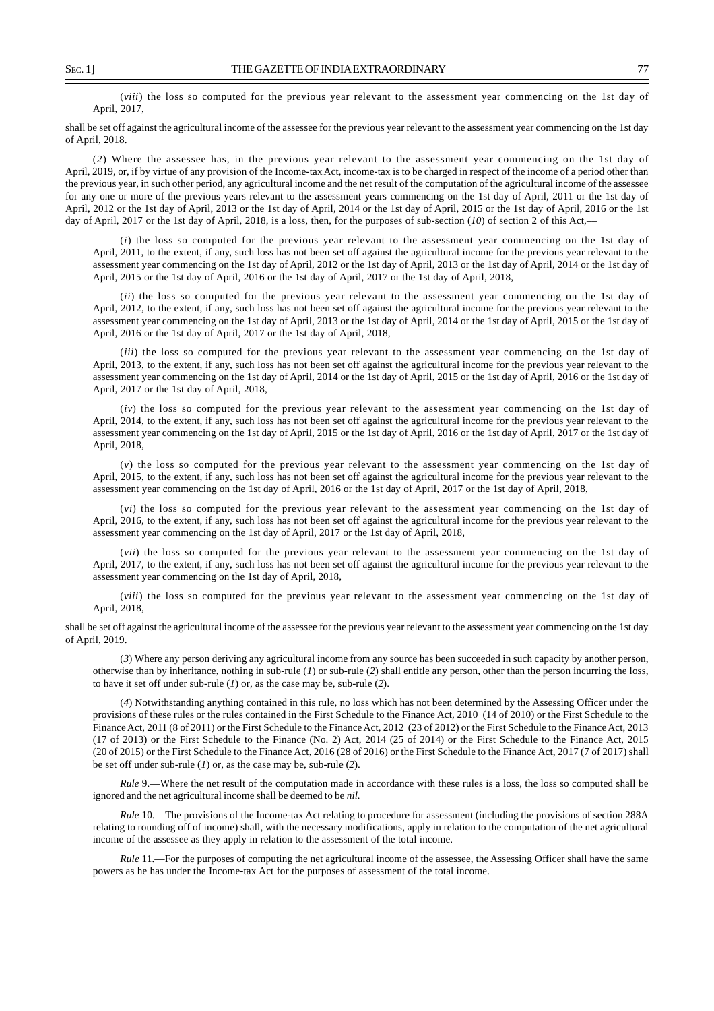(*viii*) the loss so computed for the previous year relevant to the assessment year commencing on the 1st day of April, 2017,

shall be set off against the agricultural income of the assessee for the previous year relevant to the assessment year commencing on the 1st day of April, 2018.

(*2*) Where the assessee has, in the previous year relevant to the assessment year commencing on the 1st day of April, 2019, or, if by virtue of any provision of the Income-tax Act, income-tax is to be charged in respect of the income of a period other than the previous year, in such other period, any agricultural income and the net result of the computation of the agricultural income of the assessee for any one or more of the previous years relevant to the assessment years commencing on the 1st day of April, 2011 or the 1st day of April, 2012 or the 1st day of April, 2013 or the 1st day of April, 2014 or the 1st day of April, 2015 or the 1st day of April, 2016 or the 1st day of April, 2017 or the 1st day of April, 2018, is a loss, then, for the purposes of sub-section (*10*) of section 2 of this Act,—

(*i*) the loss so computed for the previous year relevant to the assessment year commencing on the 1st day of April, 2011, to the extent, if any, such loss has not been set off against the agricultural income for the previous year relevant to the assessment year commencing on the 1st day of April, 2012 or the 1st day of April, 2013 or the 1st day of April, 2014 or the 1st day of April, 2015 or the 1st day of April, 2016 or the 1st day of April, 2017 or the 1st day of April, 2018,

(*ii*) the loss so computed for the previous year relevant to the assessment year commencing on the 1st day of April, 2012, to the extent, if any, such loss has not been set off against the agricultural income for the previous year relevant to the assessment year commencing on the 1st day of April, 2013 or the 1st day of April, 2014 or the 1st day of April, 2015 or the 1st day of April, 2016 or the 1st day of April, 2017 or the 1st day of April, 2018,

(*iii*) the loss so computed for the previous year relevant to the assessment year commencing on the 1st day of April, 2013, to the extent, if any, such loss has not been set off against the agricultural income for the previous year relevant to the assessment year commencing on the 1st day of April, 2014 or the 1st day of April, 2015 or the 1st day of April, 2016 or the 1st day of April, 2017 or the 1st day of April, 2018,

(*iv*) the loss so computed for the previous year relevant to the assessment year commencing on the 1st day of April, 2014, to the extent, if any, such loss has not been set off against the agricultural income for the previous year relevant to the assessment year commencing on the 1st day of April, 2015 or the 1st day of April, 2016 or the 1st day of April, 2017 or the 1st day of April, 2018,

(*v*) the loss so computed for the previous year relevant to the assessment year commencing on the 1st day of April, 2015, to the extent, if any, such loss has not been set off against the agricultural income for the previous year relevant to the assessment year commencing on the 1st day of April, 2016 or the 1st day of April, 2017 or the 1st day of April, 2018,

(*vi*) the loss so computed for the previous year relevant to the assessment year commencing on the 1st day of April, 2016, to the extent, if any, such loss has not been set off against the agricultural income for the previous year relevant to the assessment year commencing on the 1st day of April, 2017 or the 1st day of April, 2018,

(*vii*) the loss so computed for the previous year relevant to the assessment year commencing on the 1st day of April, 2017, to the extent, if any, such loss has not been set off against the agricultural income for the previous year relevant to the assessment year commencing on the 1st day of April, 2018,

(*viii*) the loss so computed for the previous year relevant to the assessment year commencing on the 1st day of April, 2018,

shall be set off against the agricultural income of the assessee for the previous year relevant to the assessment year commencing on the 1st day of April, 2019.

(*3*) Where any person deriving any agricultural income from any source has been succeeded in such capacity by another person, otherwise than by inheritance, nothing in sub-rule (*1*) or sub-rule (*2*) shall entitle any person, other than the person incurring the loss, to have it set off under sub-rule (*1*) or, as the case may be, sub-rule (*2*).

(*4*) Notwithstanding anything contained in this rule, no loss which has not been determined by the Assessing Officer under the provisions of these rules or the rules contained in the First Schedule to the Finance Act, 2010 (14 of 2010) or the First Schedule to the Finance Act, 2011 (8 of 2011) or the First Schedule to the Finance Act, 2012 (23 of 2012) or the First Schedule to the Finance Act, 2013 (17 of 2013) or the First Schedule to the Finance (No. 2) Act, 2014 (25 of 2014) or the First Schedule to the Finance Act, 2015 (20 of 2015) or the First Schedule to the Finance Act, 2016 (28 of 2016) or the First Schedule to the Finance Act, 2017 (7 of 2017) shall be set off under sub-rule (*1*) or, as the case may be, sub-rule (*2*).

*Rule* 9.—Where the net result of the computation made in accordance with these rules is a loss, the loss so computed shall be ignored and the net agricultural income shall be deemed to be *nil.*

*Rule* 10.—The provisions of the Income-tax Act relating to procedure for assessment (including the provisions of section 288A relating to rounding off of income) shall, with the necessary modifications, apply in relation to the computation of the net agricultural income of the assessee as they apply in relation to the assessment of the total income.

*Rule* 11.—For the purposes of computing the net agricultural income of the assessee, the Assessing Officer shall have the same powers as he has under the Income-tax Act for the purposes of assessment of the total income.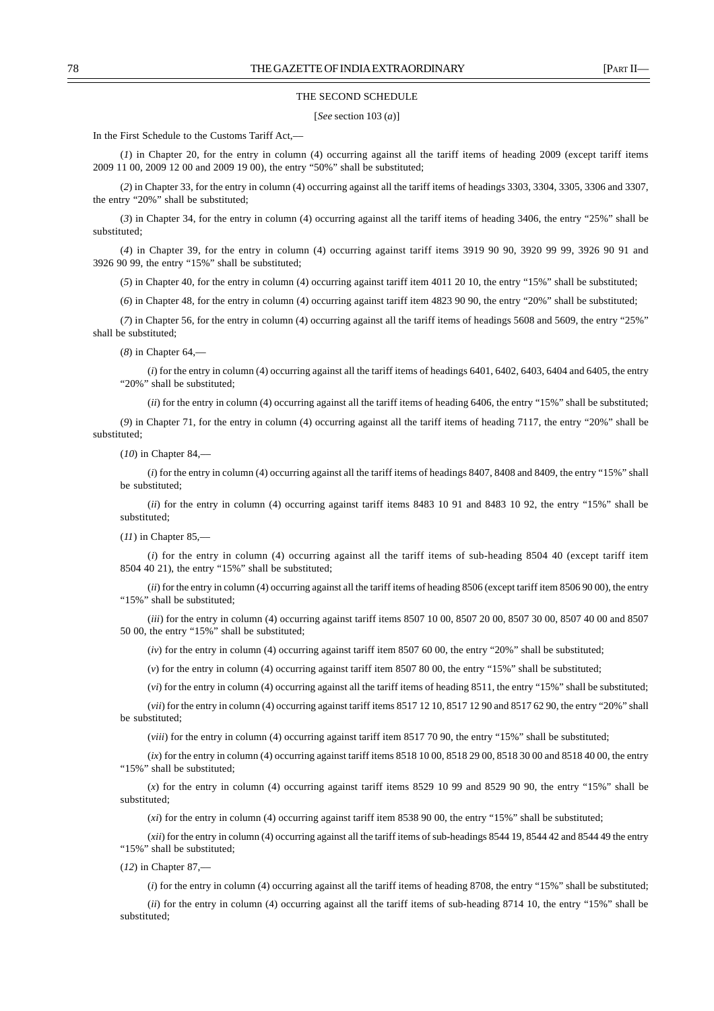#### THE SECOND SCHEDULE

#### [*See* section 103 (*a*)]

In the First Schedule to the Customs Tariff Act,––

(*1*) in Chapter 20, for the entry in column (4) occurring against all the tariff items of heading 2009 (except tariff items 2009 11 00, 2009 12 00 and 2009 19 00), the entry "50%" shall be substituted;

(*2*) in Chapter 33, for the entry in column (4) occurring against all the tariff items of headings 3303, 3304, 3305, 3306 and 3307, the entry "20%" shall be substituted;

(*3*) in Chapter 34, for the entry in column (4) occurring against all the tariff items of heading 3406, the entry "25%" shall be substituted;

(*4*) in Chapter 39, for the entry in column (4) occurring against tariff items 3919 90 90, 3920 99 99, 3926 90 91 and 3926 90 99, the entry "15%" shall be substituted;

(*5*) in Chapter 40, for the entry in column (4) occurring against tariff item 4011 20 10, the entry "15%" shall be substituted;

(*6*) in Chapter 48, for the entry in column (4) occurring against tariff item 4823 90 90, the entry "20%" shall be substituted;

(*7*) in Chapter 56, for the entry in column (4) occurring against all the tariff items of headings 5608 and 5609, the entry "25%" shall be substituted;

(*8*) in Chapter 64,––

(*i*) for the entry in column (4) occurring against all the tariff items of headings 6401, 6402, 6403, 6404 and 6405, the entry "20%" shall be substituted:

(*ii*) for the entry in column (4) occurring against all the tariff items of heading 6406, the entry "15%" shall be substituted;

(*9*) in Chapter 71, for the entry in column (4) occurring against all the tariff items of heading 7117, the entry "20%" shall be substituted;

(*10*) in Chapter 84,––

(*i*) for the entry in column (4) occurring against all the tariff items of headings 8407, 8408 and 8409, the entry "15%" shall be substituted;

(*ii*) for the entry in column (4) occurring against tariff items 8483 10 91 and 8483 10 92, the entry "15%" shall be substituted;

#### (*11*) in Chapter 85,––

(*i*) for the entry in column (4) occurring against all the tariff items of sub-heading 8504 40 (except tariff item 8504 40 21), the entry "15%" shall be substituted;

(*ii*) for the entry in column (4) occurring against all the tariff items of heading 8506 (except tariff item 8506 90 00), the entry "15%" shall be substituted;

(*iii*) for the entry in column (4) occurring against tariff items 8507 10 00, 8507 20 00, 8507 30 00, 8507 40 00 and 8507 50 00, the entry "15%" shall be substituted;

(*iv*) for the entry in column (4) occurring against tariff item 8507 60 00, the entry "20%" shall be substituted;

(*v*) for the entry in column (4) occurring against tariff item 8507 80 00, the entry "15%" shall be substituted;

(*vi*) for the entry in column (4) occurring against all the tariff items of heading 8511, the entry "15%" shall be substituted;

(*vii*) for the entry in column (4) occurring against tariff items 8517 12 10, 8517 12 90 and 8517 62 90, the entry "20%" shall be substituted;

(*viii*) for the entry in column (4) occurring against tariff item 8517 70 90, the entry "15%" shall be substituted;

(*ix*) for the entry in column (4) occurring against tariff items 8518 10 00, 8518 29 00, 8518 30 00 and 8518 40 00, the entry "15%" shall be substituted;

(*x*) for the entry in column (4) occurring against tariff items 8529 10 99 and 8529 90 90, the entry "15%" shall be substituted;

(*xi*) for the entry in column (4) occurring against tariff item 8538 90 00, the entry "15%" shall be substituted;

(*xii*) for the entry in column (4) occurring against all the tariff items of sub-headings 8544 19, 8544 42 and 8544 49 the entry "15%" shall be substituted;

(*12*) in Chapter 87,––

(*i*) for the entry in column (4) occurring against all the tariff items of heading 8708, the entry "15%" shall be substituted;

(*ii*) for the entry in column (4) occurring against all the tariff items of sub-heading 8714 10, the entry "15%" shall be substituted;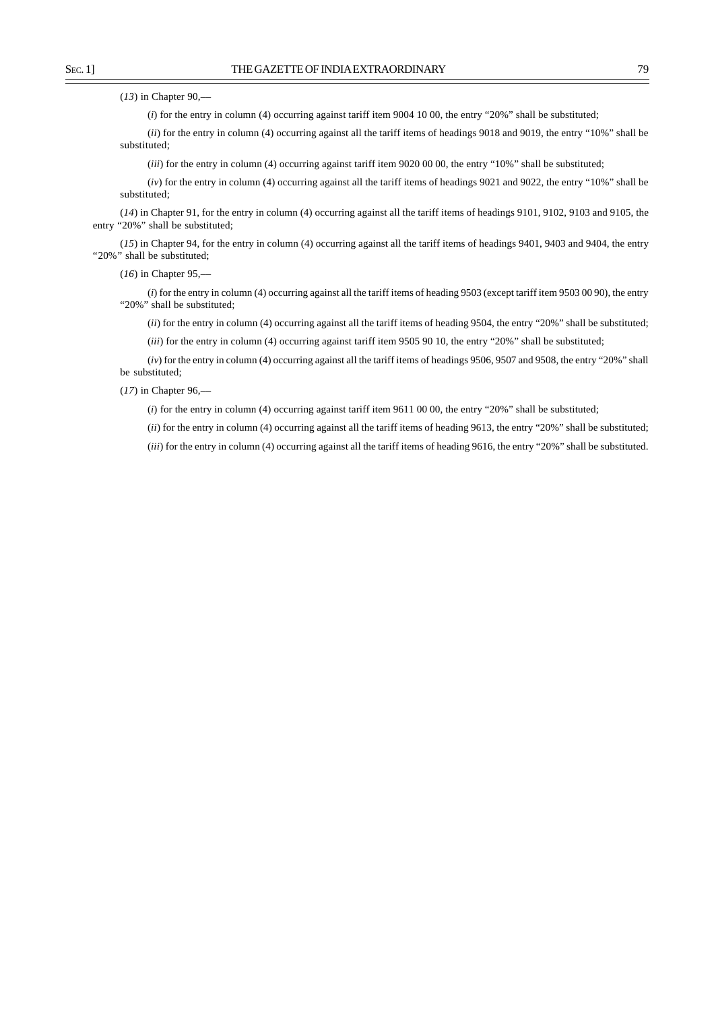(*13*) in Chapter 90,––

(*i*) for the entry in column (4) occurring against tariff item 9004 10 00, the entry "20%" shall be substituted;

(*ii*) for the entry in column (4) occurring against all the tariff items of headings 9018 and 9019, the entry "10%" shall be substituted;

(*iii*) for the entry in column (4) occurring against tariff item 9020 00 00, the entry "10%" shall be substituted;

(*iv*) for the entry in column (4) occurring against all the tariff items of headings 9021 and 9022, the entry "10%" shall be substituted;

(*14*) in Chapter 91, for the entry in column (4) occurring against all the tariff items of headings 9101, 9102, 9103 and 9105, the entry "20%" shall be substituted;

(*15*) in Chapter 94, for the entry in column (4) occurring against all the tariff items of headings 9401, 9403 and 9404, the entry "20%" shall be substituted;

(*16*) in Chapter 95,––

(*i*) for the entry in column (4) occurring against all the tariff items of heading 9503 (except tariff item 9503 00 90), the entry "20%" shall be substituted;

(*ii*) for the entry in column (4) occurring against all the tariff items of heading 9504, the entry "20%" shall be substituted;

(*iii*) for the entry in column (4) occurring against tariff item 9505 90 10, the entry "20%" shall be substituted;

(*iv*) for the entry in column (4) occurring against all the tariff items of headings 9506, 9507 and 9508, the entry "20%" shall be substituted;

(*17*) in Chapter 96,––

(*i*) for the entry in column (4) occurring against tariff item 9611 00 00, the entry "20%" shall be substituted;

(*ii*) for the entry in column (4) occurring against all the tariff items of heading 9613, the entry "20%" shall be substituted;

(*iii*) for the entry in column (4) occurring against all the tariff items of heading 9616, the entry "20%" shall be substituted.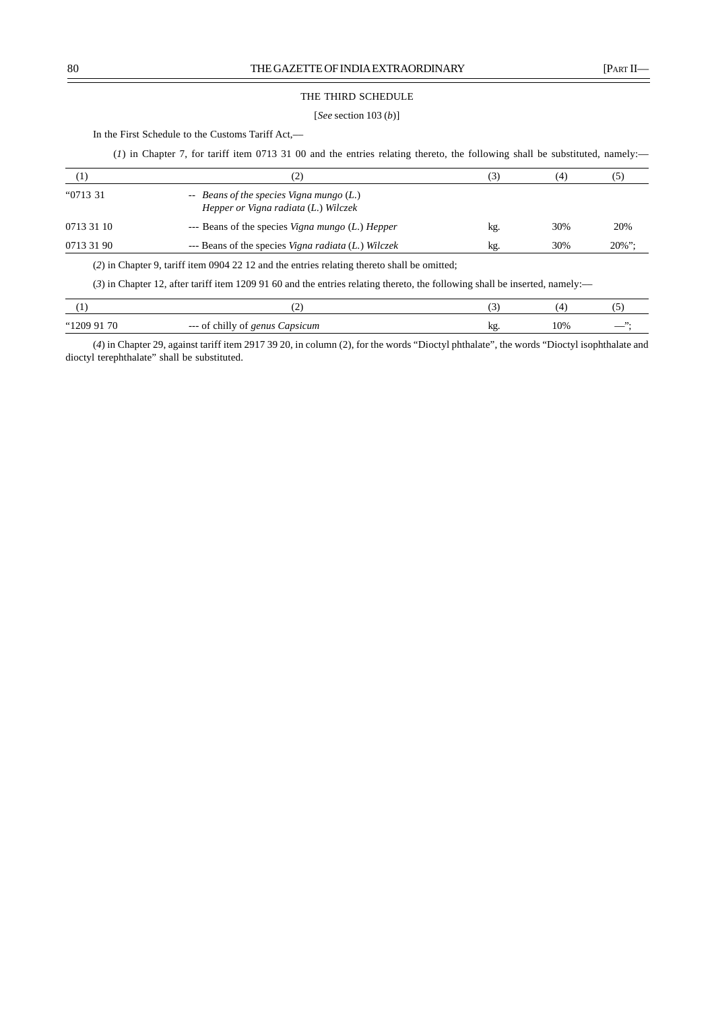# THE THIRD SCHEDULE

# [*See* section 103 (*b*)]

In the First Schedule to the Customs Tariff Act,-

(*1*) in Chapter 7, for tariff item 0713 31 00 and the entries relating thereto, the following shall be substituted, namely:—

| $\left( 1\right)$ | (2)                                                                               | 3)  | (4) |           |
|-------------------|-----------------------------------------------------------------------------------|-----|-----|-----------|
| "0713 31          | -- Beans of the species Vigna mungo $(L)$<br>Hepper or Vigna radiata (L.) Wilczek |     |     |           |
| 0713 31 10        | --- Beans of the species Vigna mungo (L.) Hepper                                  | kg. | 30% | 20%       |
| 0713 31 90        | --- Beans of the species Vigna radiata (L.) Wilczek                               | kg. | 30% | $20\%$ ": |

(*2*) in Chapter 9, tariff item 0904 22 12 and the entries relating thereto shall be omitted;

(*3*) in Chapter 12, after tariff item 1209 91 60 and the entries relating thereto, the following shall be inserted, namely:––

|                 | . <u>.</u>                                                        |     |     |  |
|-----------------|-------------------------------------------------------------------|-----|-----|--|
| "1209 91"<br>70 | $\overline{\phantom{a}}$ --- of chilly<br>Capsicum<br>genus<br>0İ | ng, | 10% |  |

(*4*) in Chapter 29, against tariff item 2917 39 20, in column (2), for the words "Dioctyl phthalate", the words "Dioctyl isophthalate and dioctyl terephthalate" shall be substituted.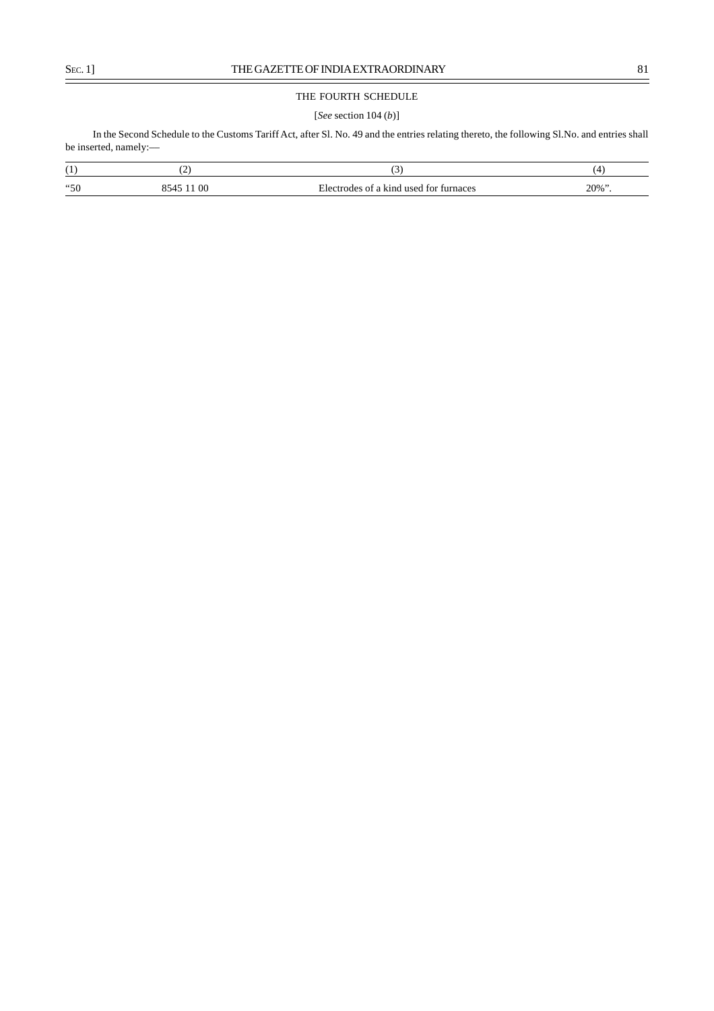$\equiv$ 

# THE FOURTH SCHEDULE

# [*See* section 104 (*b*)]

In the Second Schedule to the Customs Tariff Act, after Sl. No. 49 and the entries relating thereto, the following Sl.No. and entries shall be inserted, namely:––

| $\overline{1}$ | -                 | $\overline{\phantom{a}}$                         | $\overline{\phantom{a}}$ |
|----------------|-------------------|--------------------------------------------------|--------------------------|
| "50            | O0<br>$   -$<br>. | <b>used</b><br>kind<br>turnaces<br>†∩r<br>w<br>. | $20\%$ "                 |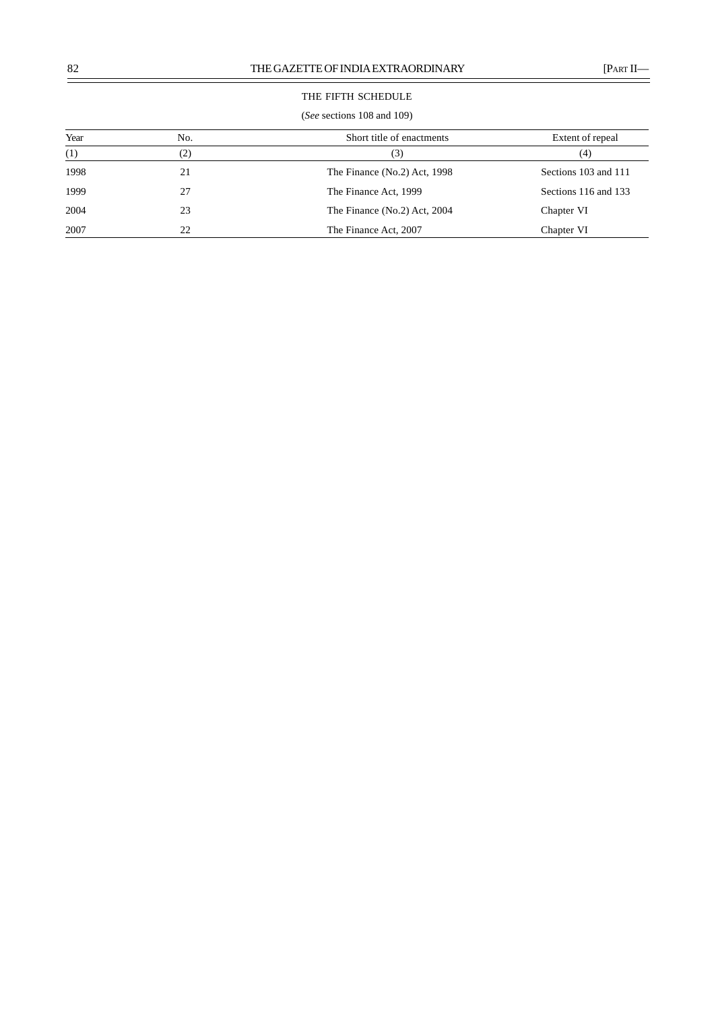# THE FIFTH SCHEDULE

# (*See* sections 108 and 109)

| Year | No. | Short title of enactments    | Extent of repeal     |
|------|-----|------------------------------|----------------------|
| (1)  | (2) | (3)                          | (4)                  |
| 1998 | 21  | The Finance (No.2) Act, 1998 | Sections 103 and 111 |
| 1999 | 27  | The Finance Act, 1999        | Sections 116 and 133 |
| 2004 | 23  | The Finance (No.2) Act, 2004 | Chapter VI           |
| 2007 | 22  | The Finance Act, 2007        | Chapter VI           |